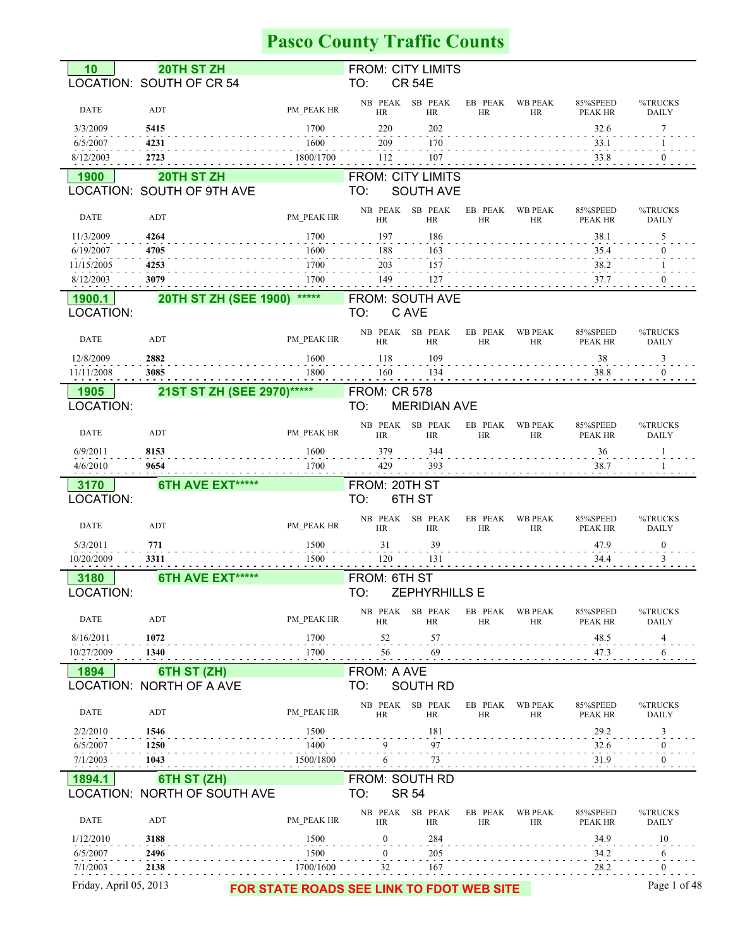# **Pasco County Traffic Counts**

| 10                     | 20TH ST ZH                          |            | <b>FROM: CITY LIMITS</b>                  |                      |                             |                     |                         |
|------------------------|-------------------------------------|------------|-------------------------------------------|----------------------|-----------------------------|---------------------|-------------------------|
|                        | LOCATION: SOUTH OF CR 54            |            | TO:<br><b>CR 54E</b>                      |                      |                             |                     |                         |
|                        |                                     |            |                                           |                      |                             |                     |                         |
| <b>DATE</b>            | ADT                                 | PM PEAK HR | NB PEAK SB PEAK<br><b>HR</b><br><b>HR</b> | EB PEAK<br><b>HR</b> | <b>WB PEAK</b><br><b>HR</b> | 85%SPEED<br>PEAK HR | %TRUCKS<br><b>DAILY</b> |
|                        |                                     |            |                                           |                      |                             |                     |                         |
| 3/3/2009               | 5415                                | 1700       | 220<br>202                                |                      |                             | 32.6                | 7                       |
| 6/5/2007               | 4231                                | 1600       | 170<br>209                                |                      |                             | 33.1                |                         |
| 8/12/2003              | 2723                                | 1800/1700  | 107<br>112                                |                      |                             | 33.8                |                         |
|                        |                                     |            |                                           |                      |                             |                     |                         |
| 1900                   | 20TH ST ZH                          |            | <b>FROM: CITY LIMITS</b>                  |                      |                             |                     |                         |
|                        | LOCATION: SOUTH OF 9TH AVE          |            | <b>SOUTH AVE</b><br>TO:                   |                      |                             |                     |                         |
|                        |                                     |            | NB PEAK SB PEAK                           | EB PEAK              | <b>WB PEAK</b>              | 85%SPEED            | %TRUCKS                 |
| <b>DATE</b>            | ADT                                 | PM PEAK HR | <b>HR</b><br>HR                           | HR                   | HR                          | PEAK HR             | <b>DAILY</b>            |
| 11/3/2009              | 4264                                | 1700       | 197<br>186                                |                      |                             | 38.1                | 5                       |
|                        |                                     |            |                                           |                      |                             |                     |                         |
| 6/19/2007              | 4705                                | 1600       | 188<br>163                                |                      |                             | 35.4                |                         |
| 11/15/2005             | 4253                                | 1700       | 203<br>157                                |                      |                             | 38.2                |                         |
| 8/12/2003              | 3079                                | 1700       | 127<br>149                                |                      |                             | 37.7                |                         |
| 1900.1                 | 20TH ST ZH (SEE 1900)               | *****      | FROM: SOUTH AVE                           |                      |                             |                     |                         |
|                        |                                     |            |                                           |                      |                             |                     |                         |
| LOCATION:              |                                     |            | C AVE<br>TO:                              |                      |                             |                     |                         |
|                        |                                     |            | NB PEAK SB PEAK                           | EB PEAK              | <b>WB PEAK</b>              | 85%SPEED            | %TRUCKS                 |
| <b>DATE</b>            | ADT                                 | PM PEAK HR | <b>HR</b><br><b>HR</b>                    | <b>HR</b>            | <b>HR</b>                   | PEAK HR             | <b>DAILY</b>            |
| 12/8/2009              | 2882                                | 1600       | 118<br>109                                |                      |                             | 38                  | 3                       |
|                        | 3085                                | 1800       | 134<br>160                                |                      |                             | 38.8                | $\theta$                |
| 11/11/2008             |                                     |            |                                           |                      |                             |                     |                         |
| 1905                   | 21ST ST ZH (SEE 2970)*****          |            | <b>FROM: CR 578</b>                       |                      |                             |                     |                         |
| LOCATION:              |                                     |            | TO:<br><b>MERIDIAN AVE</b>                |                      |                             |                     |                         |
|                        |                                     |            |                                           |                      |                             |                     |                         |
| <b>DATE</b>            | ADT                                 | PM PEAK HR | NB PEAK SB PEAK<br>HR<br>HR               | EB PEAK<br><b>HR</b> | WB PEAK<br>HR               | 85%SPEED<br>PEAK HR | %TRUCKS<br><b>DAILY</b> |
|                        |                                     |            |                                           |                      |                             |                     |                         |
| 6/9/2011               | 8153                                | 1600       | 379<br>344                                |                      |                             | 36                  |                         |
| 4/6/2010               | 9654                                | 1700       | 393<br>429                                |                      |                             | 38.7                |                         |
|                        |                                     |            |                                           |                      |                             |                     |                         |
|                        |                                     |            |                                           |                      |                             |                     |                         |
| 3170                   | 6TH AVE EXT*****                    |            | FROM: 20TH ST                             |                      |                             |                     |                         |
| LOCATION:              |                                     |            | TO:<br>6TH ST                             |                      |                             |                     |                         |
|                        |                                     |            | NB PEAK SB PEAK                           | EB PEAK              | <b>WB PEAK</b>              | 85%SPEED            | %TRUCKS                 |
| <b>DATE</b>            | ADT                                 | PM PEAK HR | <b>HR</b><br><b>HR</b>                    | <b>HR</b>            | <b>HR</b>                   | PEAK HR             | <b>DAILY</b>            |
|                        |                                     | 1500       | 31<br>39                                  |                      |                             |                     | $\boldsymbol{0}$        |
| 5/3/2011               | 771                                 |            |                                           |                      |                             | 47.9                |                         |
| 10/20/2009             | 3311                                | 1500       | 120<br>131                                |                      |                             | 34.4                | 3                       |
| 3180                   | 6TH AVE EXT*****                    |            | FROM: 6TH ST                              |                      |                             |                     |                         |
| LOCATION:              |                                     |            | TO:<br>ZEPHYRHILLS E                      |                      |                             |                     |                         |
|                        |                                     |            |                                           |                      |                             |                     |                         |
| DATE                   | ADT                                 | PM PEAK HR | NB PEAK<br>SB PEAK                        | EB PEAK              | <b>WB PEAK</b>              | 85%SPEED            | %TRUCKS                 |
|                        |                                     |            | <b>HR</b><br><b>HR</b>                    | HR                   | HR                          | PEAK HR             | <b>DAILY</b>            |
| 8/16/2011              | 1072                                | 1700       | 52<br>57                                  |                      |                             | 48.5                | 4                       |
| 10/27/2009             | 1340                                | 1700       | 69<br>56                                  |                      |                             | 47.3                | 6                       |
|                        |                                     |            |                                           |                      |                             |                     |                         |
| 1894                   | 6TH ST (ZH)                         |            | FROM: A AVE                               |                      |                             |                     |                         |
|                        | LOCATION: NORTH OF A AVE            |            | TO:<br>SOUTH RD                           |                      |                             |                     |                         |
|                        |                                     |            | NB PEAK SB PEAK                           | EB PEAK              | <b>WB PEAK</b>              | 85%SPEED            | %TRUCKS                 |
| <b>DATE</b>            | ADT                                 | PM PEAK HR | <b>HR</b><br><b>HR</b>                    | <b>HR</b>            | HR                          | PEAK HR             | <b>DAILY</b>            |
| 2/2/2010               | 1546                                | 1500       | 181                                       |                      |                             | 29.2                | 3                       |
| 6/5/2007               |                                     | 1400       | 9                                         |                      |                             |                     | $\boldsymbol{0}$        |
|                        | 1250                                |            | 97                                        |                      |                             | 32.6                |                         |
| 7/1/2003               | 1043                                | 1500/1800  | 73<br>6                                   |                      |                             | 31.9                | $\boldsymbol{0}$        |
| 1894.1                 | 6TH ST (ZH)                         |            | FROM: SOUTH RD                            |                      |                             |                     |                         |
|                        | <b>LOCATION: NORTH OF SOUTH AVE</b> |            | TO:<br><b>SR 54</b>                       |                      |                             |                     |                         |
|                        |                                     |            |                                           |                      |                             |                     |                         |
| DATE                   | ADT                                 |            | NB PEAK SB PEAK                           | EB PEAK              | <b>WB PEAK</b>              | 85%SPEED            | %TRUCKS                 |
|                        |                                     | PM_PEAK HR | <b>HR</b><br>HR                           | HR                   | HR                          | PEAK HR             | <b>DAILY</b>            |
| 1/12/2010              | 3188                                | 1500       | $\mathbf{0}$<br>284                       |                      |                             | 34.9                | 10                      |
| 6/5/2007               | 2496                                | 1500       | 205<br>0                                  |                      |                             | 34.2                | 6                       |
| 7/1/2003               | 2138                                | 1700/1600  | 32<br>167                                 |                      |                             | 28.2                | $\mathbf{0}$            |
| Friday, April 05, 2013 |                                     |            | FOR STATE ROADS SEE LINK TO FDOT WEB SITE |                      |                             |                     | Page 1 of 48            |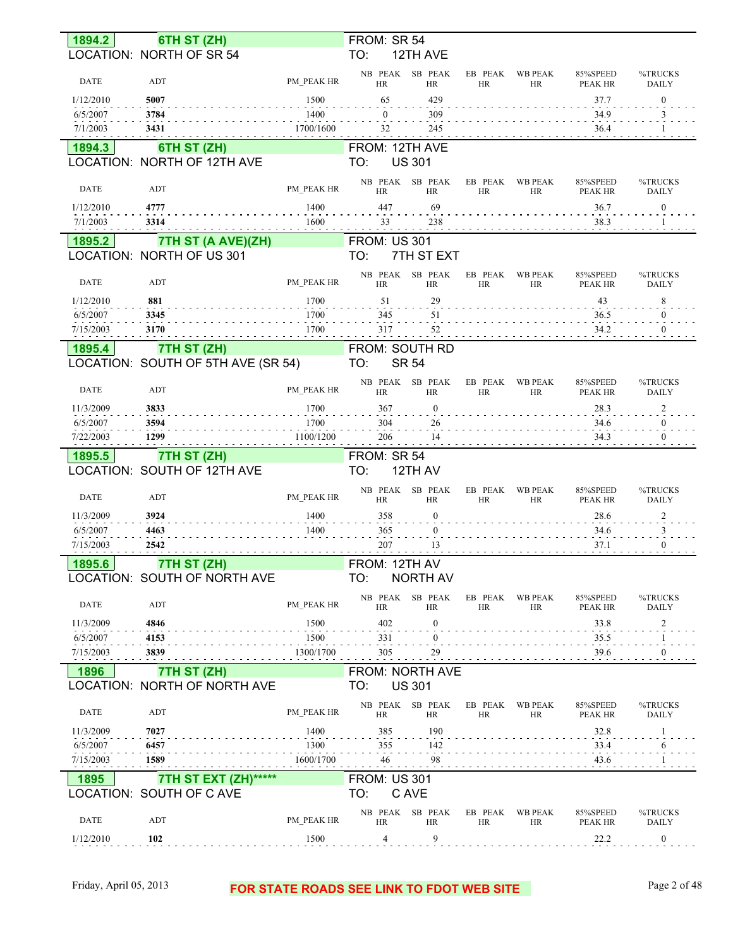| LOCATION: NORTH OF SR 54<br>TO:<br>12TH AVE<br>NB PEAK SB PEAK<br><b>WB PEAK</b><br>85%SPEED<br>%TRUCKS<br>EB PEAK<br><b>DATE</b><br>PM_PEAK HR<br>ADT<br><b>HR</b><br><b>HR</b><br><b>HR</b><br><b>HR</b><br>PEAK HR<br><b>DAILY</b><br>5007<br>1500<br>65<br>429<br>$\boldsymbol{0}$<br>1/12/2010<br>37.7<br>1400<br>6/5/2007<br>3784<br>$\Omega$<br>309<br>34.9<br>3<br>1700/1600<br>7/1/2003<br>3431<br>245<br>32<br>36.4<br>6TH ST (ZH)<br>FROM: 12TH AVE<br>1894.3<br>LOCATION: NORTH OF 12TH AVE<br><b>US 301</b><br>TO:<br>NB PEAK SB PEAK<br>EB PEAK<br><b>WB PEAK</b><br>85%SPEED<br>%TRUCKS<br>PM PEAK HR<br><b>DATE</b><br>ADT<br><b>HR</b><br><b>HR</b><br><b>HR</b><br><b>HR</b><br><b>PEAK HR</b><br><b>DAILY</b><br>1/12/2010<br>4777<br>1400<br>447<br>69<br>36.7<br>$\boldsymbol{0}$<br>7/1/2003<br>38.3<br>3314<br>1600<br>33<br>238<br>7TH ST (A AVE)(ZH)<br><b>FROM: US 301</b><br>1895.2<br>LOCATION: NORTH OF US 301<br>TO:<br>7TH ST EXT<br>NB PEAK SB PEAK<br>EB PEAK<br><b>WB PEAK</b><br>85%SPEED<br>%TRUCKS<br><b>DATE</b><br>ADT<br>PM PEAK HR<br><b>HR</b><br><b>HR</b><br>HR<br>HR<br><b>PEAK HR</b><br><b>DAILY</b><br>881<br>1700<br>29<br>8<br>1/12/2010<br>51<br>43<br>1700<br>6/5/2007<br>3345<br>345<br>51<br>$\overline{0}$<br>36.5<br>1700<br>3170<br>317<br>52<br>34.2<br>7/15/2003<br>$\mathbf{0}$<br>FROM: SOUTH RD<br>1895.4<br>7TH ST (ZH)<br>LOCATION: SOUTH OF 5TH AVE (SR 54)<br>TO:<br><b>SR 54</b><br>NB PEAK SB PEAK<br>EB PEAK<br><b>WB PEAK</b><br>85%SPEED<br>%TRUCKS<br><b>DATE</b><br>ADT<br>PM PEAK HR<br><b>HR</b><br><b>HR</b><br><b>HR</b><br>HR<br>PEAK HR<br><b>DAILY</b><br>3833<br>1700<br>11/3/2009<br>367<br>$\boldsymbol{0}$<br>28.3<br>$\overline{c}$<br>6/5/2007<br>3594<br>1700<br>304<br>26<br>34.6<br>$\mathbf{0}$<br>7/22/2003<br>1299<br>1100/1200<br>206<br>14<br>34.3<br>$\theta$<br>7TH ST (ZH)<br>FROM: SR 54<br>1895.5<br>LOCATION: SOUTH OF 12TH AVE<br>TO:<br>12TH AV<br>SB PEAK<br>NB PEAK<br>EB PEAK<br><b>WB PEAK</b><br>85%SPEED<br>%TRUCKS<br><b>DATE</b><br>ADT<br>PM PEAK HR<br><b>HR</b><br><b>HR</b><br><b>HR</b><br>HR<br>PEAK HR<br>DAILY<br>3924<br>1400<br>358<br>11/3/2009<br>$\boldsymbol{0}$<br>28.6<br>$\overline{2}$<br>1400<br>6/5/2007<br>4463<br>365<br>$\boldsymbol{0}$<br>34.6<br>3<br>207<br>7/15/2003<br>2542<br>13<br>37.1<br>1895.6<br>7TH ST (ZH)<br>FROM: 12TH AV<br>LOCATION: SOUTH OF NORTH AVE<br>TO:<br><b>NORTH AV</b><br>NB PEAK SB PEAK<br><b>WB PEAK</b><br>EB PEAK<br>85%SPEED<br>%TRUCKS<br>DATE<br>ADT<br>PM PEAK HR<br><b>HR</b><br>HR<br>HR<br>HR<br>PEAK HR<br><b>DAILY</b><br>402<br>11/3/2009<br>4846<br>1500<br>33.8<br>0<br>$\overline{c}$<br>1500<br>6/5/2007<br>4153<br>331<br>0<br>35.5<br>39.6<br>3839<br>1300/1700<br>305<br>29<br>$\mathbf{0}$<br>7/15/2003<br>FROM: NORTH AVE<br>7TH ST (ZH)<br>1896<br>LOCATION: NORTH OF NORTH AVE<br>TO:<br><b>US 301</b><br>NB PEAK SB PEAK<br>EB PEAK<br><b>WB PEAK</b><br>85%SPEED<br>%TRUCKS<br>DATE<br>ADT<br>PM PEAK HR<br>HR<br>HR<br><b>HR</b><br>HR<br>PEAK HR<br>DAILY<br>7027<br>1400<br>385<br>190<br>11/3/2009<br>32.8<br>1300<br>355<br>142<br>33.4<br>6/5/2007<br>6457<br>6<br>98<br>1589<br>1600/1700<br>43.6<br>7/15/2003<br>46<br>7TH ST EXT (ZH)******<br><b>FROM: US 301</b><br>1895<br>LOCATION: SOUTH OF C AVE<br>TO:<br>C AVE<br>NB PEAK SB PEAK<br>EB PEAK<br><b>WB PEAK</b><br>85%SPEED<br>%TRUCKS<br>DATE<br>ADT<br>PM_PEAK HR<br>HR<br>HR<br><b>HR</b><br>HR<br>PEAK HR<br>DAILY<br>9<br>4<br>22.2<br>1/12/2010<br>102<br>1500<br>$\bf{0}$ | 1894.2 | 6TH ST (ZH) | FROM: SR 54 |  |  |  |
|------------------------------------------------------------------------------------------------------------------------------------------------------------------------------------------------------------------------------------------------------------------------------------------------------------------------------------------------------------------------------------------------------------------------------------------------------------------------------------------------------------------------------------------------------------------------------------------------------------------------------------------------------------------------------------------------------------------------------------------------------------------------------------------------------------------------------------------------------------------------------------------------------------------------------------------------------------------------------------------------------------------------------------------------------------------------------------------------------------------------------------------------------------------------------------------------------------------------------------------------------------------------------------------------------------------------------------------------------------------------------------------------------------------------------------------------------------------------------------------------------------------------------------------------------------------------------------------------------------------------------------------------------------------------------------------------------------------------------------------------------------------------------------------------------------------------------------------------------------------------------------------------------------------------------------------------------------------------------------------------------------------------------------------------------------------------------------------------------------------------------------------------------------------------------------------------------------------------------------------------------------------------------------------------------------------------------------------------------------------------------------------------------------------------------------------------------------------------------------------------------------------------------------------------------------------------------------------------------------------------------------------------------------------------------------------------------------------------------------------------------------------------------------------------------------------------------------------------------------------------------------------------------------------------------------------------------------------------------------------------------------------------------------------------------------------------------------------------------------------------------------------------------------------------------------------------------------------------------------------------------------------------------------------------------------------------------------------------------------------------------------------------------------------------------------------------------------------------------------------------------------------------------------------------|--------|-------------|-------------|--|--|--|
|                                                                                                                                                                                                                                                                                                                                                                                                                                                                                                                                                                                                                                                                                                                                                                                                                                                                                                                                                                                                                                                                                                                                                                                                                                                                                                                                                                                                                                                                                                                                                                                                                                                                                                                                                                                                                                                                                                                                                                                                                                                                                                                                                                                                                                                                                                                                                                                                                                                                                                                                                                                                                                                                                                                                                                                                                                                                                                                                                                                                                                                                                                                                                                                                                                                                                                                                                                                                                                                                                                                                                |        |             |             |  |  |  |
|                                                                                                                                                                                                                                                                                                                                                                                                                                                                                                                                                                                                                                                                                                                                                                                                                                                                                                                                                                                                                                                                                                                                                                                                                                                                                                                                                                                                                                                                                                                                                                                                                                                                                                                                                                                                                                                                                                                                                                                                                                                                                                                                                                                                                                                                                                                                                                                                                                                                                                                                                                                                                                                                                                                                                                                                                                                                                                                                                                                                                                                                                                                                                                                                                                                                                                                                                                                                                                                                                                                                                |        |             |             |  |  |  |
|                                                                                                                                                                                                                                                                                                                                                                                                                                                                                                                                                                                                                                                                                                                                                                                                                                                                                                                                                                                                                                                                                                                                                                                                                                                                                                                                                                                                                                                                                                                                                                                                                                                                                                                                                                                                                                                                                                                                                                                                                                                                                                                                                                                                                                                                                                                                                                                                                                                                                                                                                                                                                                                                                                                                                                                                                                                                                                                                                                                                                                                                                                                                                                                                                                                                                                                                                                                                                                                                                                                                                |        |             |             |  |  |  |
|                                                                                                                                                                                                                                                                                                                                                                                                                                                                                                                                                                                                                                                                                                                                                                                                                                                                                                                                                                                                                                                                                                                                                                                                                                                                                                                                                                                                                                                                                                                                                                                                                                                                                                                                                                                                                                                                                                                                                                                                                                                                                                                                                                                                                                                                                                                                                                                                                                                                                                                                                                                                                                                                                                                                                                                                                                                                                                                                                                                                                                                                                                                                                                                                                                                                                                                                                                                                                                                                                                                                                |        |             |             |  |  |  |
|                                                                                                                                                                                                                                                                                                                                                                                                                                                                                                                                                                                                                                                                                                                                                                                                                                                                                                                                                                                                                                                                                                                                                                                                                                                                                                                                                                                                                                                                                                                                                                                                                                                                                                                                                                                                                                                                                                                                                                                                                                                                                                                                                                                                                                                                                                                                                                                                                                                                                                                                                                                                                                                                                                                                                                                                                                                                                                                                                                                                                                                                                                                                                                                                                                                                                                                                                                                                                                                                                                                                                |        |             |             |  |  |  |
|                                                                                                                                                                                                                                                                                                                                                                                                                                                                                                                                                                                                                                                                                                                                                                                                                                                                                                                                                                                                                                                                                                                                                                                                                                                                                                                                                                                                                                                                                                                                                                                                                                                                                                                                                                                                                                                                                                                                                                                                                                                                                                                                                                                                                                                                                                                                                                                                                                                                                                                                                                                                                                                                                                                                                                                                                                                                                                                                                                                                                                                                                                                                                                                                                                                                                                                                                                                                                                                                                                                                                |        |             |             |  |  |  |
|                                                                                                                                                                                                                                                                                                                                                                                                                                                                                                                                                                                                                                                                                                                                                                                                                                                                                                                                                                                                                                                                                                                                                                                                                                                                                                                                                                                                                                                                                                                                                                                                                                                                                                                                                                                                                                                                                                                                                                                                                                                                                                                                                                                                                                                                                                                                                                                                                                                                                                                                                                                                                                                                                                                                                                                                                                                                                                                                                                                                                                                                                                                                                                                                                                                                                                                                                                                                                                                                                                                                                |        |             |             |  |  |  |
|                                                                                                                                                                                                                                                                                                                                                                                                                                                                                                                                                                                                                                                                                                                                                                                                                                                                                                                                                                                                                                                                                                                                                                                                                                                                                                                                                                                                                                                                                                                                                                                                                                                                                                                                                                                                                                                                                                                                                                                                                                                                                                                                                                                                                                                                                                                                                                                                                                                                                                                                                                                                                                                                                                                                                                                                                                                                                                                                                                                                                                                                                                                                                                                                                                                                                                                                                                                                                                                                                                                                                |        |             |             |  |  |  |
|                                                                                                                                                                                                                                                                                                                                                                                                                                                                                                                                                                                                                                                                                                                                                                                                                                                                                                                                                                                                                                                                                                                                                                                                                                                                                                                                                                                                                                                                                                                                                                                                                                                                                                                                                                                                                                                                                                                                                                                                                                                                                                                                                                                                                                                                                                                                                                                                                                                                                                                                                                                                                                                                                                                                                                                                                                                                                                                                                                                                                                                                                                                                                                                                                                                                                                                                                                                                                                                                                                                                                |        |             |             |  |  |  |
|                                                                                                                                                                                                                                                                                                                                                                                                                                                                                                                                                                                                                                                                                                                                                                                                                                                                                                                                                                                                                                                                                                                                                                                                                                                                                                                                                                                                                                                                                                                                                                                                                                                                                                                                                                                                                                                                                                                                                                                                                                                                                                                                                                                                                                                                                                                                                                                                                                                                                                                                                                                                                                                                                                                                                                                                                                                                                                                                                                                                                                                                                                                                                                                                                                                                                                                                                                                                                                                                                                                                                |        |             |             |  |  |  |
|                                                                                                                                                                                                                                                                                                                                                                                                                                                                                                                                                                                                                                                                                                                                                                                                                                                                                                                                                                                                                                                                                                                                                                                                                                                                                                                                                                                                                                                                                                                                                                                                                                                                                                                                                                                                                                                                                                                                                                                                                                                                                                                                                                                                                                                                                                                                                                                                                                                                                                                                                                                                                                                                                                                                                                                                                                                                                                                                                                                                                                                                                                                                                                                                                                                                                                                                                                                                                                                                                                                                                |        |             |             |  |  |  |
|                                                                                                                                                                                                                                                                                                                                                                                                                                                                                                                                                                                                                                                                                                                                                                                                                                                                                                                                                                                                                                                                                                                                                                                                                                                                                                                                                                                                                                                                                                                                                                                                                                                                                                                                                                                                                                                                                                                                                                                                                                                                                                                                                                                                                                                                                                                                                                                                                                                                                                                                                                                                                                                                                                                                                                                                                                                                                                                                                                                                                                                                                                                                                                                                                                                                                                                                                                                                                                                                                                                                                |        |             |             |  |  |  |
|                                                                                                                                                                                                                                                                                                                                                                                                                                                                                                                                                                                                                                                                                                                                                                                                                                                                                                                                                                                                                                                                                                                                                                                                                                                                                                                                                                                                                                                                                                                                                                                                                                                                                                                                                                                                                                                                                                                                                                                                                                                                                                                                                                                                                                                                                                                                                                                                                                                                                                                                                                                                                                                                                                                                                                                                                                                                                                                                                                                                                                                                                                                                                                                                                                                                                                                                                                                                                                                                                                                                                |        |             |             |  |  |  |
|                                                                                                                                                                                                                                                                                                                                                                                                                                                                                                                                                                                                                                                                                                                                                                                                                                                                                                                                                                                                                                                                                                                                                                                                                                                                                                                                                                                                                                                                                                                                                                                                                                                                                                                                                                                                                                                                                                                                                                                                                                                                                                                                                                                                                                                                                                                                                                                                                                                                                                                                                                                                                                                                                                                                                                                                                                                                                                                                                                                                                                                                                                                                                                                                                                                                                                                                                                                                                                                                                                                                                |        |             |             |  |  |  |
|                                                                                                                                                                                                                                                                                                                                                                                                                                                                                                                                                                                                                                                                                                                                                                                                                                                                                                                                                                                                                                                                                                                                                                                                                                                                                                                                                                                                                                                                                                                                                                                                                                                                                                                                                                                                                                                                                                                                                                                                                                                                                                                                                                                                                                                                                                                                                                                                                                                                                                                                                                                                                                                                                                                                                                                                                                                                                                                                                                                                                                                                                                                                                                                                                                                                                                                                                                                                                                                                                                                                                |        |             |             |  |  |  |
|                                                                                                                                                                                                                                                                                                                                                                                                                                                                                                                                                                                                                                                                                                                                                                                                                                                                                                                                                                                                                                                                                                                                                                                                                                                                                                                                                                                                                                                                                                                                                                                                                                                                                                                                                                                                                                                                                                                                                                                                                                                                                                                                                                                                                                                                                                                                                                                                                                                                                                                                                                                                                                                                                                                                                                                                                                                                                                                                                                                                                                                                                                                                                                                                                                                                                                                                                                                                                                                                                                                                                |        |             |             |  |  |  |
|                                                                                                                                                                                                                                                                                                                                                                                                                                                                                                                                                                                                                                                                                                                                                                                                                                                                                                                                                                                                                                                                                                                                                                                                                                                                                                                                                                                                                                                                                                                                                                                                                                                                                                                                                                                                                                                                                                                                                                                                                                                                                                                                                                                                                                                                                                                                                                                                                                                                                                                                                                                                                                                                                                                                                                                                                                                                                                                                                                                                                                                                                                                                                                                                                                                                                                                                                                                                                                                                                                                                                |        |             |             |  |  |  |
|                                                                                                                                                                                                                                                                                                                                                                                                                                                                                                                                                                                                                                                                                                                                                                                                                                                                                                                                                                                                                                                                                                                                                                                                                                                                                                                                                                                                                                                                                                                                                                                                                                                                                                                                                                                                                                                                                                                                                                                                                                                                                                                                                                                                                                                                                                                                                                                                                                                                                                                                                                                                                                                                                                                                                                                                                                                                                                                                                                                                                                                                                                                                                                                                                                                                                                                                                                                                                                                                                                                                                |        |             |             |  |  |  |
|                                                                                                                                                                                                                                                                                                                                                                                                                                                                                                                                                                                                                                                                                                                                                                                                                                                                                                                                                                                                                                                                                                                                                                                                                                                                                                                                                                                                                                                                                                                                                                                                                                                                                                                                                                                                                                                                                                                                                                                                                                                                                                                                                                                                                                                                                                                                                                                                                                                                                                                                                                                                                                                                                                                                                                                                                                                                                                                                                                                                                                                                                                                                                                                                                                                                                                                                                                                                                                                                                                                                                |        |             |             |  |  |  |
|                                                                                                                                                                                                                                                                                                                                                                                                                                                                                                                                                                                                                                                                                                                                                                                                                                                                                                                                                                                                                                                                                                                                                                                                                                                                                                                                                                                                                                                                                                                                                                                                                                                                                                                                                                                                                                                                                                                                                                                                                                                                                                                                                                                                                                                                                                                                                                                                                                                                                                                                                                                                                                                                                                                                                                                                                                                                                                                                                                                                                                                                                                                                                                                                                                                                                                                                                                                                                                                                                                                                                |        |             |             |  |  |  |
|                                                                                                                                                                                                                                                                                                                                                                                                                                                                                                                                                                                                                                                                                                                                                                                                                                                                                                                                                                                                                                                                                                                                                                                                                                                                                                                                                                                                                                                                                                                                                                                                                                                                                                                                                                                                                                                                                                                                                                                                                                                                                                                                                                                                                                                                                                                                                                                                                                                                                                                                                                                                                                                                                                                                                                                                                                                                                                                                                                                                                                                                                                                                                                                                                                                                                                                                                                                                                                                                                                                                                |        |             |             |  |  |  |
|                                                                                                                                                                                                                                                                                                                                                                                                                                                                                                                                                                                                                                                                                                                                                                                                                                                                                                                                                                                                                                                                                                                                                                                                                                                                                                                                                                                                                                                                                                                                                                                                                                                                                                                                                                                                                                                                                                                                                                                                                                                                                                                                                                                                                                                                                                                                                                                                                                                                                                                                                                                                                                                                                                                                                                                                                                                                                                                                                                                                                                                                                                                                                                                                                                                                                                                                                                                                                                                                                                                                                |        |             |             |  |  |  |
|                                                                                                                                                                                                                                                                                                                                                                                                                                                                                                                                                                                                                                                                                                                                                                                                                                                                                                                                                                                                                                                                                                                                                                                                                                                                                                                                                                                                                                                                                                                                                                                                                                                                                                                                                                                                                                                                                                                                                                                                                                                                                                                                                                                                                                                                                                                                                                                                                                                                                                                                                                                                                                                                                                                                                                                                                                                                                                                                                                                                                                                                                                                                                                                                                                                                                                                                                                                                                                                                                                                                                |        |             |             |  |  |  |
|                                                                                                                                                                                                                                                                                                                                                                                                                                                                                                                                                                                                                                                                                                                                                                                                                                                                                                                                                                                                                                                                                                                                                                                                                                                                                                                                                                                                                                                                                                                                                                                                                                                                                                                                                                                                                                                                                                                                                                                                                                                                                                                                                                                                                                                                                                                                                                                                                                                                                                                                                                                                                                                                                                                                                                                                                                                                                                                                                                                                                                                                                                                                                                                                                                                                                                                                                                                                                                                                                                                                                |        |             |             |  |  |  |
|                                                                                                                                                                                                                                                                                                                                                                                                                                                                                                                                                                                                                                                                                                                                                                                                                                                                                                                                                                                                                                                                                                                                                                                                                                                                                                                                                                                                                                                                                                                                                                                                                                                                                                                                                                                                                                                                                                                                                                                                                                                                                                                                                                                                                                                                                                                                                                                                                                                                                                                                                                                                                                                                                                                                                                                                                                                                                                                                                                                                                                                                                                                                                                                                                                                                                                                                                                                                                                                                                                                                                |        |             |             |  |  |  |
|                                                                                                                                                                                                                                                                                                                                                                                                                                                                                                                                                                                                                                                                                                                                                                                                                                                                                                                                                                                                                                                                                                                                                                                                                                                                                                                                                                                                                                                                                                                                                                                                                                                                                                                                                                                                                                                                                                                                                                                                                                                                                                                                                                                                                                                                                                                                                                                                                                                                                                                                                                                                                                                                                                                                                                                                                                                                                                                                                                                                                                                                                                                                                                                                                                                                                                                                                                                                                                                                                                                                                |        |             |             |  |  |  |
|                                                                                                                                                                                                                                                                                                                                                                                                                                                                                                                                                                                                                                                                                                                                                                                                                                                                                                                                                                                                                                                                                                                                                                                                                                                                                                                                                                                                                                                                                                                                                                                                                                                                                                                                                                                                                                                                                                                                                                                                                                                                                                                                                                                                                                                                                                                                                                                                                                                                                                                                                                                                                                                                                                                                                                                                                                                                                                                                                                                                                                                                                                                                                                                                                                                                                                                                                                                                                                                                                                                                                |        |             |             |  |  |  |
|                                                                                                                                                                                                                                                                                                                                                                                                                                                                                                                                                                                                                                                                                                                                                                                                                                                                                                                                                                                                                                                                                                                                                                                                                                                                                                                                                                                                                                                                                                                                                                                                                                                                                                                                                                                                                                                                                                                                                                                                                                                                                                                                                                                                                                                                                                                                                                                                                                                                                                                                                                                                                                                                                                                                                                                                                                                                                                                                                                                                                                                                                                                                                                                                                                                                                                                                                                                                                                                                                                                                                |        |             |             |  |  |  |
|                                                                                                                                                                                                                                                                                                                                                                                                                                                                                                                                                                                                                                                                                                                                                                                                                                                                                                                                                                                                                                                                                                                                                                                                                                                                                                                                                                                                                                                                                                                                                                                                                                                                                                                                                                                                                                                                                                                                                                                                                                                                                                                                                                                                                                                                                                                                                                                                                                                                                                                                                                                                                                                                                                                                                                                                                                                                                                                                                                                                                                                                                                                                                                                                                                                                                                                                                                                                                                                                                                                                                |        |             |             |  |  |  |
|                                                                                                                                                                                                                                                                                                                                                                                                                                                                                                                                                                                                                                                                                                                                                                                                                                                                                                                                                                                                                                                                                                                                                                                                                                                                                                                                                                                                                                                                                                                                                                                                                                                                                                                                                                                                                                                                                                                                                                                                                                                                                                                                                                                                                                                                                                                                                                                                                                                                                                                                                                                                                                                                                                                                                                                                                                                                                                                                                                                                                                                                                                                                                                                                                                                                                                                                                                                                                                                                                                                                                |        |             |             |  |  |  |
|                                                                                                                                                                                                                                                                                                                                                                                                                                                                                                                                                                                                                                                                                                                                                                                                                                                                                                                                                                                                                                                                                                                                                                                                                                                                                                                                                                                                                                                                                                                                                                                                                                                                                                                                                                                                                                                                                                                                                                                                                                                                                                                                                                                                                                                                                                                                                                                                                                                                                                                                                                                                                                                                                                                                                                                                                                                                                                                                                                                                                                                                                                                                                                                                                                                                                                                                                                                                                                                                                                                                                |        |             |             |  |  |  |
|                                                                                                                                                                                                                                                                                                                                                                                                                                                                                                                                                                                                                                                                                                                                                                                                                                                                                                                                                                                                                                                                                                                                                                                                                                                                                                                                                                                                                                                                                                                                                                                                                                                                                                                                                                                                                                                                                                                                                                                                                                                                                                                                                                                                                                                                                                                                                                                                                                                                                                                                                                                                                                                                                                                                                                                                                                                                                                                                                                                                                                                                                                                                                                                                                                                                                                                                                                                                                                                                                                                                                |        |             |             |  |  |  |
|                                                                                                                                                                                                                                                                                                                                                                                                                                                                                                                                                                                                                                                                                                                                                                                                                                                                                                                                                                                                                                                                                                                                                                                                                                                                                                                                                                                                                                                                                                                                                                                                                                                                                                                                                                                                                                                                                                                                                                                                                                                                                                                                                                                                                                                                                                                                                                                                                                                                                                                                                                                                                                                                                                                                                                                                                                                                                                                                                                                                                                                                                                                                                                                                                                                                                                                                                                                                                                                                                                                                                |        |             |             |  |  |  |
|                                                                                                                                                                                                                                                                                                                                                                                                                                                                                                                                                                                                                                                                                                                                                                                                                                                                                                                                                                                                                                                                                                                                                                                                                                                                                                                                                                                                                                                                                                                                                                                                                                                                                                                                                                                                                                                                                                                                                                                                                                                                                                                                                                                                                                                                                                                                                                                                                                                                                                                                                                                                                                                                                                                                                                                                                                                                                                                                                                                                                                                                                                                                                                                                                                                                                                                                                                                                                                                                                                                                                |        |             |             |  |  |  |
|                                                                                                                                                                                                                                                                                                                                                                                                                                                                                                                                                                                                                                                                                                                                                                                                                                                                                                                                                                                                                                                                                                                                                                                                                                                                                                                                                                                                                                                                                                                                                                                                                                                                                                                                                                                                                                                                                                                                                                                                                                                                                                                                                                                                                                                                                                                                                                                                                                                                                                                                                                                                                                                                                                                                                                                                                                                                                                                                                                                                                                                                                                                                                                                                                                                                                                                                                                                                                                                                                                                                                |        |             |             |  |  |  |
|                                                                                                                                                                                                                                                                                                                                                                                                                                                                                                                                                                                                                                                                                                                                                                                                                                                                                                                                                                                                                                                                                                                                                                                                                                                                                                                                                                                                                                                                                                                                                                                                                                                                                                                                                                                                                                                                                                                                                                                                                                                                                                                                                                                                                                                                                                                                                                                                                                                                                                                                                                                                                                                                                                                                                                                                                                                                                                                                                                                                                                                                                                                                                                                                                                                                                                                                                                                                                                                                                                                                                |        |             |             |  |  |  |
|                                                                                                                                                                                                                                                                                                                                                                                                                                                                                                                                                                                                                                                                                                                                                                                                                                                                                                                                                                                                                                                                                                                                                                                                                                                                                                                                                                                                                                                                                                                                                                                                                                                                                                                                                                                                                                                                                                                                                                                                                                                                                                                                                                                                                                                                                                                                                                                                                                                                                                                                                                                                                                                                                                                                                                                                                                                                                                                                                                                                                                                                                                                                                                                                                                                                                                                                                                                                                                                                                                                                                |        |             |             |  |  |  |
|                                                                                                                                                                                                                                                                                                                                                                                                                                                                                                                                                                                                                                                                                                                                                                                                                                                                                                                                                                                                                                                                                                                                                                                                                                                                                                                                                                                                                                                                                                                                                                                                                                                                                                                                                                                                                                                                                                                                                                                                                                                                                                                                                                                                                                                                                                                                                                                                                                                                                                                                                                                                                                                                                                                                                                                                                                                                                                                                                                                                                                                                                                                                                                                                                                                                                                                                                                                                                                                                                                                                                |        |             |             |  |  |  |
|                                                                                                                                                                                                                                                                                                                                                                                                                                                                                                                                                                                                                                                                                                                                                                                                                                                                                                                                                                                                                                                                                                                                                                                                                                                                                                                                                                                                                                                                                                                                                                                                                                                                                                                                                                                                                                                                                                                                                                                                                                                                                                                                                                                                                                                                                                                                                                                                                                                                                                                                                                                                                                                                                                                                                                                                                                                                                                                                                                                                                                                                                                                                                                                                                                                                                                                                                                                                                                                                                                                                                |        |             |             |  |  |  |
|                                                                                                                                                                                                                                                                                                                                                                                                                                                                                                                                                                                                                                                                                                                                                                                                                                                                                                                                                                                                                                                                                                                                                                                                                                                                                                                                                                                                                                                                                                                                                                                                                                                                                                                                                                                                                                                                                                                                                                                                                                                                                                                                                                                                                                                                                                                                                                                                                                                                                                                                                                                                                                                                                                                                                                                                                                                                                                                                                                                                                                                                                                                                                                                                                                                                                                                                                                                                                                                                                                                                                |        |             |             |  |  |  |
|                                                                                                                                                                                                                                                                                                                                                                                                                                                                                                                                                                                                                                                                                                                                                                                                                                                                                                                                                                                                                                                                                                                                                                                                                                                                                                                                                                                                                                                                                                                                                                                                                                                                                                                                                                                                                                                                                                                                                                                                                                                                                                                                                                                                                                                                                                                                                                                                                                                                                                                                                                                                                                                                                                                                                                                                                                                                                                                                                                                                                                                                                                                                                                                                                                                                                                                                                                                                                                                                                                                                                |        |             |             |  |  |  |
|                                                                                                                                                                                                                                                                                                                                                                                                                                                                                                                                                                                                                                                                                                                                                                                                                                                                                                                                                                                                                                                                                                                                                                                                                                                                                                                                                                                                                                                                                                                                                                                                                                                                                                                                                                                                                                                                                                                                                                                                                                                                                                                                                                                                                                                                                                                                                                                                                                                                                                                                                                                                                                                                                                                                                                                                                                                                                                                                                                                                                                                                                                                                                                                                                                                                                                                                                                                                                                                                                                                                                |        |             |             |  |  |  |
|                                                                                                                                                                                                                                                                                                                                                                                                                                                                                                                                                                                                                                                                                                                                                                                                                                                                                                                                                                                                                                                                                                                                                                                                                                                                                                                                                                                                                                                                                                                                                                                                                                                                                                                                                                                                                                                                                                                                                                                                                                                                                                                                                                                                                                                                                                                                                                                                                                                                                                                                                                                                                                                                                                                                                                                                                                                                                                                                                                                                                                                                                                                                                                                                                                                                                                                                                                                                                                                                                                                                                |        |             |             |  |  |  |
|                                                                                                                                                                                                                                                                                                                                                                                                                                                                                                                                                                                                                                                                                                                                                                                                                                                                                                                                                                                                                                                                                                                                                                                                                                                                                                                                                                                                                                                                                                                                                                                                                                                                                                                                                                                                                                                                                                                                                                                                                                                                                                                                                                                                                                                                                                                                                                                                                                                                                                                                                                                                                                                                                                                                                                                                                                                                                                                                                                                                                                                                                                                                                                                                                                                                                                                                                                                                                                                                                                                                                |        |             |             |  |  |  |
|                                                                                                                                                                                                                                                                                                                                                                                                                                                                                                                                                                                                                                                                                                                                                                                                                                                                                                                                                                                                                                                                                                                                                                                                                                                                                                                                                                                                                                                                                                                                                                                                                                                                                                                                                                                                                                                                                                                                                                                                                                                                                                                                                                                                                                                                                                                                                                                                                                                                                                                                                                                                                                                                                                                                                                                                                                                                                                                                                                                                                                                                                                                                                                                                                                                                                                                                                                                                                                                                                                                                                |        |             |             |  |  |  |

#### Friday, April 05, 2013 **FOR STATE ROADS SEE LINK TO FDOT WEB SITE** Page 2 of 48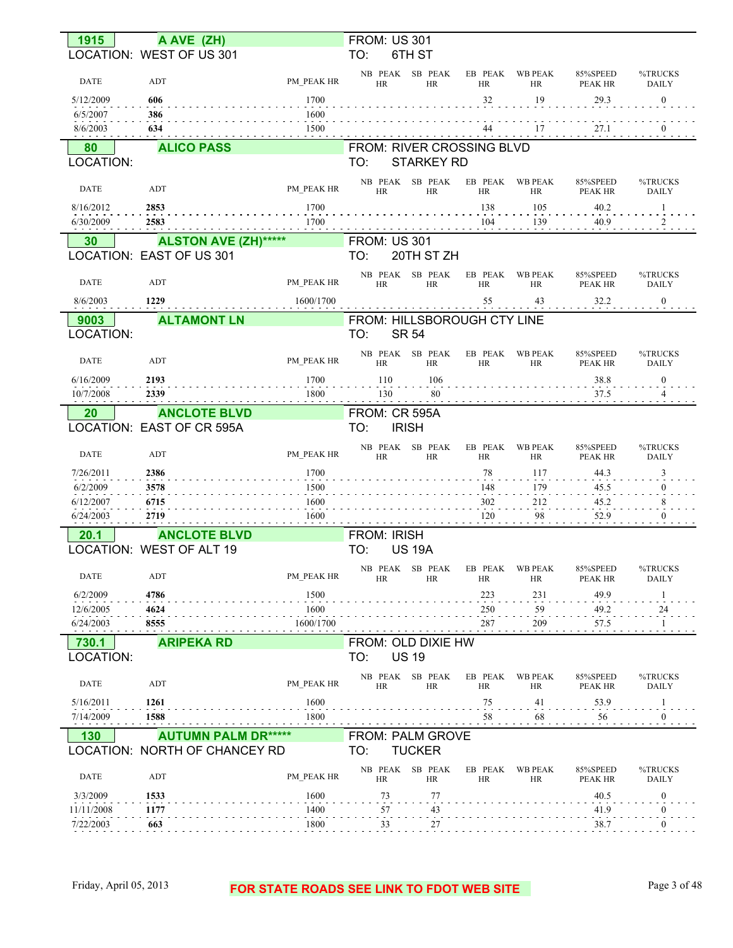| 1915                   | A AVE (ZH)                                             |                   | <b>FROM: US 301</b>          |                              |                                       |                             |                            |                         |
|------------------------|--------------------------------------------------------|-------------------|------------------------------|------------------------------|---------------------------------------|-----------------------------|----------------------------|-------------------------|
|                        | LOCATION: WEST OF US 301                               |                   | TO:                          | 6TH ST                       |                                       |                             |                            |                         |
| <b>DATE</b>            | ADT                                                    | PM_PEAK HR        | NB PEAK SB PEAK<br>HR        | <b>HR</b>                    | EB PEAK<br><b>HR</b>                  | WB PEAK<br>HR               | 85%SPEED<br>PEAK HR        | %TRUCKS<br><b>DAILY</b> |
| 5/12/2009              | 606                                                    | 1700              |                              |                              | 32                                    | 19                          | 29.3                       | $\mathbf{0}$            |
| 6/5/2007               | 386                                                    | 1600              |                              |                              |                                       |                             |                            |                         |
| 8/6/2003               | 634                                                    | 1500              |                              |                              |                                       | 17                          | 27.1                       |                         |
| 80                     | <b>ALICO PASS</b>                                      |                   | FROM: RIVER CROSSING BLVD    |                              |                                       |                             |                            |                         |
| LOCATION:              |                                                        |                   | TO:                          | <b>STARKEY RD</b>            |                                       |                             |                            |                         |
| <b>DATE</b>            | ADT                                                    | PM PEAK HR        | HR                           | NB PEAK SB PEAK<br><b>HR</b> | EB PEAK WB PEAK<br><b>HR</b>          | <b>HR</b>                   | 85%SPEED<br><b>PEAK HR</b> | %TRUCKS<br><b>DAILY</b> |
| 8/16/2012              | 2853                                                   | 1700              |                              |                              | 138                                   | 105                         | 40.2                       |                         |
| 6/30/2009              | 2583                                                   | 1700              |                              |                              | 104                                   | 139                         | 40.9                       |                         |
| 30                     | <b>ALSTON AVE (ZH)*****</b>                            |                   | <b>FROM: US 301</b>          |                              |                                       |                             |                            |                         |
|                        | LOCATION: EAST OF US 301                               |                   | TO:                          | 20TH ST ZH                   |                                       |                             |                            |                         |
| <b>DATE</b>            | ADT                                                    | PM PEAK HR        | NB PEAK SB PEAK<br>HR        | <b>HR</b>                    | EB PEAK<br><b>HR</b>                  | <b>WB PEAK</b><br>HR        | 85%SPEED<br>PEAK HR        | %TRUCKS<br>DAILY        |
| 8/6/2003               | 1229                                                   | 1600/1700         |                              |                              | 55                                    | 43                          | 32.2                       | $\overline{0}$          |
| 9003                   | <b>ALTAMONT LN</b>                                     |                   | FROM: HILLSBOROUGH CTY LINE  |                              |                                       |                             |                            |                         |
| LOCATION:              |                                                        |                   | TO:                          | <b>SR 54</b>                 |                                       |                             |                            |                         |
| <b>DATE</b>            | ADT                                                    | PM PEAK HR        | HR                           | NB PEAK SB PEAK<br><b>HR</b> | EB PEAK<br><b>HR</b>                  | <b>WB PEAK</b><br><b>HR</b> | 85%SPEED<br><b>PEAK HR</b> | %TRUCKS<br>DAILY        |
| 6/16/2009              | 2193                                                   | 1700              | 110                          | 106                          |                                       |                             | 38.8                       | $\boldsymbol{0}$        |
| 10/7/2008              | 2339                                                   | 1800              | 130                          | 80                           |                                       |                             | 37.5                       |                         |
| 20                     | <b>ANCLOTE BLVD</b>                                    |                   | FROM: CR 595A                |                              |                                       |                             |                            |                         |
|                        | LOCATION: EAST OF CR 595A                              |                   | TO:                          | <b>IRISH</b>                 |                                       |                             |                            |                         |
| <b>DATE</b>            | ADT                                                    | PM PEAK HR        | NB PEAK SB PEAK<br>HR        | <b>HR</b>                    | EB PEAK<br><b>HR</b>                  | <b>WB PEAK</b><br>HR        | 85%SPEED<br>PEAK HR        | %TRUCKS<br>DAILY        |
| 7/26/2011              | 2386                                                   | 1700              |                              |                              | 78                                    | 117                         | 44.3                       | 3                       |
| 6/2/2009               | 3578                                                   | 1500              |                              |                              | 148                                   | 179                         | 45.5                       |                         |
| 6/12/2007              | 6715                                                   | 1600<br>1600      |                              |                              | 302                                   | 212<br>98                   | 45.2                       |                         |
| 6/24/2003              | 2719                                                   |                   |                              |                              | 120                                   |                             | 52.9                       |                         |
| 20.1                   | <b>ANCLOTE BLVD</b><br><b>LOCATION: WEST OF ALT 19</b> |                   | <b>FROM: IRISH</b><br>TO:    | <b>US 19A</b>                |                                       |                             |                            |                         |
|                        |                                                        |                   |                              |                              |                                       |                             |                            |                         |
| <b>DATE</b>            | ADT                                                    | PM_PEAK HR        | HR                           | HR                           | NB PEAK SB PEAK EB PEAK WB PEAK<br>HR | HR                          | 85%SPEED<br>PEAK HR        | %TRUCKS<br>DAILY        |
| 6/2/2009               | 4786                                                   | 1500              |                              |                              | 223                                   | 231                         | 49.9                       | 1                       |
| 12/6/2005<br>6/24/2003 | 4624<br>8555                                           | 1600<br>1600/1700 |                              |                              | 250<br>287                            | 59<br>209                   | 49.2<br>57.5               | 24                      |
|                        |                                                        |                   |                              |                              |                                       |                             |                            |                         |
| 730.1<br>LOCATION:     | <b>ARIPEKA RD</b>                                      |                   | FROM: OLD DIXIE HW<br>TO:    | <b>US 19</b>                 |                                       |                             |                            |                         |
| <b>DATE</b>            | ADT                                                    | PM PEAK HR        | HR                           | NB PEAK SB PEAK<br>HR        | EB PEAK WB PEAK<br>HR                 | HR                          | 85%SPEED<br>PEAK HR        | %TRUCKS<br>DAILY        |
| 5/16/2011              | 1261                                                   | 1600              |                              |                              | 75                                    | 41                          | 53.9                       | -1                      |
| 7/14/2009              | 1588                                                   | 1800              |                              |                              | 58                                    | 68                          | 56                         | $\theta$                |
| 130                    | <b>AUTUMN PALM DR*****</b>                             |                   | FROM: PALM GROVE             |                              |                                       |                             |                            |                         |
|                        | LOCATION: NORTH OF CHANCEY RD                          |                   | TO:                          | <b>TUCKER</b>                |                                       |                             |                            |                         |
| <b>DATE</b>            | ADT                                                    | PM PEAK HR        | NB PEAK SB PEAK<br><b>HR</b> | HR                           | EB PEAK<br><b>HR</b>                  | <b>WB PEAK</b><br>HR        | 85%SPEED<br>PEAK HR        | %TRUCKS<br>DAILY        |
| 3/3/2009               | 1533                                                   | 1600              | 73                           | 77                           |                                       |                             | 40.5                       | $\bf{0}$                |
| 11/11/2008             | 1177                                                   | 1400              | 57                           | 43                           |                                       |                             | 41.9                       | $\mathbf{0}$            |
| 7/22/2003              | 663                                                    | 1800              | 33                           | $27\,$                       |                                       |                             | 38.7                       | $\theta$                |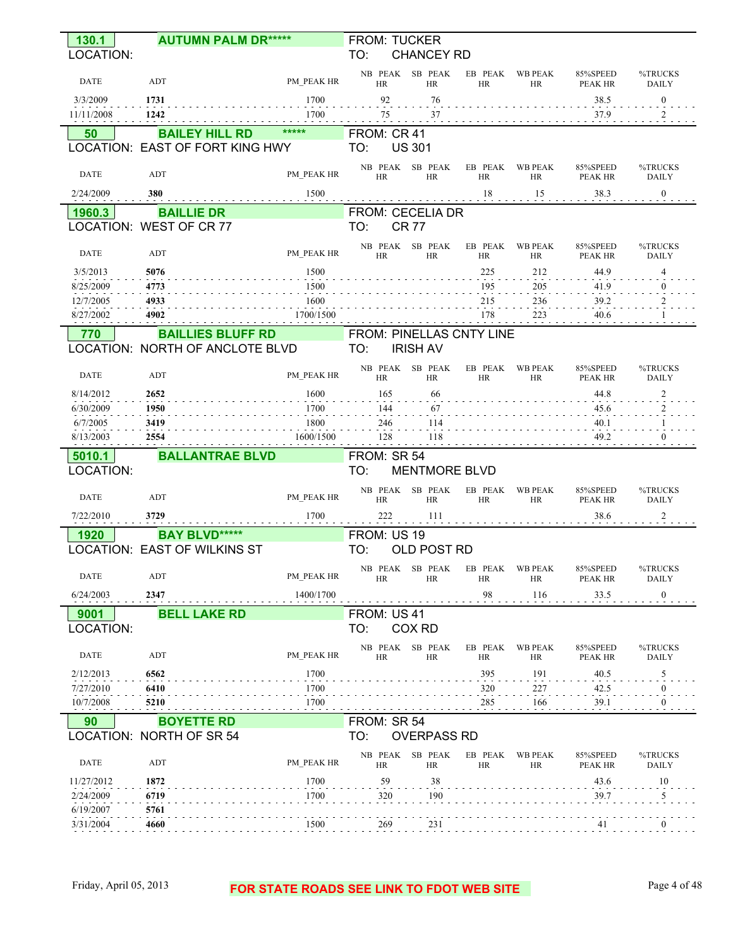| 130.1                  | <b>AUTUMN PALM DR*****</b>          |                          | <b>FROM: TUCKER</b>             |                              |                      |                             |                            |                         |
|------------------------|-------------------------------------|--------------------------|---------------------------------|------------------------------|----------------------|-----------------------------|----------------------------|-------------------------|
| LOCATION:              |                                     |                          | TO:                             | <b>CHANCEY RD</b>            |                      |                             |                            |                         |
| DATE                   | ADT                                 | PM PEAK HR               | NB PEAK<br><b>HR</b>            | SB PEAK<br><b>HR</b>         | EB PEAK<br><b>HR</b> | <b>WB PEAK</b><br><b>HR</b> | 85%SPEED<br><b>PEAK HR</b> | %TRUCKS<br><b>DAILY</b> |
| 3/3/2009               | 1731                                | 1700                     | 92                              | 76                           |                      |                             | 38.5                       | $\boldsymbol{0}$        |
| 11/11/2008             | 1242                                | 1700                     | 75                              | 37                           |                      |                             | 37.9                       | 2                       |
| 50                     | <b>BAILEY HILL RD</b>               | *****                    | FROM: CR 41                     |                              |                      |                             |                            |                         |
|                        | LOCATION: EAST OF FORT KING HWY     |                          | TO:                             | <b>US 301</b>                |                      |                             |                            |                         |
| <b>DATE</b>            | ADT                                 | PM_PEAK HR               | NB PEAK<br><b>HR</b>            | SB PEAK<br><b>HR</b>         | EB PEAK<br><b>HR</b> | <b>WB PEAK</b><br><b>HR</b> | 85%SPEED<br><b>PEAK HR</b> | %TRUCKS<br><b>DAILY</b> |
| 2/24/2009              | 380                                 | 1500                     |                                 |                              | 18                   | 15                          | 38.3                       | $\bf{0}$                |
| 1960.3                 | <b>BAILLIE DR</b>                   |                          | <b>FROM: CECELIA DR</b>         |                              |                      |                             |                            |                         |
|                        | LOCATION: WEST OF CR 77             |                          | TO:                             | <b>CR 77</b>                 |                      |                             |                            |                         |
| <b>DATE</b>            | ADT                                 | PM_PEAK HR               | NB PEAK<br><b>HR</b>            | SB PEAK<br><b>HR</b>         | EB PEAK<br><b>HR</b> | <b>WB PEAK</b><br><b>HR</b> | 85%SPEED<br><b>PEAK HR</b> | %TRUCKS<br><b>DAILY</b> |
| 3/5/2013               | 5076                                | 1500                     |                                 |                              | 225                  | 212                         | 44.9                       | 4                       |
| 8/25/2009<br>12/7/2005 | 4773<br>4933                        | 1500<br>1600             |                                 |                              | 195<br>215           | 205<br>236                  | 41.9<br>39.2               | 0                       |
| 8/27/2002              | 4902                                | 1700/1500                |                                 |                              | 178                  | 223                         | 40.6                       |                         |
| 770                    | <b>BAILLIES BLUFF RD</b>            |                          | <b>FROM: PINELLAS CNTY LINE</b> |                              |                      |                             |                            |                         |
|                        | LOCATION: NORTH OF ANCLOTE BLVD     |                          | TO:                             | <b>IRISH AV</b>              |                      |                             |                            |                         |
| <b>DATE</b>            | <b>ADT</b>                          | PM PEAK HR               | NB PEAK<br><b>HR</b>            | SB PEAK<br><b>HR</b>         | EB PEAK<br>HR        | <b>WB PEAK</b><br><b>HR</b> | 85%SPEED<br>PEAK HR        | %TRUCKS<br><b>DAILY</b> |
| 8/14/2012              | 2652                                | 1600                     | 165                             | 66                           |                      |                             | 44.8                       | 2                       |
| 6/30/2009<br>6/7/2005  | 1950<br>3419                        | 1700<br>1800             | 144                             | 67<br>114                    |                      |                             | 45.6<br>40.1               |                         |
| 8/13/2003              | 2554                                | 1600/1500                | 246<br>128                      | 118                          |                      |                             | 49.2                       | $\Omega$                |
| 5010.1                 | <b>BALLANTRAE BLVD</b>              |                          | FROM: SR 54                     |                              |                      |                             |                            |                         |
| LOCATION:              |                                     |                          | TO:                             | <b>MENTMORE BLVD</b>         |                      |                             |                            |                         |
| <b>DATE</b>            | ADT                                 | PM PEAK HR               | NB PEAK<br><b>HR</b>            | SB PEAK<br><b>HR</b>         | EB PEAK<br><b>HR</b> | <b>WB PEAK</b><br><b>HR</b> | 85%SPEED<br>PEAK HR        | %TRUCKS<br><b>DAILY</b> |
| 7/22/2010              | 3729                                | 1700                     | 222                             | 111                          |                      |                             | 38.6                       | 2                       |
| 1920                   | <b>BAY BLVD*****</b>                |                          | FROM: US 19                     |                              |                      |                             |                            |                         |
|                        | <b>LOCATION: EAST OF WILKINS ST</b> |                          | TO:                             | OLD POST RD                  |                      |                             |                            |                         |
| DATE                   | <b>ADT</b>                          | PM PEAK HR               | HR                              | NB PEAK SB PEAK<br><b>HR</b> | EB PEAK<br>HR        | WB PEAK<br>HR               | 85%SPEED<br>PEAK HR        | %TRUCKS<br>DAILY        |
| 6/24/2003              | 2347                                | 1400/1700                |                                 |                              | 98                   | 116                         | 33.5                       | $\bf{0}$                |
| 9001                   | <b>BELL LAKE RD</b>                 |                          | FROM: US 41                     |                              |                      |                             |                            |                         |
| LOCATION:              |                                     |                          | TO:                             | COX RD                       |                      |                             |                            |                         |
| DATE                   | ADT                                 | PM PEAK HR               | HR                              | NB PEAK SB PEAK<br><b>HR</b> | EB PEAK<br><b>HR</b> | <b>WB PEAK</b><br>HR        | 85%SPEED<br>PEAK HR        | %TRUCKS<br>DAILY        |
| 2/12/2013              | 6562                                | 1700                     |                                 |                              | 395                  | 191                         | 40.5                       | 5                       |
| 7/27/2010<br>10/7/2008 | 6410<br>5210                        | 1700<br>1700             |                                 |                              | 320<br>285           | 227<br>166                  | 42.5<br>39.1               | 0<br>$\Omega$           |
| .<br>90                | <b>BOYETTE RD</b>                   | <b>Contract Contract</b> | FROM: SR 54                     |                              | $\sim$ 100 $\sim$    |                             |                            |                         |
|                        | LOCATION: NORTH OF SR 54            |                          | TO:                             | <b>OVERPASS RD</b>           |                      |                             |                            |                         |
| DATE                   | ADT                                 | PM PEAK HR               | HR                              | NB PEAK SB PEAK<br><b>HR</b> | EB PEAK<br>HR        | <b>WB PEAK</b><br><b>HR</b> | 85%SPEED<br>PEAK HR        | %TRUCKS<br>DAILY        |
| 11/27/2012             | 1872                                | 1700                     | 59                              | 38                           |                      |                             | 43.6                       | 10                      |
| 2/24/2009              | 6719                                | 1700                     | 320                             | 190                          |                      |                             | 39.7                       | 5                       |
| 6/19/2007<br>3/31/2004 | 5761<br>4660                        | 1500                     | 269                             | 231                          |                      |                             |                            |                         |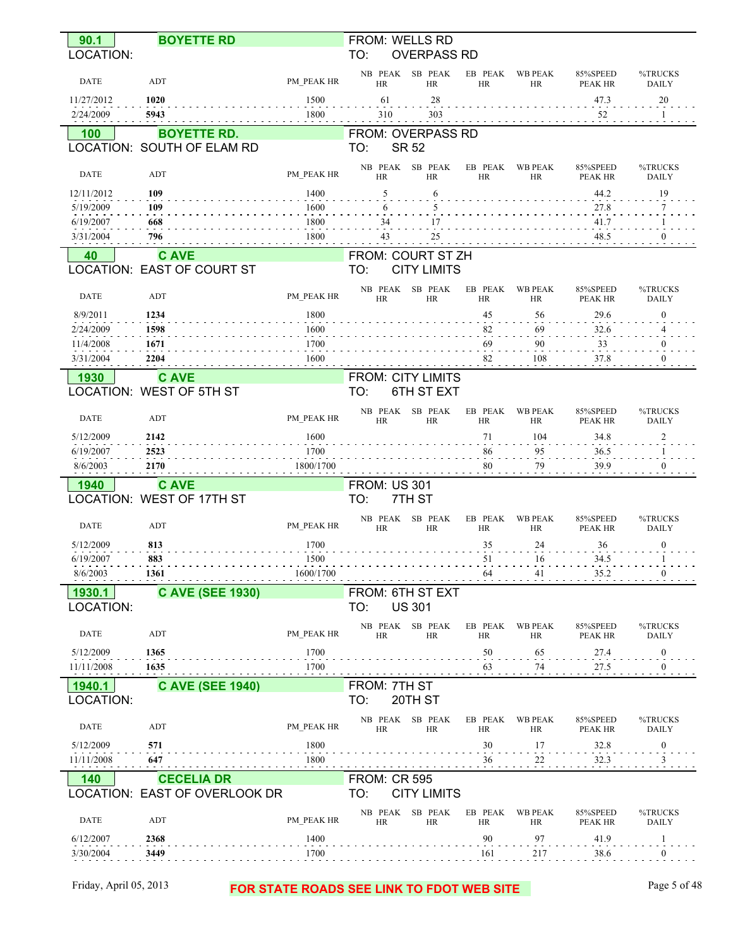| 90.1<br>LOCATION:       | <b>BOYETTE RD</b>                        |              | TO:                  | FROM: WELLS RD<br><b>OVERPASS RD</b>   |                      |                      |                            |                            |
|-------------------------|------------------------------------------|--------------|----------------------|----------------------------------------|----------------------|----------------------|----------------------------|----------------------------|
|                         |                                          |              | NB PEAK              | SB PEAK                                | EB PEAK              | <b>WB PEAK</b>       | 85%SPEED                   | %TRUCKS                    |
| <b>DATE</b>             | ADT                                      | PM_PEAK HR   | HR                   | <b>HR</b>                              | HR                   | HR                   | <b>PEAK HR</b>             | <b>DAILY</b>               |
| 11/27/2012              | 1020                                     | 1500         | 61                   | 28                                     |                      |                      | 47.3                       | 20                         |
| 2/24/2009               | 5943                                     | 1800         | 310                  | 303                                    |                      |                      | 52                         |                            |
| 100                     | <b>BOYETTE RD.</b>                       |              |                      | FROM: OVERPASS RD                      |                      |                      |                            |                            |
|                         | LOCATION: SOUTH OF ELAM RD               |              | TO:                  | <b>SR 52</b>                           |                      |                      |                            |                            |
| DATE                    | ADT                                      | PM_PEAK HR   | NB PEAK<br>HR        | SB PEAK<br><b>HR</b>                   | EB PEAK<br><b>HR</b> | <b>WB PEAK</b><br>HR | 85%SPEED<br>PEAK HR        | %TRUCKS<br><b>DAILY</b>    |
| 12/11/2012              | 109                                      | 1400         | 5                    | 6                                      |                      |                      | 44.2                       | 19                         |
| 5/19/2009<br>6/19/2007  | 109<br>668                               | 1600<br>1800 | 6<br>34              | 5<br>17                                |                      |                      | 27.8<br>41.7               | 7                          |
| 3/31/2004               | 796                                      | 1800         | 43                   | 25                                     |                      |                      | 48.5                       | $\theta$                   |
| 40                      | <b>CAVE</b>                              |              |                      | FROM: COURT ST ZH                      |                      |                      |                            |                            |
|                         | <b>LOCATION: EAST OF COURT ST</b>        |              | TO:                  | <b>CITY LIMITS</b>                     |                      |                      |                            |                            |
| DATE                    | ADT                                      | PM PEAK HR   | NB PEAK<br>HR        | SB PEAK<br><b>HR</b>                   | EB PEAK<br>HR        | <b>WB PEAK</b><br>HR | 85%SPEED<br>PEAK HR        | %TRUCKS<br><b>DAILY</b>    |
| 8/9/2011                | 1234                                     | 1800         |                      |                                        | 45                   | 56                   | 29.6                       | $\bf{0}$                   |
| 2/24/2009               | 1598                                     | 1600         |                      |                                        | 82                   | 69                   | 32.6                       |                            |
| 11/4/2008               | 1671                                     | 1700         |                      |                                        | 69                   | 90                   | 33                         | $\bf{0}$                   |
| 3/31/2004               | 2204                                     | 1600         |                      |                                        | 82                   | 108                  | 37.8                       | $\theta$                   |
| 1930                    | <b>C AVE</b><br>LOCATION: WEST OF 5TH ST |              | TO:                  | <b>FROM: CITY LIMITS</b><br>6TH ST EXT |                      |                      |                            |                            |
| <b>DATE</b>             | ADT                                      | PM PEAK HR   | NB PEAK<br><b>HR</b> | SB PEAK<br><b>HR</b>                   | EB PEAK<br>HR        | <b>WB PEAK</b><br>HR | 85%SPEED<br>PEAK HR        | %TRUCKS<br><b>DAILY</b>    |
| 5/12/2009               | 2142                                     | 1600         |                      |                                        | 71                   | 104                  | 34.8                       | 2                          |
| 6/19/2007               | 2523                                     | 1700         |                      |                                        | 86                   | 95                   | 36.5                       | 1                          |
| 8/6/2003                | 2170                                     | 1800/1700    |                      |                                        | 80                   | 79                   | 39.9                       | $\theta$                   |
| 1940                    | <b>CAVE</b>                              |              | <b>FROM: US 301</b>  |                                        |                      |                      |                            |                            |
|                         | LOCATION: WEST OF 17TH ST                |              | TO:                  | 7TH ST                                 |                      |                      |                            |                            |
| <b>DATE</b>             | ADT                                      | PM PEAK HR   | NB PEAK<br><b>HR</b> | SB PEAK<br><b>HR</b>                   | EB PEAK<br><b>HR</b> | <b>WB PEAK</b><br>HR | 85%SPEED<br><b>PEAK HR</b> | %TRUCKS<br><b>DAILY</b>    |
| 5/12/2009               | 813<br>883                               | 1700<br>1500 |                      |                                        | 35<br>51             | 24<br>16             | 36<br>34.5                 | $\boldsymbol{0}$<br>-1     |
| 6/19/2007<br>8/6/2003   | 1361                                     | 1600/1700    |                      |                                        | 64                   | 41                   | 35.2                       |                            |
| 1930.1                  | <b>C AVE (SEE 1930)</b>                  |              |                      | FROM: 6TH ST EXT                       |                      |                      |                            |                            |
| LOCATION:               |                                          |              | TO:                  | <b>US 301</b>                          |                      |                      |                            |                            |
| <b>DATE</b>             | ADT                                      | PM PEAK HR   | HR                   | NB PEAK SB PEAK<br>HR                  | EB PEAK<br>HR        | <b>WB PEAK</b><br>HR | 85%SPEED<br>PEAK HR        | %TRUCKS<br>DAILY           |
| 5/12/2009<br>11/11/2008 | 1365<br>1635                             | 1700<br>1700 |                      |                                        | 50<br>63             | 65<br>74             | 27.4<br>27.5               | $\overline{0}$<br>$\bf{0}$ |
|                         |                                          |              | FROM: 7TH ST         |                                        |                      |                      |                            |                            |
| 1940.1<br>LOCATION:     | <b>C AVE (SEE 1940)</b>                  |              | TO:                  | 20TH ST                                |                      |                      |                            |                            |
| DATE                    | ADT                                      | PM PEAK HR   | <b>HR</b>            | NB PEAK SB PEAK<br>HR                  | EB PEAK<br>HR        | <b>WB PEAK</b><br>HR | 85%SPEED<br>PEAK HR        | %TRUCKS<br>DAILY           |
| 5/12/2009<br>11/11/2008 | 571<br>647                               | 1800<br>1800 |                      |                                        | 30<br>$\frac{36}{1}$ | 17<br>$^{22}$        | 32.8<br>32.3               | $\boldsymbol{0}$<br>3      |
| 140                     | <b>CECELIA DR</b>                        |              | <b>FROM: CR 595</b>  |                                        |                      |                      |                            |                            |
|                         | LOCATION: EAST OF OVERLOOK DR            |              | TO:                  | <b>CITY LIMITS</b><br>NB PEAK SB PEAK  | EB PEAK              | <b>WB PEAK</b>       | 85%SPEED                   | %TRUCKS                    |
| DATE                    | ADT                                      | PM PEAK HR   | HR                   | HR                                     | HR                   | HR                   | PEAK HR                    | DAILY                      |
| 6/12/2007               | 2368                                     | 1400         |                      |                                        | 90                   | 97                   | 41.9                       | $\mathbf{1}$               |
| 3/30/2004               | 3449                                     | 1700         |                      |                                        | 161                  | 217                  | 38.6                       | $\bf{0}$                   |
|                         |                                          |              |                      |                                        |                      |                      |                            |                            |

## Friday, April 05, 2013 **FOR STATE ROADS SEE LINK TO FDOT WEB SITE** Page 5 of 48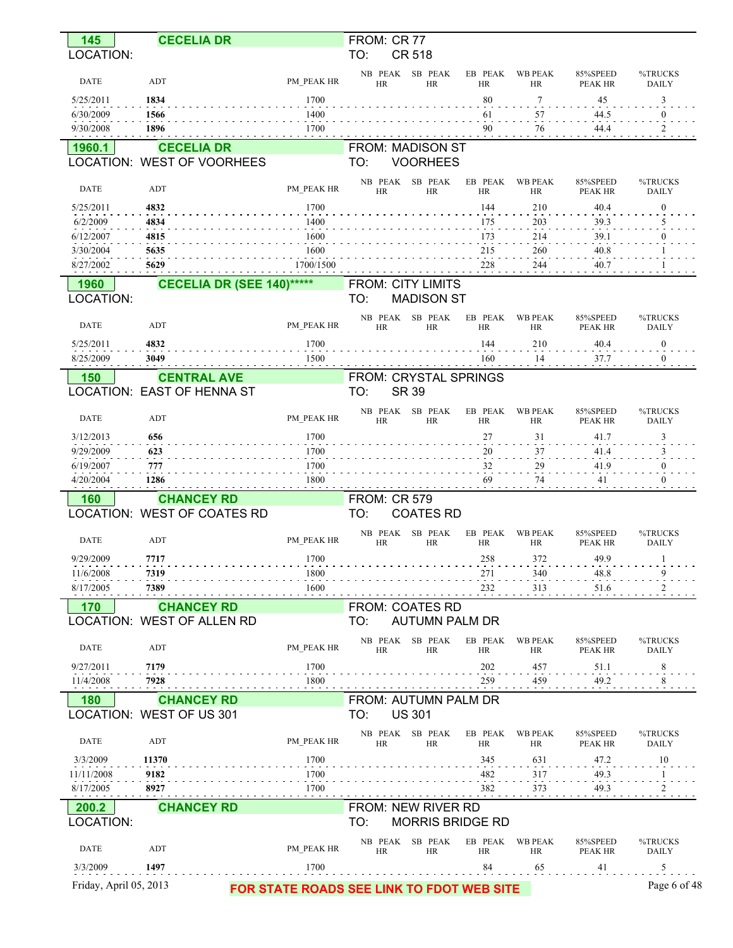| 145                    | <b>CECELIA DR</b>                                      |                     | FROM: CR 77                     |                              |                                           |                             |                            |                         |
|------------------------|--------------------------------------------------------|---------------------|---------------------------------|------------------------------|-------------------------------------------|-----------------------------|----------------------------|-------------------------|
| <b>LOCATION:</b>       |                                                        |                     | TO:                             | <b>CR 518</b>                |                                           |                             |                            |                         |
| <b>DATE</b>            | ADT                                                    | PM PEAK HR          | NB PEAK<br><b>HR</b>            | SB PEAK<br><b>HR</b>         | EB PEAK<br><b>HR</b>                      | <b>WB PEAK</b><br>HR        | 85%SPEED<br>PEAK HR        | %TRUCKS<br><b>DAILY</b> |
| 5/25/2011              | 1834                                                   | 1700                |                                 |                              | 80                                        | 7                           | 45                         | 3                       |
| 6/30/2009              | 1566                                                   | 1400                |                                 |                              | 61                                        | 57                          | 44.5                       | $\bf{0}$                |
| 9/30/2008              | 1896                                                   | 1700                |                                 |                              | 90                                        | 76                          | 44.4                       | 2                       |
| 1960.1                 | <b>CECELIA DR</b><br>LOCATION: WEST OF VOORHEES        |                     | FROM: MADISON ST<br>TO:         | <b>VOORHEES</b>              |                                           |                             |                            |                         |
|                        |                                                        |                     |                                 |                              |                                           |                             |                            |                         |
| <b>DATE</b>            | ADT                                                    | PM PEAK HR          | NB PEAK<br>HR                   | SB PEAK<br><b>HR</b>         | EB PEAK<br><b>HR</b>                      | <b>WB PEAK</b><br><b>HR</b> | 85%SPEED<br><b>PEAK HR</b> | %TRUCKS<br><b>DAILY</b> |
| 5/25/2011<br>6/2/2009  | 4832<br>4834                                           | 1700<br>1400        |                                 |                              | 144<br>175                                | 210<br>203                  | 40.4<br>39.3               | $\boldsymbol{0}$        |
| 6/12/2007              | 4815                                                   | 1600                |                                 |                              | 173                                       | 214                         | 39.1                       |                         |
| 3/30/2004              | 5635                                                   | 1600                |                                 |                              | 215                                       | 260                         | 40.8                       |                         |
| 8/27/2002              | 5629                                                   | 1700/1500           |                                 |                              | 228                                       | 244                         | 40.7                       |                         |
| 1960<br>LOCATION:      | <b>CECELIA DR (SEE 140)******</b>                      |                     | <b>FROM: CITY LIMITS</b><br>TO: | <b>MADISON ST</b>            |                                           |                             |                            |                         |
| <b>DATE</b>            | ADT                                                    | PM PEAK HR          | NB PEAK<br><b>HR</b>            | SB PEAK<br><b>HR</b>         | EB PEAK<br><b>HR</b>                      | <b>WB PEAK</b><br><b>HR</b> | 85%SPEED<br><b>PEAK HR</b> | %TRUCKS<br><b>DAILY</b> |
| 5/25/2011              | 4832                                                   | 1700                |                                 |                              | 144                                       | 210                         | 40.4                       | $\boldsymbol{0}$        |
| 8/25/2009              | 3049                                                   | 1500                |                                 |                              | 160                                       | 14                          | 37.7                       | $\boldsymbol{0}$        |
| 150                    | <b>CENTRAL AVE</b><br><b>OCATION: EAST OF HENNA ST</b> |                     | FROM: CRYSTAL SPRINGS<br>TO:    | <b>SR 39</b>                 |                                           |                             |                            |                         |
|                        |                                                        |                     |                                 |                              |                                           |                             |                            |                         |
| <b>DATE</b>            | ADT                                                    | PM PEAK HR          | NB PEAK<br><b>HR</b>            | SB PEAK<br><b>HR</b>         | EB PEAK<br><b>HR</b>                      | <b>WB PEAK</b><br><b>HR</b> | 85%SPEED<br><b>PEAK HR</b> | %TRUCKS<br><b>DAILY</b> |
| 3/12/2013              | 656                                                    | 1700                |                                 |                              | 27                                        | 31                          | 41.7                       | 3                       |
| 9/29/2009              | 623                                                    | 1700                |                                 |                              | 20                                        | 37                          | 41.4                       |                         |
| 6/19/2007<br>4/20/2004 | 777<br>1286                                            | 1700<br>1800        |                                 |                              | 32<br>69                                  | 29<br>74                    | 41.9<br>41                 | $\theta$                |
| 160                    | <b>CHANCEY RD</b>                                      |                     | <b>FROM: CR 579</b>             |                              |                                           |                             |                            |                         |
|                        | LOCATION: WEST OF COATES RD                            |                     | TO:                             | <b>COATES RD</b>             |                                           |                             |                            |                         |
|                        |                                                        |                     | NB PEAK                         | SB PEAK                      | EB PEAK                                   | <b>WB PEAK</b>              | 85%SPEED                   | %TRUCKS                 |
| <b>DATE</b>            | ADT                                                    | PM PEAK HR          | <b>HR</b>                       | <b>HR</b>                    | <b>HR</b>                                 | <b>HR</b>                   | PEAK HR                    | <b>DAILY</b>            |
| 9/29/2009              | 7717                                                   | 1700                |                                 |                              | 258                                       | 372                         | 49.9                       |                         |
| 11/6/2008<br>8/17/2005 | 7319<br>7389                                           | 1800<br>1600        |                                 |                              | 271<br>232                                | 340<br>313                  | 48.8<br>51.6               | 9                       |
| 170                    | <b>CHANCEY RD</b>                                      |                     | <b>FROM: COATES RD</b>          |                              |                                           |                             |                            |                         |
|                        | <b>OCATION: WEST OF ALLEN RD</b>                       |                     | TO:                             | <b>AUTUMN PALM DR</b>        |                                           |                             |                            |                         |
|                        |                                                        |                     | NB PEAK                         | SB PEAK                      | EB PEAK                                   | <b>WB PEAK</b>              | 85%SPEED                   | %TRUCKS                 |
| DATE                   | ADT                                                    | PM_PEAK HR          | <b>HR</b>                       | <b>HR</b>                    | <b>HR</b>                                 | <b>HR</b>                   | <b>PEAK HR</b>             | <b>DAILY</b>            |
| 9/27/2011<br>11/4/2008 | 7179<br>7928                                           | 1700<br><b>1800</b> |                                 |                              | 202<br>259                                | 457<br>459                  | 51.1<br>49.2               | 8<br>8                  |
|                        |                                                        |                     |                                 |                              |                                           |                             |                            |                         |
| 180                    | <b>CHANCEY RD</b><br>LOCATION: WEST OF US 301          |                     | FROM: AUTUMN PALM DR<br>TO:     | <b>US 301</b>                |                                           |                             |                            |                         |
| <b>DATE</b>            | ADT                                                    | PM_PEAK HR          | HR                              | NB PEAK SB PEAK<br><b>HR</b> | EB PEAK<br>HR                             | <b>WB PEAK</b><br>HR        | 85%SPEED<br><b>PEAK HR</b> | %TRUCKS<br><b>DAILY</b> |
| 3/3/2009               | 11370                                                  | 1700                |                                 |                              | 345                                       | 631                         | 47.2                       | 10                      |
| 11/11/2008             | 9182                                                   | 1700                |                                 |                              | 482                                       | 317                         | 49.3                       |                         |
| 8/17/2005              | 8927                                                   | 1700                |                                 |                              | 382                                       | 373                         | 49.3                       |                         |
| 200.2<br>LOCATION:     | <b>CHANCEY RD</b>                                      |                     | FROM: NEW RIVER RD<br>TO:       | <b>MORRIS BRIDGE RD</b>      |                                           |                             |                            |                         |
| <b>DATE</b>            | ADT                                                    | PM_PEAK HR          | NB PEAK<br>HR                   | SB PEAK<br><b>HR</b>         | EB PEAK<br>HR                             | <b>WB PEAK</b><br><b>HR</b> | 85%SPEED<br>PEAK HR        | %TRUCKS<br><b>DAILY</b> |
| 3/3/2009               | 1497                                                   | 1700                |                                 |                              | 84                                        | 65                          | 41                         | 5                       |
| Friday, April 05, 2013 |                                                        |                     |                                 |                              | FOR STATE ROADS SEE LINK TO FDOT WEB SITE |                             |                            | Page 6 of 48            |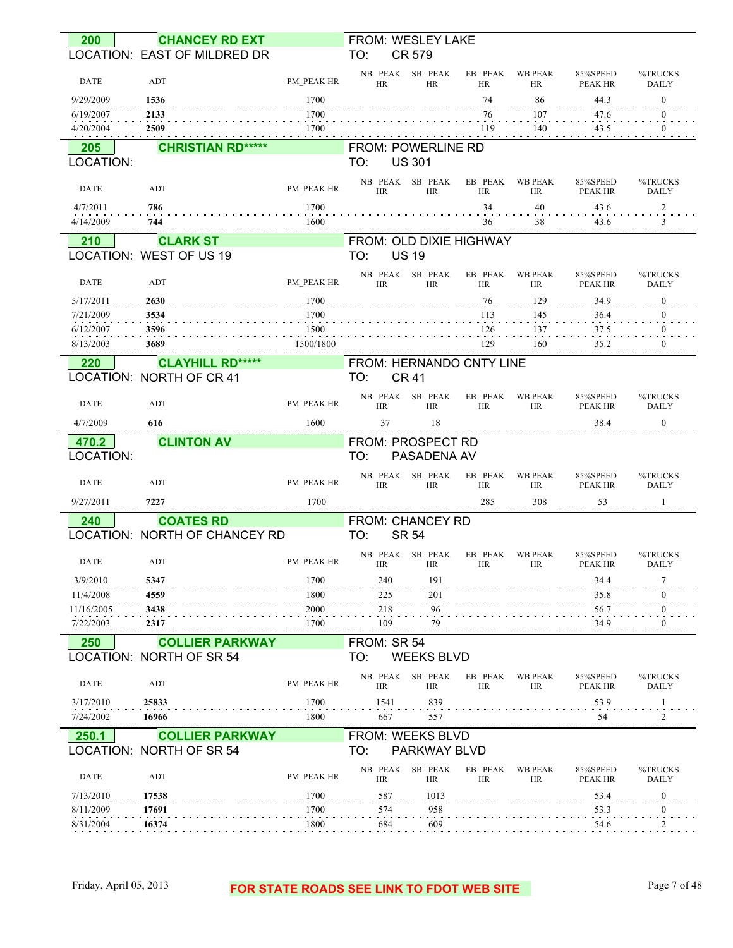| 200                   | <b>CHANCEY RD EXT</b>                               |              | FROM: WESLEY LAKE                               |                      |                             |                            |                         |
|-----------------------|-----------------------------------------------------|--------------|-------------------------------------------------|----------------------|-----------------------------|----------------------------|-------------------------|
|                       | LOCATION: EAST OF MILDRED DR                        |              | TO:<br>CR 579                                   |                      |                             |                            |                         |
| <b>DATE</b>           | ADT                                                 | PM PEAK HR   | SB PEAK<br>NB PEAK<br><b>HR</b><br><b>HR</b>    | EB PEAK<br><b>HR</b> | <b>WB PEAK</b><br><b>HR</b> | 85%SPEED<br><b>PEAK HR</b> | %TRUCKS<br><b>DAILY</b> |
| 9/29/2009             | 1536                                                | 1700         |                                                 | 74                   | 86                          | 44.3                       | $\mathbf{0}$            |
| 6/19/2007             | 2133                                                | 1700         |                                                 | 76                   | 107                         | 47.6                       | $\overline{0}$          |
| 4/20/2004             | 2509                                                | 1700         |                                                 | 119                  | 140                         | 43.5                       | $\overline{0}$          |
| 205<br>LOCATION:      | <b>CHRISTIAN RD*****</b>                            |              | FROM: POWERLINE RD<br><b>US 301</b><br>TO:      |                      |                             |                            |                         |
|                       |                                                     |              |                                                 |                      | <b>WB PEAK</b>              |                            |                         |
| <b>DATE</b>           | ADT                                                 | PM PEAK HR   | NB PEAK SB PEAK<br><b>HR</b><br><b>HR</b>       | EB PEAK<br>HR        | <b>HR</b>                   | 85%SPEED<br><b>PEAK HR</b> | %TRUCKS<br><b>DAILY</b> |
| 4/7/2011              | 786                                                 | 1700         |                                                 | 34                   | 40                          | 43.6                       | $\overline{\mathbf{c}}$ |
| 4/14/2009             | 744                                                 | 1600         |                                                 | 36                   | 38                          | 43.6                       | 3                       |
| 210                   | <b>CLARK ST</b><br>LOCATION: WEST OF US 19          |              | FROM: OLD DIXIE HIGHWAY<br><b>US 19</b><br>TO:  |                      |                             |                            |                         |
| <b>DATE</b>           | ADT                                                 | PM PEAK HR   | SB PEAK<br>NB PEAK<br>HR<br><b>HR</b>           | EB PEAK<br><b>HR</b> | <b>WB PEAK</b><br><b>HR</b> | 85%SPEED<br><b>PEAK HR</b> | %TRUCKS<br><b>DAILY</b> |
| 5/17/2011             | 2630                                                | 1700         |                                                 | 76                   | 129                         | 34.9                       | $\overline{0}$          |
| 7/21/2009             | 3534                                                | 1700         |                                                 | 113                  | 145                         | 36.4                       | $\overline{0}$          |
| 6/12/2007             | 3596                                                | 1500         |                                                 | 126                  | 137                         | 37.5                       | $\bf{0}$                |
| 8/13/2003             | 3689                                                | 1500/1800    |                                                 | 129                  | 160                         | 35.2                       | $\mathbf{0}$            |
| 220                   | <b>CLAYHILL RD*****</b><br>LOCATION: NORTH OF CR 41 |              | FROM: HERNANDO CNTY LINE<br>TO:<br><b>CR 41</b> |                      |                             |                            |                         |
|                       |                                                     |              |                                                 |                      |                             |                            |                         |
| <b>DATE</b>           | ADT                                                 | PM PEAK HR   | SB PEAK<br>NB PEAK<br>HR<br><b>HR</b>           | EB PEAK<br><b>HR</b> | <b>WB PEAK</b><br><b>HR</b> | 85%SPEED<br>PEAK HR        | %TRUCKS<br><b>DAILY</b> |
| 4/7/2009              | 616                                                 | 1600         | 18<br>37                                        |                      |                             | 38.4                       | $\mathbf{0}$            |
| 470.2                 | <b>CLINTON AV</b>                                   |              | FROM: PROSPECT RD                               |                      |                             |                            |                         |
| LOCATION:             |                                                     |              | TO:<br>PASADENA AV                              |                      |                             |                            |                         |
| <b>DATE</b>           | ADT                                                 | PM_PEAK HR   | SB PEAK<br>NB PEAK<br><b>HR</b><br><b>HR</b>    | EB PEAK<br><b>HR</b> | <b>WB PEAK</b><br><b>HR</b> | 85%SPEED<br>PEAK HR        | %TRUCKS<br><b>DAILY</b> |
| 9/27/2011             | 7227                                                | 1700         |                                                 | 285                  | 308                         | 53                         | -1                      |
| 240                   | <b>COATES RD</b>                                    |              | FROM: CHANCEY RD                                |                      |                             |                            |                         |
|                       | LOCATION: NORTH OF CHANCEY RD                       |              | <b>SR 54</b><br>TO:                             |                      |                             |                            |                         |
|                       |                                                     |              | NB PEAK SB PEAK                                 |                      | EB PEAK WB PEAK             | 85%SPEED                   | %TRUCKS                 |
| DATE                  | ADT                                                 | PM_PEAK HR   | HR<br>HR                                        | HK                   | HK                          | PEAK HR                    | DAIL Y                  |
| 3/9/2010<br>11/4/2008 | 5347<br>4559                                        | 1700<br>1800 | 191<br>240<br>201                               |                      |                             | 34.4<br>35.8               | 0                       |
| 11/16/2005            | 3438                                                | 2000         | 225<br>218<br>96                                |                      |                             | 56.7                       | 0                       |
| 7/22/2003             | 2317                                                | 1700         | 109<br>79                                       |                      |                             | 34.9                       | $\boldsymbol{0}$        |
| 250                   | <b>COLLIER PARKWAY</b>                              |              | FROM: SR 54                                     |                      |                             |                            |                         |
|                       | LOCATION: NORTH OF SR 54                            |              | TO:<br><b>WEEKS BLVD</b>                        |                      |                             |                            |                         |
| <b>DATE</b>           | ADT                                                 | PM PEAK HR   | NB PEAK<br>SB PEAK<br><b>HR</b><br>HR           | EB PEAK<br>HR        | <b>WB PEAK</b><br>HR        | 85%SPEED<br>PEAK HR        | %TRUCKS<br><b>DAILY</b> |
| 3/17/2010             | 25833                                               | 1700         | 1541<br>839                                     |                      |                             | 53.9                       | 1                       |
| 7/24/2002             | 16966                                               | 1800         | 667<br>557                                      |                      |                             | 54                         | 2                       |
| 250.1                 | <b>COLLIER PARKWAY</b>                              |              | FROM: WEEKS BLVD                                |                      |                             |                            |                         |
|                       | LOCATION: NORTH OF SR 54                            |              | TO:<br>PARKWAY BLVD                             |                      |                             |                            |                         |
| DATE                  | ADT                                                 | PM PEAK HR   | NB PEAK<br>SB PEAK<br>HR<br>HR                  | EB PEAK<br>HR        | <b>WB PEAK</b><br>HR        | 85%SPEED<br>PEAK HR        | %TRUCKS<br>DAILY        |
| 7/13/2010             | 17538                                               | 1700         | 587<br>1013                                     |                      |                             | 53.4                       | $\bf{0}$                |
| 8/11/2009             | 17691                                               | 1700         | 958<br>574                                      |                      |                             | 53.3                       | $\mathbf{0}$            |
| 8/31/2004             | 16374                                               | 1800         | 609<br>684                                      |                      |                             | 54.6                       | 2                       |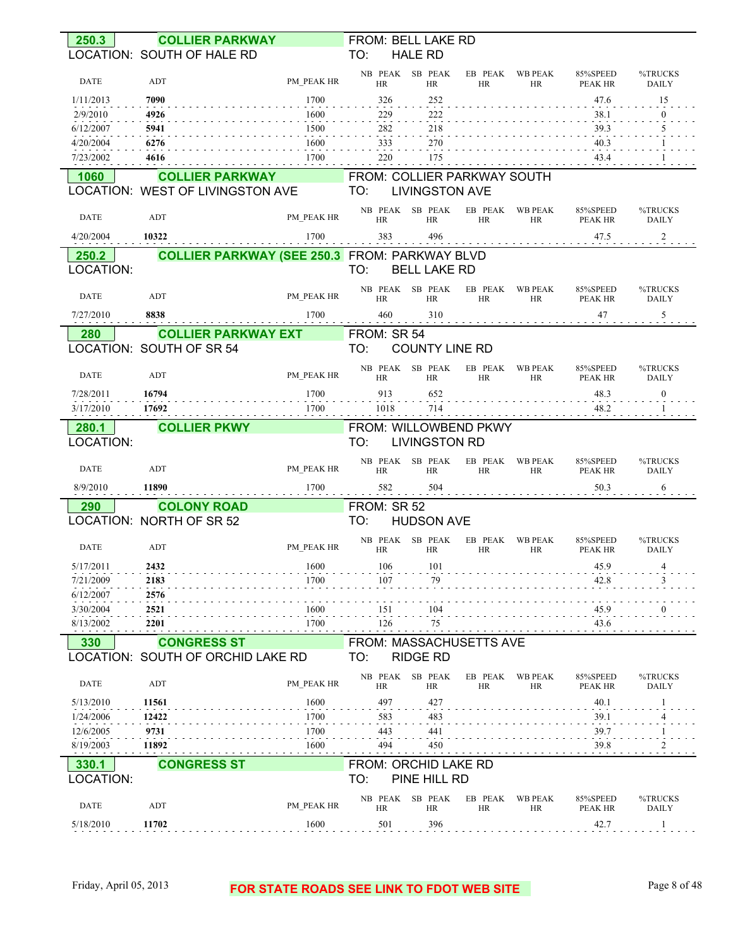| 250.3       | <b>COLLIER PARKWAY</b>                                     |                                                      | FROM: BELL LAKE RD                 |                              |                      |                             |                     |                         |
|-------------|------------------------------------------------------------|------------------------------------------------------|------------------------------------|------------------------------|----------------------|-----------------------------|---------------------|-------------------------|
|             | LOCATION: SOUTH OF HALE RD                                 |                                                      | TO:                                | <b>HALE RD</b>               |                      |                             |                     |                         |
| <b>DATE</b> | ADT                                                        | PM PEAK HR                                           | <b>HR</b>                          | NB PEAK SB PEAK<br><b>HR</b> | EB PEAK<br><b>HR</b> | <b>WB PEAK</b><br><b>HR</b> | 85%SPEED<br>PEAK HR | %TRUCKS<br><b>DAILY</b> |
| 1/11/2013   | 7090                                                       | 1700                                                 | 326                                | 252                          |                      |                             | 47.6                | 15                      |
| 2/9/2010    | 4926                                                       | 1600                                                 | 229                                | 222                          |                      |                             | 38.1                | $\theta$                |
| 6/12/2007   | 5941                                                       | 1500                                                 | 282                                | 218                          |                      |                             | 39.3                | 5                       |
| 4/20/2004   | 6276                                                       | 1600                                                 | 333                                | 270                          |                      |                             | 40.3                |                         |
| 7/23/2002   | 4616                                                       | 1700                                                 | 220                                | 175                          |                      |                             | 43.4                |                         |
|             |                                                            |                                                      |                                    |                              |                      |                             |                     |                         |
| 1060        | <b>COLLIER PARKWAY</b><br>LOCATION: WEST OF LIVINGSTON AVE |                                                      | FROM: COLLIER PARKWAY SOUTH<br>TO: | <b>LIVINGSTON AVE</b>        |                      |                             |                     |                         |
| <b>DATE</b> | ADT                                                        | PM PEAK HR                                           | <b>HR</b>                          | NB PEAK SB PEAK<br><b>HR</b> | EB PEAK<br><b>HR</b> | WB PEAK<br>HR               | 85%SPEED<br>PEAK HR | %TRUCKS<br><b>DAILY</b> |
| 4/20/2004   | 10322                                                      | 1700                                                 | 383                                | 496                          |                      |                             | 47.5                | 2                       |
| 250.2       |                                                            | <b>COLLIER PARKWAY (SEE 250.3 FROM: PARKWAY BLVD</b> |                                    |                              |                      |                             |                     |                         |
| LOCATION:   |                                                            |                                                      | TO:                                | <b>BELL LAKE RD</b>          |                      |                             |                     |                         |
| <b>DATE</b> | ADT                                                        | PM PEAK HR                                           | <b>HR</b>                          | NB PEAK SB PEAK<br><b>HR</b> | EB PEAK<br><b>HR</b> | <b>WB PEAK</b><br>HR        | 85%SPEED<br>PEAK HR | %TRUCKS<br><b>DAILY</b> |
| 7/27/2010   | 8838                                                       | 1700                                                 | 460                                | 310                          |                      |                             | 47                  | 5                       |
|             |                                                            |                                                      |                                    |                              |                      |                             |                     |                         |
| <b>280</b>  | <b>COLLIER PARKWAY EXT</b><br>LOCATION: SOUTH OF SR 54     |                                                      | FROM: SR 54<br>TO:                 |                              |                      |                             |                     |                         |
|             |                                                            |                                                      |                                    | <b>COUNTY LINE RD</b>        |                      |                             |                     |                         |
| <b>DATE</b> | ADT                                                        | PM PEAK HR                                           | HR                                 | NB PEAK SB PEAK<br><b>HR</b> | EB PEAK<br><b>HR</b> | <b>WB PEAK</b><br>HR        | 85%SPEED<br>PEAK HR | %TRUCKS<br><b>DAILY</b> |
| 7/28/2011   | 16794                                                      | 1700                                                 | 913                                | 652                          |                      |                             | 48.3                | $\boldsymbol{0}$        |
| 3/17/2010   | 17692                                                      | 1700                                                 | 1018                               | 714                          |                      |                             | 48.2                |                         |
| 280.1       | <b>COLLIER PKWY</b>                                        |                                                      | FROM: WILLOWBEND PKWY              |                              |                      |                             |                     |                         |
| LOCATION:   |                                                            |                                                      | TO:                                | <b>LIVINGSTON RD</b>         |                      |                             |                     |                         |
| <b>DATE</b> | ADT                                                        | PM PEAK HR                                           | <b>HR</b>                          | NB PEAK SB PEAK<br><b>HR</b> | EB PEAK<br>HR        | WB PEAK<br>HR               | 85%SPEED<br>PEAK HR | %TRUCKS<br><b>DAILY</b> |
| 8/9/2010    | 11890                                                      | 1700                                                 | 582                                | 504                          |                      |                             | 50.3                | 6                       |
| <b>290</b>  | <b>COLONY ROAD</b>                                         |                                                      | FROM: SR 52                        |                              |                      |                             |                     |                         |
|             | LOCATION: NORTH OF SR 52                                   |                                                      | TO:                                | <b>HUDSON AVE</b>            |                      |                             |                     |                         |
| <b>DATE</b> | ADT                                                        | PM PEAK HR                                           | HR                                 | NB PEAK SB PEAK<br>HR        | EB PEAK<br><b>HR</b> | <b>WB PEAK</b><br>HR        | 85%SPEED<br>PEAK HR | %TRUCKS<br><b>DAILY</b> |
| 5/17/2011   | 2432                                                       | 1600                                                 | 106                                | 101                          |                      |                             | 45.9                | 4                       |
| 7/21/2009   | 2183                                                       | 1700                                                 | 107                                | 79                           |                      |                             | 42.8                |                         |
| 6/12/2007   | 2576                                                       |                                                      |                                    |                              |                      |                             |                     |                         |
| 3/30/2004   | 2521                                                       | 1600                                                 | 151                                | 104                          |                      |                             | 45.9                |                         |
| 8/13/2002   | 2201                                                       | 1700                                                 | 126                                | 75                           |                      |                             | 43.6                |                         |
| 330         | <b>CONGRESS ST</b>                                         |                                                      | FROM: MASSACHUSETTS AVE            |                              |                      |                             |                     |                         |
|             | LOCATION: SOUTH OF ORCHID LAKE RD                          |                                                      | TO:                                | <b>RIDGE RD</b>              |                      |                             |                     |                         |
| <b>DATE</b> | ADT                                                        | PM PEAK HR                                           | HR                                 | NB PEAK SB PEAK<br>HR        | EB PEAK<br>HR        | <b>WB PEAK</b><br>HR        | 85%SPEED<br>PEAK HR | %TRUCKS<br>DAILY        |
| 5/13/2010   | 11561                                                      | 1600                                                 | 497                                | 427                          |                      |                             | 40.1                |                         |
| 1/24/2006   | 12422                                                      | 1700                                                 | 583                                | 483                          |                      |                             | 39.1                |                         |
| 12/6/2005   |                                                            |                                                      | 443                                | 441                          |                      |                             | 39.7                |                         |
|             | 9731                                                       | 1700                                                 |                                    |                              |                      |                             |                     |                         |
| 8/19/2003   | 11892                                                      | 1600                                                 | 494                                | 450                          |                      |                             | 39.8                |                         |
| 330.1       | <b>CONGRESS ST</b>                                         |                                                      | <b>FROM: ORCHID LAKE RD</b>        |                              |                      |                             |                     |                         |
| LOCATION:   |                                                            |                                                      | TO:                                | PINE HILL RD                 |                      |                             |                     |                         |
| <b>DATE</b> | ADT                                                        | PM PEAK HR                                           | NB PEAK<br><b>HR</b>               | SB PEAK<br>HR                | EB PEAK<br><b>HR</b> | <b>WB PEAK</b><br>HR        | 85%SPEED<br>PEAK HR | %TRUCKS<br>DAILY        |

#### Friday, April 05, 2013 **FOR STATE ROADS SEE LINK TO FDOT WEB SITE** Page 8 of 48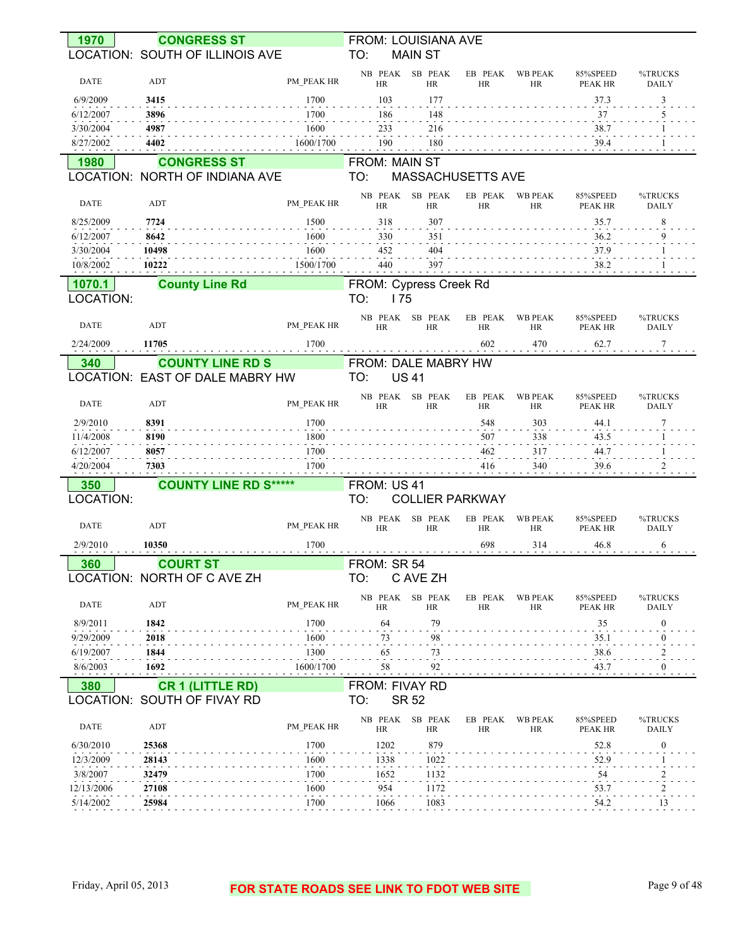| 1970        | <b>CONGRESS ST</b>                                   |            | <b>FROM: LOUISIANA AVE</b> |                        |                   |                      |                            |                         |
|-------------|------------------------------------------------------|------------|----------------------------|------------------------|-------------------|----------------------|----------------------------|-------------------------|
|             | LOCATION: SOUTH OF ILLINOIS AVE                      |            | TO:                        | <b>MAIN ST</b>         |                   |                      |                            |                         |
|             |                                                      |            | NB PEAK SB PEAK            |                        | EB PEAK           | <b>WB PEAK</b>       | 85%SPEED                   | %TRUCKS                 |
| DATE        | ADT                                                  | PM PEAK HR | <b>HR</b>                  | <b>HR</b>              | HR                | HR                   | <b>PEAK HR</b>             | DAILY                   |
| 6/9/2009    | 3415                                                 | 1700       | 103                        | 177                    |                   |                      | 37.3                       | 3                       |
| 6/12/2007   | 3896                                                 | 1700       | 186                        | 148                    |                   |                      | 37                         | 5                       |
| 3/30/2004   | 4987                                                 | 1600       | 233                        | 216                    |                   |                      | 38.7                       |                         |
| 8/27/2002   | 4402                                                 | 1600/1700  | 190                        | 180                    |                   |                      | 39.4                       |                         |
| 1980        |                                                      |            | FROM: MAIN ST              |                        |                   |                      |                            |                         |
|             | <b>CONGRESS ST</b><br>LOCATION: NORTH OF INDIANA AVE |            | TO:                        |                        | MASSACHUSETTS AVE |                      |                            |                         |
|             |                                                      |            |                            |                        |                   |                      |                            |                         |
| <b>DATE</b> | <b>ADT</b>                                           | PM PEAK HR | NB PEAK<br>HR              | SB PEAK<br>HR          | EB PEAK<br>HR     | <b>WB PEAK</b><br>HR | 85%SPEED<br><b>PEAK HR</b> | %TRUCKS<br><b>DAILY</b> |
|             |                                                      |            |                            |                        |                   |                      |                            |                         |
| 8/25/2009   | 7724                                                 | 1500       | 318                        | 307                    |                   |                      | 35.7                       | 8                       |
| 6/12/2007   | 8642                                                 | 1600       | 330                        | 351                    |                   |                      | 36.2                       | 9                       |
| 3/30/2004   | 10498                                                | 1600       | 452                        | 404                    |                   |                      | 37.9                       |                         |
| 10/8/2002   | 10222                                                | 1500/1700  | 440                        | 397                    |                   |                      | 38.2                       |                         |
| 1070.1      | <b>County Line Rd</b>                                |            | FROM: Cypress Creek Rd     |                        |                   |                      |                            |                         |
| LOCATION:   |                                                      |            | TO:<br>175                 |                        |                   |                      |                            |                         |
|             |                                                      |            | NB PEAK                    | SB PEAK                | EB PEAK           | <b>WB PEAK</b>       | 85%SPEED                   | %TRUCKS                 |
| <b>DATE</b> | ADT                                                  | PM PEAK HR | <b>HR</b>                  | <b>HR</b>              | <b>HR</b>         | HR                   | PEAK HR                    | <b>DAILY</b>            |
| 2/24/2009   | 11705                                                | 1700       |                            |                        | 602               | 470                  | 62.7                       | 7                       |
| 340         | <b>COUNTY LINE RD S</b>                              |            | FROM: DALE MABRY HW        |                        |                   |                      |                            |                         |
|             | LOCATION: EAST OF DALE MABRY HW                      |            | TO:<br><b>US41</b>         |                        |                   |                      |                            |                         |
|             |                                                      |            | NB PEAK                    | SB PEAK                | EB PEAK           | <b>WB PEAK</b>       | 85%SPEED                   | %TRUCKS                 |
| <b>DATE</b> | ADT                                                  | PM PEAK HR | <b>HR</b>                  | <b>HR</b>              | HR                | HR                   | PEAK HR                    | <b>DAILY</b>            |
| 2/9/2010    | 8391                                                 | 1700       |                            |                        | 548               | 303                  | 44.1                       | 7                       |
| 11/4/2008   | 8190                                                 | 1800       |                            |                        | 507               | 338                  | 43.5                       |                         |
| 6/12/2007   | 8057                                                 | 1700       |                            |                        | 462               | 317                  | 44.7                       |                         |
| 4/20/2004   | 7303                                                 | 1700       |                            |                        | 416               | 340                  | 39.6                       |                         |
|             |                                                      |            |                            |                        |                   |                      |                            |                         |
| 350         | <b>COUNTY LINE RD S*****</b>                         |            | FROM: US 41                |                        |                   |                      |                            |                         |
| LOCATION:   |                                                      |            | TO:                        | <b>COLLIER PARKWAY</b> |                   |                      |                            |                         |
| <b>DATE</b> | ADT                                                  | PM PEAK HR | NB PEAK<br><b>HR</b>       | SB PEAK<br><b>HR</b>   | EB PEAK<br>HR     | <b>WB PEAK</b><br>HR | 85%SPEED                   | %TRUCKS<br><b>DAILY</b> |
|             |                                                      |            |                            |                        |                   |                      | PEAK HR                    |                         |
| 2/9/2010    | 10350                                                | 1700       |                            |                        | 698               | 314                  | 46.8                       | 6                       |
| 360         | <b>COURT ST</b>                                      |            | FROM: SR 54                |                        |                   |                      |                            |                         |
|             | LOCATION: NORTH OF C AVE ZH                          |            | TO:                        | C AVE ZH               |                   |                      |                            |                         |
|             |                                                      |            | NB PEAK                    | SB PEAK                | EB PEAK           | <b>WB PEAK</b>       | 85%SPEED                   | %TRUCKS                 |
| DATE        | ADT                                                  | PM PEAK HR | <b>HR</b>                  | <b>HR</b>              | HR                | HR                   | PEAK HR                    | <b>DAILY</b>            |
| 8/9/2011    | 1842                                                 | 1700       | 64                         | 79                     |                   |                      | 35                         | 0                       |
| 9/29/2009   | 2018                                                 | 1600       | 73                         | 98                     |                   |                      | 35.1                       | 0                       |
| 6/19/2007   | 1844                                                 | 1300       | 65                         | 73                     |                   |                      | 38.6                       |                         |
| 8/6/2003    | 1692                                                 | 1600/1700  | 58                         | 92                     |                   |                      | 43.7                       | $\boldsymbol{0}$        |
| 380         | <b>CR 1 (LITTLE RD)</b>                              |            | FROM: FIVAY RD             |                        |                   |                      |                            |                         |
|             | LOCATION: SOUTH OF FIVAY RD                          |            | <b>SR 52</b><br>TO:        |                        |                   |                      |                            |                         |
|             |                                                      |            | NB PEAK                    | SB PEAK                | EB PEAK           | <b>WB PEAK</b>       | 85%SPEED                   | %TRUCKS                 |
| DATE        | ADT                                                  | PM PEAK HR | HR                         | <b>HR</b>              | HR                | HR                   | <b>PEAK HR</b>             | DAILY                   |
| 6/30/2010   | 25368                                                | 1700       | 1202                       | 879                    |                   |                      | 52.8                       | 0                       |
| 12/3/2009   | 28143                                                | 1600       | 1338                       | 1022                   |                   |                      | 52.9                       |                         |
| 3/8/2007    | 32479                                                | 1700       | 1652                       | 1132                   |                   |                      | $\sim$<br>54               |                         |
| 12/13/2006  | 27108                                                | 1600       | 954                        | 1172                   |                   |                      | $\sim$<br>53.7             |                         |
| 5/14/2002   | 25984                                                | 1700       | 1066                       | 1083                   |                   |                      | 54.2                       | 13                      |
|             |                                                      |            |                            |                        |                   |                      |                            |                         |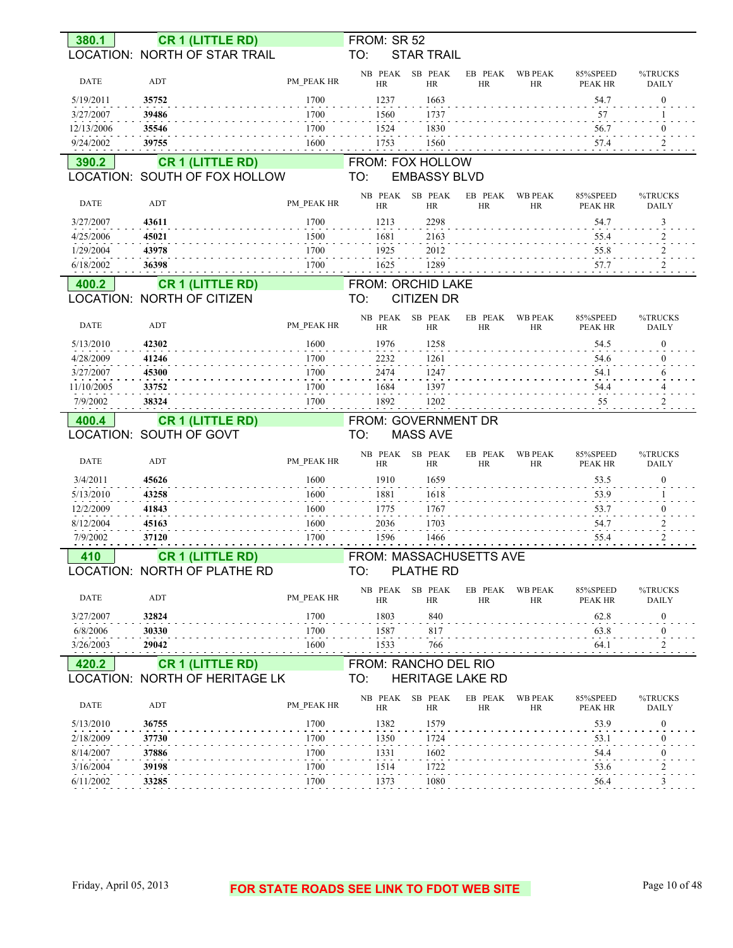| 380.1                   |                | <b>CR 1 (LITTLE RD)</b>           |              | FROM: SR 52          |                                |                      |                             |                            |                          |
|-------------------------|----------------|-----------------------------------|--------------|----------------------|--------------------------------|----------------------|-----------------------------|----------------------------|--------------------------|
|                         |                | LOCATION: NORTH OF STAR TRAIL     |              | TO:                  | <b>STAR TRAIL</b>              |                      |                             |                            |                          |
| <b>DATE</b>             | ADT            |                                   | PM PEAK HR   | NB PEAK<br><b>HR</b> | SB PEAK<br><b>HR</b>           | EB PEAK<br>HR        | <b>WB PEAK</b><br><b>HR</b> | 85%SPEED<br><b>PEAK HR</b> | %TRUCKS<br><b>DAILY</b>  |
| 5/19/2011               | 35752          |                                   | 1700         | 1237                 | 1663                           |                      |                             | 54.7                       | $\boldsymbol{0}$         |
| 3/27/2007               | 39486          |                                   | 1700         | 1560                 | 1737                           |                      |                             | 57                         |                          |
| 12/13/2006              | 35546          |                                   | 1700         | 1524                 | 1830                           |                      |                             | 56.7                       | 0                        |
| 9/24/2002               | 39755          |                                   | 1600         | 1753                 | 1560                           |                      |                             | 57.4                       | 2                        |
| 390.2                   |                | <b>CR 1 (LITTLE RD)</b>           |              |                      | <b>FROM: FOX HOLLOW</b>        |                      |                             |                            |                          |
|                         |                | LOCATION: SOUTH OF FOX HOLLOW     |              | TO:                  | <b>EMBASSY BLVD</b>            |                      |                             |                            |                          |
| <b>DATE</b>             | ADT            |                                   | PM PEAK HR   | NB PEAK<br><b>HR</b> | SB PEAK<br><b>HR</b>           | EB PEAK<br><b>HR</b> | <b>WB PEAK</b><br><b>HR</b> | 85%SPEED<br>PEAK HR        | %TRUCKS<br><b>DAILY</b>  |
| 3/27/2007               | 43611          |                                   | 1700         | 1213                 | 2298                           |                      |                             | 54.7                       | 3                        |
| 4/25/2006               | 45021          |                                   | 1500         | 1681                 | 2163                           |                      |                             | 55.4                       | 2                        |
| 1/29/2004               | 43978          |                                   | 1700         | 1925                 | 2012                           |                      |                             | 55.8                       | $\overline{\phantom{a}}$ |
| 6/18/2002               | 36398          |                                   | 1700         | 1625                 | 1289                           |                      |                             | 57.7                       | $\overline{\mathbf{c}}$  |
| 400.2                   |                | <b>CR 1 (LITTLE RD)</b>           |              |                      | FROM: ORCHID LAKE              |                      |                             |                            |                          |
|                         |                | <b>LOCATION: NORTH OF CITIZEN</b> |              | TO:                  | <b>CITIZEN DR</b>              |                      |                             |                            |                          |
| <b>DATE</b>             | ADT            |                                   | PM PEAK HR   | NB PEAK<br><b>HR</b> | SB PEAK<br><b>HR</b>           | EB PEAK<br>HR        | <b>WB PEAK</b><br><b>HR</b> | 85%SPEED<br>PEAK HR        | %TRUCKS<br><b>DAILY</b>  |
| 5/13/2010               | 42302          |                                   | 1600         | 1976                 | 1258                           |                      |                             | 54.5                       | $\boldsymbol{0}$         |
| 4/28/2009               | 41246          |                                   | 1700         | 2232                 | 1261                           |                      |                             | 54.6                       |                          |
| 3/27/2007               | 45300          |                                   | 1700         | 2474                 | 1247                           |                      |                             | 54.1                       |                          |
| 11/10/2005              | 33752          |                                   | 1700         | 1684                 | 1397                           |                      |                             | 54.4                       |                          |
| 7/9/2002                | 38324          |                                   | 1700         | 1892                 | 1202                           |                      |                             | 55                         |                          |
|                         |                |                                   |              |                      |                                |                      |                             |                            |                          |
| 400.4                   |                | <b>CR 1 (LITTLE RD)</b>           |              |                      | FROM: GOVERNMENT DR            |                      |                             |                            |                          |
| LOCATION: SOUTH OF GOVT |                |                                   |              | TO:                  | <b>MASS AVE</b>                |                      |                             |                            |                          |
| <b>DATE</b>             | ADT            |                                   | PM PEAK HR   | NB PEAK<br><b>HR</b> | SB PEAK<br><b>HR</b>           | EB PEAK<br>HR        | <b>WB PEAK</b><br><b>HR</b> | 85%SPEED<br>PEAK HR        | %TRUCKS<br><b>DAILY</b>  |
| 3/4/2011                | 45626          |                                   | 1600         | 1910                 | 1659                           |                      |                             | 53.5                       | $\boldsymbol{0}$         |
| 5/13/2010               | 43258          |                                   | 1600         | 1881                 | 1618                           |                      |                             | 53.9                       |                          |
| 12/2/2009               | 41843          |                                   | 1600         | 1775                 | 1767                           |                      |                             | 53.7                       | $\mathbf{0}$             |
| 8/12/2004               | 45163          |                                   | 1600         | 2036                 | 1703                           |                      |                             | 54.7                       | 2                        |
| 7/9/2002                | 37120          |                                   | 1700         | 1596                 | 1466                           |                      |                             | 55.4                       |                          |
| 410                     |                | <b>CR 1 (LITTLE RD)</b>           |              |                      | <b>FROM: MASSACHUSETTS AVE</b> |                      |                             |                            |                          |
|                         |                | LOCATION: NORTH OF PLATHE RD      |              | TO:                  | <b>PLATHE RD</b>               |                      |                             |                            |                          |
| <b>DATE</b>             | ADT            |                                   | PM PEAK HR   | NB PEAK<br>HR        | SB PEAK<br>HR                  | EB PEAK<br>HR        | <b>WB PEAK</b><br>HR        | 85%SPEED<br>PEAK HR        | %TRUCKS<br>DAILY         |
| 3/27/2007               | 32824          |                                   | 1700         | 1803                 | 840                            |                      |                             | 62.8                       | $\boldsymbol{0}$         |
| 6/8/2006                | 30330          |                                   | 1700         | 1587                 | 817                            |                      |                             | 63.8                       | $\boldsymbol{0}$         |
| 3/26/2003               | 29042          |                                   | 1600         | 1533                 | 766                            |                      |                             | 64.1                       | $\overline{c}$           |
| 420.2                   |                | <b>CR 1 (LITTLE RD)</b>           |              |                      | FROM: RANCHO DEL RIO           |                      |                             |                            |                          |
|                         |                | LOCATION: NORTH OF HERITAGE LK    |              | TO:                  | <b>HERITAGE LAKE RD</b>        |                      |                             |                            |                          |
| <b>DATE</b>             | ADT            |                                   | PM PEAK HR   | NB PEAK<br>HR        | SB PEAK<br>HR                  | EB PEAK<br>HR        | <b>WB PEAK</b><br><b>HR</b> | 85%SPEED<br>PEAK HR        | %TRUCKS<br><b>DAILY</b>  |
| 5/13/2010               | 36755          |                                   | 1700         | 1382                 | 1579                           |                      |                             | 53.9                       | $\boldsymbol{0}$         |
| 2/18/2009               | 37730          |                                   | 1700         | 1350                 | 1724                           |                      |                             | 53.1                       | $\boldsymbol{0}$         |
| 8/14/2007               | 37886          |                                   | 1700         | 1331                 | 1602                           |                      |                             | 54.4                       | $\boldsymbol{0}$         |
| 3/16/2004<br>6/11/2002  | 39198<br>33285 |                                   | 1700<br>1700 | 1514<br>1373         | 1722<br>1080                   |                      |                             | 53.6<br>56.4               | 2<br>3                   |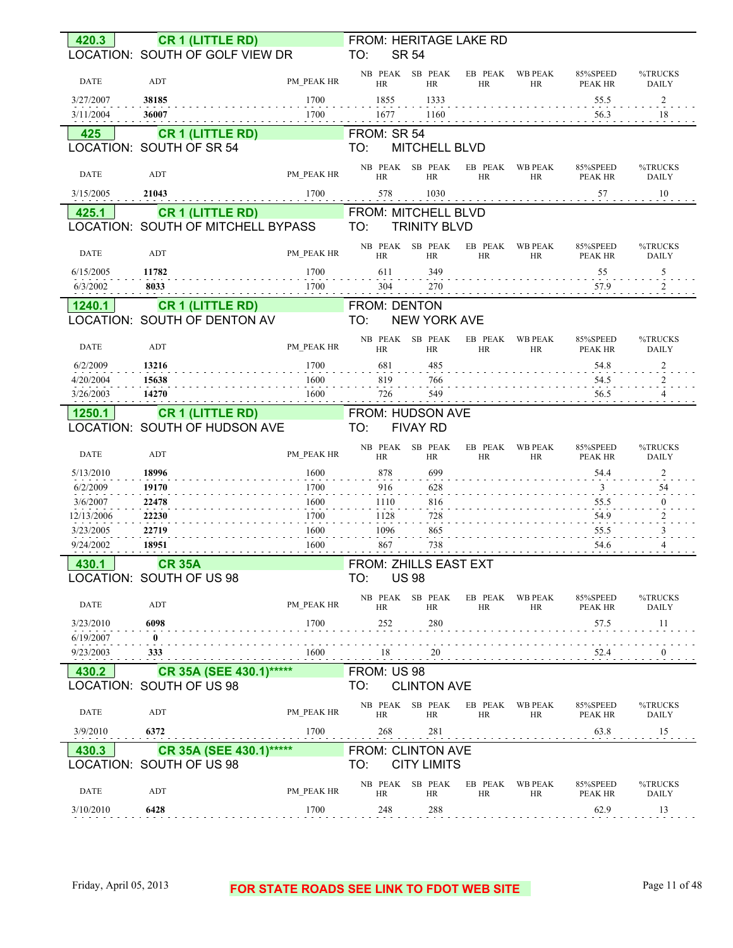| 420.3                  | <b>CR 1 (LITTLE RD)</b>                                |              | FROM: HERITAGE LAKE RD                                                                                                               |
|------------------------|--------------------------------------------------------|--------------|--------------------------------------------------------------------------------------------------------------------------------------|
|                        | LOCATION: SOUTH OF GOLF VIEW DR                        |              | TO:<br><b>SR 54</b>                                                                                                                  |
| <b>DATE</b>            | ADT                                                    | PM PEAK HR   | NB PEAK SB PEAK<br>EB PEAK<br>WB PEAK<br>85%SPEED<br>%TRUCKS<br>HR<br><b>HR</b><br>HR<br>PEAK HR<br><b>DAILY</b><br><b>HR</b>        |
| 3/27/2007              | 38185                                                  | 1700         | 1855<br>1333<br>55.5<br>2                                                                                                            |
| 3/11/2004              | 36007                                                  | 1700         | 1677<br>1160<br>56.3<br>18                                                                                                           |
| 425                    | <b>CR 1 (LITTLE RD)</b>                                |              | FROM: SR 54                                                                                                                          |
|                        | LOCATION: SOUTH OF SR 54                               |              | TO:<br>MITCHELL BLVD                                                                                                                 |
| DATE                   | ADT                                                    | PM PEAK HR   | NB PEAK SB PEAK<br>EB PEAK<br><b>WB PEAK</b><br>85%SPEED<br>%TRUCKS<br><b>HR</b><br><b>HR</b><br>HR<br>HR<br>PEAK HR<br><b>DAILY</b> |
| 3/15/2005              | 21043                                                  | 1700         | 578<br>1030<br>10<br>57                                                                                                              |
| 425.1                  | <b>CR 1 (LITTLE RD)</b>                                |              | FROM: MITCHELL BLVD                                                                                                                  |
|                        | LOCATION: SOUTH OF MITCHELL BYPASS                     |              | TO:<br><b>TRINITY BLVD</b>                                                                                                           |
| <b>DATE</b>            | ADT                                                    | PM PEAK HR   | NB PEAK SB PEAK<br>EB PEAK<br>%TRUCKS<br>WB PEAK<br>85%SPEED<br><b>HR</b><br><b>HR</b><br>HR<br>HR<br>PEAK HR<br><b>DAILY</b>        |
| 6/15/2005              | 11782                                                  | 1700         | 611<br>349<br>55<br>5                                                                                                                |
| 6/3/2002               | 8033                                                   | 1700         | 304<br>270<br>57.9<br>$\overline{2}$                                                                                                 |
| 1240.1                 | <b>CR 1 (LITTLE RD)</b>                                |              | FROM: DENTON                                                                                                                         |
|                        | LOCATION: SOUTH OF DENTON AV                           |              | TO:<br><b>NEW YORK AVE</b>                                                                                                           |
| <b>DATE</b>            | ADT                                                    | PM PEAK HR   | NB PEAK SB PEAK<br>EB PEAK<br><b>WB PEAK</b><br>85%SPEED<br>%TRUCKS<br>HR<br>HR<br><b>HR</b><br>HR<br><b>PEAK HR</b><br><b>DAILY</b> |
| 6/2/2009               | 13216                                                  | 1700         | 681<br>485<br>54.8                                                                                                                   |
| 4/20/2004              | 15638                                                  | 1600         | 819<br>766<br>54.5                                                                                                                   |
| 3/26/2003              | 14270                                                  | 1600         | 549<br>726<br>56.5                                                                                                                   |
| 1250.1                 | <b>CR 1 (LITTLE RD)</b>                                |              | FROM: HUDSON AVE                                                                                                                     |
|                        | LOCATION: SOUTH OF HUDSON AVE                          |              | TO:<br><b>FIVAY RD</b>                                                                                                               |
| <b>DATE</b>            | ADT                                                    | PM PEAK HR   | NB PEAK SB PEAK<br>EB PEAK<br><b>WB PEAK</b><br>85%SPEED<br>%TRUCKS<br><b>HR</b><br>HR<br>HR<br>HR<br><b>PEAK HR</b><br><b>DAILY</b> |
| 5/13/2010              | 18996                                                  | 1600         | 878<br>699<br>54.4                                                                                                                   |
| 6/2/2009               | 19170                                                  | 1700         | 916<br>628<br>54<br>3                                                                                                                |
| 3/6/2007               | 22478                                                  | 1600         | 816<br>1110<br>55.5                                                                                                                  |
| 12/13/2006             | 22230                                                  | 1700         | 728<br>54.9<br>1128                                                                                                                  |
| 3/23/2005<br>9/24/2002 | 22719<br>18951                                         | 1600<br>1600 | 1096<br>865<br>55.5<br>738<br>867<br>54.6                                                                                            |
|                        |                                                        |              |                                                                                                                                      |
| 430.1                  | <b>CR 35A</b>                                          |              | FROM: ZHILLS EAST EXT                                                                                                                |
|                        | LOCATION: SOUTH OF US 98                               |              | <b>US 98</b><br>TO:                                                                                                                  |
| <b>DATE</b>            | ADT                                                    | PM PEAK HR   | NB PEAK SB PEAK<br>EB PEAK WB PEAK<br>85%SPEED<br>%TRUCKS<br>HR<br><b>HR</b><br>HR<br>PEAK HR<br>HR.<br>DAILY                        |
| 3/23/2010              | 6098                                                   | 1700         | 252<br>280<br>57.5<br>11                                                                                                             |
| 6/19/2007<br>9/23/2003 | $\begin{smallmatrix} 0 \\ -1 \end{smallmatrix}$<br>333 |              | 52.4                                                                                                                                 |
| 430.2                  | CR 35A (SEE 430.1)******                               |              | FROM: US 98                                                                                                                          |
|                        | LOCATION: SOUTH OF US 98                               |              | TO:<br><b>CLINTON AVE</b>                                                                                                            |
| DATE                   | ADT                                                    | PM PEAK HR   | NB PEAK SB PEAK<br>%TRUCKS<br>EB PEAK WB PEAK<br>85%SPEED<br>HR<br>HR<br><b>HR</b><br>HR<br>PEAK HR<br>DAILY                         |
| 3/9/2010               | 6372                                                   | 1700         | 268<br>281<br>63.8<br>15<br>.                                                                                                        |
| 430.3                  | CR 35A (SEE 430.1)******                               |              | FROM: CLINTON AVE                                                                                                                    |
|                        | LOCATION: SOUTH OF US 98                               |              | <b>CITY LIMITS</b><br>TO:                                                                                                            |
| DATE                   | ADT                                                    | PM PEAK HR   | NB PEAK SB PEAK<br>EB PEAK<br>WB PEAK<br>85%SPEED<br>%TRUCKS                                                                         |
| 3/10/2010              | 6428                                                   | 1700         | HR<br>HR<br>HR<br>HR<br>PEAK HR<br>DAILY<br>248<br>288<br>62.9<br>13                                                                 |
|                        |                                                        |              |                                                                                                                                      |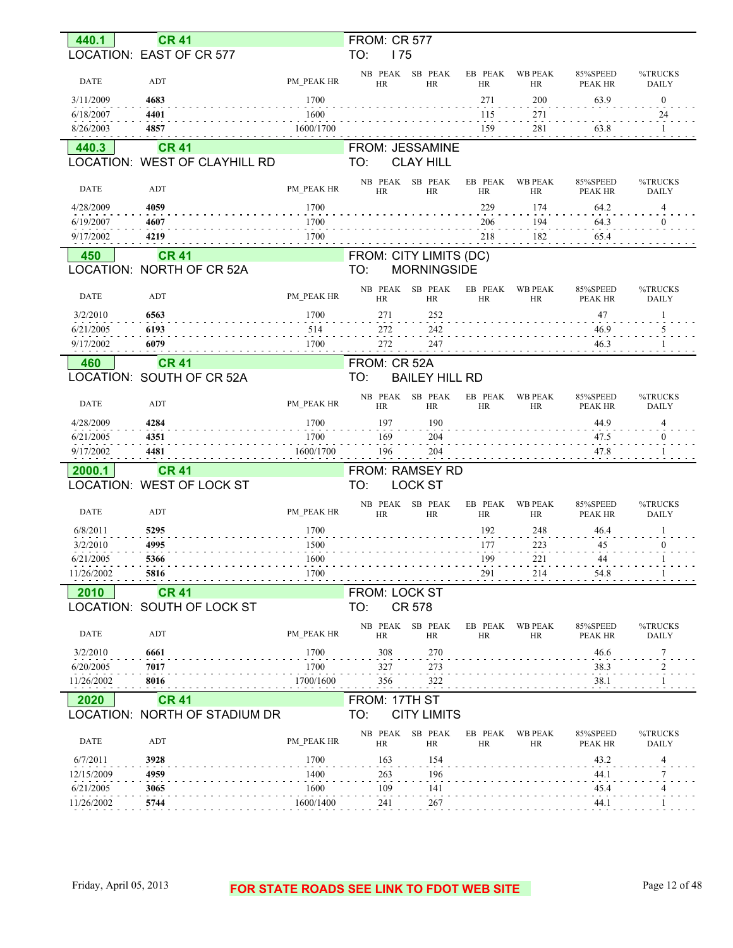| 440.1       | <b>CR 41</b>                  |            | <b>FROM: CR 577</b>                          |                      |                             |                            |                         |
|-------------|-------------------------------|------------|----------------------------------------------|----------------------|-----------------------------|----------------------------|-------------------------|
|             | LOCATION: EAST OF CR 577      |            | TO:<br>175                                   |                      |                             |                            |                         |
| <b>DATE</b> | ADT                           | PM PEAK HR | SB PEAK<br>NB PEAK<br><b>HR</b><br><b>HR</b> | EB PEAK<br><b>HR</b> | <b>WB PEAK</b><br><b>HR</b> | 85%SPEED<br>PEAK HR        | %TRUCKS<br><b>DAILY</b> |
| 3/11/2009   | 4683                          | 1700       |                                              | 271                  | 200                         | 63.9                       | $\mathbf{0}$            |
| 6/18/2007   | 4401                          | 1600       |                                              | 115                  | 271                         |                            | 24                      |
| 8/26/2003   | 4857                          | 1600/1700  |                                              | 159                  | 281                         | 63.8                       |                         |
| 440.3       | <b>CR 41</b>                  |            | FROM: JESSAMINE                              |                      |                             |                            |                         |
|             | LOCATION: WEST OF CLAYHILL RD |            | TO:<br><b>CLAY HILL</b>                      |                      |                             |                            |                         |
| DATE        | ADT                           | PM PEAK HR | NB PEAK<br>SB PEAK<br><b>HR</b><br><b>HR</b> | EB PEAK<br><b>HR</b> | <b>WB PEAK</b><br><b>HR</b> | 85%SPEED<br>PEAK HR        | %TRUCKS<br><b>DAILY</b> |
| 4/28/2009   | 4059                          | 1700       |                                              | 229                  | 174                         | 64.2                       | 4                       |
| 6/19/2007   | 4607                          | 1700       |                                              | 206                  | 194                         | 64.3                       | $\mathbf{0}$            |
| 9/17/2002   | 4219                          | 1700       |                                              | 218                  | 182                         | 65.4                       |                         |
| 450         | <b>CR 41</b>                  |            | FROM: CITY LIMITS (DC)                       |                      |                             |                            |                         |
|             | LOCATION: NORTH OF CR 52A     |            | TO:<br><b>MORNINGSIDE</b>                    |                      |                             |                            |                         |
|             |                               |            | NB PEAK<br>SB PEAK                           | EB PEAK              | <b>WB PEAK</b>              | 85%SPEED                   | %TRUCKS                 |
| <b>DATE</b> | ADT                           | PM PEAK HR | <b>HR</b><br><b>HR</b>                       | <b>HR</b>            | HR                          | <b>PEAK HR</b>             | <b>DAILY</b>            |
| 3/2/2010    | 6563                          | 1700       | 271<br>252                                   |                      |                             | $47\,$                     |                         |
| 6/21/2005   | 6193                          | 514        | 272<br>242                                   |                      |                             | 46.9                       | 5                       |
| 9/17/2002   | 6079                          | 1700       | 272<br>247                                   |                      |                             | 46.3                       |                         |
| 460         | <b>CR 41</b>                  |            | FROM: CR 52A                                 |                      |                             |                            |                         |
|             | LOCATION: SOUTH OF CR 52A     |            | TO:<br><b>BAILEY HILL RD</b>                 |                      |                             |                            |                         |
| <b>DATE</b> | ADT                           | PM PEAK HR | NB PEAK<br>SB PEAK<br><b>HR</b><br><b>HR</b> | EB PEAK<br><b>HR</b> | <b>WB PEAK</b><br>HR        | 85%SPEED<br>PEAK HR        | %TRUCKS<br><b>DAILY</b> |
| 4/28/2009   | 4284                          | 1700       | 197<br>190                                   |                      |                             | 44.9                       | $\overline{4}$          |
|             |                               |            |                                              |                      |                             |                            |                         |
| 6/21/2005   | 4351                          | 1700       | 169<br>204                                   |                      |                             | 47.5                       | $\mathbf{0}$            |
| 9/17/2002   | 4481                          | 1600/1700  | 196<br>204                                   |                      |                             | 47.8                       |                         |
| 2000.1      | <b>CR 41</b>                  |            | FROM: RAMSEY RD                              |                      |                             |                            |                         |
|             | LOCATION: WEST OF LOCK ST     |            | <b>LOCK ST</b><br>TO:                        |                      |                             |                            |                         |
| <b>DATE</b> | ADT                           | PM PEAK HR | NB PEAK<br>SB PEAK<br>HR<br><b>HR</b>        | EB PEAK<br><b>HR</b> | <b>WB PEAK</b><br>HR        | 85%SPEED<br><b>PEAK HR</b> | %TRUCKS<br><b>DAILY</b> |
| 6/8/2011    | 5295                          | 1700       |                                              | 192                  | 248                         | 46.4                       |                         |
| 3/2/2010    | 4995                          | 1500       |                                              | 177                  | 223                         | 45                         | $\theta$                |
| 6/21/2005   | 5366                          | 1600       |                                              | 199                  | 221                         | 44                         |                         |
| 11/26/2002  | 5816                          | 1700       |                                              | 291                  | 214                         | 54.8                       |                         |
| 2010        | <b>CR 41</b>                  |            | FROM: LOCK ST                                |                      |                             |                            |                         |
|             | LOCATION: SOUTH OF LOCK ST    |            | <b>CR 578</b><br>TO:                         |                      |                             |                            |                         |
| <b>DATE</b> | ADT                           | PM PEAK HR | NB PEAK SB PEAK<br><b>HR</b><br>HR           | EB PEAK<br><b>HR</b> | <b>WB PEAK</b><br>HR        | 85%SPEED<br>PEAK HR        | %TRUCKS<br><b>DAILY</b> |
| 3/2/2010    | 6661                          | 1700       | 308<br>270                                   |                      |                             | 46.6                       | 7                       |
| 6/20/2005   | 7017                          | 1700       | 327<br>273                                   |                      |                             | 38.3                       |                         |
| 11/26/2002  | 8016                          | 1700/1600  | 356<br>322                                   |                      |                             | 38.1                       |                         |
| 2020        | <b>CR 41</b>                  |            | FROM: 17TH ST                                |                      |                             |                            |                         |
|             | LOCATION: NORTH OF STADIUM DR |            | TO:<br><b>CITY LIMITS</b>                    |                      |                             |                            |                         |
| <b>DATE</b> | ADT                           | PM PEAK HR | SB PEAK<br>NB PEAK<br><b>HR</b><br>HR        | EB PEAK<br><b>HR</b> | <b>WB PEAK</b><br>HR        | 85%SPEED<br>PEAK HR        | %TRUCKS<br><b>DAILY</b> |
| 6/7/2011    | 3928                          | 1700       | 163<br>154                                   |                      |                             | 43.2                       | 4                       |
| 12/15/2009  | 4959                          | 1400       | 263<br>196                                   |                      |                             | 44.1                       | 7                       |
| 6/21/2005   | 3065                          | 1600       | 109<br>141                                   |                      |                             | 45.4                       | 4                       |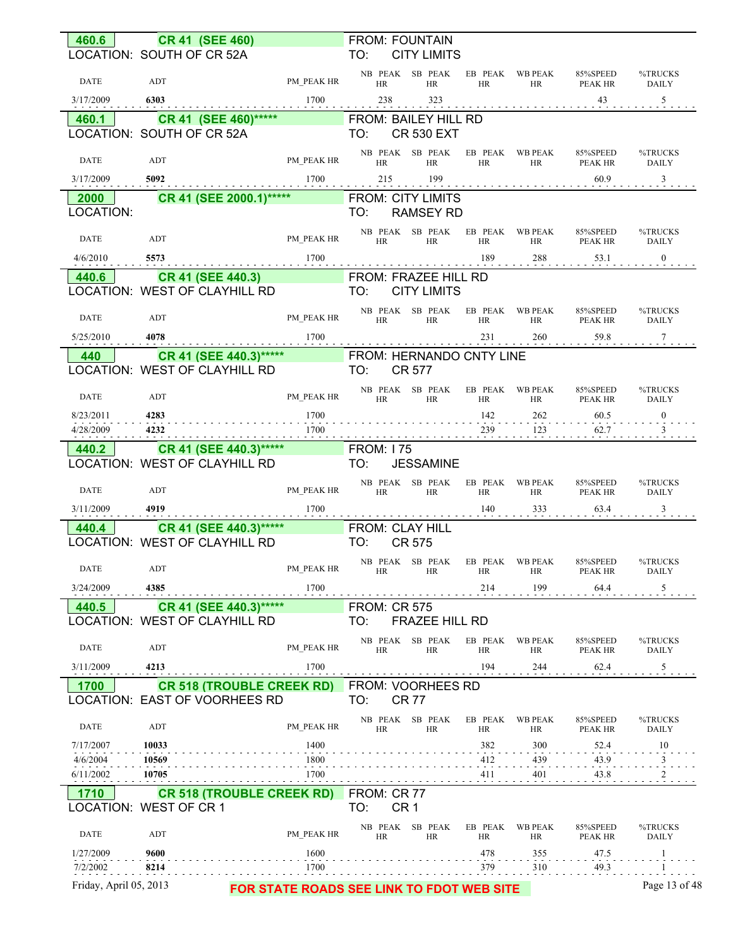| LOCATION: SOUTH OF CR 52A<br>TO:<br><b>CITY LIMITS</b><br>NB PEAK SB PEAK EB PEAK WB PEAK<br>85%SPEED<br>%TRUCKS<br>PM_PEAK HR<br><b>DATE</b><br>ADT<br>HR<br>HR<br>HR<br>HR<br>PEAK HR<br><b>DAILY</b><br>$1700$ 238 323 43 43 5<br>3/17/2009<br>6303<br>460.1 CR 41 (SEE 460)***** FROM: BAILEY HILL RD<br>LOCATION: SOUTH OF CR 52A<br>TO:<br><b>CR 530 EXT</b><br>NB PEAK SB PEAK EB PEAK WB PEAK<br>85%SPEED<br>%TRUCKS<br>PM_PEAK HR<br>DATE<br>ADT<br>HR<br>HR<br>HR<br>HR<br>PEAK HR<br><b>DAILY</b><br>$3/17/2009$ 5092 1700 215 199<br>$60.9$ $3$<br>2000 CR 41 (SEE 2000.1)***** FROM: CITY LIMITS<br>LOCATION:<br><b>RAMSEY RD</b><br>TO:<br>NB PEAK SB PEAK EB PEAK WB PEAK<br>85%SPEED<br>%TRUCKS<br>ADT<br>PM_PEAK HR<br>DATE<br>HR<br>HR<br>HR<br>HR PEAK HR<br><b>DAILY</b><br>440.6 CR 41 (SEE 440.3) FROM: FRAZEE HILL RD<br>LOCATION: WEST OF CLAYHILL RD<br><b>TO:</b><br><b>CITY LIMITS</b><br>NB PEAK SB PEAK EB PEAK WB PEAK<br>85%SPEED<br>%TRUCKS<br>PM_PEAK HR<br><b>DATE</b><br>ADT<br>HR<br>HR<br><b>HR</b><br>HR PEAK HR<br><b>DAILY</b> |
|------------------------------------------------------------------------------------------------------------------------------------------------------------------------------------------------------------------------------------------------------------------------------------------------------------------------------------------------------------------------------------------------------------------------------------------------------------------------------------------------------------------------------------------------------------------------------------------------------------------------------------------------------------------------------------------------------------------------------------------------------------------------------------------------------------------------------------------------------------------------------------------------------------------------------------------------------------------------------------------------------------------------------------------------------------------------|
|                                                                                                                                                                                                                                                                                                                                                                                                                                                                                                                                                                                                                                                                                                                                                                                                                                                                                                                                                                                                                                                                        |
|                                                                                                                                                                                                                                                                                                                                                                                                                                                                                                                                                                                                                                                                                                                                                                                                                                                                                                                                                                                                                                                                        |
|                                                                                                                                                                                                                                                                                                                                                                                                                                                                                                                                                                                                                                                                                                                                                                                                                                                                                                                                                                                                                                                                        |
|                                                                                                                                                                                                                                                                                                                                                                                                                                                                                                                                                                                                                                                                                                                                                                                                                                                                                                                                                                                                                                                                        |
|                                                                                                                                                                                                                                                                                                                                                                                                                                                                                                                                                                                                                                                                                                                                                                                                                                                                                                                                                                                                                                                                        |
|                                                                                                                                                                                                                                                                                                                                                                                                                                                                                                                                                                                                                                                                                                                                                                                                                                                                                                                                                                                                                                                                        |
|                                                                                                                                                                                                                                                                                                                                                                                                                                                                                                                                                                                                                                                                                                                                                                                                                                                                                                                                                                                                                                                                        |
|                                                                                                                                                                                                                                                                                                                                                                                                                                                                                                                                                                                                                                                                                                                                                                                                                                                                                                                                                                                                                                                                        |
|                                                                                                                                                                                                                                                                                                                                                                                                                                                                                                                                                                                                                                                                                                                                                                                                                                                                                                                                                                                                                                                                        |
|                                                                                                                                                                                                                                                                                                                                                                                                                                                                                                                                                                                                                                                                                                                                                                                                                                                                                                                                                                                                                                                                        |
|                                                                                                                                                                                                                                                                                                                                                                                                                                                                                                                                                                                                                                                                                                                                                                                                                                                                                                                                                                                                                                                                        |
|                                                                                                                                                                                                                                                                                                                                                                                                                                                                                                                                                                                                                                                                                                                                                                                                                                                                                                                                                                                                                                                                        |
|                                                                                                                                                                                                                                                                                                                                                                                                                                                                                                                                                                                                                                                                                                                                                                                                                                                                                                                                                                                                                                                                        |
|                                                                                                                                                                                                                                                                                                                                                                                                                                                                                                                                                                                                                                                                                                                                                                                                                                                                                                                                                                                                                                                                        |
|                                                                                                                                                                                                                                                                                                                                                                                                                                                                                                                                                                                                                                                                                                                                                                                                                                                                                                                                                                                                                                                                        |
| <b>CR 41 (SEE 440.3)*****</b> FROM: HERNANDO CNTY LINE<br><b>440</b>                                                                                                                                                                                                                                                                                                                                                                                                                                                                                                                                                                                                                                                                                                                                                                                                                                                                                                                                                                                                   |
| LOCATION: WEST OF CLAYHILL RD TO:<br><b>CR 577</b>                                                                                                                                                                                                                                                                                                                                                                                                                                                                                                                                                                                                                                                                                                                                                                                                                                                                                                                                                                                                                     |
| $\begin{tabular}{lllllll} \bf PM\_PEAK & \bf RB & \bf PEAK & \bf SB & \bf PEAK & \bf EB & \bf PEAK & \bf WB & \bf PEAK \\ & \bf HR & \bf HR & \bf FP & \bf FP & \bf \end{tabular}$<br>85%SPEED<br>%TRUCKS<br>DATE<br>ADT<br>HR PEAK HR<br><b>DAILY</b>                                                                                                                                                                                                                                                                                                                                                                                                                                                                                                                                                                                                                                                                                                                                                                                                                 |
| 8/23/2011 4283<br>. 1700<br>$142$ $262$ $60.5$ $0$                                                                                                                                                                                                                                                                                                                                                                                                                                                                                                                                                                                                                                                                                                                                                                                                                                                                                                                                                                                                                     |
| $4/28/2009$ $4232$ $4232$ $1700$ $1700$ $239$ $123$ $123$ $62.7$ $123$                                                                                                                                                                                                                                                                                                                                                                                                                                                                                                                                                                                                                                                                                                                                                                                                                                                                                                                                                                                                 |
| 440.2 CR 41 (SEE 440.3)***** FROM: 175                                                                                                                                                                                                                                                                                                                                                                                                                                                                                                                                                                                                                                                                                                                                                                                                                                                                                                                                                                                                                                 |
| LOCATION: WEST OF CLAYHILL RD<br>TO:<br><b>JESSAMINE</b>                                                                                                                                                                                                                                                                                                                                                                                                                                                                                                                                                                                                                                                                                                                                                                                                                                                                                                                                                                                                               |
| NB PEAK SB PEAK EB PEAK WB PEAK<br>85%SPEED<br>%TRUCKS<br>PM_PEAK HR<br><b>DATE</b><br>ADT<br>HR<br>HR<br>HR<br>HR PEAK HR<br><b>DAILY</b>                                                                                                                                                                                                                                                                                                                                                                                                                                                                                                                                                                                                                                                                                                                                                                                                                                                                                                                             |
| $3/11/2009$ 4919 1700 140 333 63.4 3                                                                                                                                                                                                                                                                                                                                                                                                                                                                                                                                                                                                                                                                                                                                                                                                                                                                                                                                                                                                                                   |
| <b>440.4</b> CR 41 (SEE 440.3)***** FROM: CLAY HILL<br>LOCATION: WEST OF CLAYHILL RD TO: CR 575                                                                                                                                                                                                                                                                                                                                                                                                                                                                                                                                                                                                                                                                                                                                                                                                                                                                                                                                                                        |
|                                                                                                                                                                                                                                                                                                                                                                                                                                                                                                                                                                                                                                                                                                                                                                                                                                                                                                                                                                                                                                                                        |
| NB PEAK SB PEAK EB PEAK WB PEAK<br>85%SPEED<br>%TRUCKS<br><b>PM_PEAK HR</b><br>DATE<br>ADT<br>HR<br>HR<br>HR<br>HR<br>PEAK HR<br>DAILY                                                                                                                                                                                                                                                                                                                                                                                                                                                                                                                                                                                                                                                                                                                                                                                                                                                                                                                                 |
| 214<br>199<br>3/24/2009<br>4385<br>1700<br>64.4<br>$5 \frac{5}{5}$                                                                                                                                                                                                                                                                                                                                                                                                                                                                                                                                                                                                                                                                                                                                                                                                                                                                                                                                                                                                     |
| CR 41 (SEE 440.3)******<br><b>FROM: CR 575</b><br>440.5                                                                                                                                                                                                                                                                                                                                                                                                                                                                                                                                                                                                                                                                                                                                                                                                                                                                                                                                                                                                                |
| LOCATION: WEST OF CLAYHILL RD<br>TO:<br>FRAZEE HILL RD                                                                                                                                                                                                                                                                                                                                                                                                                                                                                                                                                                                                                                                                                                                                                                                                                                                                                                                                                                                                                 |
| NB PEAK<br>SB PEAK<br>EB PEAK<br>WB PEAK<br>85%SPEED<br>%TRUCKS<br>DATE<br>ADT<br>PM PEAK HR<br>PEAK HR<br><b>HR</b><br><b>HR</b><br>HR<br>HR<br><b>DAILY</b>                                                                                                                                                                                                                                                                                                                                                                                                                                                                                                                                                                                                                                                                                                                                                                                                                                                                                                          |
| 4213<br>1700<br>194<br>$\overline{5}$<br>3/11/2009<br>244<br>62.4                                                                                                                                                                                                                                                                                                                                                                                                                                                                                                                                                                                                                                                                                                                                                                                                                                                                                                                                                                                                      |
| <b>CR 518 (TROUBLE CREEK RD)</b> FROM: VOORHEES RD<br>1700                                                                                                                                                                                                                                                                                                                                                                                                                                                                                                                                                                                                                                                                                                                                                                                                                                                                                                                                                                                                             |
| LOCATION: EAST OF VOORHEES RD<br>TO:<br><b>CR 77</b>                                                                                                                                                                                                                                                                                                                                                                                                                                                                                                                                                                                                                                                                                                                                                                                                                                                                                                                                                                                                                   |
| NB PEAK SB PEAK<br><b>WB PEAK</b><br>EB PEAK<br>85%SPEED<br>%TRUCKS<br>DATE<br>ADT<br>PM PEAK HR<br><b>HR</b><br><b>HR</b><br>HR<br>HR<br>PEAK HR<br>DAILY                                                                                                                                                                                                                                                                                                                                                                                                                                                                                                                                                                                                                                                                                                                                                                                                                                                                                                             |
| 382<br>7/17/2007<br>10033<br>1400<br>300<br>52.4<br>10                                                                                                                                                                                                                                                                                                                                                                                                                                                                                                                                                                                                                                                                                                                                                                                                                                                                                                                                                                                                                 |
| 4/6/2004<br>10569<br>1800<br>412<br>439<br>43.9<br>3<br>1700<br>6/11/2002<br>10705<br>411<br>401<br>43.8                                                                                                                                                                                                                                                                                                                                                                                                                                                                                                                                                                                                                                                                                                                                                                                                                                                                                                                                                               |
| $\overline{\phantom{0}2}$<br><b>CR 518 (TROUBLE CREEK RD)</b><br>FROM: CR 77                                                                                                                                                                                                                                                                                                                                                                                                                                                                                                                                                                                                                                                                                                                                                                                                                                                                                                                                                                                           |
| 1710<br>CR <sub>1</sub><br>LOCATION: WEST OF CR 1<br>TO:                                                                                                                                                                                                                                                                                                                                                                                                                                                                                                                                                                                                                                                                                                                                                                                                                                                                                                                                                                                                               |
| 85%SPEED<br>NB PEAK<br>SB PEAK<br>EB PEAK<br><b>WB PEAK</b><br>%TRUCKS<br>DATE<br>ADT<br>PM PEAK HR<br><b>HR</b><br><b>HR</b><br>HR<br>HR<br>PEAK HR<br><b>DAILY</b>                                                                                                                                                                                                                                                                                                                                                                                                                                                                                                                                                                                                                                                                                                                                                                                                                                                                                                   |
| 9600<br>1600<br>478<br>1/27/2009<br>355<br>47.5<br>-1<br>7/2/2002<br>1700<br>379<br>310<br>49.3<br>8214<br>-1                                                                                                                                                                                                                                                                                                                                                                                                                                                                                                                                                                                                                                                                                                                                                                                                                                                                                                                                                          |
| Friday, April 05, 2013<br>Page 13 of 48<br>FOR STATE ROADS SEE LINK TO FDOT WEB SITE                                                                                                                                                                                                                                                                                                                                                                                                                                                                                                                                                                                                                                                                                                                                                                                                                                                                                                                                                                                   |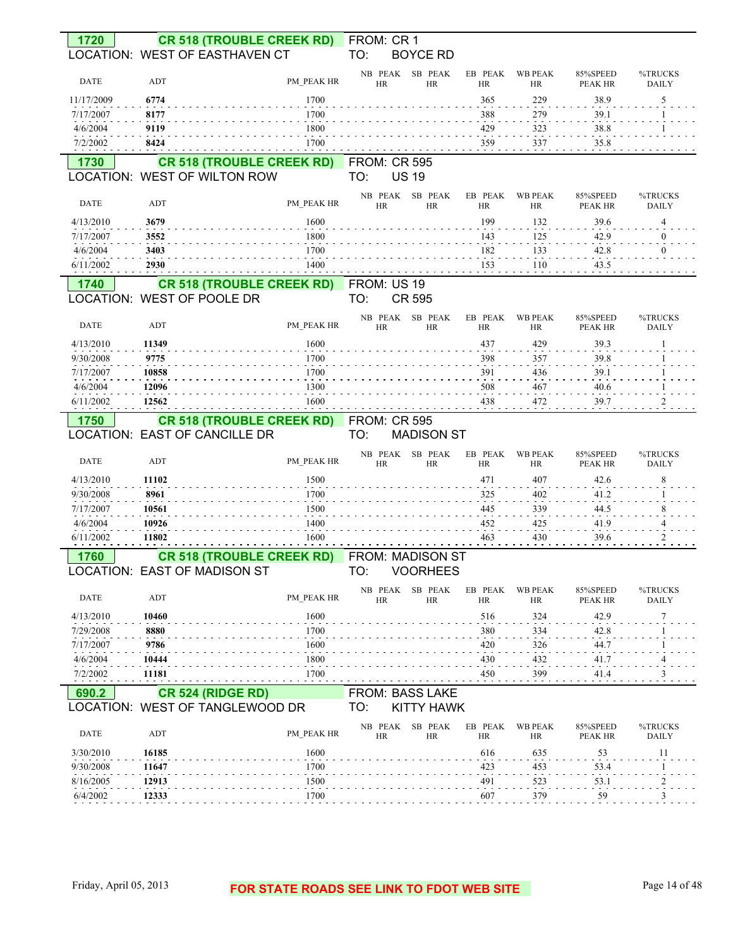| 1720                  |                                  | <b>CR 518 (TROUBLE CREEK RD)</b><br>LOCATION: WEST OF EASTHAVEN CT | FROM: CR 1<br>TO:          | <b>BOYCE RD</b>      |                      |                      |                     |                         |
|-----------------------|----------------------------------|--------------------------------------------------------------------|----------------------------|----------------------|----------------------|----------------------|---------------------|-------------------------|
| <b>DATE</b>           | ADT                              | PM PEAK HR                                                         | NB PEAK<br><b>HR</b>       | SB PEAK<br><b>HR</b> | EB PEAK<br><b>HR</b> | <b>WB PEAK</b><br>HR | 85%SPEED<br>PEAK HR | %TRUCKS<br><b>DAILY</b> |
| 11/17/2009            | 6774                             | 1700                                                               |                            |                      | 365                  | 229                  | 38.9                | 5                       |
| 7/17/2007             | 8177                             | 1700                                                               |                            |                      | 388                  | 279                  | 39.1                |                         |
| 4/6/2004              | 9119                             | 1800                                                               |                            |                      | 429                  | 323                  | 38.8                |                         |
| 7/2/2002              | 8424                             | 1700                                                               |                            |                      | 359                  | 337                  | 35.8                |                         |
| 1730                  |                                  | <b>CR 518 (TROUBLE CREEK RD)</b><br>LOCATION: WEST OF WILTON ROW   | <b>FROM: CR 595</b><br>TO: | <b>US 19</b>         |                      |                      |                     |                         |
| <b>DATE</b>           | ADT                              | PM PEAK HR                                                         | NB PEAK<br><b>HR</b>       | SB PEAK<br><b>HR</b> | EB PEAK<br><b>HR</b> | <b>WB PEAK</b><br>HR | 85%SPEED<br>PEAK HR | %TRUCKS<br><b>DAILY</b> |
| 4/13/2010             | 3679                             | 1600                                                               |                            |                      | 199                  | 132                  | 39.6                | 4                       |
| 7/17/2007             | 3552                             | 1800                                                               |                            |                      | 143                  | 125                  | 42.9                | $\mathbf{0}$            |
| 4/6/2004<br>6/11/2002 | 3403<br>2930                     | 1700<br>1400                                                       |                            |                      | 182<br>153           | 133<br>110           | 42.8<br>43.5        | $\mathbf{0}$            |
|                       |                                  |                                                                    |                            |                      |                      |                      |                     |                         |
| 1740                  |                                  | <b>CR 518 (TROUBLE CREEK RD)</b><br>LOCATION: WEST OF POOLE DR     | FROM: US 19<br>TO:         | <b>CR 595</b>        |                      |                      |                     |                         |
| <b>DATE</b>           | ADT                              | PM PEAK HR                                                         | NB PEAK<br><b>HR</b>       | SB PEAK<br><b>HR</b> | EB PEAK<br><b>HR</b> | <b>WB PEAK</b><br>HR | 85%SPEED<br>PEAK HR | %TRUCKS<br><b>DAILY</b> |
| 4/13/2010             | 11349                            | 1600                                                               |                            |                      | 437                  | 429                  | 39.3                | -1                      |
| 9/30/2008             | 9775                             | 1700                                                               |                            |                      | 398                  | 357                  | 39.8                |                         |
| 7/17/2007             | 10858                            | 1700                                                               |                            |                      | 391                  | 436                  | 39.1                |                         |
| 4/6/2004<br>6/11/2002 | 12096<br>12562                   | 1300<br>1600                                                       |                            |                      | 508<br>438           | 467<br>472           | 40.6<br>39.7        |                         |
| 1750                  |                                  | <b>CR 518 (TROUBLE CREEK RD)</b>                                   | <b>FROM: CR 595</b>        |                      |                      |                      |                     |                         |
|                       |                                  | LOCATION: EAST OF CANCILLE DR                                      | TO:                        | <b>MADISON ST</b>    |                      |                      |                     |                         |
|                       |                                  |                                                                    | NB PEAK                    | SB PEAK              | EB PEAK              | <b>WB PEAK</b>       | 85%SPEED            | %TRUCKS                 |
| <b>DATE</b>           | ADT                              | PM_PEAK HR                                                         | <b>HR</b>                  | <b>HR</b>            | <b>HR</b>            | HR                   | PEAK HR             | <b>DAILY</b>            |
| 4/13/2010             | 11102                            | 1500                                                               |                            |                      | 471                  | 407                  | 42.6                | 8                       |
| 9/30/2008             | 8961                             | 1700                                                               |                            |                      | 325                  | 402                  | 41.2                |                         |
| 7/17/2007             | 10561                            | 1500                                                               |                            |                      | 445                  | 339                  | 44.5                | 8                       |
| 4/6/2004<br>6/11/2002 | 10926<br>11802                   | 1400<br>1600                                                       |                            |                      | 452<br>463           | 425<br>430           | 41.9<br>39.6        | 4                       |
|                       |                                  | <b>CR 518 (TROUBLE CREEK RD)</b>                                   | <b>FROM: MADISON ST</b>    |                      |                      |                      |                     |                         |
| 1760                  |                                  | LOCATION: EAST OF MADISON ST                                       | TO:                        | <b>VOORHEES</b>      |                      |                      |                     |                         |
| DATE                  | ADT                              | PM PEAK HR                                                         | NB PEAK<br>HR              | SB PEAK<br><b>HR</b> | EB PEAK<br>HR        | <b>WB PEAK</b><br>HR | 85%SPEED<br>PEAK HR | %TRUCKS<br>DAILY        |
| 4/13/2010             | 10460                            | 1600                                                               |                            |                      | 516                  | 324                  | 42.9                | 7                       |
| 7/29/2008             | 8880                             | 1700                                                               |                            |                      | 380                  | 334                  | 42.8                |                         |
| 7/17/2007             | 9786                             | 1600                                                               |                            |                      | 420                  | 326                  | 44.7                |                         |
| 4/6/2004              | 10444                            | 1800                                                               |                            |                      | 430                  | 432                  | 41.7                | 4                       |
| 7/2/2002              | 11181                            | 1700                                                               |                            |                      | 450                  | 399                  | 41.4                | 3                       |
| 690.2                 |                                  | <b>CR 524 (RIDGE RD)</b>                                           | FROM: BASS LAKE            |                      |                      |                      |                     |                         |
|                       |                                  | LOCATION: WEST OF TANGLEWOOD DR                                    | TO:                        | <b>KITTY HAWK</b>    |                      |                      |                     |                         |
| DATE                  | $\mathbf{A}\mathbf{D}\mathbf{T}$ | PM PEAK HR                                                         | NB PEAK<br>HR              | SB PEAK<br>HR        | EB PEAK<br>HR        | <b>WB PEAK</b><br>HR | 85%SPEED<br>PEAK HR | %TRUCKS<br>DAILY        |
| 3/30/2010             | 16185                            | 1600                                                               |                            |                      | 616                  | 635                  | 53                  | 11                      |
| 9/30/2008             | 11647                            | 1700                                                               |                            |                      | 423                  | 453                  | 53.4                |                         |
| 8/16/2005             | 12913                            | 1500                                                               |                            |                      | 491                  | 523                  | 53.1                | 2                       |
| 6/4/2002              | 12333                            | 1700                                                               |                            |                      | 607                  | 379                  | 59                  | 3                       |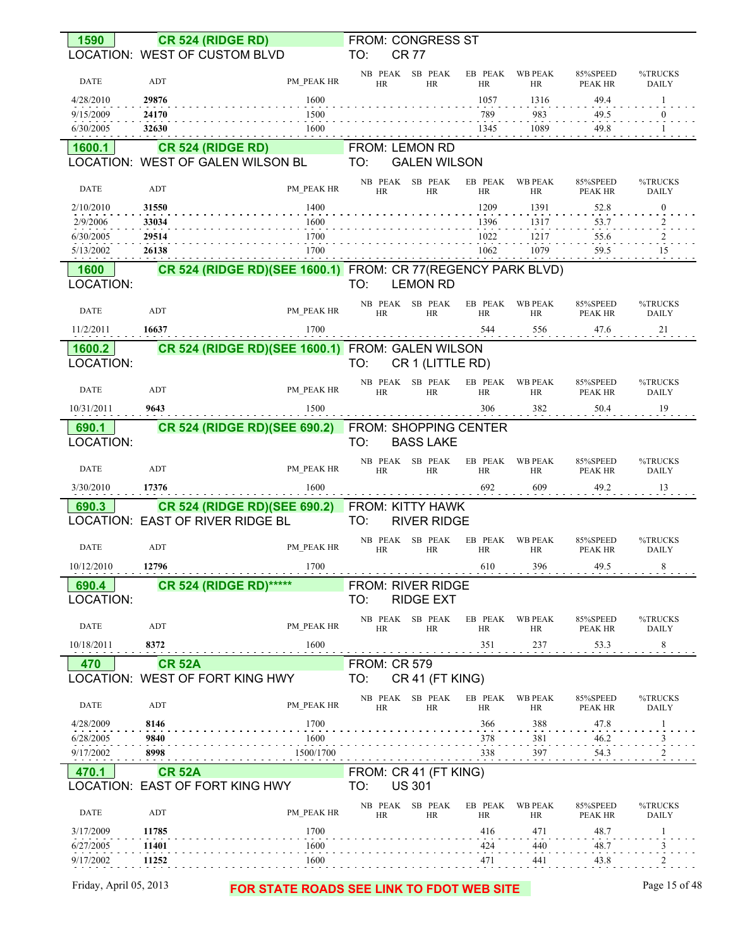|                       |                | <b>CR 524 (RIDGE RD)</b>                                       |                     | <b>FROM: CONGRESS ST</b>                         |                      |                      |                     |                                                               |
|-----------------------|----------------|----------------------------------------------------------------|---------------------|--------------------------------------------------|----------------------|----------------------|---------------------|---------------------------------------------------------------|
|                       |                | LOCATION: WEST OF CUSTOM BLVD                                  | TO:                 | <b>CR 77</b>                                     |                      |                      |                     |                                                               |
| <b>DATE</b>           | ADT            | PM PEAK HR                                                     | <b>HR</b>           | NB PEAK SB PEAK<br><b>HR</b>                     | EB PEAK<br>HR        | <b>WB PEAK</b><br>HR | 85%SPEED<br>PEAK HR | %TRUCKS<br><b>DAILY</b>                                       |
| 4/28/2010             | 29876          | 1600                                                           |                     |                                                  | 1057                 | 1316                 | 49.4                | -1                                                            |
| 9/15/2009             | 24170          | 1500                                                           |                     |                                                  | 789                  | 983<br>1089          | 49.5                | $\bf{0}$                                                      |
| 6/30/2005             | 32630          | 1600                                                           |                     |                                                  | 1345                 |                      | 49.8                | -1                                                            |
| 1600.1                |                | <b>CR 524 (RIDGE RD)</b><br>LOCATION: WEST OF GALEN WILSON BL  | TO:                 | FROM: LEMON RD<br><b>GALEN WILSON</b>            |                      |                      |                     |                                                               |
|                       |                |                                                                |                     | NB PEAK SB PEAK                                  | EB PEAK              | <b>WB PEAK</b>       | 85%SPEED            | %TRUCKS                                                       |
| <b>DATE</b>           | <b>ADT</b>     | PM PEAK HR                                                     | <b>HR</b>           | <b>HR</b>                                        | HR                   | HR                   | PEAK HR             | <b>DAILY</b>                                                  |
| 2/10/2010             | 31550          | 1400                                                           |                     |                                                  | 1209                 | 1391                 | 52.8                | $\boldsymbol{0}$                                              |
| 2/9/2006<br>6/30/2005 | 33034<br>29514 | 1600<br>1700                                                   |                     |                                                  | 1396<br>1022         | 1317<br>1217         | 53.7<br>55.6        | 2                                                             |
| 5/13/2002             | 26138          | 1700                                                           |                     |                                                  | 1062                 | 1079                 | 59.5                | 15                                                            |
| 1600                  |                | CR 524 (RIDGE RD) (SEE 1600.1) FROM: CR 77 (REGENCY PARK BLVD) |                     |                                                  |                      |                      |                     |                                                               |
| LOCATION:             |                |                                                                | TO:                 | <b>LEMON RD</b>                                  |                      |                      |                     |                                                               |
| <b>DATE</b>           | <b>ADT</b>     | PM PEAK HR                                                     | <b>HR</b>           | NB PEAK SB PEAK<br><b>HR</b>                     | EB PEAK<br><b>HR</b> | <b>WB PEAK</b><br>HR | 85%SPEED<br>PEAK HR | %TRUCKS<br><b>DAILY</b>                                       |
| 11/2/2011             | 16637          | 1700                                                           |                     |                                                  | 544                  | 556                  | 47.6                | $^{21}$                                                       |
| 1600.2                |                | CR 524 (RIDGE RD) (SEE 1600.1) FROM: GALEN WILSON              |                     |                                                  |                      |                      |                     |                                                               |
| LOCATION:             |                |                                                                | TO:                 | CR 1 (LITTLE RD)                                 |                      |                      |                     |                                                               |
| <b>DATE</b>           | ADT            | PM PEAK HR                                                     | <b>HR</b>           | NB PEAK SB PEAK<br><b>HR</b>                     | EB PEAK<br><b>HR</b> | <b>WB PEAK</b><br>HR | 85%SPEED<br>PEAK HR | %TRUCKS<br><b>DAILY</b>                                       |
| 10/31/2011            | 9643           | 1500                                                           | <u>.</u>            |                                                  | 306                  | 382                  | 50.4                | 19                                                            |
| 690.1<br>LOCATION:    |                | <b>CR 524 (RIDGE RD) (SEE 690.2)</b>                           | TO:                 | <b>FROM: SHOPPING CENTER</b><br><b>BASS LAKE</b> |                      |                      |                     |                                                               |
|                       |                |                                                                |                     |                                                  |                      |                      |                     |                                                               |
|                       |                |                                                                |                     |                                                  |                      |                      |                     |                                                               |
| <b>DATE</b>           | <b>ADT</b>     | PM PEAK HR                                                     | <b>HR</b>           | NB PEAK SB PEAK<br><b>HR</b>                     | EB PEAK<br><b>HR</b> | <b>WB PEAK</b><br>HR | 85%SPEED<br>PEAK HR |                                                               |
| 3/30/2010             | 17376          | 1600                                                           |                     |                                                  | 692                  | 609                  | 49.2                | <b>DAILY</b><br>13                                            |
| 690.3                 |                | <b>CR 524 (RIDGE RD)(SEE 690.2)</b>                            |                     | <b>FROM: KITTY HAWK</b>                          |                      |                      |                     |                                                               |
|                       |                | LOCATION: EAST OF RIVER RIDGE BL                               | TO:                 | <b>RIVER RIDGE</b>                               |                      |                      |                     |                                                               |
| <b>DATE</b>           | ADT            | PM PEAK HR                                                     |                     | NB PEAK SB PEAK                                  | EB PEAK              | <b>WB PEAK</b>       | 85%SPEED            |                                                               |
| 10/12/2010            | 12796          | 1700                                                           | <b>HR</b>           | <b>HR</b>                                        | <b>HR</b><br>610     | HR<br>396            | PEAK HR<br>49.5     | 8                                                             |
| .                     |                |                                                                |                     |                                                  |                      |                      |                     |                                                               |
| 690.4<br>LOCATION:    |                | <b>CR 524 (RIDGE RD)*****</b>                                  | TO:                 | FROM: RIVER RIDGE<br><b>RIDGE EXT</b>            |                      |                      |                     | <b>DAILY</b>                                                  |
|                       |                |                                                                |                     | NB PEAK SB PEAK                                  | EB PEAK              | <b>WB PEAK</b>       | 85%SPEED            |                                                               |
| <b>DATE</b>           | ADT            | PM PEAK HR                                                     | <b>HR</b>           | <b>HR</b>                                        | <b>HR</b>            | HR                   | PEAK HR             |                                                               |
| 10/18/2011            | 8372           | 1600                                                           |                     |                                                  | 351                  | 237                  | 53.3                |                                                               |
| 470                   | <b>CR 52A</b>  |                                                                | <b>FROM: CR 579</b> |                                                  |                      |                      |                     |                                                               |
|                       |                | LOCATION: WEST OF FORT KING HWY                                | TO:                 | CR 41 (FT KING)                                  |                      |                      |                     |                                                               |
| DATE                  | ADT            | PM PEAK HR                                                     | <b>HR</b>           | NB PEAK SB PEAK<br><b>HR</b>                     | EB PEAK<br>HR        | <b>WB PEAK</b><br>HR | 85%SPEED<br>PEAK HR | <b>DAILY</b>                                                  |
| 4/28/2009             | 8146           | 1700                                                           |                     |                                                  | 366                  | 388                  | 47.8                | %TRUCKS<br>%TRUCKS<br>%TRUCKS<br><b>DAILY</b><br>8<br>%TRUCKS |
| 6/28/2005             | 9840           | 1600                                                           |                     |                                                  | 378                  | 381                  | 46.2                | 3                                                             |
| 9/17/2002             | 8998           | 1500/1700                                                      |                     |                                                  | 338                  | 397                  | 54.3                | 2                                                             |
| 470.1                 | <b>CR 52A</b>  | LOCATION: EAST OF FORT KING HWY                                | TO:                 | FROM: CR 41 (FT KING)<br><b>US 301</b>           |                      |                      |                     |                                                               |
| <b>DATE</b>           | <b>ADT</b>     | PM PEAK HR                                                     | <b>HR</b>           | NB PEAK SB PEAK<br>HR                            | EB PEAK<br>HR        | <b>WB PEAK</b>       | 85%SPEED            |                                                               |
| 3/17/2009             | 11785          | 1700                                                           |                     |                                                  | 416                  | HR                   | PEAK HR<br>48.7     | %TRUCKS<br><b>DAILY</b>                                       |
| 6/27/2005             | 11401          | 1600                                                           |                     |                                                  | 424                  | 471<br>440           | 48.7                |                                                               |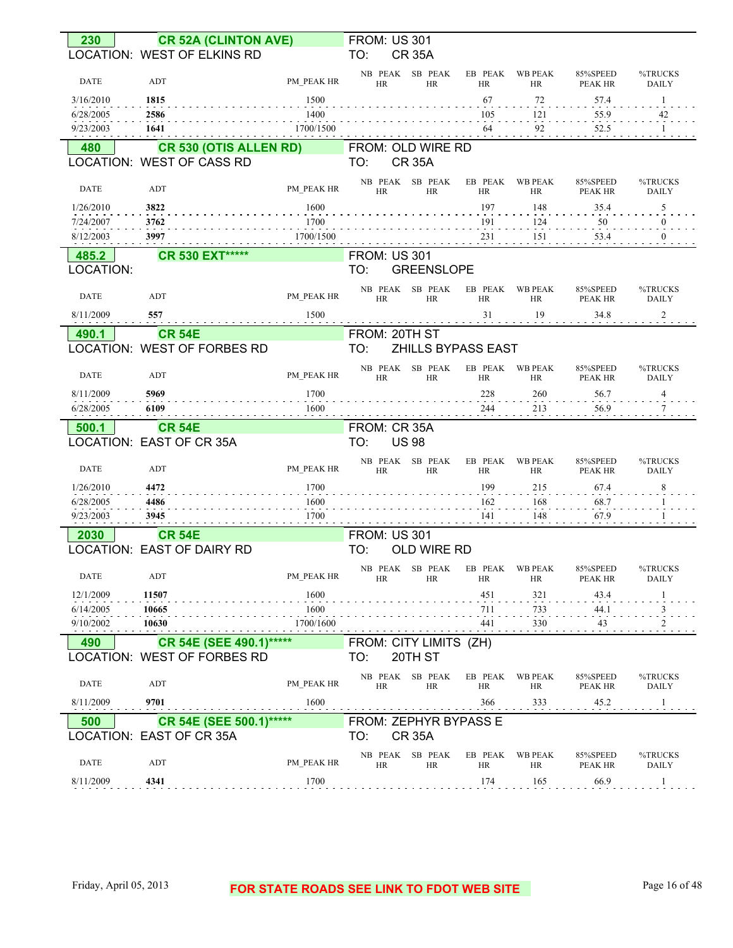| 230                    | <b>CR 52A (CLINTON AVE)</b>                             |                   | <b>FROM: US 301</b>                       |                    |                              |                             |                            |                         |
|------------------------|---------------------------------------------------------|-------------------|-------------------------------------------|--------------------|------------------------------|-----------------------------|----------------------------|-------------------------|
|                        | LOCATION: WEST OF ELKINS RD                             |                   | TO:<br><b>CR 35A</b>                      |                    |                              |                             |                            |                         |
| <b>DATE</b>            | ADT                                                     | PM PEAK HR        | NB PEAK SB PEAK<br><b>HR</b>              | <b>HR</b>          | EB PEAK<br><b>HR</b>         | <b>WB PEAK</b><br>HR        | 85%SPEED<br>PEAK HR        | %TRUCKS<br><b>DAILY</b> |
| 3/16/2010              | 1815                                                    | 1500              |                                           |                    | 67                           | 72                          | 57.4                       | 1                       |
| 6/28/2005              | 2586                                                    | 1400              |                                           |                    | 105                          | 121                         | 55.9                       | 42                      |
| 9/23/2003              | 1641                                                    | 1700/1500         |                                           |                    | 64                           | 92                          | 52.5                       |                         |
| 480                    | CR 530 (OTIS ALLEN RD)<br>LOCATION: WEST OF CASS RD     |                   | FROM: OLD WIRE RD<br>TO:<br><b>CR 35A</b> |                    |                              |                             |                            |                         |
|                        |                                                         |                   | NB PEAK SB PEAK                           |                    | EB PEAK                      |                             |                            | %TRUCKS                 |
| <b>DATE</b>            | ADT                                                     | PM PEAK HR        | <b>HR</b>                                 | HR                 | <b>HR</b>                    | <b>WB PEAK</b><br>HR        | 85%SPEED<br>PEAK HR        | <b>DAILY</b>            |
| 1/26/2010              | 3822                                                    | 1600              |                                           |                    | 197                          | 148                         | 35.4                       | 5                       |
| 7/24/2007<br>8/12/2003 | 3762<br>3997                                            | 1700<br>1700/1500 |                                           |                    | 191<br>231                   | 124<br>151                  | 50<br>53.4                 | $\Omega$                |
|                        |                                                         |                   |                                           |                    |                              |                             |                            |                         |
| 485.2<br>LOCATION:     | <b>CR 530 EXT*****</b>                                  |                   | <b>FROM: US 301</b><br>TO:                | <b>GREENSLOPE</b>  |                              |                             |                            |                         |
| <b>DATE</b>            | ADT                                                     | PM PEAK HR        | NB PEAK SB PEAK<br><b>HR</b>              | <b>HR</b>          | EB PEAK<br><b>HR</b>         | <b>WB PEAK</b><br>HR        | 85%SPEED<br>PEAK HR        | %TRUCKS<br><b>DAILY</b> |
| 8/11/2009              | 557                                                     | 1500              |                                           |                    | 31                           | 19                          | 34.8                       | 2                       |
| 490.1                  | <b>CR 54E</b>                                           |                   | FROM: 20TH ST                             |                    |                              |                             |                            |                         |
|                        | LOCATION: WEST OF FORBES RD                             |                   | TO:                                       |                    | ZHILLS BYPASS EAST           |                             |                            |                         |
| <b>DATE</b>            | ADT                                                     | PM PEAK HR        | NB PEAK SB PEAK<br><b>HR</b>              | <b>HR</b>          | EB PEAK WB PEAK<br><b>HR</b> | <b>HR</b>                   | 85%SPEED<br><b>PEAK HR</b> | %TRUCKS<br><b>DAILY</b> |
| 8/11/2009              | 5969                                                    | 1700              |                                           |                    | 228                          | 260                         | 56.7                       | 4                       |
| 6/28/2005              | 6109                                                    | 1600              |                                           |                    | 244                          | 213                         | 56.9                       | 7                       |
|                        |                                                         |                   |                                           |                    |                              |                             |                            |                         |
| 500.1                  | <b>CR 54E</b>                                           |                   | FROM: CR 35A                              |                    |                              |                             |                            |                         |
|                        | LOCATION: EAST OF CR 35A                                |                   | TO:<br><b>US 98</b>                       |                    |                              |                             |                            |                         |
| <b>DATE</b>            | ADT                                                     | PM PEAK HR        | NB PEAK SB PEAK<br><b>HR</b>              | <b>HR</b>          | EB PEAK<br><b>HR</b>         | <b>WB PEAK</b><br><b>HR</b> | 85%SPEED<br>PEAK HR        | %TRUCKS<br><b>DAILY</b> |
| 1/26/2010              | 4472                                                    | 1700              |                                           |                    | 199                          | 215                         | 67.4                       | 8                       |
| 6/28/2005              | 4486                                                    | 1600              |                                           |                    | 162                          | 168                         | 68.7                       |                         |
| 9/23/2003              | 3945                                                    | 1700              |                                           |                    | 141                          | 148                         | 67.9                       |                         |
| 2030                   | <b>CR 54E</b><br>LOCATION: EAST OF DAIRY RD             |                   | <b>FROM: US 301</b><br>TO:                | <b>OLD WIRE RD</b> |                              |                             |                            |                         |
|                        |                                                         |                   |                                           |                    |                              |                             | 85%SPEED                   | %TRUCKS                 |
| DATE                   | ADT                                                     | PM PEAK HR        | NB PEAK SB PEAK EB PEAK WB PEAK<br>HR     | HR                 | HR                           | HR                          | PEAK HR                    | DAILY                   |
| 12/1/2009              | 11507                                                   | 1600              |                                           |                    | 451                          | 321                         | 43.4                       |                         |
| 6/14/2005              | 10665                                                   | 1600              |                                           |                    | 711                          | 733                         | 44.1                       | 3                       |
| 9/10/2002              | 10630                                                   | 1700/1600         |                                           |                    | 441                          | 330                         | 43                         |                         |
| 490                    | CR 54E (SEE 490.1)******<br>LOCATION: WEST OF FORBES RD |                   | FROM: CITY LIMITS (ZH)<br>TO:             | 20TH ST            |                              |                             |                            |                         |
| DATE                   | ADT                                                     | PM PEAK HR        | NB PEAK SB PEAK<br>HR                     | HR                 | EB PEAK<br><b>HR</b>         | <b>WB PEAK</b><br>HR        | 85%SPEED<br>PEAK HR        | %TRUCKS<br>DAILY        |
| 8/11/2009              | 9701                                                    | 1600              |                                           |                    | 366                          | 333                         | 45.2                       |                         |
| 500                    | CR 54E (SEE 500.1)******                                |                   | FROM: ZEPHYR BYPASS E                     |                    |                              |                             |                            |                         |
|                        | LOCATION: EAST OF CR 35A                                |                   | <b>CR 35A</b><br>TO:                      |                    |                              |                             |                            |                         |
| DATE                   | ADT                                                     | PM PEAK HR        | NB PEAK SB PEAK<br><b>HR</b>              | HR                 | EB PEAK<br><b>HR</b>         | <b>WB PEAK</b><br>HR        | 85%SPEED<br>PEAK HR        | %TRUCKS<br>DAILY        |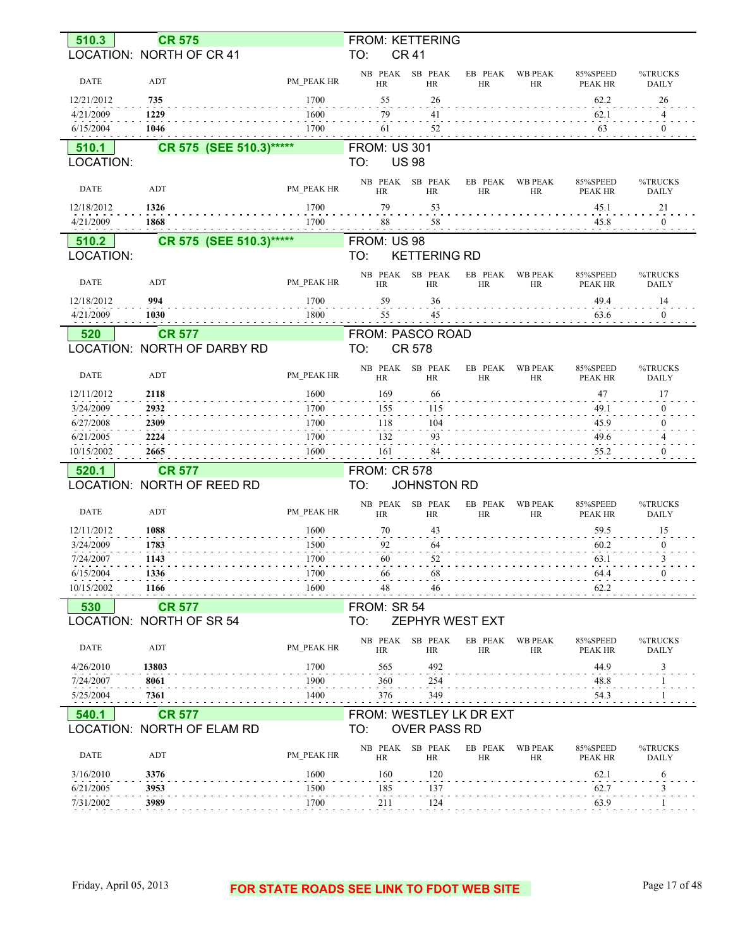| 510.3                   | <b>CR 575</b>               |              | FROM: KETTERING         |                       |                      |                             |                            |                         |
|-------------------------|-----------------------------|--------------|-------------------------|-----------------------|----------------------|-----------------------------|----------------------------|-------------------------|
|                         | LOCATION: NORTH OF CR 41    |              | TO:                     | <b>CR 41</b>          |                      |                             |                            |                         |
| DATE                    | ADT                         | PM PEAK HR   | NB PEAK<br><b>HR</b>    | SB PEAK<br><b>HR</b>  | EB PEAK<br><b>HR</b> | <b>WB PEAK</b><br><b>HR</b> | 85%SPEED<br>PEAK HR        | %TRUCKS<br><b>DAILY</b> |
| 12/21/2012<br>4/21/2009 | 735<br>1229                 | 1700<br>1600 | 55<br>79                | 26<br>41              |                      |                             | 62.2<br>62.1               | 26<br>4                 |
| 6/15/2004               | 1046                        | 1700         | 61                      | 52                    |                      |                             | 63                         | $\boldsymbol{0}$        |
| 510.1                   | CR 575 (SEE 510.3)*****     |              | <b>FROM: US 301</b>     |                       |                      |                             |                            |                         |
| LOCATION:               |                             |              | TO:                     | <b>US 98</b>          |                      |                             |                            |                         |
|                         |                             |              |                         |                       |                      |                             |                            |                         |
| DATE                    | ADT                         | PM PEAK HR   | NB PEAK<br><b>HR</b>    | SB PEAK<br><b>HR</b>  | EB PEAK<br><b>HR</b> | <b>WB PEAK</b><br><b>HR</b> | 85%SPEED<br>PEAK HR        | %TRUCKS<br><b>DAILY</b> |
| 12/18/2012              | 1326                        | 1700         | 79                      | 53                    |                      |                             | 45.1                       | 21                      |
| 4/21/2009               | 1868                        | 1700         | 88                      | 58                    |                      |                             | 45.8                       | $\bf{0}$                |
| 510.2                   | CR 575 (SEE 510.3)*****     |              | FROM: US 98             |                       |                      |                             |                            |                         |
| LOCATION:               |                             |              | TO:                     | <b>KETTERING RD</b>   |                      |                             |                            |                         |
|                         |                             |              |                         |                       |                      |                             |                            |                         |
| <b>DATE</b>             | ADT                         | PM PEAK HR   | NB PEAK<br><b>HR</b>    | SB PEAK<br><b>HR</b>  | EB PEAK<br><b>HR</b> | <b>WB PEAK</b><br><b>HR</b> | 85%SPEED<br><b>PEAK HR</b> | %TRUCKS<br><b>DAILY</b> |
| 12/18/2012              | 994                         | 1700         | 59                      | 36                    |                      |                             | 49.4                       | 14                      |
| 4/21/2009               | 1030                        | 1800         | 55                      | 45                    |                      |                             | 63.6                       | $\mathbf{0}$            |
| 520                     | <b>CR 577</b>               |              | FROM: PASCO ROAD        |                       |                      |                             |                            |                         |
|                         | LOCATION: NORTH OF DARBY RD |              | TO:                     | CR 578                |                      |                             |                            |                         |
|                         |                             |              |                         |                       |                      |                             |                            |                         |
| DATE                    | ADT                         | PM PEAK HR   | NB PEAK<br><b>HR</b>    | SB PEAK<br><b>HR</b>  | EB PEAK<br><b>HR</b> | <b>WB PEAK</b><br><b>HR</b> | 85%SPEED<br>PEAK HR        | %TRUCKS<br><b>DAILY</b> |
| 12/11/2012              | 2118                        | 1600         | 169                     | 66                    |                      |                             | 47                         | 17                      |
| 3/24/2009               | 2932                        | 1700         | 155                     | 115                   |                      |                             | 49.1                       | $\mathbf{0}$            |
| 6/27/2008               | 2309                        | 1700         | 118                     | 104                   |                      |                             | 45.9                       | $\mathbf{0}$            |
| 6/21/2005               | 2224                        | 1700         | 132                     | 93                    |                      |                             | 49.6                       | 4                       |
| 10/15/2002              | 2665                        | 1600         | 161                     | 84                    |                      |                             | 55.2                       | $\theta$                |
|                         |                             |              |                         |                       |                      |                             |                            |                         |
| 520.1                   | <b>CR 577</b>               |              | <b>FROM: CR 578</b>     |                       |                      |                             |                            |                         |
|                         | LOCATION: NORTH OF REED RD  |              | TO:                     | <b>JOHNSTON RD</b>    |                      |                             |                            |                         |
| <b>DATE</b>             | <b>ADT</b>                  | PM PEAK HR   | NB PEAK<br><b>HR</b>    | SB PEAK<br><b>HR</b>  | EB PEAK<br><b>HR</b> | <b>WB PEAK</b><br><b>HR</b> | 85%SPEED<br><b>PEAK HR</b> | %TRUCKS<br><b>DAILY</b> |
| 12/11/2012              | 1088                        | 1600         | 70                      | 43                    |                      |                             | 59.5                       | 15                      |
| 3/24/2009               | 1783                        | 1500         | 92                      | 64                    |                      |                             | 60.2                       | $\mathbf{0}$            |
| 7/24/2007               | 1143                        | 1700         | 60                      | 52                    |                      |                             | 63.1                       | 3                       |
| 6/15/2004               | 1336                        | 1700         | 66                      | 68                    |                      |                             | 64.4                       | $\overline{0}$          |
| 10/15/2002              | 1166                        | 1600         | 48                      | 46                    |                      |                             | 62.2                       |                         |
|                         |                             |              |                         |                       |                      |                             |                            |                         |
| 530                     | <b>CR 577</b>               |              | FROM: SR 54             |                       |                      |                             |                            |                         |
|                         | LOCATION: NORTH OF SR 54    |              | TO:                     | ZEPHYR WEST EXT       |                      |                             |                            |                         |
| <b>DATE</b>             | ADT                         | PM PEAK HR   | HR                      | NB PEAK SB PEAK<br>HR | EB PEAK<br>HR        | <b>WB PEAK</b><br><b>HR</b> | 85%SPEED<br>PEAK HR        | %TRUCKS<br><b>DAILY</b> |
| 4/26/2010               | 13803                       | 1700         | 565                     | 492                   |                      |                             | 44.9                       | 3                       |
| 7/24/2007               | 8061                        | 1900         | 360                     | 254                   |                      |                             | 48.8                       |                         |
| 5/25/2004               | 7361                        | 1400         | 376                     | 349                   |                      |                             | 54.3                       |                         |
|                         |                             |              |                         |                       |                      |                             |                            |                         |
| 540.1                   | <b>CR 577</b>               |              | FROM: WESTLEY LK DR EXT |                       |                      |                             |                            |                         |
|                         | LOCATION: NORTH OF ELAM RD  |              | TO:                     | <b>OVER PASS RD</b>   |                      |                             |                            |                         |
| DATE                    | ADT                         | PM PEAK HR   | NB PEAK<br>HR           | SB PEAK<br>HR         | EB PEAK<br>HR        | <b>WB PEAK</b><br><b>HR</b> | 85%SPEED<br>PEAK HR        | %TRUCKS<br>DAILY        |
| 3/16/2010               | 3376                        | 1600         | 160                     | 120                   |                      |                             | 62.1                       | 6                       |
| 6/21/2005               | 3953                        | 1500         | 185                     | 137                   |                      |                             | 62.7                       | 3                       |
|                         |                             |              |                         |                       |                      |                             |                            |                         |
| 7/31/2002               | 3989                        | 1700         | 211                     | <sup>124</sup>        |                      |                             | 63.9                       |                         |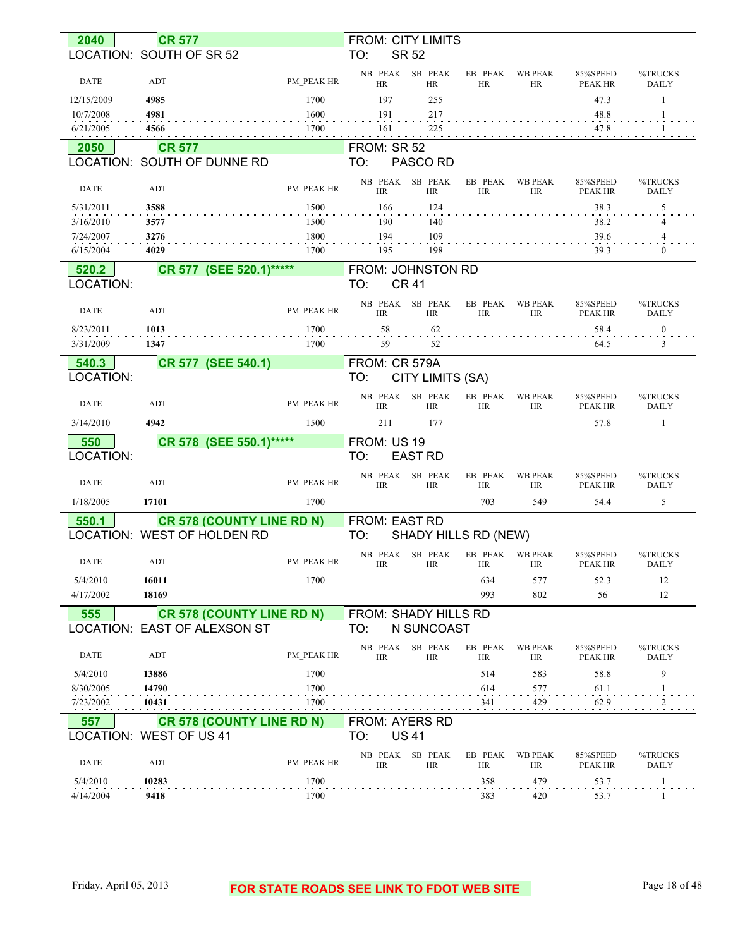| 2040                   | <b>CR 577</b>                                                      |              | FROM: CITY LIMITS                           |                  |                       |                      |                            |                         |
|------------------------|--------------------------------------------------------------------|--------------|---------------------------------------------|------------------|-----------------------|----------------------|----------------------------|-------------------------|
|                        | LOCATION: SOUTH OF SR 52                                           |              | TO:<br><b>SR 52</b>                         |                  |                       |                      |                            |                         |
| <b>DATE</b>            | ADT                                                                | PM PEAK HR   | NB PEAK SB PEAK<br><b>HR</b>                | <b>HR</b>        | EB PEAK<br>HR         | <b>WB PEAK</b><br>HR | 85%SPEED<br><b>PEAK HR</b> | %TRUCKS<br><b>DAILY</b> |
| 12/15/2009             | 4985                                                               | 1700         | 197                                         | 255              |                       |                      | 47.3                       | -1                      |
| 10/7/2008<br>6/21/2005 | 4981<br>4566                                                       | 1600<br>1700 | 191<br>161                                  | 217<br>225       |                       |                      | 48.8<br>47.8               |                         |
| 2050                   | <b>CR 577</b>                                                      |              | FROM: SR 52                                 |                  |                       |                      |                            |                         |
|                        | LOCATION: SOUTH OF DUNNE RD                                        |              | TO:                                         | PASCO RD         |                       |                      |                            |                         |
| DATE                   | ADT                                                                | PM PEAK HR   | NB PEAK SB PEAK<br><b>HR</b>                | <b>HR</b>        | EB PEAK<br><b>HR</b>  | <b>WB PEAK</b><br>HR | 85%SPEED<br>PEAK HR        | %TRUCKS<br><b>DAILY</b> |
| 5/31/2011              | 3588                                                               | 1500         | 166                                         | 124              |                       |                      | 38.3                       | 5                       |
| 3/16/2010              | 3577                                                               | 1500         | 190                                         | 140              |                       |                      | 38.2                       | 4                       |
| 7/24/2007              | 3276                                                               | 1800         | 194                                         | 109              |                       |                      | 39.6                       |                         |
| 6/15/2004              | 4029                                                               | 1700         | 195                                         | 198              |                       |                      | 39.3                       |                         |
| 520.2                  | CR 577 (SEE 520.1)*****                                            |              | FROM: JOHNSTON RD                           |                  |                       |                      |                            |                         |
| LOCATION:              |                                                                    |              | <b>CR 41</b><br>TO:                         |                  |                       |                      |                            |                         |
| DATE                   | ADT                                                                | PM PEAK HR   | NB PEAK SB PEAK<br>HR                       | <b>HR</b>        | EB PEAK<br>HR         | <b>WB PEAK</b><br>HR | 85%SPEED<br>PEAK HR        | %TRUCKS<br><b>DAILY</b> |
| 8/23/2011              | 1013                                                               | 1700         | 58                                          | 62               |                       |                      | 58.4                       | $\bf{0}$                |
| 3/31/2009              | 1347                                                               | 1700         | 59                                          | 52               |                       |                      | 64.5                       | 3                       |
| 540.3<br>LOCATION:     | CR 577 (SEE 540.1)                                                 |              | FROM: CR 579A<br>TO:                        | CITY LIMITS (SA) |                       |                      |                            |                         |
| DATE                   | ADT                                                                | PM PEAK HR   | NB PEAK SB PEAK<br><b>HR</b>                | <b>HR</b>        | EB PEAK<br>HR         | <b>WB PEAK</b><br>HR | 85%SPEED<br>PEAK HR        | %TRUCKS<br><b>DAILY</b> |
|                        |                                                                    |              |                                             |                  |                       |                      |                            |                         |
| 3/14/2010              | 4942                                                               | 1500         | 211                                         | 177              |                       |                      | 57.8                       | -1                      |
|                        |                                                                    |              |                                             |                  |                       |                      |                            |                         |
| 550<br>LOCATION:       | CR 578 (SEE 550.1)******                                           |              | FROM: US 19<br>TO:                          | <b>EAST RD</b>   |                       |                      |                            |                         |
| <b>DATE</b>            | ADT                                                                | PM PEAK HR   | NB PEAK SB PEAK<br>HR                       | <b>HR</b>        | EB PEAK<br>HR         | <b>WB PEAK</b><br>HR | 85%SPEED<br>PEAK HR        | %TRUCKS<br><b>DAILY</b> |
| 1/18/2005              | 17101                                                              | 1700         |                                             |                  | 703                   | 549                  | 54.4                       | 5                       |
|                        |                                                                    |              |                                             |                  |                       |                      |                            |                         |
| 550.1                  | <b>CR 578 (COUNTY LINE RD N)</b><br>LOCATION: WEST OF HOLDEN RD    |              | FROM: EAST RD<br>TO:                        |                  | SHADY HILLS RD (NEW)  |                      |                            |                         |
| DATE                   | ADT                                                                | PM_PEAK HR   | NB PEAK SB PEAK<br>HR                       | HK               | EB PEAK WB PEAK<br>HК | HК                   | 85%SPEED<br>PEAK HR        | %TRUCKS<br>DAILY        |
| 5/4/2010               | 16011                                                              | 1700         |                                             |                  | 634                   | 577                  |                            | 12                      |
| 4/17/2002              | 18169                                                              |              |                                             |                  | 993                   | 802                  | 52.3<br>56                 | 12                      |
| 555                    | <b>CR 578 (COUNTY LINE RD N)</b>                                   |              | FROM: SHADY HILLS RD                        |                  |                       |                      |                            |                         |
|                        | LOCATION: EAST OF ALEXSON ST                                       |              | TO:                                         | N SUNCOAST       |                       |                      |                            |                         |
| <b>DATE</b>            | ADT                                                                | PM PEAK HR   | NB PEAK SB PEAK<br><b>HR</b>                | <b>HR</b>        | EB PEAK<br>HR         | <b>WB PEAK</b><br>HR | 85%SPEED<br>PEAK HR        | %TRUCKS<br><b>DAILY</b> |
| 5/4/2010               | 13886                                                              | 1700         |                                             |                  | 514                   | 583                  | 58.8                       | 9                       |
| 8/30/2005              | 14790                                                              | 1700         |                                             |                  | 614                   | 577                  | 61.1                       |                         |
| 7/23/2002              | 10431                                                              | 1700         |                                             |                  | 341                   | 429                  | 62.9                       |                         |
| 557                    | <b>CR 578 (COUNTY LINE RD N)</b><br><b>LOCATION: WEST OF US 41</b> |              | <b>FROM: AYERS RD</b><br>TO:<br><b>US41</b> |                  |                       |                      |                            |                         |
| <b>DATE</b>            | ADT                                                                | PM PEAK HR   | NB PEAK<br>HR                               | SB PEAK<br>HR    | EB PEAK<br>HR         | <b>WB PEAK</b><br>HR | 85%SPEED<br>PEAK HR        | %TRUCKS<br>DAILY        |
| 5/4/2010<br>4/14/2004  | 10283<br>9418                                                      | 1700<br>1700 |                                             |                  | 358<br>383            | 479<br>420           | 53.7<br>53.7               | $\overline{1}$          |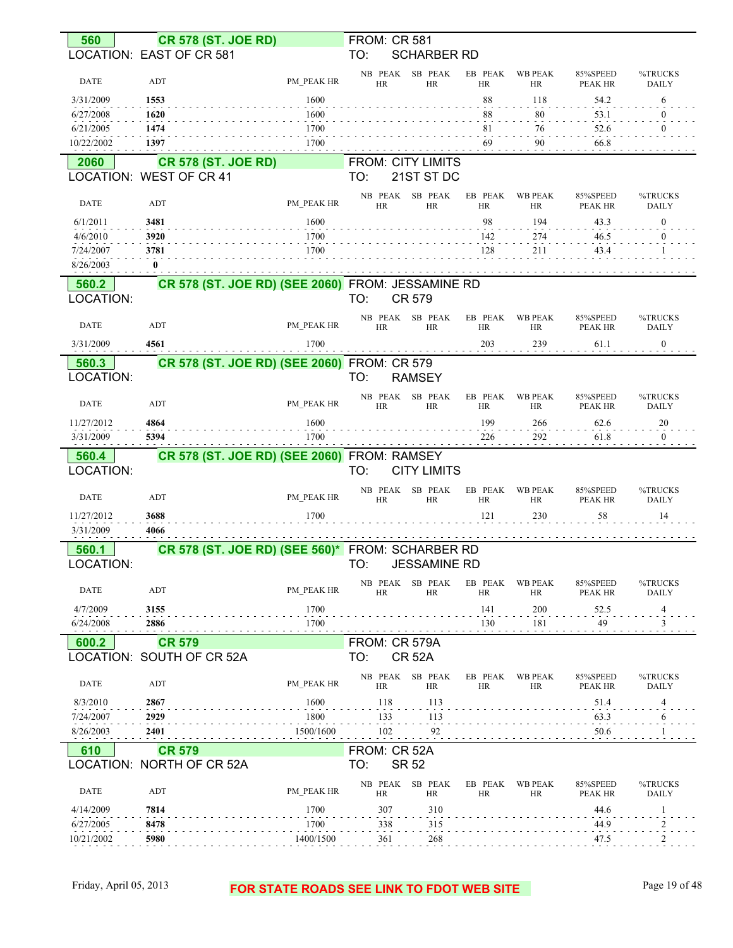| 560                     |                           | <b>CR 578 (ST. JOE RD)</b>                        |                   | <b>FROM: CR 581</b>  |              |                          |                      |                             |                     |                         |
|-------------------------|---------------------------|---------------------------------------------------|-------------------|----------------------|--------------|--------------------------|----------------------|-----------------------------|---------------------|-------------------------|
|                         | LOCATION: EAST OF CR 581  |                                                   |                   | TO:                  |              | <b>SCHARBER RD</b>       |                      |                             |                     |                         |
| <b>DATE</b>             | ADT                       |                                                   | PM PEAK HR        | NB PEAK<br><b>HR</b> |              | SB PEAK<br><b>HR</b>     | EB PEAK<br><b>HR</b> | <b>WB PEAK</b><br><b>HR</b> | 85%SPEED<br>PEAK HR | %TRUCKS<br><b>DAILY</b> |
| 3/31/2009               | 1553                      |                                                   | 1600              |                      |              |                          | 88                   | 118                         | 54.2                | 6                       |
| 6/27/2008               | 1620                      |                                                   | 1600              |                      |              |                          | 88                   | 80                          | 53.1                | 0                       |
| 6/21/2005               | 1474                      |                                                   | 1700              |                      |              |                          | 81                   | 76                          | 52.6                | 0                       |
| 10/22/2002              | 1397                      |                                                   | 1700              |                      |              |                          | 69                   | 90                          | 66.8                |                         |
| 2060                    |                           | <b>CR 578 (ST. JOE RD)</b>                        |                   |                      |              | <b>FROM: CITY LIMITS</b> |                      |                             |                     |                         |
|                         | LOCATION: WEST OF CR 41   |                                                   |                   | TO:                  |              | 21ST ST DC               |                      |                             |                     |                         |
|                         |                           |                                                   |                   | NB PEAK              |              | SB PEAK                  | EB PEAK              | <b>WB PEAK</b>              | 85%SPEED            | %TRUCKS                 |
| <b>DATE</b>             | ADT                       |                                                   | PM PEAK HR        | <b>HR</b>            |              | <b>HR</b>                | <b>HR</b>            | <b>HR</b>                   | PEAK HR             | <b>DAILY</b>            |
| 6/1/2011                | 3481                      |                                                   | 1600              |                      |              |                          | 98                   | 194                         | 43.3                | $\boldsymbol{0}$        |
| 4/6/2010                | 3920                      |                                                   | 1700              |                      |              |                          | 142                  | 274                         | 46.5                | $\overline{0}$          |
| 7/24/2007               | 3781                      |                                                   | 1700              |                      |              |                          | 128                  | 211                         | 43.4                |                         |
| 8/26/2003               | $\bf{0}$                  |                                                   |                   |                      |              |                          |                      |                             |                     |                         |
| 560.2<br>LOCATION:      |                           | CR 578 (ST. JOE RD) (SEE 2060) FROM: JESSAMINE RD |                   | TO:                  |              | CR 579                   |                      |                             |                     |                         |
|                         |                           |                                                   |                   |                      |              |                          |                      |                             |                     |                         |
| <b>DATE</b>             | <b>ADT</b>                |                                                   | PM PEAK HR        | <b>HR</b>            | NB PEAK      | SB PEAK<br><b>HR</b>     | EB PEAK<br><b>HR</b> | <b>WB PEAK</b><br>HR        | 85%SPEED<br>PEAK HR | %TRUCKS<br><b>DAILY</b> |
| 3/31/2009               | 4561                      |                                                   | 1700              |                      |              |                          | 203                  | 239                         | 61.1                | $\boldsymbol{0}$        |
| 560.3                   |                           | CR 578 (ST. JOE RD) (SEE 2060) FROM: CR 579       |                   |                      |              |                          |                      |                             |                     |                         |
| LOCATION:               |                           |                                                   |                   | TO:                  |              | <b>RAMSEY</b>            |                      |                             |                     |                         |
|                         |                           |                                                   |                   |                      | NB PEAK      | SB PEAK                  | EB PEAK              | <b>WB PEAK</b>              | 85%SPEED            | %TRUCKS                 |
| <b>DATE</b>             | ADT                       |                                                   | PM PEAK HR        | HR                   |              | <b>HR</b>                | <b>HR</b>            | HR                          | PEAK HR             | <b>DAILY</b>            |
| 11/27/2012              | 4864                      |                                                   | 1600              |                      |              |                          | 199                  | 266                         | 62.6                | 20                      |
| 3/31/2009               | 5394                      |                                                   | 1700              |                      |              |                          | 226                  | 292                         | 61.8                | $\boldsymbol{0}$        |
|                         |                           |                                                   |                   |                      |              |                          |                      |                             |                     |                         |
| 560.4                   |                           | CR 578 (ST. JOE RD) (SEE 2060) FROM: RAMSEY       |                   |                      |              |                          |                      |                             |                     |                         |
| LOCATION:               |                           |                                                   |                   | TO:                  |              | <b>CITY LIMITS</b>       |                      |                             |                     |                         |
|                         |                           |                                                   |                   | NB PEAK              |              | SB PEAK                  | EB PEAK              | <b>WB PEAK</b>              | 85%SPEED            | %TRUCKS                 |
| <b>DATE</b>             | ADT                       |                                                   | PM PEAK HR        | <b>HR</b>            |              | <b>HR</b>                | <b>HR</b>            | HR                          | PEAK HR             | <b>DAILY</b>            |
| 11/27/2012              | 3688                      |                                                   | 1700              |                      |              |                          | 121                  | 230                         | 58                  | 14                      |
| 3/31/2009               | 4066                      |                                                   |                   |                      |              |                          |                      |                             |                     |                         |
| 560.1                   |                           | CR 578 (ST. JOE RD) (SEE 560)* FROM: SCHARBER RD  |                   |                      |              |                          |                      |                             |                     |                         |
| LOCATION:               |                           |                                                   |                   | TO:                  |              | <b>JESSAMINE RD</b>      |                      |                             |                     |                         |
| <b>DATE</b>             | ADT                       |                                                   | PM PEAK HR        |                      | NB PEAK      | SB PEAK                  | EB PEAK              | <b>WB PEAK</b>              | 85%SPEED            | %TRUCKS                 |
|                         |                           |                                                   |                   | <b>HR</b>            |              | <b>HR</b>                | HR                   | HR                          | PEAK HR             | <b>DAILY</b>            |
| 4/7/2009                | 3155                      |                                                   | 1700              |                      |              |                          | 141                  | 200                         | 52.5                | $\frac{4}{1}$           |
| 6/24/2008               | 2886                      |                                                   | 1700              |                      |              |                          | 130                  | 181                         | 49                  | 3                       |
| 600.2                   | <b>CR 579</b>             |                                                   |                   | FROM: CR 579A        |              |                          |                      |                             |                     |                         |
|                         | LOCATION: SOUTH OF CR 52A |                                                   |                   | TO:                  |              | <b>CR 52A</b>            |                      |                             |                     |                         |
| DATE                    | ADT                       |                                                   | PM PEAK HR        | HR                   | NB PEAK      | SB PEAK<br>HR            | EB PEAK<br><b>HR</b> | <b>WB PEAK</b><br>HR        | 85%SPEED<br>PEAK HR | %TRUCKS<br>DAILY        |
| 8/3/2010                | 2867                      |                                                   | 1600              |                      | 118          | 113                      |                      |                             | 51.4                | 4                       |
| 7/24/2007               | 2929                      |                                                   | 1800              |                      | 133          | 113                      |                      |                             | 63.3                | 6                       |
| 8/26/2003               | 2401                      |                                                   | 1500/1600         |                      | 102          | 92                       |                      |                             | 50.6                |                         |
| 610                     | <b>CR 579</b>             |                                                   |                   | FROM: CR 52A         |              |                          |                      |                             |                     |                         |
|                         | LOCATION: NORTH OF CR 52A |                                                   |                   | TO:                  | <b>SR 52</b> |                          |                      |                             |                     |                         |
|                         |                           |                                                   |                   | NB PEAK              |              | SB PEAK                  | EB PEAK              | <b>WB PEAK</b>              | 85%SPEED            | %TRUCKS                 |
| <b>DATE</b>             | ADT                       |                                                   | PM PEAK HR        | HR                   |              | HR                       | <b>HR</b>            | HR                          | PEAK HR             | <b>DAILY</b>            |
| 4/14/2009               | 7814                      |                                                   | 1700              |                      | 307          | 310                      |                      |                             | 44.6                |                         |
| 6/27/2005<br>10/21/2002 | 8478<br>5980              |                                                   | 1700<br>1400/1500 |                      | 338<br>361   | 315<br>268               |                      |                             | 44.9<br>47.5        | 2                       |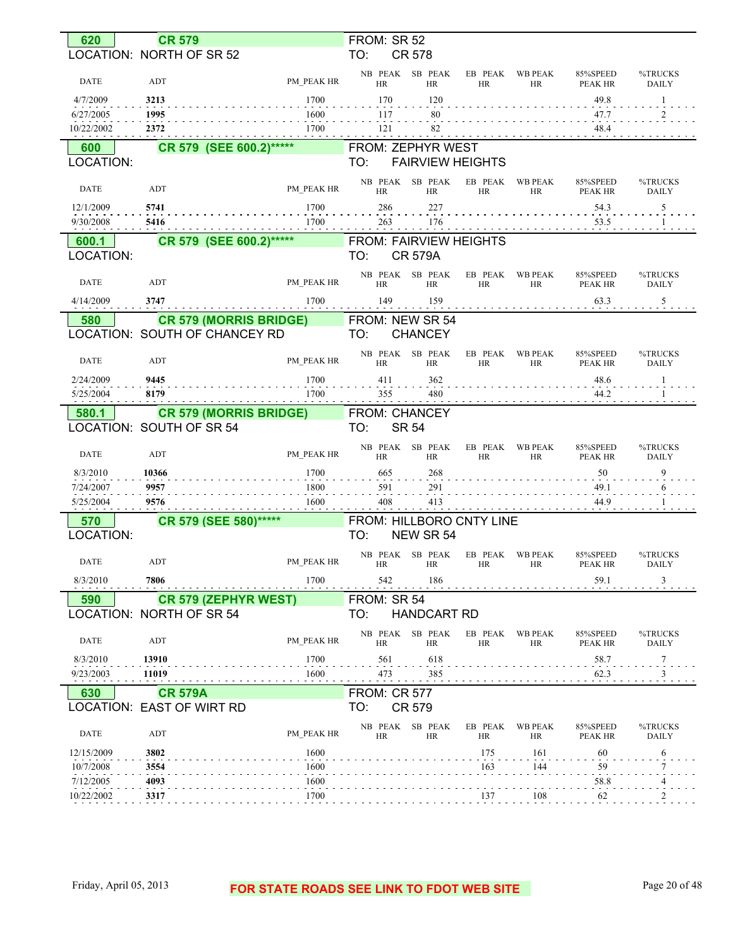| 620                     | <b>CR 579</b>                    |              | FROM: SR 52                   |                         |                      |                             |                     |                         |
|-------------------------|----------------------------------|--------------|-------------------------------|-------------------------|----------------------|-----------------------------|---------------------|-------------------------|
|                         | LOCATION: NORTH OF SR 52         |              | TO:                           | <b>CR 578</b>           |                      |                             |                     |                         |
| <b>DATE</b>             | ADT                              | PM PEAK HR   | NB PEAK SB PEAK<br><b>HR</b>  | <b>HR</b>               | EB PEAK<br><b>HR</b> | <b>WB PEAK</b><br><b>HR</b> | 85%SPEED<br>PEAK HR | %TRUCKS<br><b>DAILY</b> |
| 4/7/2009                | 3213                             | 1700         | 170                           | 120                     |                      |                             | 49.8                | -1                      |
| 6/27/2005               | 1995                             | 1600         | 117                           | 80                      |                      |                             | 47.7                | 2                       |
| 10/22/2002              | 2372                             | 1700         | 121                           | 82                      |                      |                             | 48.4                |                         |
| 600                     | CR 579 (SEE 600.2)******         |              | <b>FROM: ZEPHYR WEST</b>      |                         |                      |                             |                     |                         |
| LOCATION:               |                                  |              | TO:                           | <b>FAIRVIEW HEIGHTS</b> |                      |                             |                     |                         |
| DATE                    | ADT                              | PM PEAK HR   | NB PEAK SB PEAK<br><b>HR</b>  | <b>HR</b>               | EB PEAK<br><b>HR</b> | <b>WB PEAK</b><br><b>HR</b> | 85%SPEED<br>PEAK HR | %TRUCKS<br><b>DAILY</b> |
| 12/1/2009               | 5741                             | 1700         | 286                           | 227                     |                      |                             | 54.3                | 5                       |
| 9/30/2008               | 5416                             | 1700         | 263                           | 176                     |                      |                             | 53.5                |                         |
| 600.1                   | CR 579 (SEE 600.2)******         |              | <b>FROM: FAIRVIEW HEIGHTS</b> |                         |                      |                             |                     |                         |
| LOCATION:               |                                  |              | TO:                           | <b>CR 579A</b>          |                      |                             |                     |                         |
| DATE                    | ADT                              | PM PEAK HR   | NB PEAK SB PEAK<br>HR         | <b>HR</b>               | EB PEAK<br>HR        | <b>WB PEAK</b><br>HR        | 85%SPEED<br>PEAK HR | %TRUCKS<br><b>DAILY</b> |
| 4/14/2009               | 3747                             | 1700         | 149                           | 159                     |                      |                             | 63.3                | $\overline{5}$          |
| 580                     | <b>CR 579 (MORRIS BRIDGE)</b>    |              | FROM: NEW SR 54               |                         |                      |                             |                     |                         |
|                         | LOCATION: SOUTH OF CHANCEY RD    |              | TO:                           | <b>CHANCEY</b>          |                      |                             |                     |                         |
| DATE                    | ADT                              | PM PEAK HR   | NB PEAK SB PEAK<br><b>HR</b>  | <b>HR</b>               | EB PEAK<br><b>HR</b> | <b>WB PEAK</b><br>HR        | 85%SPEED<br>PEAK HR | %TRUCKS<br><b>DAILY</b> |
| 2/24/2009               | 9445                             | 1700         | 411                           | 362                     |                      |                             | 48.6                | -1                      |
| 5/25/2004               | 8179                             | 1700         | 355                           | 480                     |                      |                             | 44.2                |                         |
| 580.1                   | <b>CR 579 (MORRIS BRIDGE)</b>    |              | FROM: CHANCEY                 |                         |                      |                             |                     |                         |
|                         | LOCATION: SOUTH OF SR 54         |              | TO:                           | <b>SR 54</b>            |                      |                             |                     |                         |
| <b>DATE</b>             | ADT                              | PM PEAK HR   | NB PEAK SB PEAK<br><b>HR</b>  | <b>HR</b>               | EB PEAK<br>HR        | <b>WB PEAK</b><br><b>HR</b> | 85%SPEED<br>PEAK HR | %TRUCKS<br><b>DAILY</b> |
| 8/3/2010                | 10366                            | 1700         | 665                           | 268                     |                      |                             | 50                  | 9                       |
| 7/24/2007               | 9957                             | 1800         | 591                           | 291                     |                      |                             | 49.1                | 6                       |
| 5/25/2004               | 9576                             | 1600         | 408                           | 413                     |                      |                             | 44.9                |                         |
| 570                     | CR 579 (SEE 580)*****            |              | FROM: HILLBORO CNTY LINE      |                         |                      |                             |                     |                         |
| LOCATION:               |                                  |              | TO:                           | NEW SR 54               |                      |                             |                     |                         |
| DATE                    | ADT                              | PM_PEAK HR   | NB PEAK SB PEAK<br>HR         | HR                      | HK                   | EB PEAK WB PEAK<br>HK       | 85%SPEED<br>PEAK HR | %TRUCKS<br>DAILY        |
| 8/3/2010                | 7806<br>a a a a a a a a a a a a  | 1700         | 542                           | 186                     |                      |                             | 59.1                |                         |
| 590                     | <b>CR 579 (ZEPHYR WEST)</b>      |              | FROM: SR 54                   |                         |                      |                             |                     |                         |
|                         | LOCATION: NORTH OF SR 54         |              | TO:                           | <b>HANDCART RD</b>      |                      |                             |                     |                         |
| <b>DATE</b>             | ADT                              | PM PEAK HR   | NB PEAK SB PEAK<br><b>HR</b>  | <b>HR</b>               | EB PEAK<br>HR        | <b>WB PEAK</b><br>HR        | 85%SPEED<br>PEAK HR | %TRUCKS<br>DAILY        |
| 8/3/2010                | 13910                            | 1700         | 561                           | 618                     |                      |                             | 58.7                | 7                       |
| 9/23/2003               | 11019                            | 1600         | 473                           | 385                     |                      |                             | 62.3                | 3                       |
| 630                     | <b>CR 579A</b>                   |              | <b>FROM: CR 577</b>           |                         |                      |                             |                     |                         |
|                         | <b>LOCATION: EAST OF WIRT RD</b> |              | TO:                           | <b>CR 579</b>           |                      |                             |                     |                         |
| <b>DATE</b>             | ADT                              | PM PEAK HR   | NB PEAK SB PEAK<br>HR         | HR                      | EB PEAK<br>HR        | <b>WB PEAK</b><br>HR        | 85%SPEED<br>PEAK HR | %TRUCKS<br>DAILY        |
| 12/15/2009              | 3802                             | 1600         |                               |                         | 175                  | 161                         | 60                  | 6                       |
| 10/7/2008               | 3554                             | 1600         |                               |                         | 163                  | 144                         | 59                  |                         |
| 7/12/2005<br>10/22/2002 | 4093<br>3317                     | 1600<br>1700 |                               |                         | 137                  | 108                         | 58.8<br>62          |                         |
|                         |                                  |              |                               |                         |                      |                             |                     |                         |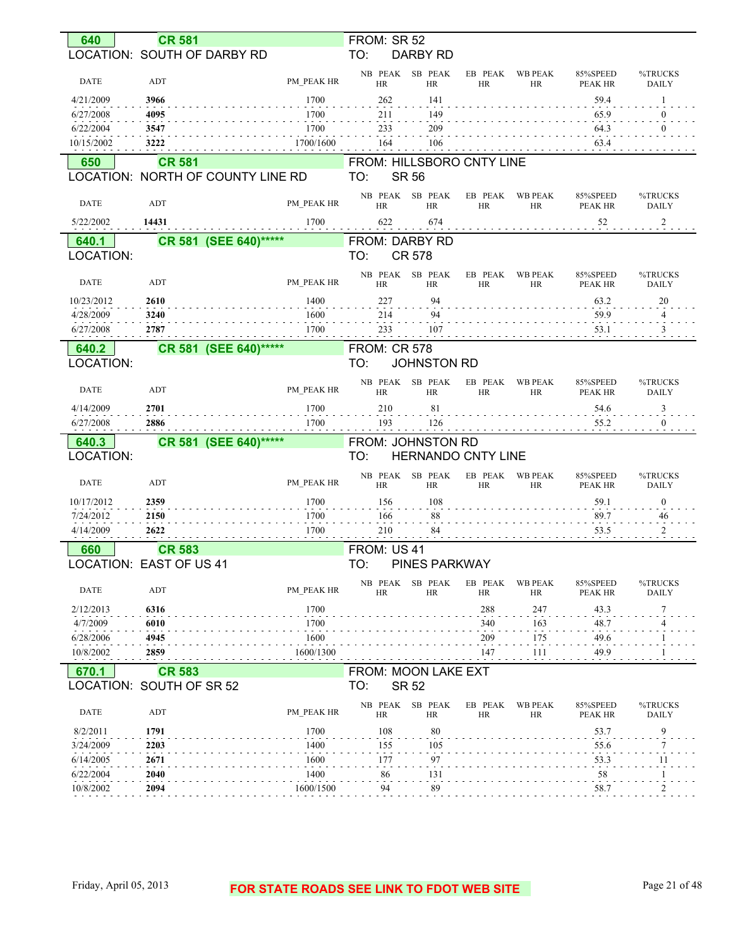| 640                    | <b>CR 581</b>                     |                    | FROM: SR 52                                  |                      |                             |                            |                         |
|------------------------|-----------------------------------|--------------------|----------------------------------------------|----------------------|-----------------------------|----------------------------|-------------------------|
|                        | LOCATION: SOUTH OF DARBY RD       |                    | TO:<br>DARBY RD                              |                      |                             |                            |                         |
| <b>DATE</b>            |                                   |                    | SB PEAK<br>NB PEAK                           | EB PEAK              | <b>WB PEAK</b>              | 85%SPEED                   | %TRUCKS                 |
| 4/21/2009              | ADT<br>3966                       | PM PEAK HR<br>1700 | <b>HR</b><br><b>HR</b><br>262<br>141         | <b>HR</b>            | HR                          | PEAK HR<br>59.4            | <b>DAILY</b><br>-1      |
| 6/27/2008              | 4095                              | 1700               | 149<br>211                                   |                      |                             | 65.9                       | $\theta$                |
| 6/22/2004              | 3547                              | 1700               | 209<br>233                                   |                      |                             | 64.3                       | $\theta$                |
| 10/15/2002             | 3222                              | 1700/1600          | 106<br>164                                   |                      |                             | 63.4                       |                         |
| 650                    | <b>CR 581</b>                     |                    | FROM: HILLSBORO CNTY LINE                    |                      |                             |                            |                         |
|                        | LOCATION: NORTH OF COUNTY LINE RD |                    | TO:<br><b>SR 56</b>                          |                      |                             |                            |                         |
| <b>DATE</b>            | ADT                               | PM PEAK HR         | SB PEAK<br>NB PEAK<br><b>HR</b><br><b>HR</b> | EB PEAK<br><b>HR</b> | <b>WB PEAK</b><br><b>HR</b> | 85%SPEED<br>PEAK HR        | %TRUCKS<br>DAILY        |
| 5/22/2002              | 14431                             | 1700               | 622<br>674                                   |                      |                             | 52                         | $\overline{c}$          |
| 640.1                  | CR 581 (SEE 640)******            |                    | FROM: DARBY RD                               |                      |                             |                            |                         |
| LOCATION:              |                                   |                    | TO:<br><b>CR 578</b>                         |                      |                             |                            |                         |
|                        |                                   |                    | NB PEAK<br>SB PEAK                           | EB PEAK              | <b>WB PEAK</b>              | 85%SPEED                   | %TRUCKS                 |
| DATE                   | ADT                               | PM PEAK HR         | <b>HR</b><br><b>HR</b>                       | <b>HR</b>            | HR                          | PEAK HR                    | <b>DAILY</b>            |
| 10/23/2012             | 2610                              | 1400               | 227<br>94                                    |                      |                             | 63.2                       | 20                      |
| 4/28/2009<br>6/27/2008 | 3240<br>2787                      | 1600<br>1700       | 94<br>214<br>233<br>107                      |                      |                             | 59.9                       | 4                       |
|                        |                                   |                    |                                              |                      |                             | 53.1                       | $\mathfrak{Z}$          |
| 640.2                  | CR 581 (SEE 640)******            |                    | <b>FROM: CR 578</b>                          |                      |                             |                            |                         |
| <b>LOCATION:</b>       |                                   |                    | TO:<br><b>JOHNSTON RD</b>                    |                      |                             |                            |                         |
| DATE                   | ADT                               | PM PEAK HR         | NB PEAK<br>SB PEAK<br><b>HR</b><br><b>HR</b> | EB PEAK<br><b>HR</b> | <b>WB PEAK</b><br>HR        | 85%SPEED<br>PEAK HR        | %TRUCKS<br><b>DAILY</b> |
| 4/14/2009              | 2701                              | 1700               | 210<br>81                                    |                      |                             | 54.6                       | 3                       |
|                        |                                   |                    |                                              |                      |                             |                            |                         |
| 6/27/2008              | 2886                              | 1700               | 193<br>126                                   |                      |                             | 55.2                       | $\mathbf{0}$            |
| 640.3                  | CR 581 (SEE 640)******            |                    | FROM: JOHNSTON RD                            |                      |                             |                            |                         |
| LOCATION:              |                                   |                    | TO:<br><b>HERNANDO CNTY LINE</b>             |                      |                             |                            |                         |
| <b>DATE</b>            | ADT                               | PM_PEAK HR         | SB PEAK<br>NB PEAK<br>HR<br><b>HR</b>        | EB PEAK<br>HR        | <b>WB PEAK</b><br>HR        | 85%SPEED<br>PEAK HR        | %TRUCKS<br><b>DAILY</b> |
| 10/17/2012             | 2359                              | 1700               | 156<br>108                                   |                      |                             | 59.1                       | $\boldsymbol{0}$        |
| 7/24/2012              | 2150                              | 1700               | 88<br>166                                    |                      |                             | 89.7                       | 46                      |
| 4/14/2009              | 2622                              | 1700               | 210<br>84                                    |                      |                             | 53.5                       | $\overline{c}$          |
| 660                    | <b>CR 583</b>                     |                    | FROM: US 41                                  |                      |                             |                            |                         |
|                        | <b>LOCATION: EAST OF US 41</b>    |                    | PINES PARKWAY<br>TO:                         |                      |                             |                            |                         |
| <b>DATE</b>            | ADT                               | PM PEAK HR         | SB PEAK<br>NB PEAK<br>HR<br>HR               | EB PEAK<br><b>HR</b> | <b>WB PEAK</b><br>HR        | 85%SPEED<br><b>PEAK HR</b> | %TRUCKS<br>DAILY        |
| 2/12/2013              | 6316                              | 1700               |                                              | 288                  | 247                         |                            | 7                       |
| 4/7/2009               | 6010                              | 1700               |                                              | 340                  | 163                         | 43.3<br>48.7               | 4                       |
| 6/28/2006              | 4945                              | 1600               |                                              | 209                  | 175                         | 49.6                       |                         |
| 10/8/2002              | 2859                              | 1600/1300          |                                              | 147                  | 111                         | 49.9                       |                         |
| 670.1                  | <b>CR 583</b>                     |                    | FROM: MOON LAKE EXT                          |                      |                             |                            |                         |
|                        | LOCATION: SOUTH OF SR 52          |                    | TO:<br><b>SR 52</b>                          |                      |                             |                            |                         |
| <b>DATE</b>            | ADT                               | PM PEAK HR         | NB PEAK<br>SB PEAK<br>HR<br><b>HR</b>        | EB PEAK<br><b>HR</b> | <b>WB PEAK</b><br>HR        | 85%SPEED<br>PEAK HR        | %TRUCKS<br><b>DAILY</b> |
| 8/2/2011               | 1791                              | 1700               | 108<br>80                                    |                      |                             | 53.7                       | 9                       |
| 3/24/2009              | 2203                              | 1400               | 155<br>105                                   |                      |                             | 55.6                       | 7                       |
| 6/14/2005              | 2671                              | 1600               | 177<br>97                                    |                      |                             | 53.3                       | 11                      |
| 6/22/2004              | 2040                              | 1400               | 86<br>131                                    |                      |                             | 58                         | -1                      |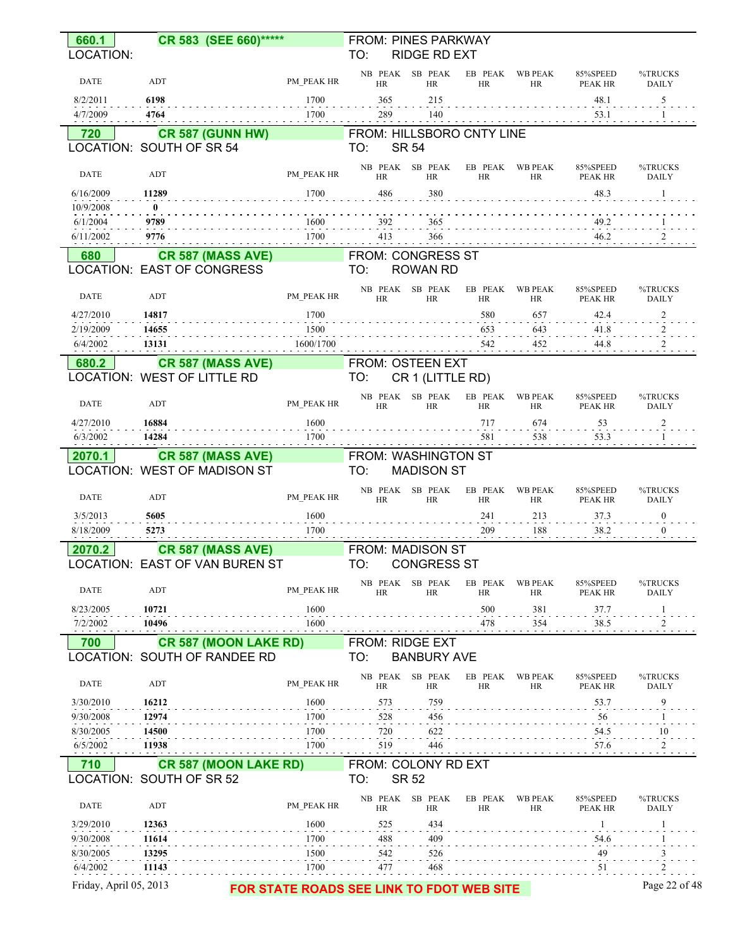| 660.1                  | CR 583 (SEE 660)******                                   |                                           | <b>FROM: PINES PARKWAY</b> |                              |                      |                              |                     |                         |
|------------------------|----------------------------------------------------------|-------------------------------------------|----------------------------|------------------------------|----------------------|------------------------------|---------------------|-------------------------|
| LOCATION:              |                                                          |                                           | TO:                        | <b>RIDGE RD EXT</b>          |                      |                              |                     |                         |
| <b>DATE</b>            | ADT                                                      | PM PEAK HR                                | <b>HR</b>                  | NB PEAK SB PEAK<br><b>HR</b> | <b>HR</b>            | EB PEAK WB PEAK<br><b>HR</b> | 85%SPEED<br>PEAK HR | %TRUCKS<br><b>DAILY</b> |
| 8/2/2011               | 6198                                                     | 1700                                      | 365                        | 215                          |                      |                              | 48.1                | 5                       |
| 4/7/2009               | 4764                                                     | 1700                                      | 289                        | 140                          |                      |                              | 53.1                |                         |
| 720                    | <b>CR 587 (GUNN HW)</b>                                  |                                           | FROM: HILLSBORO CNTY LINE  |                              |                      |                              |                     |                         |
|                        | LOCATION: SOUTH OF SR 54                                 |                                           | TO:                        | <b>SR 54</b>                 |                      |                              |                     |                         |
| <b>DATE</b>            | ADT                                                      | PM PEAK HR                                | <b>HR</b>                  | NB PEAK SB PEAK<br><b>HR</b> | HR                   | EB PEAK WB PEAK<br>HR        | 85%SPEED<br>PEAK HR | %TRUCKS<br><b>DAILY</b> |
| 6/16/2009              | 11289                                                    | 1700                                      | 486                        | 380                          |                      |                              | 48.3                | -1                      |
| 10/9/2008<br>6/1/2004  | $\mathbf{0}$<br>9789                                     | 1600                                      | 392                        | 365                          |                      |                              | 49.2                |                         |
| 6/11/2002              | 9776                                                     | 1700                                      | 413                        | 366                          |                      |                              | 46.2                |                         |
| 680                    | <b>CR 587 (MASS AVE)</b>                                 |                                           | <b>FROM: CONGRESS ST</b>   |                              |                      |                              |                     |                         |
|                        | LOCATION: EAST OF CONGRESS                               |                                           | TO:                        | <b>ROWAN RD</b>              |                      |                              |                     |                         |
| DATE                   | ADT                                                      | PM PEAK HR                                | <b>HR</b>                  | NB PEAK SB PEAK<br><b>HR</b> | EB PEAK<br>HR        | WB PEAK<br>HR                | 85%SPEED<br>PEAK HR | %TRUCKS<br><b>DAILY</b> |
| 4/27/2010              | 14817                                                    | 1700                                      |                            |                              | 580                  | 657                          | 42.4                | $\overline{\mathbf{c}}$ |
| 2/19/2009              | 14655                                                    | 1500                                      |                            |                              | 653                  | 643                          | 41.8                | $\frac{2}{2}$           |
| 6/4/2002               | 13131                                                    | 1600/1700                                 |                            |                              | 542                  | 452                          | 44.8                |                         |
| 680.2                  | <b>CR 587 (MASS AVE)</b>                                 |                                           | FROM: OSTEEN EXT           |                              |                      |                              |                     |                         |
|                        | LOCATION: WEST OF LITTLE RD                              |                                           | TO:                        | CR 1 (LITTLE RD)             |                      |                              |                     |                         |
| <b>DATE</b>            | ADT                                                      | PM PEAK HR                                | <b>HR</b>                  | NB PEAK SB PEAK<br><b>HR</b> | EB PEAK<br>HR        | <b>WB PEAK</b><br>HR         | 85%SPEED<br>PEAK HR | %TRUCKS<br><b>DAILY</b> |
| 4/27/2010<br>6/3/2002  | 16884<br>14284                                           | 1600<br>1700                              |                            |                              | 717<br>581           | 674<br>538                   | 53<br>53.3          | $\overline{\mathbf{c}}$ |
| 2070.1                 | <b>CR 587 (MASS AVE)</b>                                 |                                           | FROM: WASHINGTON ST        |                              |                      |                              |                     |                         |
|                        | LOCATION: WEST OF MADISON ST                             |                                           | TO:                        | <b>MADISON ST</b>            |                      |                              |                     |                         |
|                        |                                                          |                                           |                            | NB PEAK SB PEAK              | EB PEAK              | <b>WB PEAK</b>               | 85%SPEED            | %TRUCKS                 |
| <b>DATE</b>            | ADT                                                      | PM PEAK HR                                | <b>HR</b>                  | <b>HR</b>                    | <b>HR</b>            | HR                           | <b>PEAK HR</b>      | <b>DAILY</b>            |
| 3/5/2013               | 5605                                                     | 1600                                      |                            |                              | 241                  | 213                          | 37.3                | $\boldsymbol{0}$        |
| 8/18/2009              | 5273                                                     | 1700                                      |                            |                              | 209                  | 188                          | 38.2                | $\mathbf{0}$            |
| 2070.2                 | <b>CR 587 (MASS AVE)</b>                                 |                                           | <b>FROM: MADISON ST</b>    |                              |                      |                              |                     |                         |
|                        | LOCATION: EAST OF VAN BUREN ST                           |                                           | TO:                        | <b>CONGRESS ST</b>           |                      |                              |                     |                         |
| DATE                   | ADT                                                      | PM PEAK HR                                | <b>HR</b>                  | NB PEAK SB PEAK<br><b>HR</b> | EB PEAK<br>HR        | WB PEAK<br>HR                | 85%SPEED<br>PEAK HR | %TRUCKS<br><b>DAILY</b> |
| 8/23/2005              | 10721                                                    | 1600                                      |                            |                              | 500                  | 381                          | 37.7                | $\mathbf{1}$            |
| 7/2/2002               | 10496                                                    | 1600                                      |                            |                              | 478                  | 354                          | 38.5                | $\frac{2}{\cdot}$       |
| 700                    | <b>CR 587 (MOON LAKE RD)</b>                             |                                           | <b>FROM: RIDGE EXT</b>     |                              |                      |                              |                     |                         |
|                        | LOCATION: SOUTH OF RANDEE RD                             |                                           | TO:                        | <b>BANBURY AVE</b>           |                      |                              |                     |                         |
| <b>DATE</b>            | ADT                                                      | PM PEAK HR                                | HR                         | NB PEAK SB PEAK<br>HR        | EB PEAK<br>HR        | <b>WB PEAK</b><br>HR         | 85%SPEED<br>PEAK HR | %TRUCKS<br>DAILY        |
| 3/30/2010              | 16212                                                    | 1600                                      | 573                        | 759                          |                      |                              | 53.7                | 9                       |
| 9/30/2008              | 12974                                                    | 1700                                      | 528                        | 456                          |                      |                              | 56                  |                         |
| 8/30/2005              | 14500                                                    | 1700                                      | 720                        | 622                          |                      |                              | 54.5                | 10                      |
| 6/5/2002               | 11938                                                    | 1700                                      | 519                        | 446                          |                      |                              | 57.6                | 2                       |
| 710                    | <b>CR 587 (MOON LAKE RD)</b><br>LOCATION: SOUTH OF SR 52 |                                           | FROM: COLONY RD EXT<br>TO: | <b>SR 52</b>                 |                      |                              |                     |                         |
| DATE                   | ADT                                                      | PM PEAK HR                                | NB PEAK<br><b>HR</b>       | SB PEAK<br>HR                | EB PEAK<br><b>HR</b> | <b>WB PEAK</b><br><b>HR</b>  | 85%SPEED<br>PEAK HR | %TRUCKS<br><b>DAILY</b> |
| 3/29/2010              | 12363                                                    | 1600                                      | 525                        | 434                          |                      |                              | 1                   | 1                       |
| 9/30/2008              | 11614                                                    | 1700                                      | 488                        | 409                          |                      |                              | 54.6                |                         |
| 8/30/2005              | 13295                                                    | 1500                                      | 542                        | 526                          |                      |                              | 49                  | 3                       |
| 6/4/2002               | 11143                                                    | 1700                                      | 477                        | 468                          |                      |                              | 51                  |                         |
| Friday, April 05, 2013 |                                                          | FOR STATE ROADS SEE LINK TO FDOT WEB SITE |                            |                              |                      |                              |                     | Page 22 of 48           |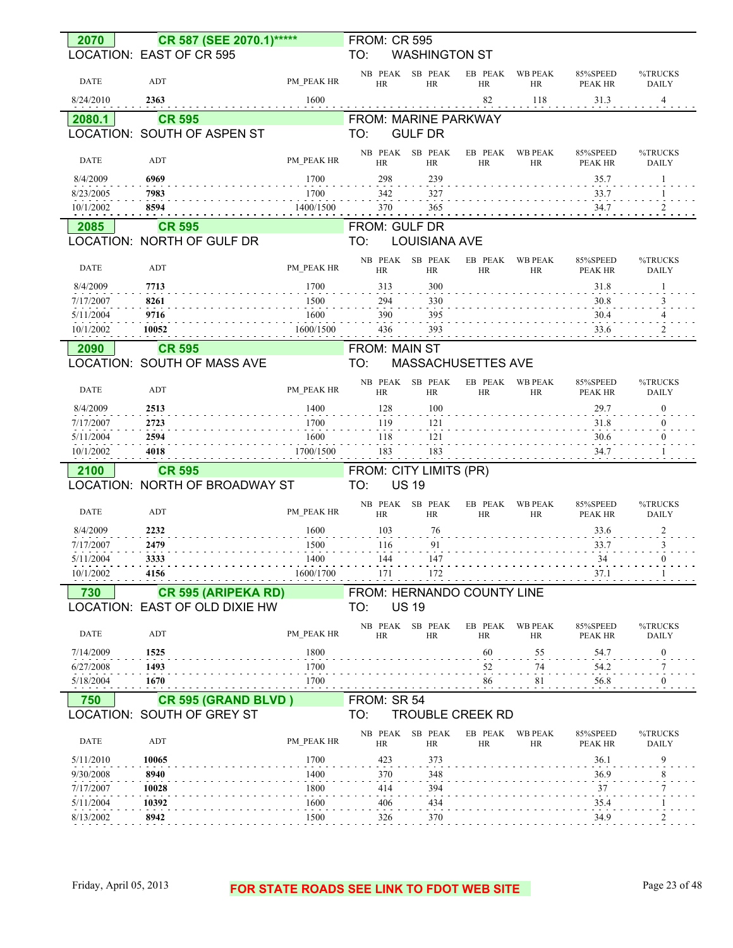| 2070        | CR 587 (SEE 2070.1)*****       |            | <b>FROM: CR 595</b>         |                      |                         |                             |                            |                         |
|-------------|--------------------------------|------------|-----------------------------|----------------------|-------------------------|-----------------------------|----------------------------|-------------------------|
|             | LOCATION: EAST OF CR 595       |            | TO:                         | <b>WASHINGTON ST</b> |                         |                             |                            |                         |
|             |                                |            |                             |                      |                         |                             |                            |                         |
| <b>DATE</b> | ADT                            | PM PEAK HR | NB PEAK<br>HR               | SB PEAK<br><b>HR</b> | EB PEAK<br><b>HR</b>    | <b>WB PEAK</b><br><b>HR</b> | 85%SPEED<br>PEAK HR        | %TRUCKS<br><b>DAILY</b> |
|             | 2363                           |            |                             |                      | 82                      |                             |                            |                         |
| 8/24/2010   |                                | 1600       |                             |                      |                         | 118                         | 31.3                       | 4                       |
| 2080.1      | <b>CR 595</b>                  |            | <b>FROM: MARINE PARKWAY</b> |                      |                         |                             |                            |                         |
|             | LOCATION: SOUTH OF ASPEN ST    |            | TO:                         | <b>GULF DR</b>       |                         |                             |                            |                         |
|             |                                |            | NB PEAK                     | SB PEAK              | EB PEAK                 | <b>WB PEAK</b>              | 85%SPEED                   | %TRUCKS                 |
| <b>DATE</b> | ADT                            | PM PEAK HR | HR                          | <b>HR</b>            | <b>HR</b>               | HR                          | PEAK HR                    | <b>DAILY</b>            |
| 8/4/2009    | 6969                           | 1700       | 298                         | 239                  |                         |                             | 35.7                       |                         |
| 8/23/2005   | 7983                           | 1700       | 342                         | 327                  |                         |                             | 33.7                       |                         |
| 10/1/2002   | 8594                           | 1400/1500  | 370                         | 365                  |                         |                             | 34.7                       | $\overline{c}$          |
| 2085        | <b>CR 595</b>                  |            | FROM: GULF DR               |                      |                         |                             |                            |                         |
|             | LOCATION: NORTH OF GULF DR     |            | TO:                         | <b>LOUISIANA AVE</b> |                         |                             |                            |                         |
|             |                                |            |                             |                      |                         |                             |                            |                         |
| <b>DATE</b> | ADT                            | PM PEAK HR | NB PEAK<br>HR               | SB PEAK<br><b>HR</b> | EB PEAK<br><b>HR</b>    | <b>WB PEAK</b><br><b>HR</b> | 85%SPEED<br><b>PEAK HR</b> | %TRUCKS<br><b>DAILY</b> |
| 8/4/2009    | 7713                           | 1700       | 313                         | 300                  |                         |                             | 31.8                       |                         |
| 7/17/2007   | 8261                           | 1500       | 294                         | 330                  |                         |                             | 30.8                       |                         |
| 5/11/2004   | 9716                           | 1600       | 390                         | 395                  |                         |                             | 30.4                       |                         |
| 10/1/2002   | 10052                          | 1600/1500  | 436                         | 393                  |                         |                             | 33.6                       |                         |
|             |                                |            |                             |                      |                         |                             |                            |                         |
| 2090        | <b>CR 595</b>                  |            | <b>FROM: MAIN ST</b>        |                      |                         |                             |                            |                         |
|             | LOCATION: SOUTH OF MASS AVE    |            | TO:                         |                      | MASSACHUSETTES AVE      |                             |                            |                         |
|             |                                |            | NB PEAK                     | SB PEAK              | EB PEAK                 | <b>WB PEAK</b>              | 85%SPEED                   | %TRUCKS                 |
| <b>DATE</b> | ADT                            | PM PEAK HR | HR                          | <b>HR</b>            | <b>HR</b>               | <b>HR</b>                   | PEAK HR                    | <b>DAILY</b>            |
| 8/4/2009    | 2513                           | 1400       | 128                         | 100                  |                         |                             | 29.7                       | $\mathbf{0}$            |
| 7/17/2007   | 2723                           | 1700       | 119                         | 121                  |                         |                             | 31.8                       | $\theta$                |
|             |                                |            |                             |                      |                         |                             |                            |                         |
| 5/11/2004   | 2594                           | 1600       | 118                         | 121                  |                         |                             | 30.6                       |                         |
| 10/1/2002   | 4018                           | 1700/1500  | 183                         | 183                  |                         |                             | 34.7                       |                         |
| 2100        | <b>CR 595</b>                  |            | FROM: CITY LIMITS (PR)      |                      |                         |                             |                            |                         |
|             | LOCATION: NORTH OF BROADWAY ST |            | TO:                         | <b>US 19</b>         |                         |                             |                            |                         |
|             |                                |            |                             |                      |                         |                             |                            |                         |
| <b>DATE</b> | ADT                            | PM PEAK HR | NB PEAK<br>HR               | SB PEAK<br><b>HR</b> | EB PEAK<br><b>HR</b>    | <b>WB PEAK</b><br><b>HR</b> | 85%SPEED<br><b>PEAK HR</b> | %TRUCKS<br><b>DAILY</b> |
| 8/4/2009    | 2232                           | 1600       | 103                         | 76                   |                         |                             | 33.6                       | 2                       |
| 7/17/2007   | 2479                           | 1500       | 116                         | 91                   |                         |                             | 33.7                       | 3                       |
| 5/11/2004   | 3333                           | 1400       | 144                         | 147                  |                         |                             | 34                         | $\mathbf{0}$            |
| 10/1/2002   | 4156                           | 1600/1700  | 171                         | 172                  |                         |                             | 37.1                       |                         |
|             |                                |            |                             |                      |                         |                             |                            |                         |
| 730         | <b>CR 595 (ARIPEKA RD)</b>     |            | FROM: HERNANDO COUNTY LINE  |                      |                         |                             |                            |                         |
|             | LOCATION: EAST OF OLD DIXIE HW |            | TO:                         | <b>US 19</b>         |                         |                             |                            |                         |
|             |                                |            |                             | NB PEAK SB PEAK      | EB PEAK                 | <b>WB PEAK</b>              | 85%SPEED                   | %TRUCKS                 |
| DATE        | ADT                            | PM PEAK HR | HR                          | HR                   | HR                      | HR                          | PEAK HR                    | DAILY                   |
| 7/14/2009   | 1525                           | 1800       |                             |                      | 60                      | 55                          | 54.7                       | $\boldsymbol{0}$        |
| 6/27/2008   | 1493                           | 1700       |                             |                      | 52                      | 74                          | 54.2                       |                         |
| 5/18/2004   | 1670                           | 1700       |                             |                      | 86                      | 81                          | 56.8                       | $\Omega$                |
| 750         | CR 595 (GRAND BLVD)            |            | FROM: SR 54                 |                      |                         |                             |                            |                         |
|             | LOCATION: SOUTH OF GREY ST     |            | TO:                         |                      | <b>TROUBLE CREEK RD</b> |                             |                            |                         |
|             |                                |            |                             | NB PEAK SB PEAK      |                         | EB PEAK WB PEAK             | 85%SPEED                   | %TRUCKS                 |
| DATE        | ADT                            | PM PEAK HR | HR                          | HR                   | <b>HR</b>               | HR                          | PEAK HR                    | DAILY                   |
| 5/11/2010   | 10065                          | 1700       | 423                         | 373                  |                         |                             | 36.1                       | 9                       |
| 9/30/2008   | 8940                           | 1400       | 370                         | 348                  |                         |                             | 36.9                       |                         |
| 7/17/2007   | 10028                          | 1800       | 414                         | 394                  |                         |                             | 37                         |                         |
| 5/11/2004   | 10392                          | 1600       | 406                         | 434                  |                         |                             | 35.4                       |                         |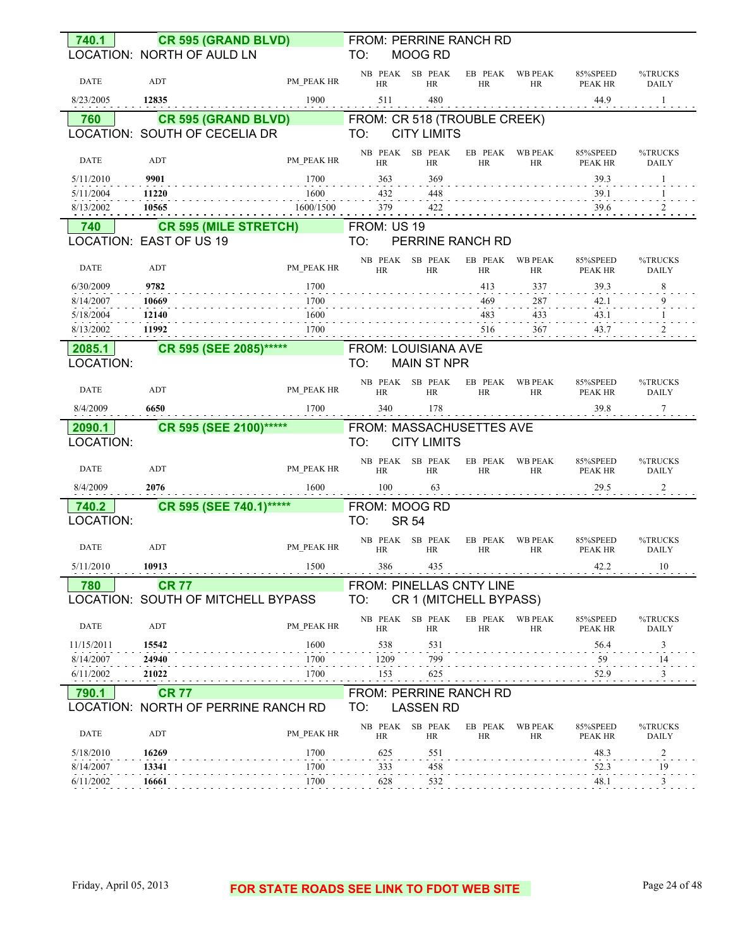| 740.1               | CR 595 (GRAND BLVD)                                     |            |                      | FROM: PERRINE RANCH RD                         |                      |                      |                            |                                |
|---------------------|---------------------------------------------------------|------------|----------------------|------------------------------------------------|----------------------|----------------------|----------------------------|--------------------------------|
|                     | LOCATION: NORTH OF AULD LN                              |            | TO:                  | MOOG RD                                        |                      |                      |                            |                                |
| <b>DATE</b>         | ADT                                                     | PM PEAK HR | <b>HR</b>            | NB PEAK SB PEAK<br><b>HR</b>                   | EB PEAK<br>HR        | <b>WB PEAK</b><br>HR | 85%SPEED<br>PEAK HR        | %TRUCKS<br><b>DAILY</b>        |
| 8/23/2005           | 12835                                                   | 1900       | 511                  | 480                                            |                      |                      | 44.9                       | -1                             |
| 760                 | <b>CR 595 (GRAND BLVD)</b>                              |            |                      | FROM: CR 518 (TROUBLE CREEK)                   |                      |                      |                            |                                |
|                     | LOCATION: SOUTH OF CECELIA DR                           |            | TO:                  | <b>CITY LIMITS</b>                             |                      |                      |                            |                                |
| DATE                | ADT                                                     | PM PEAK HR | <b>HR</b>            | NB PEAK SB PEAK<br><b>HR</b>                   | EB PEAK<br><b>HR</b> | <b>WB PEAK</b><br>HR | 85%SPEED<br><b>PEAK HR</b> | %TRUCKS<br><b>DAILY</b>        |
| 5/11/2010           | 9901                                                    | 1700       | 363                  | 369                                            |                      |                      | 39.3                       | 1                              |
| 5/11/2004           | 11220                                                   | 1600       | 432                  | 448                                            |                      |                      | 39.1                       | -1                             |
| 8/13/2002           | 10565                                                   | 1600/1500  | 379                  | 422                                            |                      |                      | 39.6                       | $\overline{2}$                 |
| 740                 | <b>CR 595 (MILE STRETCH)</b><br>LOCATION: EAST OF US 19 |            | FROM: US 19<br>TO:   | PERRINE RANCH RD                               |                      |                      |                            |                                |
|                     |                                                         |            |                      |                                                |                      |                      |                            |                                |
| <b>DATE</b>         | ADT                                                     | PM PEAK HR | HR                   | NB PEAK SB PEAK<br><b>HR</b>                   | EB PEAK<br>HR        | <b>WB PEAK</b><br>HR | 85%SPEED<br>PEAK HR        | %TRUCKS<br><b>DAILY</b>        |
| 6/30/2009           | 9782                                                    | 1700       |                      |                                                | 413                  | 337                  | 39.3                       | 8                              |
| 8/14/2007           | 10669                                                   | 1700       |                      |                                                | 469                  | 287                  | 42.1                       | 9                              |
| 5/18/2004           | 12140                                                   | 1600       |                      |                                                | 483                  | 433                  | 43.1                       |                                |
| 8/13/2002           | 11992                                                   | 1700       |                      |                                                | 516                  | 367                  | 43.7                       |                                |
| 2085.1              | CR 595 (SEE 2085)******                                 |            |                      | <b>FROM: LOUISIANA AVE</b>                     |                      |                      |                            |                                |
| LOCATION:           |                                                         |            | TO:                  | <b>MAIN ST NPR</b>                             |                      |                      |                            |                                |
| DATE                | ADT                                                     | PM PEAK HR | HR                   | NB PEAK SB PEAK<br><b>HR</b>                   | EB PEAK<br><b>HR</b> | <b>WB PEAK</b><br>HR | 85%SPEED<br>PEAK HR        | %TRUCKS<br>DAILY               |
| 8/4/2009            | 6650                                                    | 1700       | 340                  | 178                                            |                      |                      | 39.8                       | 7                              |
|                     |                                                         |            |                      |                                                |                      |                      |                            |                                |
| 2090.1<br>LOCATION: | CR 595 (SEE 2100)******                                 |            | TO:                  | FROM: MASSACHUSETTES AVE<br><b>CITY LIMITS</b> |                      |                      |                            |                                |
| <b>DATE</b>         | ADT                                                     | PM PEAK HR | NB PEAK<br><b>HR</b> | SB PEAK<br>HR                                  | EB PEAK<br><b>HR</b> | <b>WB PEAK</b><br>HR | 85%SPEED<br>PEAK HR        | %TRUCKS<br><b>DAILY</b>        |
| 8/4/2009            | 2076                                                    | 1600       | 100                  | 63                                             |                      |                      | 29.5                       | 2                              |
| 740.2               | CR 595 (SEE 740.1)*****                                 |            |                      | FROM: MOOG RD                                  |                      |                      |                            |                                |
| LOCATION:           |                                                         |            | TO:                  | <b>SR 54</b>                                   |                      |                      |                            |                                |
| <b>DATE</b>         | ADT                                                     | PM PEAK HR | NB PEAK<br>HR        | SB PEAK<br><b>HR</b>                           | EB PEAK<br>HR        | <b>WB PEAK</b><br>HR | 85%SPEED<br>PEAK HR        | %TRUCKS<br><b>DAILY</b>        |
| 5/11/2010           | 10913                                                   | 1500       | 386                  | 435                                            |                      |                      | 42.2                       | 10                             |
| 780                 | <b>CR 77</b>                                            |            |                      | FROM: PINELLAS CNTY LINE                       |                      |                      |                            |                                |
|                     | LOCATION: SOUTH OF MITCHELL BYPASS                      |            | TO:                  | CR 1 (MITCHELL BYPASS)                         |                      |                      |                            |                                |
| DATE                | ADT                                                     | PM PEAK HR | NB PEAK<br><b>HR</b> | SB PEAK<br>HR                                  | EB PEAK<br>HR        | <b>WB PEAK</b><br>HR | 85%SPEED<br>PEAK HR        | %TRUCKS<br><b>DAILY</b>        |
| 11/15/2011          | 15542                                                   | 1600       | 538                  | 531                                            |                      |                      | 56.4                       | 3                              |
| 8/14/2007           | 24940                                                   | 1700       | 1209                 | 799                                            |                      |                      | 59                         | 14                             |
| 6/11/2002           | 21022                                                   | 1700       | 153                  | 625                                            |                      |                      | 52.9                       | $\overline{\phantom{a}3}$      |
| 790.1               | <b>CR 77</b>                                            |            |                      | FROM: PERRINE RANCH RD                         |                      |                      |                            |                                |
|                     | LOCATION: NORTH OF PERRINE RANCH RD                     |            | TO:                  | <b>LASSEN RD</b>                               |                      |                      |                            |                                |
| DATE                | ADT                                                     | PM PEAK HR | HR                   | NB PEAK SB PEAK<br>HR                          | EB PEAK<br>HR        | <b>WB PEAK</b><br>HR | 85%SPEED<br>PEAK HR        | %TRUCKS<br>DAILY               |
| 5/18/2010           | 16269                                                   | 1700       | 625                  | 551                                            |                      |                      | 48.3                       |                                |
| 8/14/2007           | 13341                                                   | 1700       | 333                  | 458                                            |                      |                      | 52.3                       | $\overline{\phantom{a}}$<br>19 |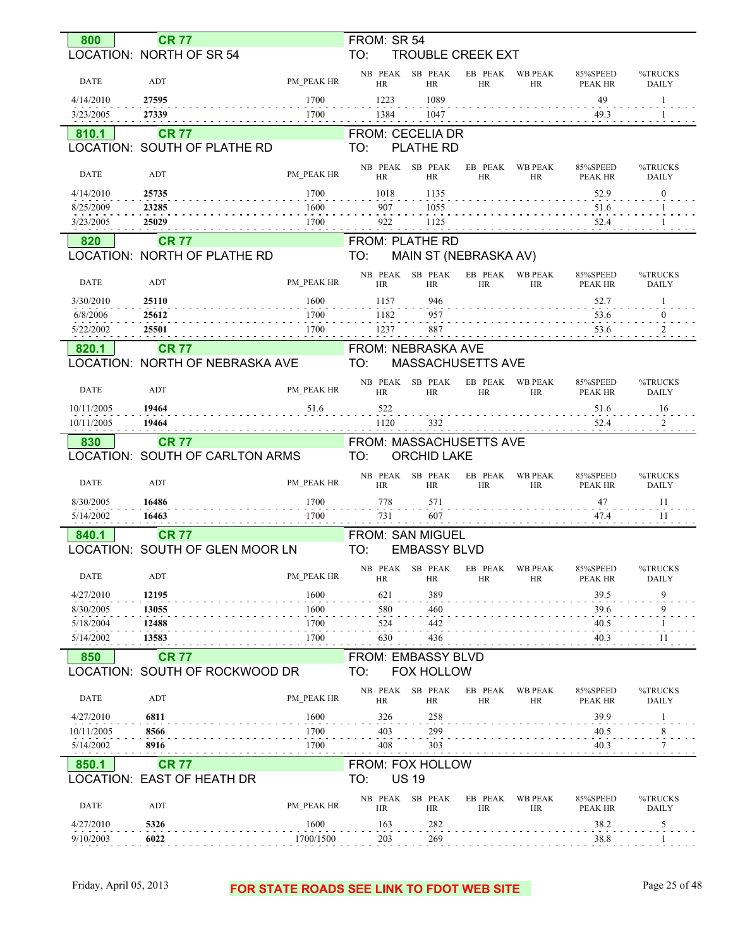| 800                    | <b>CR 77</b>                                    |                   | FROM: SR 54<br>TO:             |                       |                          |                      |                            |                               |
|------------------------|-------------------------------------------------|-------------------|--------------------------------|-----------------------|--------------------------|----------------------|----------------------------|-------------------------------|
|                        | LOCATION: NORTH OF SR 54                        |                   |                                |                       | <b>TROUBLE CREEK EXT</b> |                      |                            |                               |
| <b>DATE</b>            | ADT                                             | PM PEAK HR        | NB PEAK<br>HR                  | SB PEAK<br><b>HR</b>  | EB PEAK<br><b>HR</b>     | <b>WB PEAK</b><br>HR | 85%SPEED<br>PEAK HR        | %TRUCKS<br><b>DAILY</b>       |
|                        |                                                 |                   |                                |                       |                          |                      |                            |                               |
| 4/14/2010              | 27595                                           | 1700              | 1223                           | 1089                  |                          |                      | 49                         | 1                             |
| 3/23/2005              | 27339                                           | 1700              | 1384                           | 1047                  |                          |                      | 49.3                       |                               |
| 810.1                  | <b>CR 77</b>                                    |                   | <b>FROM: CECELIA DR</b>        |                       |                          |                      |                            |                               |
|                        | LOCATION: SOUTH OF PLATHE RD                    |                   | TO:                            | <b>PLATHE RD</b>      |                          |                      |                            |                               |
| <b>DATE</b>            | ADT                                             | PM PEAK HR        | NB PEAK                        | SB PEAK               | EB PEAK                  | <b>WB PEAK</b>       | 85%SPEED                   | %TRUCKS                       |
| 4/14/2010              | 25735                                           | 1700              | HR<br>1018                     | <b>HR</b><br>1135     | <b>HR</b>                | HR                   | <b>PEAK HR</b><br>52.9     | <b>DAILY</b><br>$\mathbf{0}$  |
| 8/25/2009              | 23285                                           | 1600              | 907                            | 1055                  |                          |                      | 51.6                       |                               |
| 3/23/2005              | 25029                                           | 1700              | 922                            | 1125                  |                          |                      | 52.4                       |                               |
|                        |                                                 |                   |                                |                       |                          |                      |                            |                               |
| 820                    | <b>CR 77</b>                                    |                   | <b>FROM: PLATHE RD</b>         |                       |                          |                      |                            |                               |
|                        | LOCATION: NORTH OF PLATHE RD                    |                   | TO:                            |                       | MAIN ST (NEBRASKA AV)    |                      |                            |                               |
| <b>DATE</b>            | ADT                                             | PM PEAK HR        | NB PEAK<br>HR                  | SB PEAK<br><b>HR</b>  | EB PEAK<br><b>HR</b>     | <b>WB PEAK</b><br>HR | 85%SPEED<br><b>PEAK HR</b> | %TRUCKS<br><b>DAILY</b>       |
| 3/30/2010              | 25110                                           | 1600              | 1157                           | 946                   |                          |                      | 52.7                       |                               |
| 6/8/2006               | 25612                                           | 1700              | 1182                           | 957                   |                          |                      | 53.6                       | $\mathbf{0}$                  |
| 5/22/2002              | 25501                                           | 1700              | 1237                           | 887                   |                          |                      | 53.6                       |                               |
| 820.1                  | <b>CR 77</b>                                    |                   | <b>FROM: NEBRASKA AVE</b>      |                       |                          |                      |                            |                               |
|                        | LOCATION: NORTH OF NEBRASKA AVE                 |                   | TO:                            |                       | <b>MASSACHUSETTS AVE</b> |                      |                            |                               |
|                        |                                                 |                   |                                |                       |                          |                      |                            |                               |
| <b>DATE</b>            | ADT                                             | PM PEAK HR        | NB PEAK<br><b>HR</b>           | SB PEAK<br><b>HR</b>  | EB PEAK<br><b>HR</b>     | <b>WB PEAK</b><br>HR | 85%SPEED<br><b>PEAK HR</b> | %TRUCKS<br><b>DAILY</b>       |
| 10/11/2005             | 19464                                           | 51.6              | 522                            |                       |                          |                      | 51.6                       | 16                            |
| 10/11/2005             | 19464                                           |                   | 1120                           | 332                   |                          |                      | 52.4                       | 2                             |
|                        |                                                 |                   |                                |                       |                          |                      |                            |                               |
|                        |                                                 |                   |                                |                       |                          |                      |                            |                               |
| 830                    | <b>CR 77</b><br>LOCATION: SOUTH OF CARLTON ARMS |                   | FROM: MASSACHUSETTS AVE<br>TO: | <b>ORCHID LAKE</b>    |                          |                      |                            |                               |
|                        |                                                 |                   |                                |                       |                          |                      |                            |                               |
| <b>DATE</b>            | ADT                                             | PM PEAK HR        | NB PEAK<br><b>HR</b>           | SB PEAK<br><b>HR</b>  | EB PEAK<br>HR            | <b>WB PEAK</b><br>HR | 85%SPEED<br><b>PEAK HR</b> | %TRUCKS<br><b>DAILY</b>       |
| 8/30/2005              | 16486                                           | 1700              | 778                            | 571                   |                          |                      | 47                         | 11                            |
| 5/14/2002              | 16463                                           | 1700              | 731                            | 607                   |                          |                      | 47.4                       | 11                            |
| 840.1                  | <b>CR 77</b>                                    |                   | FROM: SAN MIGUEL               |                       |                          |                      |                            |                               |
|                        | LOCATION: SOUTH OF GLEN MOOR LN                 |                   | TO:                            | <b>EMBASSY BLVD</b>   |                          |                      |                            |                               |
|                        |                                                 |                   |                                |                       |                          |                      |                            |                               |
| <b>DATE</b>            | ADT                                             | PM PEAK HR        | HR                             | NB PEAK SB PEAK<br>HR | EB PEAK<br>HR            | <b>WB PEAK</b><br>HR | 85%SPEED<br>PEAK HR        | %TRUCKS<br><b>DAILY</b>       |
| 4/27/2010              | 12195                                           | 1600              | 621                            | 389                   |                          |                      | 39.5                       | 9                             |
| 8/30/2005              | 13055                                           | 1600              | 580                            | 460                   |                          |                      | 39.6                       | 9                             |
| 5/18/2004              | 12488                                           | 1700              | 524                            | 442                   |                          |                      | 40.5                       |                               |
| 5/14/2002              | 13583                                           | 1700              | 630                            | 436                   |                          |                      | 40.3                       | 11                            |
| 850                    | <b>CR 77</b>                                    |                   | FROM: EMBASSY BLVD             |                       |                          |                      |                            |                               |
|                        | LOCATION: SOUTH OF ROCKWOOD DR                  |                   | TO:                            | <b>FOX HOLLOW</b>     |                          |                      |                            |                               |
| DATE                   | ADT                                             | PM PEAK HR        | NB PEAK                        | SB PEAK               | EB PEAK                  | <b>WB PEAK</b>       | 85%SPEED                   | %TRUCKS                       |
|                        |                                                 |                   | <b>HR</b>                      | HR                    | HR                       | HR                   | PEAK HR                    | <b>DAILY</b>                  |
| 4/27/2010              | 6811                                            | 1600              | 326                            | 258                   |                          |                      | 39.9                       |                               |
| 10/11/2005             | 8566                                            | 1700              | 403                            | 299                   |                          |                      | 40.5                       | 8                             |
| 5/14/2002              | 8916                                            | 1700              | 408                            | 303                   |                          |                      | 40.3                       |                               |
| 850.1                  | <b>CR 77</b>                                    |                   | FROM: FOX HOLLOW               |                       |                          |                      |                            |                               |
|                        | LOCATION: EAST OF HEATH DR                      |                   | TO:                            | <b>US 19</b>          |                          |                      |                            |                               |
| DATE                   | ADT                                             | PM PEAK HR        | NB PEAK<br>HR                  | SB PEAK<br>HR         | EB PEAK<br>HR            | <b>WB PEAK</b><br>HR | 85%SPEED                   | %TRUCKS                       |
|                        |                                                 |                   |                                |                       |                          |                      | PEAK HR                    | DAILY                         |
| 4/27/2010<br>9/10/2003 | 5326<br>6022                                    | 1600<br>1700/1500 | 163<br>203                     | 282<br>269            |                          |                      | 38.2<br>38.8               | $\overline{\mathbf{5}}$<br>-1 |

### Friday, April 05, 2013 **FOR STATE ROADS SEE LINK TO FDOT WEB SITE** Page 25 of 48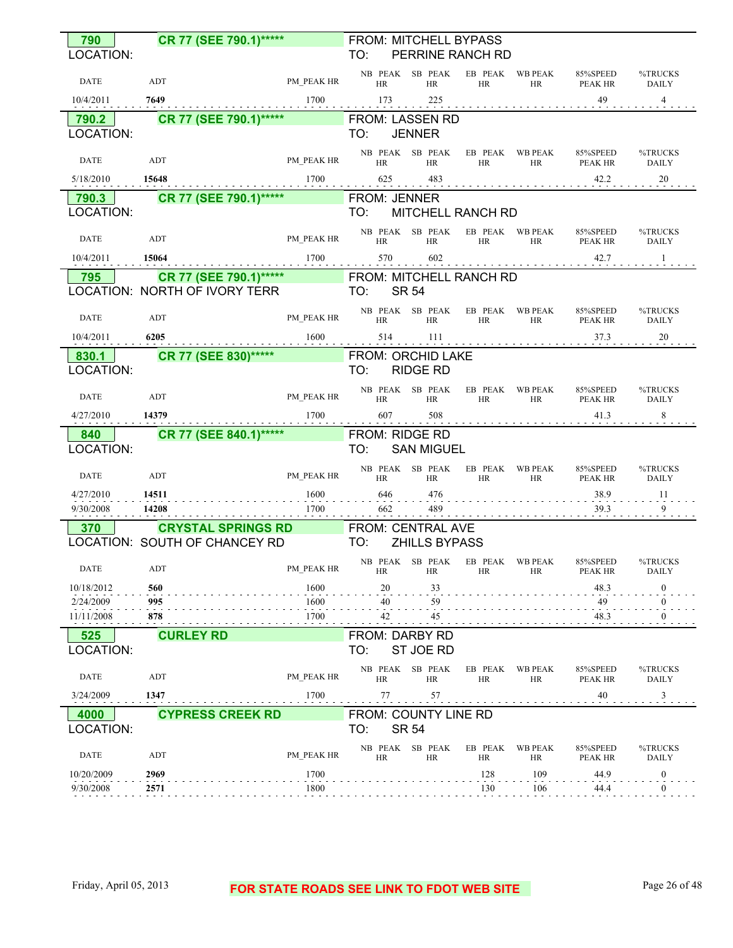| 790                     | CR 77 (SEE 790.1)*****                         |                                                                                                                                                                                                                      |                       | FROM: MITCHELL BYPASS                        |                       |                       |                                                              |                         |
|-------------------------|------------------------------------------------|----------------------------------------------------------------------------------------------------------------------------------------------------------------------------------------------------------------------|-----------------------|----------------------------------------------|-----------------------|-----------------------|--------------------------------------------------------------|-------------------------|
| LOCATION:               |                                                |                                                                                                                                                                                                                      | TO:                   | PERRINE RANCH RD                             |                       |                       |                                                              |                         |
| <b>DATE</b>             | ADT                                            | PM PEAK HR                                                                                                                                                                                                           | HR                    | NB PEAK SB PEAK EB PEAK WB PEAK<br>HR        | HR                    |                       | 85%SPEED<br>HR PEAK HR DAILY                                 | %TRUCKS                 |
| 10/4/2011               | 7649                                           |                                                                                                                                                                                                                      |                       |                                              |                       |                       |                                                              |                         |
| 790.2                   | <b>CR 77 (SEE 790.1)*****</b> FROM: LASSEN RD  |                                                                                                                                                                                                                      |                       |                                              |                       |                       |                                                              |                         |
| LOCATION:               |                                                |                                                                                                                                                                                                                      | TO: JENNER            |                                              |                       |                       |                                                              |                         |
| <b>DATE</b>             | ADT                                            | PM_PEAK HR                                                                                                                                                                                                           | HR                    | NB PEAK SB PEAK EB PEAK WB PEAK<br><b>HR</b> | HR                    | HR                    | 85%SPEED<br><b>PEAK HR</b>                                   | %TRUCKS<br><b>DAILY</b> |
| 5/18/2010 15648         | $1700$ $625$ $483$ $422$ $422$ $423$           |                                                                                                                                                                                                                      |                       |                                              |                       |                       |                                                              |                         |
| 790.3                   | <b>CR 77 (SEE 790.1)*****</b> FROM: JENNER     |                                                                                                                                                                                                                      |                       |                                              |                       |                       |                                                              |                         |
| LOCATION:               |                                                |                                                                                                                                                                                                                      | TO:                   | MITCHELL RANCH RD                            |                       |                       |                                                              |                         |
| <b>DATE</b>             | ADT                                            | PM_PEAK HR HR                                                                                                                                                                                                        |                       | HR                                           | HR                    |                       | NB PEAK SB PEAK EB PEAK WB PEAK 85%SPEED<br>HR PEAK HR DAILY | %TRUCKS                 |
| 10/4/2011               | $1700$ 570 602 42.7 42.7<br>15064              |                                                                                                                                                                                                                      |                       |                                              |                       |                       |                                                              |                         |
| 795                     | CR 77 (SEE 790.1)***** FROM: MITCHELL RANCH RD |                                                                                                                                                                                                                      |                       |                                              |                       |                       |                                                              |                         |
|                         | LOCATION: NORTH OF IVORY TERR TO: SR 54        |                                                                                                                                                                                                                      |                       |                                              |                       |                       |                                                              |                         |
| <b>DATE</b>             | ADT                                            |                                                                                                                                                                                                                      |                       |                                              |                       |                       |                                                              |                         |
|                         |                                                |                                                                                                                                                                                                                      |                       |                                              |                       |                       |                                                              |                         |
|                         | 830.1 CR 77 (SEE 830)***** FROM: ORCHID LAKE   |                                                                                                                                                                                                                      |                       |                                              |                       |                       |                                                              |                         |
| LOCATION:               |                                                |                                                                                                                                                                                                                      | TO:                   | <b>RIDGE RD</b>                              |                       |                       |                                                              |                         |
| DATE                    | ADT                                            | $\begin{tabular}{lllllll} \bf{PM\_PEAK} & \bf{NB} & \bf{PEAK} & \bf{SB} & \bf{PEAK} & \bf{EB} & \bf{PEAK} & \bf{WB} & \bf{PEAK} \\ \bf{PM\_PEAK} & \bf{HR} & \bf{HR} & \bf{HR} & \bf{HR} & \bf{HR} \\ \end{tabular}$ |                       |                                              |                       |                       | 85%SPEED<br>HR PEAK HR DAILY                                 | %TRUCKS                 |
| 4/27/2010 14379         | $1700$ 607 508 41.3 51.3 61.3 61.              |                                                                                                                                                                                                                      |                       |                                              |                       |                       |                                                              |                         |
|                         |                                                |                                                                                                                                                                                                                      |                       |                                              |                       |                       |                                                              |                         |
| 840                     | <b>CR 77 (SEE 840.1)*****</b> FROM: RIDGE RD   |                                                                                                                                                                                                                      |                       |                                              |                       |                       |                                                              |                         |
| LOCATION:               |                                                |                                                                                                                                                                                                                      |                       | TO: SAN MIGUEL                               |                       |                       |                                                              |                         |
| <b>DATE</b>             | PM_PEAK HR<br>ADT                              |                                                                                                                                                                                                                      | HR                    | HR                                           | HR                    | <b>HR</b>             | NB PEAK SB PEAK EB PEAK WB PEAK 85%SPEED<br><b>PEAK HR</b>   | %TRUCKS<br><b>DAILY</b> |
| 4/27/2010 14511         | $1600$ $646$ $476$ $38.9$ $11$                 |                                                                                                                                                                                                                      |                       |                                              |                       |                       |                                                              |                         |
| $9/30/2008$ 14208       |                                                |                                                                                                                                                                                                                      |                       |                                              |                       |                       |                                                              |                         |
| 370                     | <b>CRYSTAL SPRINGS RD FROM: CENTRAL AVE</b>    | $1700$ 662 489 39.3                                                                                                                                                                                                  |                       |                                              |                       |                       |                                                              |                         |
|                         | LOCATION: SOUTH OF CHANCEY RD TO:              |                                                                                                                                                                                                                      |                       | <b>ZHILLS BYPASS</b>                         |                       |                       |                                                              |                         |
| <b>DATE</b>             | PM_PEAK HR<br>ADT                              |                                                                                                                                                                                                                      | HR                    | HR                                           | HR                    | HR                    | NB PEAK SB PEAK EB PEAK WB PEAK 85%SPEED<br>PEAK HR          | %TRUCKS<br><b>DAILY</b> |
| 10/18/2012              | 560                                            | 1600                                                                                                                                                                                                                 | 20                    | 33                                           |                       |                       | 48.3                                                         | $\mathbf{0}$            |
| 2/24/2009               | 995                                            | 1600                                                                                                                                                                                                                 | 40                    | 59                                           |                       |                       | 49                                                           |                         |
| 11/11/2008              | 878                                            | 1700                                                                                                                                                                                                                 | 42                    | 45                                           |                       |                       | 48.3                                                         |                         |
| 525                     | <b>CURLEY RD</b>                               |                                                                                                                                                                                                                      | <b>FROM: DARBY RD</b> |                                              |                       |                       |                                                              |                         |
| LOCATION:               |                                                |                                                                                                                                                                                                                      | TO:                   | ST JOE RD                                    |                       |                       |                                                              |                         |
| <b>DATE</b>             | ADT                                            | PM PEAK HR                                                                                                                                                                                                           | <b>HR</b>             | NB PEAK SB PEAK<br>HR                        | <b>HR</b>             | EB PEAK WB PEAK<br>HR | 85%SPEED<br>PEAK HR                                          | %TRUCKS<br>DAILY        |
| 3/24/2009               | 1347                                           | 1700                                                                                                                                                                                                                 | $77 \,$               | 57                                           |                       |                       | 40                                                           | 3                       |
| 4000                    | <b>CYPRESS CREEK RD</b>                        |                                                                                                                                                                                                                      |                       | FROM: COUNTY LINE RD                         |                       |                       |                                                              |                         |
| LOCATION:               |                                                |                                                                                                                                                                                                                      | TO:                   | <b>SR 54</b>                                 |                       |                       |                                                              |                         |
| DATE                    | ADT                                            | PM PEAK HR                                                                                                                                                                                                           | HR                    | NB PEAK SB PEAK<br>HR                        | EB PEAK WB PEAK<br>HR | HR                    | 85%SPEED<br>PEAK HR                                          | %TRUCKS<br>DAILY        |
| 10/20/2009<br>9/30/2008 | 2969                                           | 1700<br>1800                                                                                                                                                                                                         |                       |                                              | 128<br>130            | 109<br>106            | 44.9                                                         | $\boldsymbol{0}$        |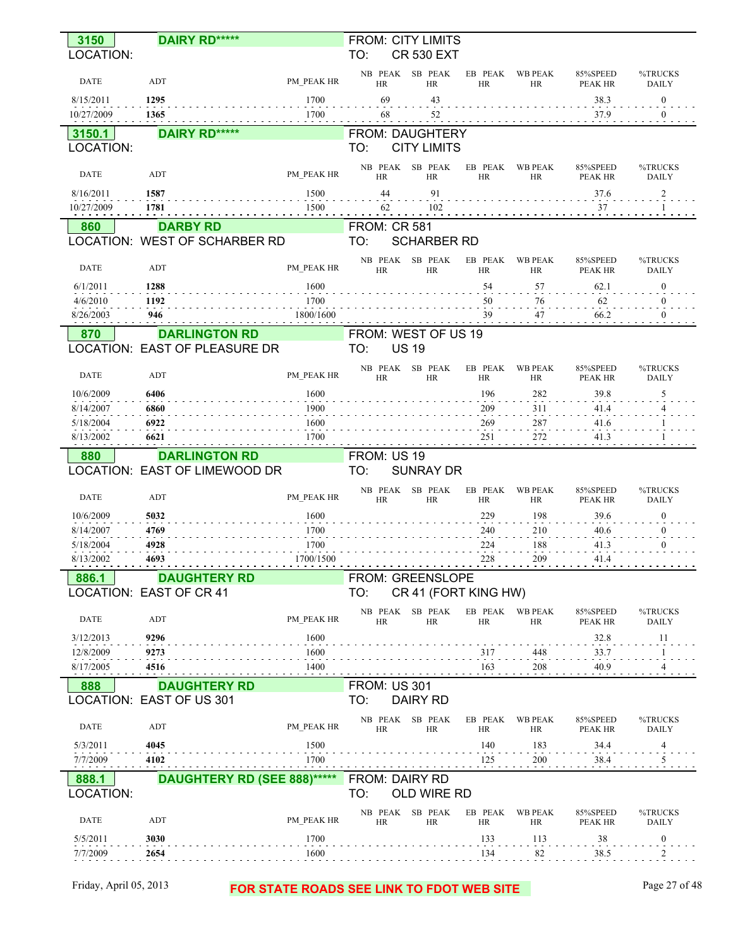| 3150<br>LOCATION:      | <b>DAIRY RD*****</b>            |              | TO:                 | <b>FROM: CITY LIMITS</b><br><b>CR 530 EXT</b> |                      |                             |                            |                              |
|------------------------|---------------------------------|--------------|---------------------|-----------------------------------------------|----------------------|-----------------------------|----------------------------|------------------------------|
|                        |                                 |              | NB PEAK             | SB PEAK                                       | EB PEAK              | <b>WB PEAK</b>              | 85%SPEED                   | %TRUCKS                      |
| <b>DATE</b>            | ADT                             | PM PEAK HR   | HR                  | <b>HR</b>                                     | <b>HR</b>            | <b>HR</b>                   | <b>PEAK HR</b>             | <b>DAILY</b>                 |
| 8/15/2011              | 1295                            | 1700         | 69                  | 43                                            |                      |                             | 38.3                       | $\bf{0}$                     |
| 10/27/2009             | 1365                            | 1700         | 68                  | 52                                            |                      |                             | 37.9                       | $\mathbf{0}$                 |
| 3150.1                 | <b>DAIRY RD*****</b>            |              |                     | FROM: DAUGHTERY                               |                      |                             |                            |                              |
| LOCATION:              |                                 |              | TO:                 | <b>CITY LIMITS</b>                            |                      |                             |                            |                              |
| <b>DATE</b>            | ADT                             | PM PEAK HR   | NB PEAK<br>HR       | SB PEAK<br><b>HR</b>                          | EB PEAK<br><b>HR</b> | <b>WB PEAK</b><br><b>HR</b> | 85%SPEED<br>PEAK HR        | %TRUCKS<br><b>DAILY</b>      |
| 8/16/2011              | 1587                            | 1500         | 44                  | 91                                            |                      |                             | 37.6                       | $\overline{a}$               |
| 10/27/2009             | 1781                            | 1500         | 62                  | 102                                           |                      |                             | 37                         |                              |
| 860                    | <b>DARBY RD</b>                 |              | <b>FROM: CR 581</b> |                                               |                      |                             |                            |                              |
|                        | LOCATION: WEST OF SCHARBER RD   |              | TO:                 | <b>SCHARBER RD</b>                            |                      |                             |                            |                              |
| <b>DATE</b>            | ADT                             | PM PEAK HR   | NB PEAK             | SB PEAK                                       | EB PEAK              | <b>WB PEAK</b>              | 85%SPEED                   | %TRUCKS                      |
|                        |                                 |              | HR                  | <b>HR</b>                                     | <b>HR</b>            | <b>HR</b>                   | <b>PEAK HR</b>             | <b>DAILY</b>                 |
| 6/1/2011<br>4/6/2010   | 1288<br>1192                    | 1600<br>1700 |                     |                                               | 54<br>50             | 57<br>76                    | 62.1<br>62                 | $\mathbf{0}$<br>$\mathbf{0}$ |
| 8/26/2003              | 946                             | 1800/1600    |                     |                                               | 39                   | 47                          | 66.2                       | $\mathbf{0}$                 |
| 870                    | <b>DARLINGTON RD</b>            |              |                     | FROM: WEST OF US 19                           |                      |                             |                            |                              |
|                        | LOCATION: EAST OF PLEASURE DR   |              | TO:                 | <b>US 19</b>                                  |                      |                             |                            |                              |
|                        |                                 |              | NB PEAK             | SB PEAK                                       | EB PEAK              | <b>WB PEAK</b>              | 85%SPEED                   | %TRUCKS                      |
| DATE                   | ADT                             | PM PEAK HR   | HR                  | <b>HR</b>                                     | <b>HR</b>            | <b>HR</b>                   | PEAK HR                    | <b>DAILY</b>                 |
| 10/6/2009              | 6406                            | 1600<br>1900 |                     |                                               | 196<br>209           | 282<br>311                  | 39.8<br>41.4               | 5<br>4                       |
| 8/14/2007<br>5/18/2004 | 6860<br>6922                    | 1600         |                     |                                               | 269                  | 287                         | 41.6                       | -1                           |
| 8/13/2002              | 6621                            | 1700         |                     |                                               | 251                  | 272                         | 41.3                       |                              |
| 880                    | <b>DARLINGTON RD</b>            |              | FROM: US 19         |                                               |                      |                             |                            |                              |
|                        | LOCATION: EAST OF LIMEWOOD DR   |              | TO:                 | <b>SUNRAY DR</b>                              |                      |                             |                            |                              |
| <b>DATE</b>            | ADT                             | PM PEAK HR   | NB PEAK<br>HR       | SB PEAK<br>HR                                 | EB PEAK<br><b>HR</b> | <b>WB PEAK</b><br><b>HR</b> | 85%SPEED<br><b>PEAK HR</b> | %TRUCKS<br><b>DAILY</b>      |
| 10/6/2009              | 5032                            | 1600         |                     |                                               | 229                  | 198                         | 39.6                       | $\bf{0}$                     |
| 8/14/2007              | 4769                            | 1700         |                     |                                               | 240                  | 210                         | 40.6                       | $\bf{0}$                     |
| 5/18/2004              | 4928                            | 1700         |                     |                                               | 224                  | 188                         | 41.3                       | $\mathbf{0}$                 |
| 8/13/2002              | 4693                            | 1700/1500    |                     |                                               | 228                  | 209                         | 41.4                       |                              |
| 886.1                  | <b>DAUGHTERY RD</b>             |              |                     | <b>FROM: GREENSLOPE</b>                       |                      |                             |                            |                              |
|                        | <b>LOCATION: EAST OF CR 41</b>  |              | TO:                 | CR 41 (FORT KING HW)                          |                      |                             |                            |                              |
| <b>DATE</b>            | ADT                             | PM PEAK HR   | HR                  | NB PEAK SB PEAK<br><b>HR</b>                  | HR                   | EB PEAK WB PEAK<br>HR       | 85%SPEED<br>PEAK HR        | %TRUCKS<br><b>DAILY</b>      |
| 3/12/2013              | 9296                            | 1600         |                     |                                               |                      |                             | 32.8                       | 11                           |
| 12/8/2009<br>8/17/2005 | 9273<br>4516                    | 1600<br>1400 |                     |                                               | 317<br>163           | 448<br>208                  | 33.7<br>40.9               | 1<br>4                       |
| 888                    | <b>DAUGHTERY RD</b>             |              | <b>FROM: US 301</b> |                                               |                      |                             |                            |                              |
|                        | <b>LOCATION: EAST OF US 301</b> |              | TO:                 | <b>DAIRY RD</b>                               |                      |                             |                            |                              |
| <b>DATE</b>            | ADT                             | PM PEAK HR   |                     | NB PEAK SB PEAK                               |                      | EB PEAK WB PEAK             | 85%SPEED                   | %TRUCKS                      |
| 5/3/2011               | 4045                            | 1500         | HR                  | <b>HR</b>                                     | <b>HR</b><br>140     | HR<br>183                   | PEAK HR<br>34.4            | <b>DAILY</b>                 |
| 7/7/2009               | 4102                            | 1700         |                     |                                               | 125                  | 200                         | 38.4                       | 4<br>$\frac{5}{10}$          |
| 888.1                  | DAUGHTERY RD (SEE 888)*****     |              |                     | FROM: DAIRY RD                                |                      |                             |                            |                              |
| LOCATION:              |                                 |              | TO:                 | OLD WIRE RD                                   |                      |                             |                            |                              |
| DATE                   | ADT                             | PM PEAK HR   | NB PEAK<br>HR       | SB PEAK<br>HR                                 | EB PEAK<br>HR        | WB PEAK<br>HR               | 85%SPEED<br>PEAK HR        | %TRUCKS<br><b>DAILY</b>      |
| 5/5/2011               | 3030                            | 1700         |                     |                                               | 133                  | 113                         | 38                         | $\boldsymbol{0}$             |
| 7/7/2009               | 2654                            | 1600         |                     |                                               | 134                  | 82                          | 38.5                       | 2                            |
|                        |                                 |              |                     |                                               |                      |                             |                            |                              |
| Friday, April 05, 2013 |                                 |              |                     | FOR STATE ROADS SEE LINK TO FDOT WEB SITE     |                      |                             |                            | Page 27 of 48                |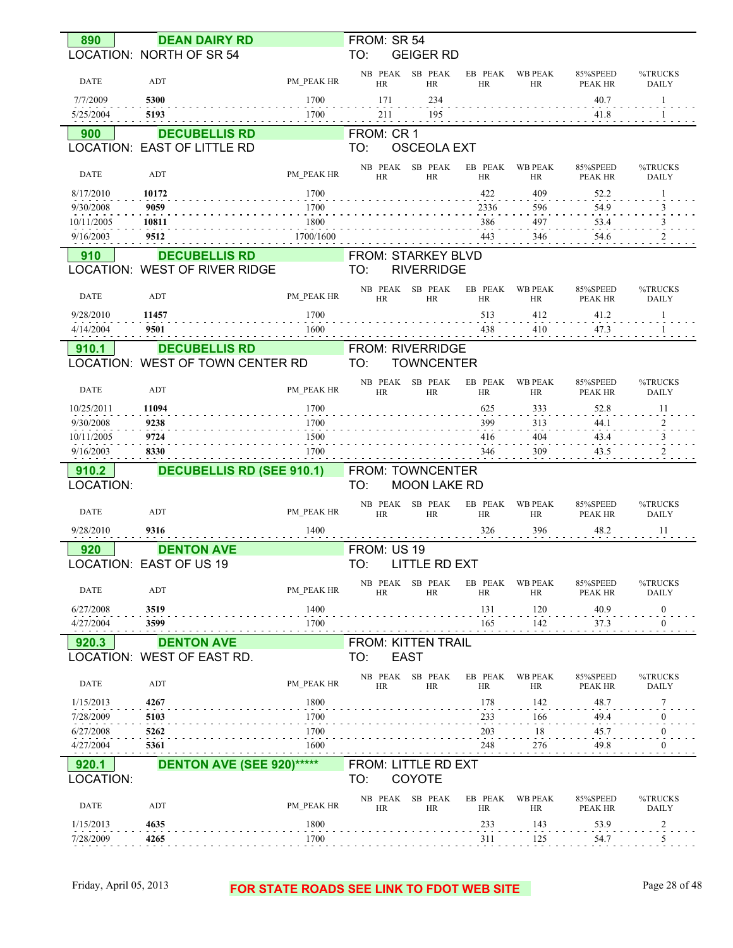| 890                     | <b>DEAN DAIRY RD</b>                            |              | FROM: SR 54                                     |                      |                             |                            |                         |
|-------------------------|-------------------------------------------------|--------------|-------------------------------------------------|----------------------|-----------------------------|----------------------------|-------------------------|
|                         | LOCATION: NORTH OF SR 54                        |              | TO:<br><b>GEIGER RD</b>                         |                      |                             |                            |                         |
| <b>DATE</b>             | ADT                                             | PM PEAK HR   | NB PEAK<br>SB PEAK<br><b>HR</b><br><b>HR</b>    | EB PEAK<br><b>HR</b> | <b>WB PEAK</b><br>HR        | 85%SPEED<br><b>PEAK HR</b> | %TRUCKS<br><b>DAILY</b> |
| 7/7/2009                | 5300                                            | 1700         | 171<br>234                                      |                      |                             | 40.7                       | 1                       |
| 5/25/2004               | 5193                                            | 1700         | 195<br>211                                      |                      |                             | 41.8                       |                         |
| 900                     | <b>DECUBELLIS RD</b>                            |              | FROM: CR 1                                      |                      |                             |                            |                         |
|                         | LOCATION: EAST OF LITTLE RD                     |              | TO:<br><b>OSCEOLA EXT</b>                       |                      |                             |                            |                         |
| DATE                    | ADT                                             | PM PEAK HR   | NB PEAK<br>SB PEAK<br><b>HR</b><br><b>HR</b>    | EB PEAK<br><b>HR</b> | <b>WB PEAK</b><br><b>HR</b> | 85%SPEED<br><b>PEAK HR</b> | %TRUCKS<br><b>DAILY</b> |
| 8/17/2010               | 10172                                           | 1700         |                                                 | 422                  | 409                         | 52.2                       |                         |
| 9/30/2008<br>10/11/2005 | 9059<br>10811                                   | 1700<br>1800 |                                                 | 2336<br>386          | 596<br>497                  | 54.9<br>53.4               |                         |
| 9/16/2003               | 9512                                            | 1700/1600    |                                                 | 443                  | 346                         | 54.6                       |                         |
| 910                     | <b>DECUBELLIS RD</b>                            |              | FROM: STARKEY BLVD                              |                      |                             |                            |                         |
|                         | LOCATION: WEST OF RIVER RIDGE                   |              | TO:<br><b>RIVERRIDGE</b>                        |                      |                             |                            |                         |
| <b>DATE</b>             | ADT                                             | PM PEAK HR   | NB PEAK<br>SB PEAK<br><b>HR</b><br><b>HR</b>    | EB PEAK<br><b>HR</b> | <b>WB PEAK</b><br>HR        | 85%SPEED<br><b>PEAK HR</b> | %TRUCKS<br><b>DAILY</b> |
| 9/28/2010               | 11457                                           | 1700         |                                                 | 513                  | 412                         | 41.2                       | 1                       |
| 4/14/2004               | 9501                                            | 1600         |                                                 | 438                  | 410                         | 47.3                       |                         |
| 910.1                   | <b>DECUBELLIS RD</b>                            |              | FROM: RIVERRIDGE                                |                      |                             |                            |                         |
|                         | LOCATION: WEST OF TOWN CENTER RD                |              | TO:<br><b>TOWNCENTER</b>                        |                      |                             |                            |                         |
| <b>DATE</b>             | ADT                                             | PM PEAK HR   | SB PEAK<br>NB PEAK<br><b>HR</b><br><b>HR</b>    | EB PEAK<br><b>HR</b> | <b>WB PEAK</b><br><b>HR</b> | 85%SPEED<br><b>PEAK HR</b> | %TRUCKS<br><b>DAILY</b> |
| 10/25/2011              | 11094                                           | 1700         |                                                 | 625                  | 333                         | 52.8                       | 11                      |
| 9/30/2008               | 9238                                            | 1700         |                                                 | 399                  | 313                         | 44.1                       |                         |
|                         |                                                 |              |                                                 |                      |                             |                            | 3                       |
| 10/11/2005<br>9/16/2003 | 9724<br>8330                                    | 1500<br>1700 |                                                 | 416<br>346           | 404<br>309                  | 43.4<br>43.5               |                         |
| 910.2                   | <b>DECUBELLIS RD (SEE 910.1)</b>                |              | FROM: TOWNCENTER                                |                      |                             |                            |                         |
| LOCATION:               |                                                 |              | TO:<br><b>MOON LAKE RD</b>                      |                      |                             |                            |                         |
| DATE                    | ADT                                             | PM PEAK HR   | NB PEAK<br>SB PEAK<br><b>HR</b><br><b>HR</b>    | EB PEAK<br><b>HR</b> | <b>WB PEAK</b><br>HR        | 85%SPEED<br><b>PEAK HR</b> | %TRUCKS<br><b>DAILY</b> |
| 9/28/2010               | 9316                                            | 1400         |                                                 | 326                  | 396                         | 48.2                       | 11                      |
| 920                     | <b>DENTON AVE</b>                               |              | FROM: US 19                                     |                      |                             |                            |                         |
|                         | <b>OCATION: EAST OF US 19</b>                   |              | TO:<br>LITTLE RD EXT                            |                      |                             |                            |                         |
| DATE                    | ADT                                             | PM PEAK HR   | NB PEAK<br>SB PEAK<br><b>HR</b><br><b>HR</b>    | EB PEAK<br><b>HR</b> | <b>WB PEAK</b><br>HR        | 85%SPEED<br>PEAK HR        | %TRUCKS<br><b>DAILY</b> |
| 6/27/2008               | 3519                                            | 1400         |                                                 | 131                  | 120                         | 40.9                       | $\mathbf{0}$            |
| 4/27/2004               | 3599                                            | 1700         |                                                 | 165                  | 142                         | <b>37.3</b>                | $\mathbf{0}$            |
| 920.3                   | <b>DENTON AVE</b><br>LOCATION: WEST OF EAST RD. |              | <b>FROM: KITTEN TRAIL</b><br>TO:<br><b>EAST</b> |                      |                             |                            |                         |
| DATE                    | ADT                                             | PM PEAK HR   | NB PEAK SB PEAK<br>HR<br>HR                     | EB PEAK<br>HR        | <b>WB PEAK</b><br>HR        | 85%SPEED<br><b>PEAK HR</b> | %TRUCKS<br><b>DAILY</b> |
| 1/15/2013               | 4267                                            | 1800         |                                                 | 178                  | 142                         | 48.7                       | 7                       |
| 7/28/2009               | 5103                                            | 1700         |                                                 | 233                  | 166                         | 49.4                       |                         |
| 6/27/2008               | 5262                                            | 1700         |                                                 | 203                  | $\frac{18}{1}$              | 45.7                       | 0                       |
| 4/27/2004               | 5361                                            | 1600         |                                                 | 248                  | 276                         | 49.8                       | $\theta$                |
| 920.1<br>LOCATION:      | <b>DENTON AVE (SEE 920)*****</b>                |              | FROM: LITTLE RD EXT<br>COYOTE<br>TO:            |                      |                             |                            |                         |
| <b>DATE</b>             | ADT                                             | PM PEAK HR   | NB PEAK SB PEAK<br>HR<br>HR                     | EB PEAK<br>HR        | <b>WB PEAK</b><br>HR        | 85%SPEED<br><b>PEAK HR</b> | %TRUCKS<br>DAILY        |
| 1/15/2013               | 4635                                            | 1800         |                                                 | 233                  | 143                         | 53.9                       | $\overline{2}$          |

#### Friday, April 05, 2013 **FOR STATE ROADS SEE LINK TO FDOT WEB SITE** Page 28 of 48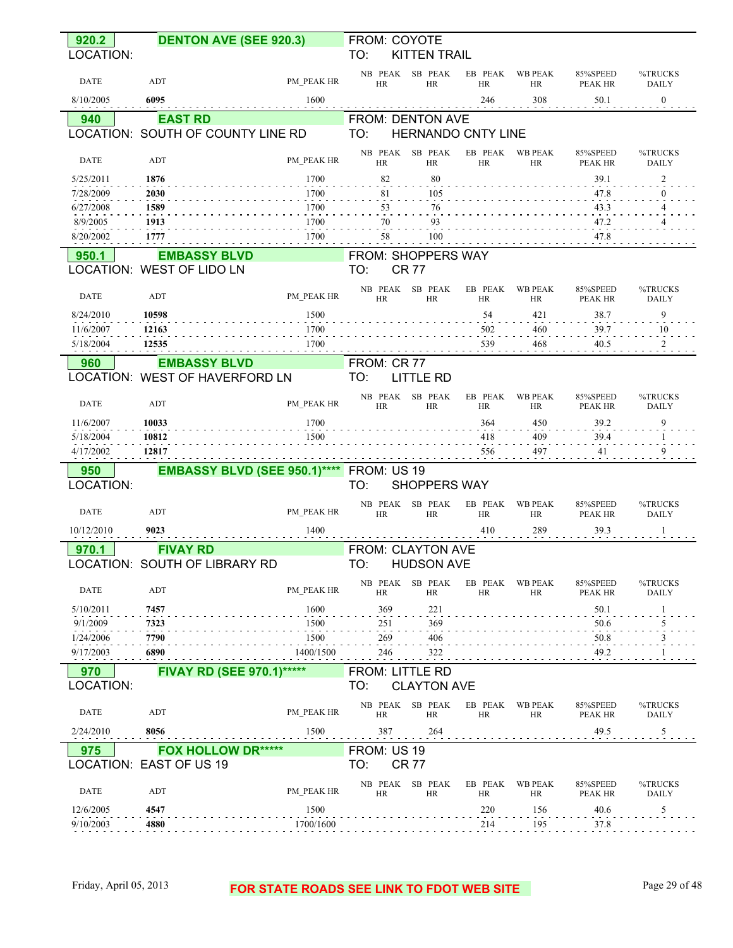| 920.2                  | <b>DENTON AVE (SEE 920.3)</b>       |                   | FROM: COYOTE                  |                      |                      |                             |                            |                         |
|------------------------|-------------------------------------|-------------------|-------------------------------|----------------------|----------------------|-----------------------------|----------------------------|-------------------------|
| LOCATION:              |                                     |                   | TO:                           | <b>KITTEN TRAIL</b>  |                      |                             |                            |                         |
| <b>DATE</b>            | ADT                                 | PM PEAK HR        | NB PEAK<br><b>HR</b>          | SB PEAK<br><b>HR</b> | EB PEAK<br><b>HR</b> | <b>WB PEAK</b><br>HR        | 85%SPEED<br>PEAK HR        | %TRUCKS<br><b>DAILY</b> |
| 8/10/2005              | 6095                                | 1600              |                               |                      | 246                  | 308                         | 50.1                       | $\mathbf{0}$            |
| 940                    | <b>EAST RD</b>                      |                   | FROM: DENTON AVE              |                      |                      |                             |                            |                         |
|                        | LOCATION: SOUTH OF COUNTY LINE RD   |                   | TO:                           |                      | HERNANDO CNTY LINE   |                             |                            |                         |
| <b>DATE</b>            | ADT                                 | PM PEAK HR        | NB PEAK<br><b>HR</b>          | SB PEAK<br><b>HR</b> | EB PEAK<br><b>HR</b> | <b>WB PEAK</b><br><b>HR</b> | 85%SPEED<br><b>PEAK HR</b> | %TRUCKS<br><b>DAILY</b> |
| 5/25/2011              | 1876                                | 1700              | 82                            | 80                   |                      |                             | 39.1                       | 2                       |
| 7/28/2009              | 2030                                | 1700              | 81                            | 105                  |                      |                             | 47.8                       | 0                       |
| 6/27/2008<br>8/9/2005  | 1589<br>1913                        | 1700<br>1700      | 53<br>70                      | 76<br>93             |                      |                             | 43.3<br>47.2               | 4<br>4                  |
| 8/20/2002              | 1777                                | 1700              | 58                            | 100                  |                      |                             | 47.8                       |                         |
| 950.1                  | <b>EMBASSY BLVD</b>                 |                   | FROM: SHOPPERS WAY            |                      |                      |                             |                            |                         |
|                        | LOCATION: WEST OF LIDO LN           |                   | TO:                           | <b>CR77</b>          |                      |                             |                            |                         |
|                        |                                     |                   |                               | SB PEAK              | EB PEAK              | <b>WB PEAK</b>              |                            |                         |
| <b>DATE</b>            | ADT                                 | PM PEAK HR        | NB PEAK<br><b>HR</b>          | <b>HR</b>            | <b>HR</b>            | HR                          | 85%SPEED<br><b>PEAK HR</b> | %TRUCKS<br><b>DAILY</b> |
| 8/24/2010              | 10598                               | 1500              |                               |                      | 54                   | 421                         | 38.7                       | 9                       |
| 11/6/2007              | 12163                               | 1700              |                               |                      | 502                  | 460                         | 39.7                       | 10                      |
| 5/18/2004              | 12535                               | 1700              |                               |                      | 539                  | 468                         | 40.5                       | 2                       |
| 960                    | <b>EMBASSY BLVD</b>                 |                   | FROM: CR 77                   |                      |                      |                             |                            |                         |
|                        | LOCATION: WEST OF HAVERFORD LN      |                   | TO:                           | <b>LITTLE RD</b>     |                      |                             |                            |                         |
| <b>DATE</b>            | ADT                                 | PM PEAK HR        | NB PEAK<br><b>HR</b>          | SB PEAK<br><b>HR</b> | EB PEAK<br><b>HR</b> | <b>WB PEAK</b><br><b>HR</b> | 85%SPEED<br>PEAK HR        | %TRUCKS<br><b>DAILY</b> |
| 11/6/2007              | 10033                               | 1700              |                               |                      | 364                  | 450                         | 39.2                       | 9                       |
| 5/18/2004              | 10812                               | 1500              |                               |                      | 418                  | 409                         | 39.4                       | 1                       |
| 4/17/2002              | 12817                               |                   |                               |                      | 556                  | 497                         | 41                         | 9                       |
| 950<br>LOCATION:       | <b>EMBASSY BLVD (SEE 950.1)****</b> |                   | FROM: US 19<br>TO:            | <b>SHOPPERS WAY</b>  |                      |                             |                            |                         |
| <b>DATE</b>            | ADT                                 | PM PEAK HR        | NB PEAK<br><b>HR</b>          | SB PEAK<br><b>HR</b> | EB PEAK<br><b>HR</b> | <b>WB PEAK</b><br>HR        | 85%SPEED<br>PEAK HR        | %TRUCKS<br><b>DAILY</b> |
| 10/12/2010             | 9023                                | 1400              |                               |                      | 410                  | 289                         | 39.3                       | 1                       |
| 970.1                  | <b>FIVAY RD</b>                     |                   | <b>FROM: CLAYTON AVE</b>      |                      |                      |                             |                            |                         |
|                        | LOCATION: SOUTH OF LIBRARY RD       |                   | TO:                           | <b>HUDSON AVE</b>    |                      |                             |                            |                         |
| <b>DATE</b>            | ADT                                 | PM PEAK HR        | NB PEAK<br>HR                 | SB PEAK<br>HR        | EB PEAK<br>HR        | <b>WB PEAK</b><br><b>HR</b> | 85%SPEED<br><b>PEAK HR</b> | %TRUCKS<br><b>DAILY</b> |
| 5/10/2011              | 7457                                | 1600              | 369                           | 221                  |                      |                             | 50.1                       |                         |
| 9/1/2009               | 7323                                | 1500              | 251                           | 369                  |                      |                             | 50.6                       | 5                       |
| 1/24/2006<br>9/17/2003 | 7790<br>6890                        | 1500<br>1400/1500 | 269<br>246                    | 406                  |                      |                             | 50.8                       |                         |
|                        |                                     |                   |                               | 322                  |                      |                             | 49.2                       |                         |
| 970<br>LOCATION:       | <b>FIVAY RD (SEE 970.1)*****</b>    |                   | <b>FROM: LITTLE RD</b><br>TO: | <b>CLAYTON AVE</b>   |                      |                             |                            |                         |
| DATE                   | ADT                                 | PM PEAK HR        | NB PEAK<br><b>HR</b>          | SB PEAK<br><b>HR</b> | EB PEAK<br>HR        | <b>WB PEAK</b><br>HR        | 85%SPEED<br>PEAK HR        | %TRUCKS<br>DAILY        |
| 2/24/2010              | 8056                                | 1500              | 387                           | 264                  |                      |                             | 49.5                       | $\overline{5}$          |
| 975                    | <b>FOX HOLLOW DR*****</b>           |                   | FROM: US 19                   |                      |                      |                             |                            |                         |
|                        | LOCATION: EAST OF US 19             |                   | TO:                           | <b>CR 77</b>         |                      |                             |                            |                         |
| <b>DATE</b>            | ADT                                 | PM_PEAK HR        | NB PEAK<br>HR                 | SB PEAK<br><b>HR</b> | EB PEAK<br>HR        | <b>WB PEAK</b><br>HR        | 85%SPEED<br>PEAK HR        | %TRUCKS<br>DAILY        |
| 12/6/2005<br>9/10/2003 | 4547<br>4880                        | 1500<br>1700/1600 |                               |                      | 220<br>214           | 156<br>195                  | 40.6<br>37.8               | 5                       |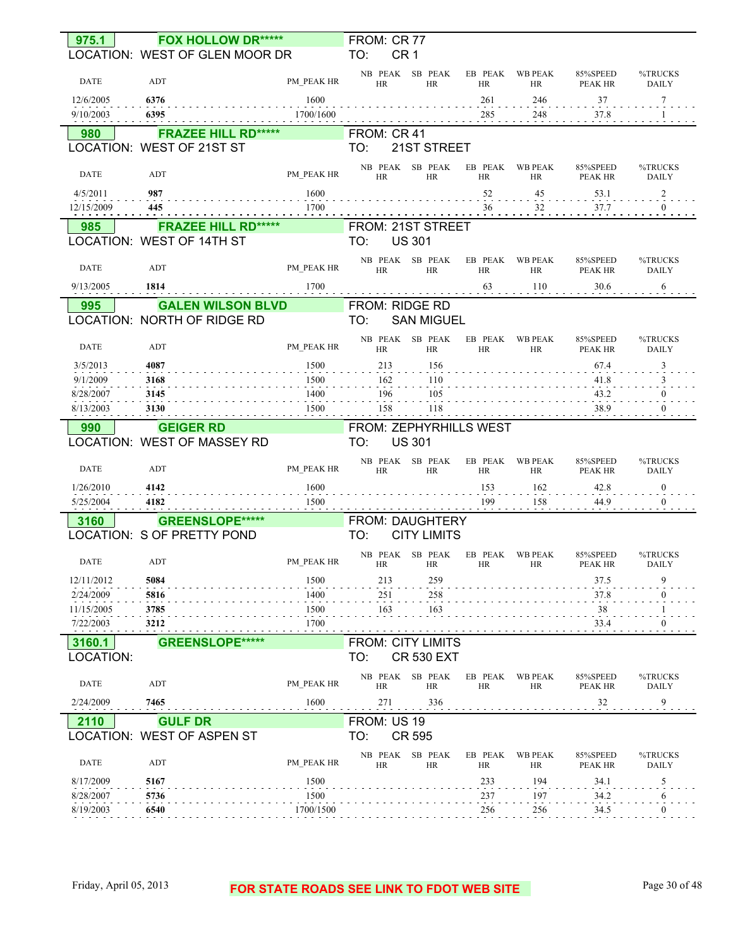| 975.1                  | <b>FOX HOLLOW DR*****</b>                       |              | FROM: CR 77                     |                              |                      |                      |                            |                         |
|------------------------|-------------------------------------------------|--------------|---------------------------------|------------------------------|----------------------|----------------------|----------------------------|-------------------------|
|                        | LOCATION: WEST OF GLEN MOOR DR                  |              | TO:<br>CR <sub>1</sub>          |                              |                      |                      |                            |                         |
| <b>DATE</b>            | ADT                                             | PM PEAK HR   | <b>HR</b>                       | NB PEAK SB PEAK<br>HR        | EB PEAK<br>HR        | <b>WB PEAK</b><br>HR | 85%SPEED<br>PEAK HR        | %TRUCKS<br><b>DAILY</b> |
| 12/6/2005              | 6376                                            | 1600         |                                 |                              | 261                  | 246                  | 37                         | 7                       |
| 9/10/2003              | 6395                                            | 1700/1600    |                                 |                              | 285                  | 248                  | 37.8                       |                         |
| 980                    | <b>FRAZEE HILL RD*****</b>                      |              | FROM: CR 41                     |                              |                      |                      |                            |                         |
|                        | LOCATION: WEST OF 21ST ST                       |              | TO:                             | 21ST STREET                  |                      |                      |                            |                         |
| <b>DATE</b>            | ADT                                             | PM_PEAK HR   | HR                              | NB PEAK SB PEAK<br><b>HR</b> | EB PEAK<br>HR        | <b>WB PEAK</b><br>HR | 85%SPEED<br>PEAK HR        | %TRUCKS<br><b>DAILY</b> |
| 4/5/2011               | 987                                             | 1600         |                                 |                              | 52                   | 45                   | 53.1                       | $\overline{c}$          |
| 12/15/2009             | 445                                             | 1700         |                                 |                              | 36                   | 32                   | 37.7                       | $\Omega$                |
| 985                    | <b>FRAZEE HILL RD*****</b>                      |              | FROM: 21ST STREET               |                              |                      |                      |                            |                         |
|                        | LOCATION: WEST OF 14TH ST                       |              | TO:                             | <b>US 301</b>                |                      |                      |                            |                         |
| <b>DATE</b>            | ADT                                             | PM PEAK HR   | HR                              | NB PEAK SB PEAK<br>HR        | EB PEAK<br>HR        | <b>WB PEAK</b><br>HR | 85%SPEED<br>PEAK HR        | %TRUCKS<br><b>DAILY</b> |
| 9/13/2005              | 1814                                            | 1700         |                                 |                              | 63                   | 110                  | 30.6                       | 6                       |
| 995                    | <b>GALEN WILSON BLVD</b>                        |              | FROM: RIDGE RD                  |                              |                      |                      |                            |                         |
|                        | LOCATION: NORTH OF RIDGE RD                     |              | TO:                             | <b>SAN MIGUEL</b>            |                      |                      |                            |                         |
| <b>DATE</b>            | ADT                                             | PM PEAK HR   | <b>HR</b>                       | NB PEAK SB PEAK<br>HR        | EB PEAK<br>HR        | <b>WB PEAK</b><br>HR | 85%SPEED<br><b>PEAK HR</b> | %TRUCKS<br><b>DAILY</b> |
| 3/5/2013               | 4087                                            | 1500         | 213                             | 156                          |                      |                      | 67.4                       | 3                       |
| 9/1/2009               | 3168                                            | 1500         | 162                             | 110                          |                      |                      | 41.8                       |                         |
| 8/28/2007              | 3145                                            | 1400         | 196                             | 105                          |                      |                      | 43.2                       |                         |
| 8/13/2003              | 3130                                            | 1500         | 158                             | 118                          |                      |                      | 38.9                       |                         |
| 990                    | <b>GEIGER RD</b><br>LOCATION: WEST OF MASSEY RD |              | FROM: ZEPHYRHILLS WEST<br>TO:   | <b>US 301</b>                |                      |                      |                            |                         |
| <b>DATE</b>            | ADT                                             | PM PEAK HR   | <b>HR</b>                       | NB PEAK SB PEAK<br><b>HR</b> | EB PEAK<br><b>HR</b> | <b>WB PEAK</b><br>HR | 85%SPEED<br><b>PEAK HR</b> | %TRUCKS<br><b>DAILY</b> |
| 1/26/2010<br>5/25/2004 | 4142<br>4182                                    | 1600<br>1500 |                                 |                              | 153<br>199           | 162<br>158           | 42.8<br>44.9               | $\theta$<br>$\theta$    |
| 3160                   | <b>GREENSLOPE*****</b>                          |              | FROM: DAUGHTERY                 |                              |                      |                      |                            |                         |
|                        | LOCATION: S OF PRETTY POND                      |              | TO:                             | <b>CITY LIMITS</b>           |                      |                      |                            |                         |
|                        |                                                 |              |                                 | NB PEAK SB PEAK              |                      | EB PEAK WB PEAK      | 85%SPEED                   | %TRUCKS                 |
| DATE                   | ADT                                             | PM PEAK HR   | HR HR                           |                              | HR                   | <b>HR</b>            | PEAK HR                    | <b>DAILY</b>            |
| 12/11/2012             | 5084                                            | 1500         | 213                             | 259                          |                      |                      | 37.5                       | 9                       |
| 2/24/2009              | 5816                                            | 1400         | 251                             | 258                          |                      |                      | 37.8                       |                         |
| 11/15/2005             | 3785                                            | 1500<br>1700 | 163                             | 163                          |                      |                      | 38                         |                         |
| 7/22/2003              | 3212                                            |              |                                 |                              |                      |                      | 33.4                       |                         |
| 3160.1<br>LOCATION:    | GREENSLOPE*****                                 |              | <b>FROM: CITY LIMITS</b><br>TO: | <b>CR 530 EXT</b>            |                      |                      |                            |                         |
| DATE                   | ADT                                             | PM PEAK HR   | NB PEAK<br>HR                   | SB PEAK<br><b>HR</b>         | EB PEAK<br>HR        | <b>WB PEAK</b><br>HR | 85%SPEED<br>PEAK HR        | %TRUCKS<br><b>DAILY</b> |
| 2/24/2009              | 7465                                            | 1600         | 271                             | 336                          |                      |                      | 32                         | 9                       |
| 2110                   | <b>GULF DR</b>                                  |              | FROM: US 19                     |                              |                      |                      |                            |                         |
|                        | LOCATION: WEST OF ASPEN ST                      |              | TO:                             | <b>CR 595</b>                |                      |                      |                            |                         |
| <b>DATE</b>            | ADT                                             | PM_PEAK HR   | NB PEAK<br><b>HR</b>            | SB PEAK<br>HR                | EB PEAK<br>HR        | <b>WB PEAK</b><br>HR | 85%SPEED<br>PEAK HR        | %TRUCKS<br><b>DAILY</b> |
| 8/17/2009              | 5167                                            | 1500         |                                 |                              | 233                  | 194                  | 34.1                       | 5                       |
| 8/28/2007              | 5736                                            | 1500         |                                 |                              | 237                  | 197                  | 34.2                       | 6                       |
| 8/19/2003              | 6540                                            | 1700/1500    |                                 |                              | 256                  | 256                  | 34.5                       |                         |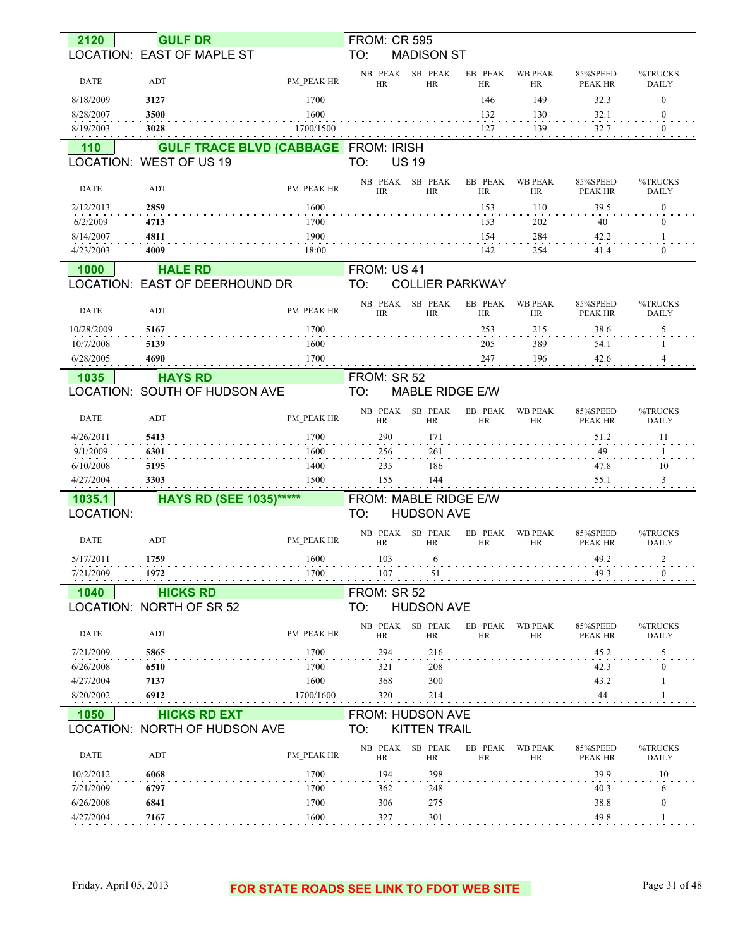| 2120        | <b>GULF DR</b>                              |            | <b>FROM: CR 595</b>          |                        |                      |                             |                            |                         |
|-------------|---------------------------------------------|------------|------------------------------|------------------------|----------------------|-----------------------------|----------------------------|-------------------------|
|             | LOCATION: EAST OF MAPLE ST                  |            | TO:                          | <b>MADISON ST</b>      |                      |                             |                            |                         |
| <b>DATE</b> | ADT                                         | PM PEAK HR | NB PEAK SB PEAK<br><b>HR</b> | <b>HR</b>              | EB PEAK<br><b>HR</b> | <b>WB PEAK</b><br>HR        | 85%SPEED<br><b>PEAK HR</b> | %TRUCKS<br><b>DAILY</b> |
| 8/18/2009   | 3127                                        | 1700       |                              |                        | 146                  | 149                         | 32.3                       | $\mathbf{0}$            |
| 8/28/2007   | 3500                                        | 1600       |                              |                        | 132                  | 130                         | 32.1                       | $\theta$                |
| 8/19/2003   | 3028                                        | 1700/1500  |                              |                        | 127                  | 139                         | 32.7                       | $\theta$                |
| 110         | <b>GULF TRACE BLVD (CABBAGE FROM: IRISH</b> |            |                              |                        |                      |                             |                            |                         |
|             | LOCATION: WEST OF US 19                     |            | TO:                          | <b>US 19</b>           |                      |                             |                            |                         |
| <b>DATE</b> | ADT                                         | PM PEAK HR | NB PEAK<br><b>HR</b>         | SB PEAK<br><b>HR</b>   | EB PEAK<br><b>HR</b> | <b>WB PEAK</b><br>HR        | 85%SPEED<br><b>PEAK HR</b> | %TRUCKS<br><b>DAILY</b> |
| 2/12/2013   | 2859                                        | 1600       |                              |                        | 153                  | 110                         | 39.5                       | $\theta$                |
| 6/2/2009    | 4713                                        | 1700       |                              |                        | 153                  | 202                         | 40                         |                         |
| 8/14/2007   | 4811                                        | 1900       |                              |                        | 154                  | 284                         | 42.2                       |                         |
| 4/23/2003   | 4009                                        | 18:00      |                              |                        | 142                  | 254                         | 41.4                       | $\theta$                |
| 1000        | <b>HALE RD</b>                              |            | FROM: US 41                  |                        |                      |                             |                            |                         |
|             | LOCATION: EAST OF DEERHOUND DR              |            | TO:                          | <b>COLLIER PARKWAY</b> |                      |                             |                            |                         |
| <b>DATE</b> | ADT                                         | PM PEAK HR | NB PEAK<br><b>HR</b>         | SB PEAK<br><b>HR</b>   | EB PEAK<br><b>HR</b> | <b>WB PEAK</b><br><b>HR</b> | 85%SPEED<br><b>PEAK HR</b> | %TRUCKS<br><b>DAILY</b> |
| 10/28/2009  | 5167                                        | 1700       |                              |                        | 253                  | 215                         | 38.6                       | 5                       |
| 10/7/2008   | 5139                                        | 1600       |                              |                        | 205                  | 389                         | 54.1                       |                         |
| 6/28/2005   | 4690                                        | 1700       |                              |                        | 247                  | <sup>196</sup>              | 42.6                       |                         |
| 1035        | <b>HAYS RD</b>                              |            | FROM: SR 52                  |                        |                      |                             |                            |                         |
|             | LOCATION: SOUTH OF HUDSON AVE               |            | TO:                          | <b>MABLE RIDGE E/W</b> |                      |                             |                            |                         |
| <b>DATE</b> | ADT                                         | PM PEAK HR | NB PEAK SB PEAK<br>HR        | <b>HR</b>              | EB PEAK<br><b>HR</b> | <b>WB PEAK</b><br>HR        | 85%SPEED<br><b>PEAK HR</b> | %TRUCKS<br><b>DAILY</b> |
| 4/26/2011   | 5413                                        | 1700       | 290                          | 171                    |                      |                             | 51.2                       | 11                      |
| 9/1/2009    | 6301                                        | 1600       | 256                          | 261                    |                      |                             | 49<br>$\sim$ $\sim$ $\sim$ |                         |
| 6/10/2008   | 5195                                        | 1400       | 235                          | 186                    |                      |                             | 47.8                       | 10                      |
| 4/27/2004   | 3303                                        | 1500       | 155                          | 144                    |                      |                             | 55.1                       | 3                       |
| 1035.1      | <b>HAYS RD (SEE 1035)******</b>             |            | FROM: MABLE RIDGE E/W        |                        |                      |                             |                            |                         |
| LOCATION:   |                                             |            | TO:                          | <b>HUDSON AVE</b>      |                      |                             |                            |                         |
| <b>DATE</b> | ADT                                         | PM PEAK HR | NB PEAK<br><b>HR</b>         | SB PEAK<br>HR          | EB PEAK<br><b>HR</b> | <b>WB PEAK</b><br><b>HR</b> | 85%SPEED<br>PEAK HR        | %TRUCKS<br><b>DAILY</b> |
| 5/17/2011   | 1759                                        | 1600       | 103                          | 6                      |                      |                             | 49.2                       | $\overline{2}$          |
| 7/21/2009   | 1972                                        | 1700       |                              |                        |                      |                             |                            |                         |
|             |                                             |            |                              |                        |                      |                             |                            | $107$ 51 $107$ 49.3 $0$ |
| 1040        | <b>HICKS RD</b>                             |            | FROM: SR 52                  |                        |                      |                             |                            |                         |
|             | LOCATION: NORTH OF SR 52                    |            | TO:                          | <b>HUDSON AVE</b>      |                      |                             |                            |                         |
| DATE        | ADT                                         | PM PEAK HR | NB PEAK SB PEAK<br><b>HR</b> | HR                     | EB PEAK<br>HR        | WB PEAK<br><b>HR</b>        | 85%SPEED<br>PEAK HR        | %TRUCKS<br><b>DAILY</b> |
| 7/21/2009   | 5865                                        | 1700       | 294                          | 216                    |                      |                             | 45.2                       | 5                       |
| 6/26/2008   | 6510                                        | 1700       | 321                          | 208                    |                      |                             | 42.3                       | 0                       |
| 4/27/2004   | 7137                                        | 1600       | 368                          | 300                    |                      |                             | 43.2                       |                         |
| 8/20/2002   | 6912                                        |            | 320                          | 214                    |                      |                             |                            |                         |
| 1050        | <b>HICKS RD EXT</b>                         | 1700/1600  | FROM: HUDSON AVE             |                        |                      |                             | 44                         |                         |
|             | LOCATION: NORTH OF HUDSON AVE               |            | TO:                          | <b>KITTEN TRAIL</b>    |                      |                             |                            |                         |
| <b>DATE</b> | ADT                                         | PM PEAK HR | NB PEAK SB PEAK<br>HR        | HR                     | EB PEAK<br>HR        | <b>WB PEAK</b><br>HR        | 85%SPEED<br>PEAK HR        | %TRUCKS<br><b>DAILY</b> |
| 10/2/2012   | 6068                                        | 1700       | 194                          | 398                    |                      |                             | 39.9                       | 10                      |
| 7/21/2009   | 6797                                        | 1700       | 362                          | 248                    |                      |                             | 40.3                       | 6                       |
| 6/26/2008   | 6841                                        | 1700       | 306                          | 275                    |                      |                             | 38.8                       | $\boldsymbol{0}$        |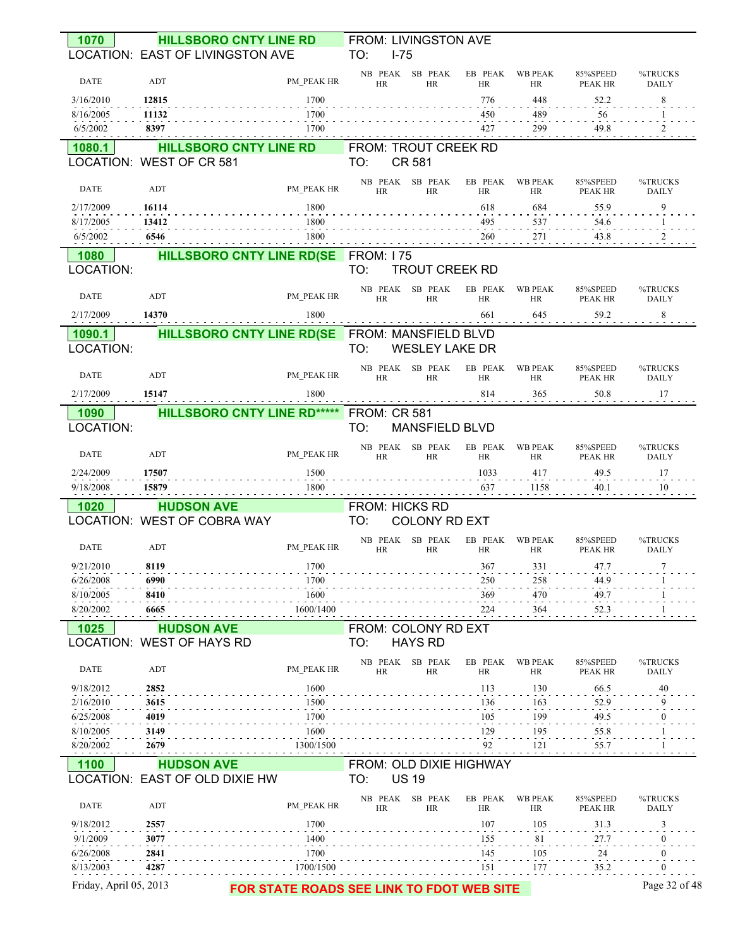| 1070                        | <b>HILLSBORO CNTY LINE RD</b>                  |                                           | FROM: LIVINGSTON AVE         |                       |                       |                      |                     |                         |
|-----------------------------|------------------------------------------------|-------------------------------------------|------------------------------|-----------------------|-----------------------|----------------------|---------------------|-------------------------|
|                             | LOCATION: EAST OF LIVINGSTON AVE               |                                           | TO:<br>$1 - 75$              |                       |                       |                      |                     |                         |
| <b>DATE</b>                 | ADT                                            | PM PEAK HR                                | NB PEAK SB PEAK<br><b>HR</b> | HR                    | EB PEAK WB PEAK<br>HR | HR                   | 85%SPEED<br>PEAK HR | %TRUCKS<br><b>DAILY</b> |
| 3/16/2010                   | 12815                                          | 1700                                      |                              |                       | 776                   | 448                  | 52.2                | 8                       |
| 8/16/2005<br>6/5/2002       | 11132<br>8397                                  | 1700<br>1700                              |                              |                       | 450<br>427            | 489<br>299           | 56<br>49.8          | -1<br>$\frac{2}{2}$     |
| 1080.1                      | <b>HILLSBORO CNTY LINE RD</b>                  |                                           | FROM: TROUT CREEK RD         |                       |                       |                      |                     |                         |
|                             | LOCATION: WEST OF CR 581                       |                                           | TO:                          | CR 581                |                       |                      |                     |                         |
| <b>DATE</b>                 | ADT                                            | PM PEAK HR                                | HR                           | NB PEAK SB PEAK<br>HR | EB PEAK<br>HR         | <b>WB PEAK</b><br>HR | 85%SPEED<br>PEAK HR | %TRUCKS<br><b>DAILY</b> |
| 2/17/2009                   | 16114                                          | 1800                                      |                              |                       | 618                   | 684                  | 55.9                | 9                       |
| 8/17/2005<br>6/5/2002       | 13412<br>6546                                  | 1800<br>1800                              |                              |                       | 495<br>260            | 537<br>271           | 54.6<br>43.8        | 2                       |
| 1080                        | <b>HILLSBORO CNTY LINE RD(SE FROM: 175</b>     |                                           |                              |                       |                       |                      |                     |                         |
| LOCATION:                   |                                                |                                           | TO:                          | <b>TROUT CREEK RD</b> |                       |                      |                     |                         |
| DATE                        | ADT                                            | PM PEAK HR                                | <b>HR</b>                    | NB PEAK SB PEAK<br>HR | EB PEAK<br><b>HR</b>  | <b>WB PEAK</b><br>HR | 85%SPEED<br>PEAK HR | %TRUCKS<br><b>DAILY</b> |
| 2/17/2009                   | 14370                                          | 1800                                      |                              |                       | 661                   | 645                  | 59.2                | 8 <sup>1</sup>          |
| 1090.1<br>LOCATION:         | HILLSBORO CNTY LINE RD(SE FROM: MANSFIELD BLVD |                                           | TO:                          | <b>WESLEY LAKE DR</b> |                       |                      |                     |                         |
| DATE                        | ADT                                            | PM PEAK HR                                | HR                           | NB PEAK SB PEAK<br>HR | EB PEAK<br>HR         | WB PEAK<br>HR        | 85%SPEED<br>PEAK HR | %TRUCKS<br><b>DAILY</b> |
| 2/17/2009                   | 15147                                          | 1800                                      |                              |                       | 814                   | 365                  | 50.8                | 17                      |
| 1090                        | <b>HILLSBORO CNTY LINE RD*****</b>             |                                           | <b>FROM: CR 581</b>          |                       |                       |                      |                     |                         |
| LOCATION:                   |                                                |                                           | TO:                          | <b>MANSFIELD BLVD</b> |                       |                      |                     |                         |
| DATE                        | ADT                                            | PM PEAK HR                                | NB PEAK SB PEAK<br><b>HR</b> | <b>HR</b>             | EB PEAK<br><b>HR</b>  | <b>WB PEAK</b><br>HR | 85%SPEED<br>PEAK HR | %TRUCKS<br><b>DAILY</b> |
| 2/24/2009                   | 17507                                          | 1500                                      |                              |                       | 1033                  | 417                  | 49.5                | 17                      |
| 9/18/2008                   | 15879                                          | 1800                                      |                              |                       | 637                   | 1158                 | 40.1                | 10                      |
| 1020                        | <b>HUDSON AVE</b>                              |                                           | <b>FROM: HICKS RD</b>        |                       |                       |                      |                     |                         |
|                             | LOCATION: WEST OF COBRA WAY                    |                                           | TO:                          | <b>COLONY RD EXT</b>  |                       |                      |                     |                         |
| DATE                        | ADT                                            | PM PEAK HR                                | HR                           | NB PEAK SB PEAK<br>HR | EB PEAK<br>HR         | <b>WB PEAK</b><br>HR | 85%SPEED<br>PEAK HR | %TRUCKS<br><b>DAILY</b> |
| 9/21/2010<br>.<br>6/26/2008 | 8119<br>6990                                   | 1700<br>1700                              |                              |                       | 367<br>250            | 331<br>258           | 47.7<br>44.9        | $\tau$                  |
| 8/10/2005                   | 8410                                           | 1600                                      |                              |                       | 369                   | 470                  | 49.7                |                         |
| 8/20/2002                   | 6665                                           | 1600/1400                                 |                              |                       | 224                   | 364                  | 52.3                |                         |
| 1025                        | <b>HUDSON AVE</b>                              |                                           | FROM: COLONY RD EXT          |                       |                       |                      |                     |                         |
|                             | LOCATION: WEST OF HAYS RD                      |                                           | TO:                          | <b>HAYS RD</b>        |                       |                      |                     |                         |
| DATE                        | ADT                                            | PM PEAK HR                                | <b>HR</b>                    | NB PEAK SB PEAK<br>HR | EB PEAK<br>HR         | WB PEAK<br>HR        | 85%SPEED<br>PEAK HR | %TRUCKS<br><b>DAILY</b> |
| 9/18/2012                   | 2852                                           | 1600                                      |                              |                       | 113                   | 130                  | 66.5                | 40                      |
| 2/16/2010<br>6/25/2008      | 3615<br>4019                                   | 1500<br>1700                              |                              |                       | 136<br>105            | 163<br>199           | 52.9<br>49.5        |                         |
| 8/10/2005                   | 3149                                           | 1600                                      |                              |                       | 129                   | 195                  | 55.8                |                         |
| 8/20/2002                   | 2679                                           | 1300/1500                                 |                              |                       | 92                    | 121                  | 55.7                |                         |
| 1100                        | <b>HUDSON AVE</b>                              |                                           | FROM: OLD DIXIE HIGHWAY      |                       |                       |                      |                     |                         |
|                             | LOCATION: EAST OF OLD DIXIE HW                 |                                           | TO:                          | <b>US 19</b>          |                       |                      |                     |                         |
| DATE                        | ADT                                            | PM PEAK HR                                | NB PEAK SB PEAK<br><b>HR</b> | <b>HR</b>             | EB PEAK<br>HR         | WB PEAK<br>HR        | 85%SPEED<br>PEAK HR | %TRUCKS<br><b>DAILY</b> |
| 9/18/2012                   | 2557                                           | 1700                                      |                              |                       | 107                   | 105                  | 31.3                |                         |
| 9/1/2009                    | 3077                                           | 1400                                      |                              |                       | 155                   | 81                   | 27.7                |                         |
| 6/26/2008                   | 2841                                           | 1700                                      |                              |                       | 145                   | 105                  | 24                  |                         |
| 8/13/2003                   | 4287                                           | 1700/1500                                 |                              |                       | 151                   | 177                  | 35.2                | 0                       |
| Friday, April 05, 2013      |                                                | FOR STATE ROADS SEE LINK TO FDOT WEB SITE |                              |                       |                       |                      |                     | Page 32 of 48           |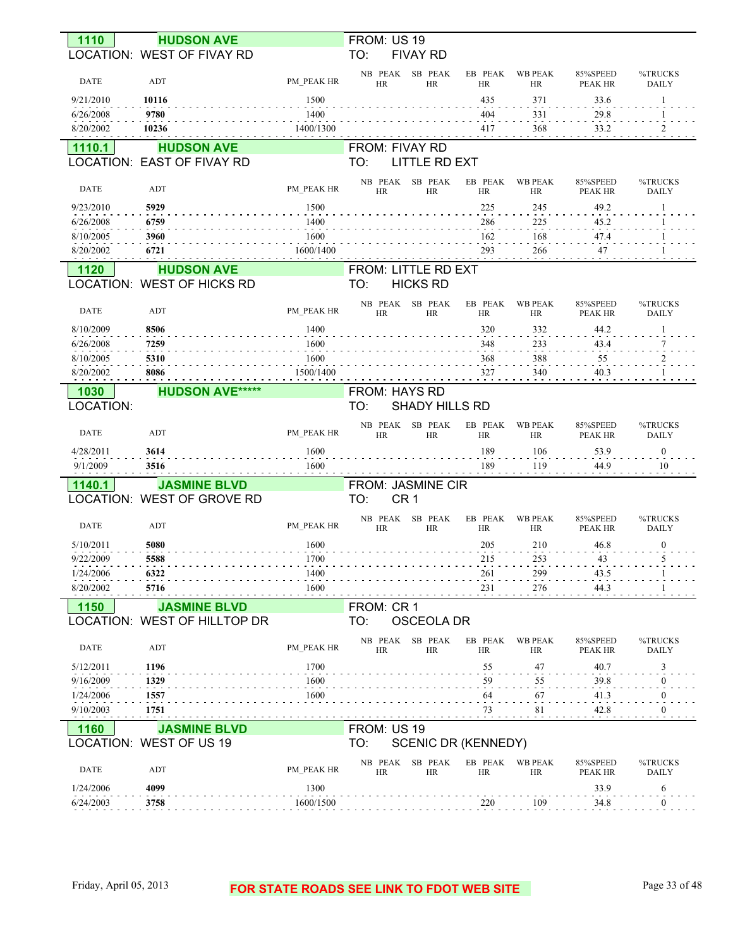| 1110        | <b>HUDSON AVE</b>                                      |            | FROM: US 19                                   |                      |                             |                            |                         |
|-------------|--------------------------------------------------------|------------|-----------------------------------------------|----------------------|-----------------------------|----------------------------|-------------------------|
|             | <b>LOCATION: WEST OF FIVAY RD</b>                      |            | TO:<br><b>FIVAY RD</b>                        |                      |                             |                            |                         |
| <b>DATE</b> | ADT                                                    | PM PEAK HR | NB PEAK SB PEAK<br><b>HR</b><br><b>HR</b>     | EB PEAK<br><b>HR</b> | <b>WB PEAK</b><br><b>HR</b> | 85%SPEED<br>PEAK HR        | %TRUCKS<br><b>DAILY</b> |
| 9/21/2010   | 10116                                                  | 1500       |                                               | 435                  | 371                         | 33.6                       | 1                       |
| 6/26/2008   | 9780                                                   | 1400       |                                               | 404                  | 331                         | 29.8                       |                         |
| 8/20/2002   | 10236                                                  | 1400/1300  |                                               | 417                  | 368                         | 33.2                       | $\overline{2}$          |
| 1110.1      | <b>HUDSON AVE</b>                                      |            | <b>FROM: FIVAY RD</b>                         |                      |                             |                            |                         |
|             | <b>LOCATION: EAST OF FIVAY RD</b>                      |            | TO:<br><b>LITTLE RD EXT</b>                   |                      |                             |                            |                         |
| <b>DATE</b> | ADT                                                    | PM PEAK HR | NB PEAK<br>SB PEAK<br><b>HR</b><br><b>HR</b>  | EB PEAK<br><b>HR</b> | <b>WB PEAK</b><br><b>HR</b> | 85%SPEED<br>PEAK HR        | %TRUCKS<br><b>DAILY</b> |
| 9/23/2010   | 5929                                                   | 1500       |                                               | 225                  | 245                         | 49.2                       |                         |
| 6/26/2008   | 6759                                                   | 1400       |                                               | 286                  | 225                         | 45.2                       |                         |
| 8/10/2005   | 3960                                                   | 1600       |                                               | 162                  | 168                         | 47.4                       |                         |
| 8/20/2002   | 6721                                                   | 1600/1400  |                                               | 293                  | 266                         | 47                         |                         |
| 1120        | <b>HUDSON AVE</b><br><b>LOCATION: WEST OF HICKS RD</b> |            | FROM: LITTLE RD EXT<br><b>HICKS RD</b><br>TO: |                      |                             |                            |                         |
| <b>DATE</b> | ADT                                                    | PM PEAK HR | NB PEAK<br>SB PEAK<br><b>HR</b><br><b>HR</b>  | EB PEAK<br><b>HR</b> | <b>WB PEAK</b><br><b>HR</b> | 85%SPEED<br><b>PEAK HR</b> | %TRUCKS<br><b>DAILY</b> |
| 8/10/2009   | 8506                                                   | 1400       |                                               | 320                  | 332                         | 44.2                       |                         |
| 6/26/2008   | 7259                                                   | 1600       |                                               | 348                  | 233                         | 43.4                       | 7                       |
| 8/10/2005   | 5310                                                   | 1600       |                                               | 368                  | 388                         | 55                         | $\overline{a}$          |
| 8/20/2002   | 8086                                                   | 1500/1400  |                                               | 327                  | 340                         | 40.3                       |                         |
| 1030        | <b>HUDSON AVE*****</b>                                 |            | <b>FROM: HAYS RD</b>                          |                      |                             |                            |                         |
| LOCATION:   |                                                        |            | TO:<br>SHADY HILLS RD                         |                      |                             |                            |                         |
|             |                                                        |            | NB PEAK<br>SB PEAK                            | EB PEAK              | <b>WB PEAK</b>              | 85%SPEED                   | %TRUCKS                 |
| <b>DATE</b> | ADT                                                    | PM PEAK HR | <b>HR</b><br><b>HR</b>                        | <b>HR</b>            | <b>HR</b>                   | PEAK HR                    | <b>DAILY</b>            |
| 4/28/2011   | 3614                                                   | 1600       |                                               | 189                  | 106                         | 53.9                       | $\boldsymbol{0}$        |
| 9/1/2009    | 3516                                                   | 1600       |                                               | 189                  | 119                         | 44.9                       | 10                      |
| 1140.1      | <b>JASMINE BLVD</b>                                    |            | FROM: JASMINE CIR                             |                      |                             |                            |                         |
|             | LOCATION: WEST OF GROVE RD                             |            | CR <sub>1</sub><br>TO:                        |                      |                             |                            |                         |
| <b>DATE</b> | ADT                                                    | PM PEAK HR | NB PEAK SB PEAK<br><b>HR</b><br><b>HR</b>     | EB PEAK<br><b>HR</b> | <b>WB PEAK</b><br><b>HR</b> | 85%SPEED<br>PEAK HR        | %TRUCKS<br><b>DAILY</b> |
| 5/10/2011   | 5080                                                   | 1600       |                                               | 205                  | 210                         | 46.8                       | $\boldsymbol{0}$        |
| 9/22/2009   | 5588                                                   | 1700       |                                               | 215                  | 253                         | 43                         | 5                       |
| 1/24/2006   | 6322                                                   | 1400       |                                               | 261                  | 299                         | 43.5                       |                         |
| 8/20/2002   | 5716                                                   | 1600       |                                               | 231                  | 276                         | 44.3                       |                         |
| 1150        | <b>JASMINE BLVD</b>                                    |            | FROM: CR 1                                    |                      |                             |                            |                         |
|             | LOCATION: WEST OF HILLTOP DR                           |            | TO:<br><b>OSCEOLA DR</b>                      |                      |                             |                            |                         |
| DATE        | ADT                                                    | PM PEAK HR | NB PEAK SB PEAK<br><b>HR</b><br><b>HR</b>     | EB PEAK<br><b>HR</b> | <b>WB PEAK</b><br><b>HR</b> | 85%SPEED<br>PEAK HR        | %TRUCKS<br>DAILY        |
| 5/12/2011   | 1196                                                   | 1700       |                                               | 55                   | 47                          | 40.7                       | 3                       |
| 9/16/2009   | 1329                                                   | 1600       |                                               | 59                   | 55                          | 39.8                       | 0                       |
| 1/24/2006   | 1557                                                   | 1600       |                                               | 64                   | 67                          | 41.3                       | $\bf{0}$                |
| 9/10/2003   | 1751                                                   |            |                                               | 73                   | 81                          | 42.8                       | $\boldsymbol{0}$        |
| 1160        | <b>JASMINE BLVD</b>                                    |            | FROM: US 19                                   |                      |                             |                            |                         |
|             | LOCATION: WEST OF US 19                                |            | TO:<br><b>SCENIC DR (KENNEDY)</b>             |                      |                             |                            |                         |
| <b>DATE</b> | ADT                                                    | PM PEAK HR | NB PEAK SB PEAK<br>HR<br>HR                   | EB PEAK<br>HR        | <b>WB PEAK</b><br>HR        | 85%SPEED<br>PEAK HR        | %TRUCKS<br><b>DAILY</b> |
| 1/24/2006   | 4099                                                   | 1300       |                                               |                      |                             | 33.9                       | 6                       |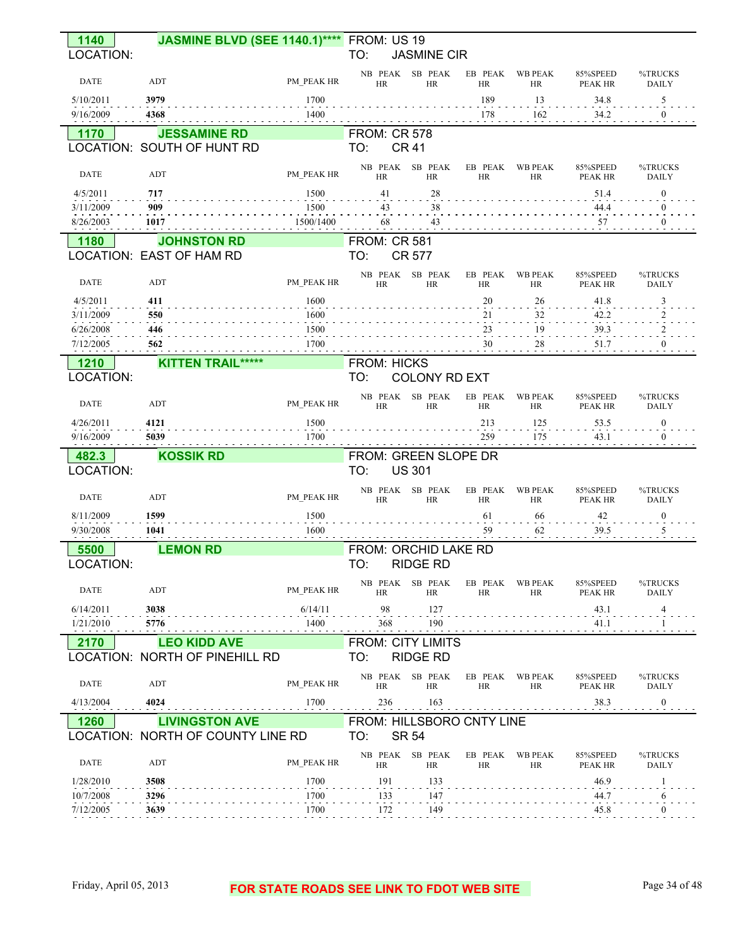| 1140                   | <b>JASMINE BLVD (SEE 1140.1)****</b> FROM: US 19 |              |                              |                              |                      |                             |                     |                         |
|------------------------|--------------------------------------------------|--------------|------------------------------|------------------------------|----------------------|-----------------------------|---------------------|-------------------------|
| LOCATION:              |                                                  |              | TO:                          | <b>JASMINE CIR</b>           |                      |                             |                     |                         |
| <b>DATE</b>            | ADT                                              | PM PEAK HR   | NB PEAK SB PEAK<br>HR        | <b>HR</b>                    | EB PEAK<br>HR        | WB PEAK<br>HR               | 85%SPEED<br>PEAK HR | %TRUCKS<br><b>DAILY</b> |
| 5/10/2011              | 3979                                             | 1700         |                              |                              | 189                  | 13                          | 34.8                | 5                       |
| 9/16/2009              | 4368                                             | 1400         |                              |                              | 178                  | 162                         | 34.2                | $\mathbf{0}$            |
| 1170                   | <b>JESSAMINE RD</b>                              |              | <b>FROM: CR 578</b>          |                              |                      |                             |                     |                         |
|                        | LOCATION: SOUTH OF HUNT RD                       |              | TO:                          | <b>CR 41</b>                 |                      |                             |                     |                         |
| <b>DATE</b>            | ADT                                              | PM PEAK HR   | NB PEAK SB PEAK<br>HR        | <b>HR</b>                    | EB PEAK<br>HR        | <b>WB PEAK</b><br>HR        | 85%SPEED<br>PEAK HR | %TRUCKS<br><b>DAILY</b> |
| 4/5/2011               | 717                                              | 1500         | 41                           | 28                           |                      |                             | 51.4                | $\mathbf{0}$            |
| 3/11/2009              | 909                                              | 1500         | 43                           | 38                           |                      |                             | 44.4                |                         |
| 8/26/2003              | 1017                                             | 1500/1400    | 68                           | 43                           |                      |                             | 57                  | $\theta$                |
| 1180                   | <b>JOHNSTON RD</b>                               |              | <b>FROM: CR 581</b>          |                              |                      |                             |                     |                         |
|                        | LOCATION: EAST OF HAM RD                         |              | TO:                          | <b>CR 577</b>                |                      |                             |                     |                         |
| <b>DATE</b>            | ADT                                              | PM PEAK HR   | NB PEAK SB PEAK<br><b>HR</b> | <b>HR</b>                    | EB PEAK<br><b>HR</b> | <b>WB PEAK</b><br>HR        | 85%SPEED<br>PEAK HR | %TRUCKS<br><b>DAILY</b> |
| 4/5/2011               | 411                                              | 1600         |                              |                              | 20                   | 26                          | 41.8                | 3                       |
| 3/11/2009              | 550                                              | 1600         |                              |                              | 21                   | 32                          | 42.2                |                         |
| 6/26/2008              | 446                                              | 1500         |                              |                              | 23                   | 19                          | <b>39.3</b>         |                         |
| 7/12/2005              | 562                                              | 1700         |                              |                              | 30                   | 28                          | 51.7                |                         |
| 1210                   | <b>KITTEN TRAIL*****</b>                         |              | <b>FROM: HICKS</b>           |                              |                      |                             |                     |                         |
| LOCATION:              |                                                  |              | TO:                          | <b>COLONY RD EXT</b>         |                      |                             |                     |                         |
| <b>DATE</b>            | ADT                                              | PM PEAK HR   | <b>HR</b>                    | NB PEAK SB PEAK<br><b>HR</b> | EB PEAK<br>HR        | <b>WB PEAK</b><br>HR        | 85%SPEED<br>PEAK HR | %TRUCKS<br><b>DAILY</b> |
| 4/26/2011              | 4121                                             | 1500         |                              |                              | 213                  | 125                         | 53.5                | $\bf{0}$                |
|                        |                                                  |              |                              |                              |                      |                             |                     |                         |
| 9/16/2009              | 5039                                             | 1700         |                              |                              | 259                  | 175                         | 43.1                | $\theta$                |
| 482.3                  | <b>KOSSIK RD</b>                                 |              | FROM: GREEN SLOPE DR         |                              |                      |                             |                     |                         |
| LOCATION:              |                                                  |              | TO:                          | <b>US 301</b>                |                      |                             |                     |                         |
| <b>DATE</b>            | ADT                                              | PM PEAK HR   | NB PEAK SB PEAK<br>HR        | <b>HR</b>                    | EB PEAK<br><b>HR</b> | <b>WB PEAK</b><br><b>HR</b> | 85%SPEED<br>PEAK HR | %TRUCKS<br><b>DAILY</b> |
| 8/11/2009              | 1599                                             | 1500         |                              |                              | 61                   | 66                          | 42                  | $\bf{0}$                |
| 9/30/2008              | 1041                                             | 1600         |                              |                              | 59                   | 62                          | 39.5                |                         |
| 5500                   | <b>LEMON RD</b>                                  |              | FROM: ORCHID LAKE RD         |                              |                      |                             |                     |                         |
| LOCATION:              |                                                  |              | TO:                          | <b>RIDGE RD</b>              |                      |                             |                     |                         |
| <b>DATE</b>            | ADT                                              | PM PEAK HR   | NB PEAK SB PEAK<br><b>HR</b> | HR                           | EB PEAK<br>HR        | <b>WB PEAK</b><br>HR        | 85%SPEED<br>PEAK HR | %TRUCKS<br>DAILY        |
| 6/14/2011              | 3038                                             | 6/14/11      | 98                           | 127                          |                      |                             | 43.1                | 4                       |
| 1/21/2010              | 5776                                             | 1400         | 368                          | 190                          |                      |                             | 41.1                |                         |
| 2170                   | <b>LEO KIDD AVE</b>                              |              | <b>FROM: CITY LIMITS</b>     |                              |                      |                             |                     |                         |
|                        | LOCATION: NORTH OF PINEHILL RD                   |              | TO:                          | <b>RIDGE RD</b>              |                      |                             |                     |                         |
| <b>DATE</b>            | ADT                                              | PM PEAK HR   | NB PEAK SB PEAK<br>HR        | HR                           | EB PEAK<br>HR        | WB PEAK<br>HR               | 85%SPEED<br>PEAK HR | %TRUCKS<br><b>DAILY</b> |
| 4/13/2004              | 4024                                             | 1700         | 236                          | 163                          |                      |                             | 38.3                | $\theta$                |
| 1260                   | <b>LIVINGSTON AVE</b>                            |              | FROM: HILLSBORO CNTY LINE    |                              |                      |                             |                     |                         |
|                        | LOCATION: NORTH OF COUNTY LINE RD                |              | TO:                          | <b>SR 54</b>                 |                      |                             |                     |                         |
| <b>DATE</b>            | ADT                                              | PM PEAK HR   | NB PEAK SB PEAK<br>HR        | <b>HR</b>                    | EB PEAK<br>HR        | <b>WB PEAK</b><br>HR        | 85%SPEED<br>PEAK HR | %TRUCKS<br><b>DAILY</b> |
| 1/28/2010              | 3508                                             | 1700         | 191                          | 133                          |                      |                             | 46.9                |                         |
| 10/7/2008<br>7/12/2005 | 3296<br>3639                                     | 1700<br>1700 | 133<br>172                   | 147<br>149                   |                      |                             | 44.7<br>45.8        | 6<br>$\Omega$           |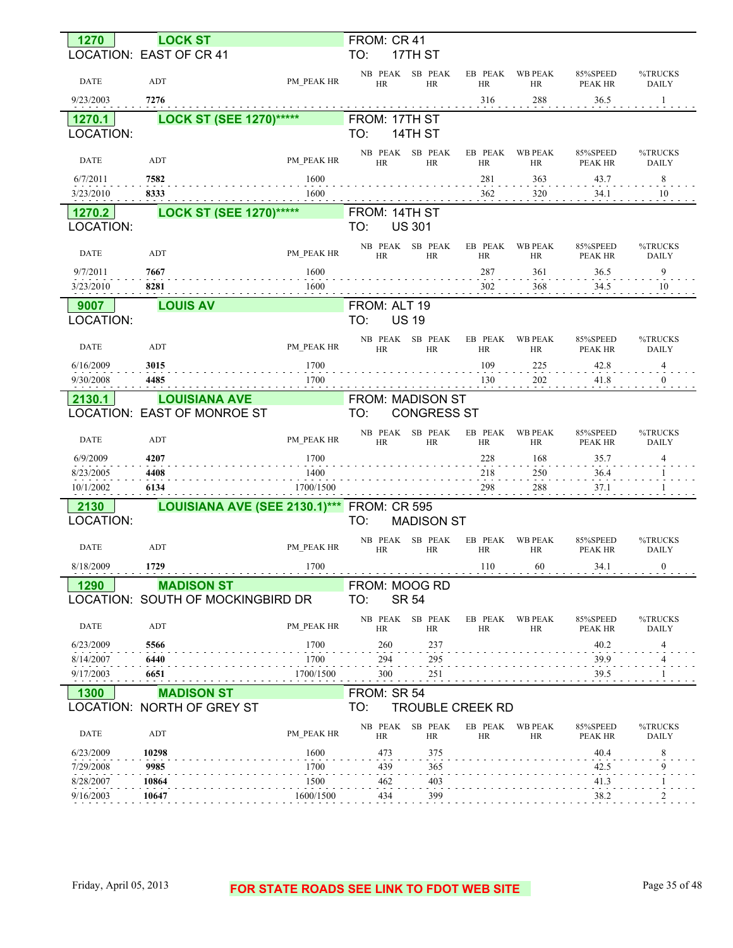| 1270        | <b>LOCK ST</b>                    |            | FROM: CR 41                  |                      |                         |                             |                            |                         |
|-------------|-----------------------------------|------------|------------------------------|----------------------|-------------------------|-----------------------------|----------------------------|-------------------------|
|             | LOCATION: EAST OF CR 41           |            | TO:                          | 17TH ST              |                         |                             |                            |                         |
| <b>DATE</b> | ADT                               | PM PEAK HR | NB PEAK<br><b>HR</b>         | SB PEAK<br><b>HR</b> | EB PEAK<br>HR           | <b>WB PEAK</b><br>HR        | 85%SPEED<br><b>PEAK HR</b> | %TRUCKS<br><b>DAILY</b> |
| 9/23/2003   | 7276                              |            |                              |                      | 316                     | 288                         | 36.5                       | 1                       |
| 1270.1      | <b>LOCK ST (SEE 1270)*****</b>    |            | FROM: 17TH ST                |                      |                         |                             |                            |                         |
| LOCATION:   |                                   |            | TO:                          | 14TH ST              |                         |                             |                            |                         |
|             |                                   |            | NB PEAK                      | SB PEAK              | EB PEAK                 | <b>WB PEAK</b>              | 85%SPEED                   | %TRUCKS                 |
| <b>DATE</b> | ADT                               | PM PEAK HR | <b>HR</b>                    | HR                   | HR                      | HR                          | PEAK HR                    | <b>DAILY</b>            |
| 6/7/2011    | 7582                              | 1600       |                              |                      | 281                     | 363                         | 43.7                       | 8                       |
| 3/23/2010   | 8333                              | 1600       |                              |                      | 362                     | 320                         | 34.1                       | 10                      |
| 1270.2      | <b>LOCK ST (SEE 1270)*****</b>    |            | FROM: 14TH ST                |                      |                         |                             |                            |                         |
| LOCATION:   |                                   |            | TO:                          | <b>US 301</b>        |                         |                             |                            |                         |
|             |                                   |            | NB PEAK                      | SB PEAK              | EB PEAK                 | <b>WB PEAK</b>              | 85%SPEED                   | %TRUCKS                 |
| <b>DATE</b> | ADT                               | PM PEAK HR | <b>HR</b>                    | <b>HR</b>            | <b>HR</b>               | HR                          | <b>PEAK HR</b>             | <b>DAILY</b>            |
| 9/7/2011    | 7667                              | 1600       |                              |                      | 287                     | 361                         | 36.5                       | 9                       |
| 3/23/2010   | 8281                              | 1600       |                              |                      | 302                     | 368                         | 34.5                       | 10                      |
| 9007        | <b>LOUIS AV</b>                   |            | FROM: ALT 19                 |                      |                         |                             |                            |                         |
| LOCATION:   |                                   |            | TO:                          | <b>US 19</b>         |                         |                             |                            |                         |
|             |                                   |            | NB PEAK                      | SB PEAK              | EB PEAK                 | <b>WB PEAK</b>              | 85%SPEED                   | %TRUCKS                 |
| <b>DATE</b> | ADT                               | PM PEAK HR | <b>HR</b>                    | <b>HR</b>            | HR                      | HR                          | PEAK HR                    | <b>DAILY</b>            |
| 6/16/2009   | 3015                              | 1700       |                              |                      | 109                     | 225                         | 42.8                       | 4                       |
| 9/30/2008   | 4485                              | 1700       |                              |                      | 130                     | 202                         | 41.8                       | $\mathbf{0}$            |
| 2130.1      | <b>LOUISIANA AVE</b>              |            | <b>FROM: MADISON ST</b>      |                      |                         |                             |                            |                         |
|             | LOCATION: EAST OF MONROE ST       |            | TO:                          | <b>CONGRESS ST</b>   |                         |                             |                            |                         |
| <b>DATE</b> | ADT                               | PM PEAK HR | NB PEAK<br><b>HR</b>         | SB PEAK<br><b>HR</b> | EB PEAK<br>HR           | <b>WB PEAK</b><br><b>HR</b> | 85%SPEED<br><b>PEAK HR</b> | %TRUCKS<br><b>DAILY</b> |
| 6/9/2009    | 4207                              | 1700       |                              |                      | 228                     | 168                         | 35.7                       | 4                       |
| 8/23/2005   | 4408                              | 1400       |                              |                      | 218                     | 250                         | 36.4                       |                         |
| 10/1/2002   | 6134                              | 1700/1500  |                              |                      | 298                     | 288                         | 37.1                       |                         |
| 2130        | LOUISIANA AVE (SEE 2130.1)***     |            | <b>FROM: CR 595</b>          |                      |                         |                             |                            |                         |
| LOCATION:   |                                   |            | TO:                          | <b>MADISON ST</b>    |                         |                             |                            |                         |
|             |                                   |            | NB PEAK                      | SB PEAK              | EB PEAK                 | <b>WB PEAK</b>              | 85%SPEED                   | %TRUCKS                 |
| <b>DATE</b> | <b>ADT</b>                        | PM PEAK HR | <b>HR</b>                    | <b>HR</b>            | HR                      | <b>HR</b>                   | PEAK HR                    | <b>DAILY</b>            |
| 8/18/2009   | 1729                              | 1700       |                              |                      | 110                     | 60                          | 34.1                       | $\boldsymbol{0}$        |
| 1290        | <b>MADISON ST</b>                 |            | FROM: MOOG RD                |                      |                         |                             |                            |                         |
|             | LOCATION: SOUTH OF MOCKINGBIRD DR |            | TO:                          | <b>SR 54</b>         |                         |                             |                            |                         |
| <b>DATE</b> | ADT                               | PM PEAK HR | NB PEAK SB PEAK<br><b>HR</b> | HR                   | EB PEAK<br><b>HR</b>    | <b>WB PEAK</b><br>HR        | 85%SPEED<br>PEAK HR        | %TRUCKS<br><b>DAILY</b> |
| 6/23/2009   | 5566                              | 1700       | 260                          | 237                  |                         |                             | 40.2                       | 4                       |
| 8/14/2007   | 6440                              | 1700       | 294                          | 295                  |                         |                             | 39.9                       | 4                       |
| 9/17/2003   | 6651                              | 1700/1500  | 300                          | $^{251}$             |                         |                             | 39.5                       |                         |
| 1300        | <b>MADISON ST</b>                 |            | FROM: SR 54                  |                      |                         |                             |                            |                         |
|             | <b>LOCATION: NORTH OF GREY ST</b> |            | TO:                          |                      | <b>TROUBLE CREEK RD</b> |                             |                            |                         |
| <b>DATE</b> | ADT                               | PM PEAK HR | NB PEAK<br>HR                | SB PEAK<br>HR        | EB PEAK<br>HR           | <b>WB PEAK</b><br><b>HR</b> | 85%SPEED<br>PEAK HR        | %TRUCKS<br>DAILY        |
| 6/23/2009   | 10298                             | 1600       | 473                          | 375                  |                         |                             | 40.4                       | 8                       |
| 7/29/2008   | 9985                              | 1700       | 439                          | 365                  |                         |                             | 42.5                       | 9                       |
| 8/28/2007   | 10864                             | 1500       | 462                          | 403                  |                         |                             | 41.3                       |                         |
| 9/16/2003   | 10647                             | 1600/1500  | 434                          | 399                  |                         |                             | 38.2                       |                         |
|             |                                   |            |                              |                      |                         |                             |                            |                         |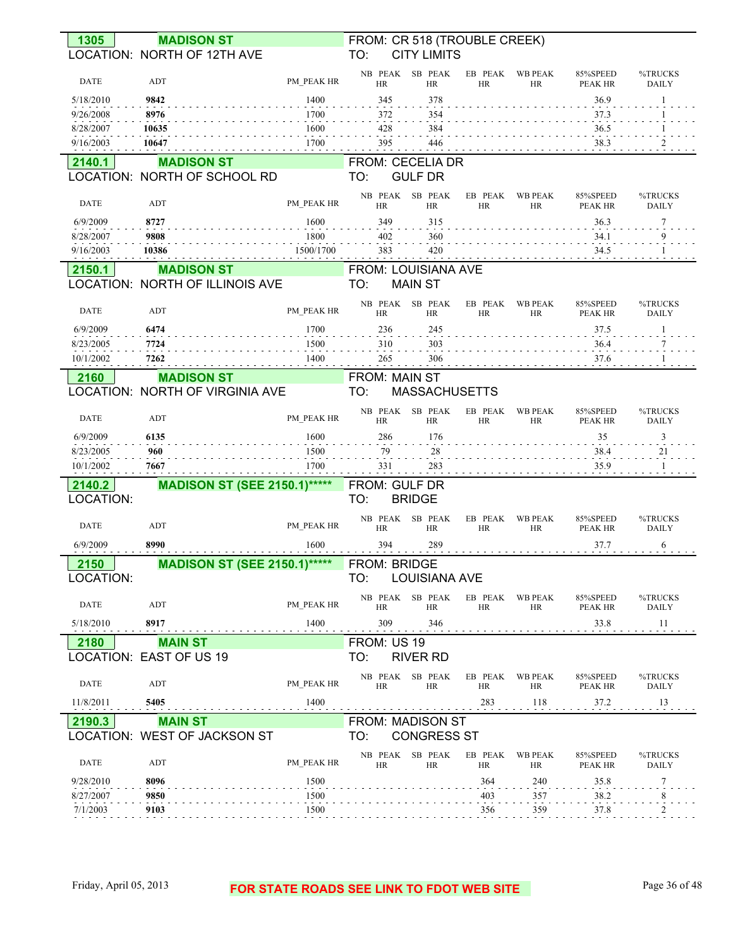| 1305                  | <b>MADISON ST</b>                   |              |                      | FROM: CR 518 (TROUBLE CREEK) |                      |                      |                            |                         |
|-----------------------|-------------------------------------|--------------|----------------------|------------------------------|----------------------|----------------------|----------------------------|-------------------------|
|                       | LOCATION: NORTH OF 12TH AVE         |              | TO:                  | <b>CITY LIMITS</b>           |                      |                      |                            |                         |
| <b>DATE</b>           | ADT                                 | PM_PEAK HR   | NB PEAK<br><b>HR</b> | SB PEAK<br>HR                | EB PEAK<br><b>HR</b> | <b>WB PEAK</b><br>HR | 85%SPEED<br>PEAK HR        | %TRUCKS<br><b>DAILY</b> |
| 5/18/2010             | 9842                                | 1400         | 345                  | 378                          |                      |                      | 36.9                       | -1                      |
| 9/26/2008             | 8976                                | 1700         | 372                  | 354                          |                      |                      | 37.3                       |                         |
| 8/28/2007             | 10635                               | 1600         | 428                  | 384                          |                      |                      | 36.5                       |                         |
| 9/16/2003             | 10647                               | 1700         | 395                  | 446                          |                      |                      | 38.3                       | 2                       |
| 2140.1                | <b>MADISON ST</b>                   |              |                      | FROM: CECELIA DR             |                      |                      |                            |                         |
|                       | LOCATION: NORTH OF SCHOOL RD        |              | TO:                  | <b>GULF DR</b>               |                      |                      |                            |                         |
| <b>DATE</b>           | ADT                                 | PM_PEAK HR   | HR                   | NB PEAK SB PEAK<br>HR        | EB PEAK<br>HR        | <b>WB PEAK</b><br>HR | 85%SPEED<br>PEAK HR        | %TRUCKS<br><b>DAILY</b> |
| 6/9/2009              | 8727                                | 1600         | 349                  | 315                          |                      |                      | 36.3                       | 7                       |
| 8/28/2007             | 9808                                | 1800         | 402                  | 360                          |                      |                      | 34.1                       | 9                       |
| 9/16/2003             | 10386                               | 1500/1700    | 383                  | 420                          |                      |                      | 34.5                       |                         |
| 2150.1                | <b>MADISON ST</b>                   |              |                      | FROM: LOUISIANA AVE          |                      |                      |                            |                         |
|                       | LOCATION: NORTH OF ILLINOIS AVE     |              | TO:                  | <b>MAIN ST</b>               |                      |                      |                            |                         |
| <b>DATE</b>           | ADT                                 | PM PEAK HR   | <b>HR</b>            | NB PEAK SB PEAK<br><b>HR</b> | EB PEAK<br><b>HR</b> | <b>WB PEAK</b><br>HR | 85%SPEED<br><b>PEAK HR</b> | %TRUCKS<br><b>DAILY</b> |
| 6/9/2009              | 6474                                | 1700         | 236                  | 245                          |                      |                      | 37.5                       | 1                       |
| 8/23/2005             | 7724                                | 1500         | 310                  | 303                          |                      |                      | 36.4                       | 7                       |
| 10/1/2002             | 7262                                | 1400         | 265                  | 306                          |                      |                      | 37.6                       |                         |
| 2160                  | <b>MADISON ST</b>                   |              | <b>FROM: MAIN ST</b> |                              |                      |                      |                            |                         |
|                       | LOCATION: NORTH OF VIRGINIA AVE     |              | TO:                  | <b>MASSACHUSETTS</b>         |                      |                      |                            |                         |
| <b>DATE</b>           | ADT                                 | PM PEAK HR   | HR                   | NB PEAK SB PEAK<br><b>HR</b> | EB PEAK<br><b>HR</b> | <b>WB PEAK</b><br>HR | 85%SPEED<br>PEAK HR        | %TRUCKS<br><b>DAILY</b> |
|                       |                                     |              |                      |                              |                      |                      |                            |                         |
| 6/9/2009              | 6135                                | 1600         | 286                  | 176                          |                      |                      | 35                         | 3                       |
| 8/23/2005             | 960                                 | 1500         | 79                   | 28                           |                      |                      | 38.4                       | 21                      |
| 10/1/2002<br>.        | 7667                                | 1700         | 331                  | 283                          |                      |                      | 35.9                       |                         |
| 2140.2                | <b>MADISON ST (SEE 2150.1)*****</b> |              | FROM: GULF DR        |                              |                      |                      |                            |                         |
| LOCATION:             |                                     |              | TO:                  | <b>BRIDGE</b>                |                      |                      |                            |                         |
|                       |                                     |              |                      | NB PEAK SB PEAK              | EB PEAK              | <b>WB PEAK</b>       | 85%SPEED                   | %TRUCKS                 |
| DATE                  | ADT                                 | PM PEAK HR   | <b>HR</b>            | HR                           | <b>HR</b>            | HR                   | PEAK HR                    | <b>DAILY</b>            |
| 6/9/2009              | 8990                                | 1600         | 394                  | 289                          |                      |                      | 37.7                       | 6                       |
| 2150                  | <b>MADISON ST (SEE 2150.1)*****</b> |              | FROM: BRIDGE         |                              |                      |                      |                            |                         |
| LOCATION:             |                                     |              | TO:                  | LOUISIANA AVE                |                      |                      |                            |                         |
| DATE                  | ADT                                 | PM PEAK HR   | NB PEAK<br>HR        | SB PEAK<br>HR                | EB PEAK<br><b>HR</b> | <b>WB PEAK</b><br>HR | 85%SPEED<br>PEAK HR        | %TRUCKS<br><b>DAILY</b> |
| 5/18/2010             | 8917                                | 1400         | 309                  | 346                          |                      |                      | 33.8                       | 11                      |
| 2180                  | <b>MAIN ST</b>                      |              | FROM: US 19          |                              |                      |                      |                            |                         |
|                       | LOCATION: EAST OF US 19             |              | TO:                  | <b>RIVER RD</b>              |                      |                      |                            |                         |
| DATE                  | ADT                                 | PM PEAK HR   | NB PEAK<br>HR        | SB PEAK<br>HR                | EB PEAK<br><b>HR</b> | <b>WB PEAK</b><br>HR | 85%SPEED<br>PEAK HR        | %TRUCKS<br><b>DAILY</b> |
| 11/8/2011             | 5405                                | 1400         |                      |                              | 283                  | 118                  | 37.2                       | 13                      |
| 2190.3                | <b>MAIN ST</b>                      |              |                      | <b>FROM: MADISON ST</b>      |                      |                      |                            |                         |
|                       | LOCATION: WEST OF JACKSON ST        |              | TO:                  | <b>CONGRESS ST</b>           |                      |                      |                            |                         |
|                       |                                     |              |                      | NB PEAK SB PEAK              | EB PEAK              | <b>WB PEAK</b>       | 85%SPEED                   | %TRUCKS                 |
| DATE                  | ADT                                 | PM PEAK HR   | HR                   | HR                           | <b>HR</b>            | HR                   | PEAK HR                    | <b>DAILY</b>            |
| 9/28/2010             | 8096                                | 1500         |                      |                              | 364                  | 240                  | 35.8                       | 7                       |
| 8/27/2007<br>7/1/2003 | 9850<br>9103                        | 1500<br>1500 |                      |                              | 403<br>356           | 357<br>359           | 38.2<br>37.8               | 8                       |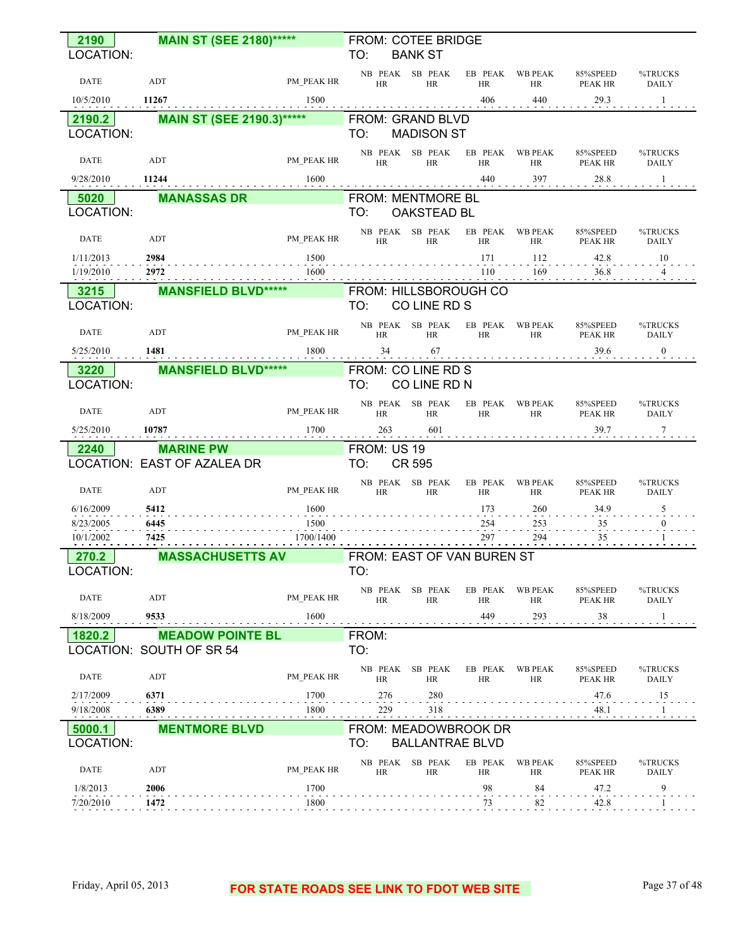| 2190                     | <b>MAIN ST (SEE 2180)*****</b>                      |            | FROM: COTEE BRIDGE                                    |                              |               |                     |                         |
|--------------------------|-----------------------------------------------------|------------|-------------------------------------------------------|------------------------------|---------------|---------------------|-------------------------|
| LOCATION:                |                                                     |            | TO:<br><b>BANK ST</b>                                 |                              |               |                     |                         |
| <b>DATE</b>              | ADT                                                 | PM PEAK HR | NB PEAK SB PEAK<br><b>HR</b><br>HR                    | EB PEAK WB PEAK<br>HR        | HR            | 85%SPEED<br>PEAK HR | %TRUCKS<br><b>DAILY</b> |
| 10/5/2010                | 11267                                               | 1500       |                                                       | 406                          | 440           | 29.3                | $\mathbf{1}$            |
| 2190.2                   | <b>MAIN ST (SEE 2190.3)*****</b>                    |            | FROM: GRAND BLVD                                      |                              |               |                     |                         |
| LOCATION:                |                                                     |            | <b>MADISON ST</b><br>TO:                              |                              |               |                     |                         |
| DATE                     | ADT                                                 | PM PEAK HR | NB PEAK SB PEAK<br><b>HR</b><br>HR                    | EB PEAK WB PEAK<br>HR        | HR            | 85%SPEED<br>PEAK HR | %TRUCKS<br><b>DAILY</b> |
| 9/28/2010                | 11244                                               | 1600       |                                                       | 440                          | 397           | 28.8                | -1                      |
| 5020                     | <b>MANASSAS DR</b>                                  |            | <b>FROM: MENTMORE BL</b>                              |                              |               |                     |                         |
| LOCATION:                |                                                     |            | OAKSTEAD BL<br>TO:                                    |                              |               |                     |                         |
| <b>DATE</b>              | ADT                                                 | PM PEAK HR | NB PEAK SB PEAK<br><b>HR</b><br>HR                    | EB PEAK<br><b>HR</b>         | WB PEAK<br>HR | 85%SPEED<br>PEAK HR | %TRUCKS<br>DAILY        |
| 1/11/2013                | 2984                                                | 1500       |                                                       | 171                          | 112           | 42.8                | 10                      |
| 1/19/2010                | 2972                                                | 1600       |                                                       | 110                          | 169           | 36.8                | $\overline{4}$          |
| 3215                     | <b>MANSFIELD BLVD*****</b>                          |            | FROM: HILLSBOROUGH CO                                 |                              |               |                     |                         |
| LOCATION:                |                                                     |            | TO:<br>CO LINE RD S                                   |                              |               |                     |                         |
| DATE                     | ADT                                                 | PM_PEAK HR | NB PEAK SB PEAK<br>HR<br>HR                           | EB PEAK WB PEAK<br><b>HR</b> | <b>HR</b>     | 85%SPEED<br>PEAK HR | %TRUCKS<br>DAILY        |
| 5/25/2010                | 1481                                                | 1800       | 34<br>67                                              |                              |               | 39.6                | $\mathbf{0}$            |
| 3220                     | <b>MANSFIELD BLVD*****</b>                          |            | FROM: CO LINE RD S                                    |                              |               |                     |                         |
| LOCATION:                |                                                     |            | TO:<br>CO LINE RD N                                   |                              |               |                     |                         |
| DATE                     | ADT                                                 | PM PEAK HR | NB PEAK SB PEAK<br><b>HR</b><br>HR                    | EB PEAK<br>HR                | WB PEAK<br>HR | 85%SPEED<br>PEAK HR | %TRUCKS<br>DAILY        |
| 5/25/2010                | 10787                                               | 1700       | 263<br>601                                            |                              |               | 39.7                | $\tau$                  |
| 2240                     | <b>MARINE PW</b>                                    |            | FROM: US 19                                           |                              |               |                     |                         |
|                          | LOCATION: EAST OF AZALEA DR                         |            | <b>CR 595</b><br>TO:                                  |                              |               |                     |                         |
| <b>DATE</b>              | ADT                                                 | PM PEAK HR | NB PEAK SB PEAK<br>HR<br><b>HR</b>                    | EB PEAK WB PEAK<br>HR        | HR            | 85%SPEED<br>PEAK HR | %TRUCKS<br>DAILY        |
| 6/16/2009                | 5412                                                | 1600       |                                                       | 173                          | 260           | 34.9                |                         |
| 8/23/2005<br>10/1/2002   | 6445<br>7425                                        | 1500       |                                                       | 254                          | 253           | 35                  |                         |
|                          |                                                     |            |                                                       |                              |               |                     |                         |
| 270.2                    |                                                     | 1700/1400  |                                                       | 297                          | 294           | 35                  |                         |
|                          | <b>MASSACHUSETTS AV</b>                             |            | FROM: EAST OF VAN BUREN ST                            |                              |               |                     |                         |
| LOCATION:<br><b>DATE</b> | ADT                                                 | PM PEAK HR | TO:<br>NB PEAK SB PEAK<br><b>HR</b><br><b>HR</b>      | EB PEAK<br>HR                | WB PEAK<br>HR | 85%SPEED            | %TRUCKS                 |
| 8/18/2009                | 9533                                                | 1600       |                                                       | 449                          | 293           | PEAK HR<br>38       | DAILY                   |
|                          |                                                     |            |                                                       |                              |               |                     |                         |
| 1820.2                   | <b>MEADOW POINTE BL</b><br>LOCATION: SOUTH OF SR 54 |            | FROM:<br>TO:                                          |                              |               |                     |                         |
| <b>DATE</b>              | ADT                                                 | PM PEAK HR | NB PEAK SB PEAK<br><b>HR</b><br>HR                    | EB PEAK WB PEAK<br><b>HR</b> | HR            | 85%SPEED<br>PEAK HR | %TRUCKS<br>DAILY        |
| 2/17/2009                | 6371                                                | 1700       | 276<br>280                                            |                              |               | 47.6                | 15                      |
| 9/18/2008                | 6389                                                | 1800       | 229<br>318                                            |                              |               | 48.1                |                         |
| 5000.1<br>LOCATION:      | <b>MENTMORE BLVD</b>                                |            | FROM: MEADOWBROOK DR<br>TO:<br><b>BALLANTRAE BLVD</b> |                              |               |                     |                         |
| DATE                     | ADT                                                 | PM PEAK HR | NB PEAK SB PEAK<br>HR<br>HR                           | EB PEAK<br>HR                | WB PEAK<br>HR | 85%SPEED<br>PEAK HR | %TRUCKS<br>DAILY        |
| 1/8/2013                 | 2006                                                | 1700       |                                                       | 98                           | 84            | 47.2                | 9                       |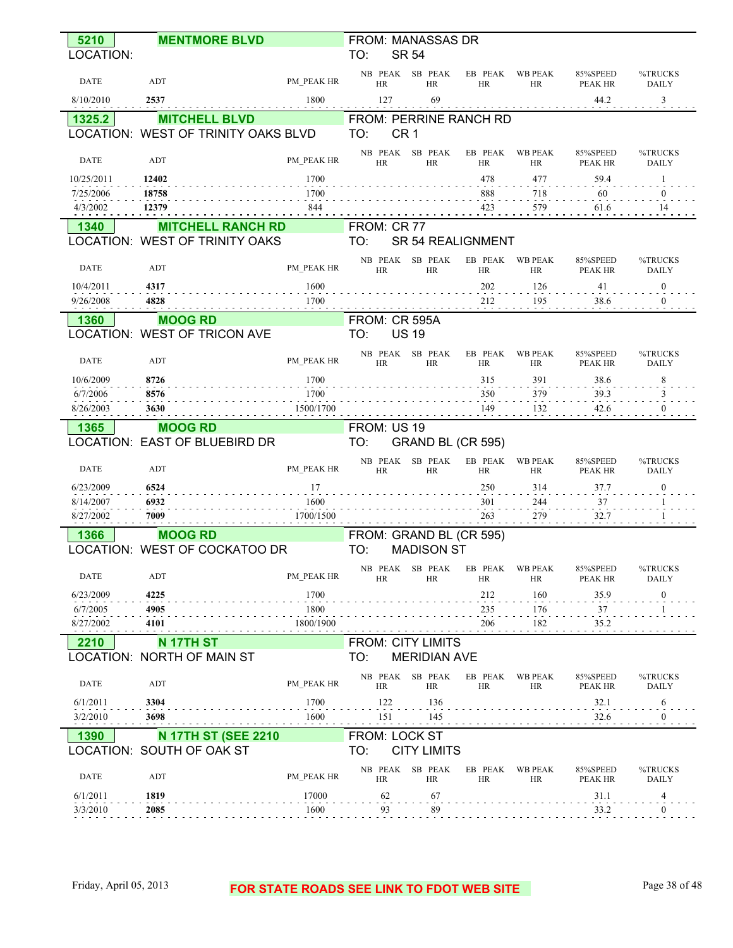| 5210                 | <b>MENTMORE BLVD</b>                |                        | FROM: MANASSAS DR                                  |                      |                                 |                            |                         |
|----------------------|-------------------------------------|------------------------|----------------------------------------------------|----------------------|---------------------------------|----------------------------|-------------------------|
| LOCATION:            |                                     |                        | TO:<br><b>SR 54</b>                                |                      |                                 |                            |                         |
| DATE                 | ADT                                 | PM PEAK HR             | NB PEAK SB PEAK<br>HR<br><b>HR</b>                 | EB PEAK<br><b>HR</b> | <b>WB PEAK</b><br>HR            | 85%SPEED<br>PEAK HR        | %TRUCKS<br><b>DAILY</b> |
| 8/10/2010            | 2537                                | 1800                   | 127<br>69                                          |                      |                                 | 44.2                       | 3                       |
| 1325.2               | <b>MITCHELL BLVD</b>                |                        | FROM: PERRINE RANCH RD                             |                      |                                 |                            |                         |
|                      | LOCATION: WEST OF TRINITY OAKS BLVD |                        | CR <sub>1</sub><br>TO:                             |                      |                                 |                            |                         |
| <b>DATE</b>          | ADT                                 | PM PEAK HR             | NB PEAK SB PEAK<br>HR<br>HR                        | EB PEAK<br>HR        | <b>WB PEAK</b><br>HR            | 85%SPEED<br><b>PEAK HR</b> | %TRUCKS<br><b>DAILY</b> |
| 10/25/2011           | 12402                               | 1700                   |                                                    | 478                  | 477                             | 59.4                       |                         |
| 7/25/2006            | 18758                               | 1700                   |                                                    | 888                  | 718                             | 60                         | $\Omega$                |
| 4/3/2002<br>.        | 12379                               | 844                    |                                                    | 423                  | 579<br><b>Contract Contract</b> | 61.6                       | 14                      |
| 1340                 | <b>MITCHELL RANCH RD</b>            |                        | FROM: CR 77                                        |                      |                                 |                            |                         |
|                      | LOCATION: WEST OF TRINITY OAKS      |                        | TO:<br>SR 54 REALIGNMENT                           |                      |                                 |                            |                         |
| DATE                 | ADT                                 | PM PEAK HR             | NB PEAK SB PEAK<br><b>HR</b><br>HR                 | EB PEAK<br>HR        | <b>WB PEAK</b><br>HR            | 85%SPEED<br><b>PEAK HR</b> | %TRUCKS<br><b>DAILY</b> |
| 10/4/2011            | 4317                                | 1600                   |                                                    | 202                  | 126                             | 41                         | $\overline{0}$          |
| 9/26/2008            | 4828                                | 1700                   |                                                    | 212                  | 195                             | 38.6                       | $\theta$                |
| 1360                 | <b>MOOG RD</b>                      |                        | <b>FROM: CR 595A</b>                               |                      |                                 |                            |                         |
|                      | LOCATION: WEST OF TRICON AVE        |                        | <b>US 19</b><br>TO:                                |                      |                                 |                            |                         |
| <b>DATE</b>          | ADT                                 | PM PEAK HR             | NB PEAK SB PEAK<br>HR<br><b>HR</b>                 | EB PEAK<br>HR        | <b>WB PEAK</b><br>HR            | 85%SPEED<br>PEAK HR        | %TRUCKS<br>DAILY        |
| 10/6/2009            | 8726                                | 1700                   |                                                    | 315                  | 391                             | 38.6                       | 8                       |
| 6/7/2006             | 8576                                | 1700                   |                                                    | 350                  | 379                             | 39.3                       |                         |
| 8/26/2003            | 3630                                | 1500/1700              |                                                    | 149                  | 132                             | 42.6                       |                         |
|                      |                                     |                        |                                                    |                      |                                 |                            |                         |
| 1365                 | <b>MOOG RD</b>                      |                        | FROM: US 19                                        |                      |                                 |                            |                         |
|                      | LOCATION: EAST OF BLUEBIRD DR       |                        | TO:<br>GRAND BL (CR 595)                           |                      |                                 |                            |                         |
| <b>DATE</b>          | ADT                                 | PM PEAK HR             | NB PEAK SB PEAK<br><b>HR</b><br><b>HR</b>          | EB PEAK<br><b>HR</b> | <b>WB PEAK</b><br>HR            | 85%SPEED<br>PEAK HR        | %TRUCKS<br><b>DAILY</b> |
| 6/23/2009            | 6524                                | 17                     |                                                    | 250                  | 314                             | 37.7                       | $\mathbf{0}$            |
| 8/14/2007            | 6932                                | 1600                   |                                                    | 301                  | 244                             | 37                         |                         |
| 8/27/2002            | 7009                                | 1700/1500              |                                                    | 263                  | 279                             | 32.7                       |                         |
| 1366                 | <b>MOOG RD</b>                      |                        | FROM: GRAND BL (CR 595)                            |                      |                                 |                            |                         |
|                      | LOCATION: WEST OF COCKATOO DR       |                        | TO:<br><b>MADISON ST</b>                           |                      |                                 |                            |                         |
| <b>DATE</b>          | ADT                                 | $\mathsf{PM\_PEAK}$ HR | NB PEAK SB PEAK EB PEAK WB PEAK<br><b>HR</b><br>HR | HR                   | HR                              | 85%SPEED<br>PEAK HR        | %TRUCKS<br>DAILY        |
| 6/23/2009            | 4225                                | 1700                   |                                                    | 212                  | 160                             | 35.9                       | $\mathbf{0}$            |
| 6/7/2005             | 4905                                | 1800                   |                                                    | 235                  | 176                             | $37\,$                     |                         |
| 8/27/2002            | 4101                                | 1800/1900              |                                                    | 206                  | 182                             | 35.2                       |                         |
| 2210                 | <b>N 17TH ST</b>                    |                        | <b>FROM: CITY LIMITS</b>                           |                      |                                 |                            |                         |
|                      | LOCATION: NORTH OF MAIN ST          |                        | TO:<br><b>MERIDIAN AVE</b>                         |                      |                                 |                            |                         |
| DATE                 | ADT                                 | PM PEAK HR             | NB PEAK SB PEAK<br>HR<br>HR                        | <b>HR</b>            | EB PEAK WB PEAK<br>HR           | 85%SPEED<br>PEAK HR        | %TRUCKS<br>DAILY        |
| 6/1/2011             | 3304                                | 1700                   | 122<br>136                                         |                      |                                 | 32.1                       | 6                       |
| 3/2/2010             | 3698                                | 1600                   | 151<br>145                                         |                      |                                 | 32.6                       | $\theta$                |
| 1390                 | <b>N 17TH ST (SEE 2210</b>          |                        | <b>FROM: LOCK ST</b>                               |                      |                                 |                            |                         |
|                      | LOCATION: SOUTH OF OAK ST           |                        | <b>CITY LIMITS</b><br>TO:                          |                      |                                 |                            |                         |
| DATE                 | ADT                                 | PM PEAK HR             | NB PEAK SB PEAK<br><b>HR</b><br>HR                 | <b>HR</b>            | EB PEAK WB PEAK<br>HR           | 85%SPEED<br>PEAK HR        | %TRUCKS<br>DAILY        |
| 6/1/2011<br>3/3/2010 | 1819<br>2085                        | 17000<br>1600          | 62<br>67                                           |                      |                                 | 31.1<br>33.2               | 4                       |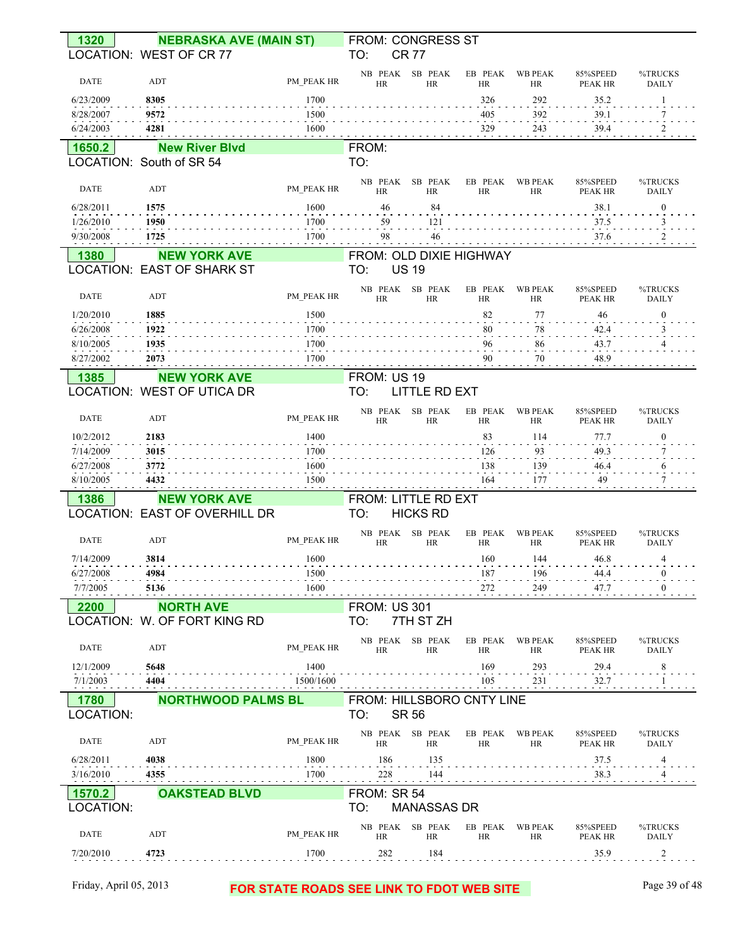| 1320                   | <b>NEBRASKA AVE (MAIN ST)</b> |                                           | FROM: CONGRESS ST                |                              |                      |                       |                            |                         |
|------------------------|-------------------------------|-------------------------------------------|----------------------------------|------------------------------|----------------------|-----------------------|----------------------------|-------------------------|
|                        | LOCATION: WEST OF CR 77       |                                           | TO:                              | <b>CR 77</b>                 |                      |                       |                            |                         |
| <b>DATE</b>            | ADT                           | PM PEAK HR                                | HR                               | NB PEAK SB PEAK<br>HR        | HR                   | EB PEAK WB PEAK<br>HR | 85%SPEED<br>PEAK HR        | %TRUCKS<br><b>DAILY</b> |
| 6/23/2009              | 8305                          | 1700                                      |                                  |                              | 326                  | 292                   | 35.2                       | $\mathbf{1}$            |
| 8/28/2007              | 9572                          | 1500                                      |                                  |                              | 405                  | 392                   | 39.1                       |                         |
| 6/24/2003              | 4281                          | 1600                                      |                                  |                              | 329                  | 243                   | 39.4                       |                         |
| 1650.2                 | <b>New River Blvd</b>         |                                           | FROM:                            |                              |                      |                       |                            |                         |
|                        | LOCATION: South of SR 54      |                                           | TO:                              |                              |                      |                       |                            |                         |
| <b>DATE</b>            | ADT                           | PM PEAK HR                                | HR                               | NB PEAK SB PEAK<br>HR        | EB PEAK<br>HR        | WB PEAK<br>HR         | 85%SPEED<br>PEAK HR        | %TRUCKS<br><b>DAILY</b> |
| 6/28/2011              | 1575                          | 1600                                      | 46                               | 84                           |                      |                       | 38.1                       | $\boldsymbol{0}$        |
| 1/26/2010<br>9/30/2008 | 1950<br>1725                  | 1700<br>1700                              | 59<br>98                         | 121<br>46                    |                      |                       | 37.5<br>37.6               |                         |
| 1380                   | <b>NEW YORK AVE</b>           |                                           | FROM: OLD DIXIE HIGHWAY          |                              |                      |                       |                            |                         |
|                        | LOCATION: EAST OF SHARK ST    |                                           | TO:                              | <b>US 19</b>                 |                      |                       |                            |                         |
| <b>DATE</b>            | ADT                           | PM PEAK HR                                | <b>HR</b>                        | NB PEAK SB PEAK<br><b>HR</b> | EB PEAK<br>HR        | <b>WB PEAK</b><br>HR  | 85%SPEED<br>PEAK HR        | %TRUCKS<br><b>DAILY</b> |
| 1/20/2010              | 1885                          | 1500                                      |                                  |                              | 82                   | 77                    | 46                         | $\mathbf{0}$            |
| 6/26/2008              | 1922                          | 1700                                      |                                  |                              | 80                   | 78                    | 42.4                       |                         |
| 8/10/2005              | 1935                          | 1700                                      |                                  |                              | 96                   | 86                    | 43.7                       |                         |
| 8/27/2002              | 2073                          | 1700                                      |                                  |                              | 90                   | $70\,$<br>and dealers | 48.9                       |                         |
| 1385                   | <b>NEW YORK AVE</b>           |                                           | FROM: US 19                      |                              |                      |                       |                            |                         |
|                        | LOCATION: WEST OF UTICA DR    |                                           | TO:                              | <b>LITTLE RD EXT</b>         |                      |                       |                            |                         |
| <b>DATE</b>            | ADT                           | PM PEAK HR                                | HR                               | NB PEAK SB PEAK<br>HR        | EB PEAK<br>HR        | WB PEAK<br>HR         | 85%SPEED<br>PEAK HR        | %TRUCKS<br><b>DAILY</b> |
| 10/2/2012              | 2183                          | 1400                                      |                                  |                              | 83                   | 114                   | 77.7                       | $\boldsymbol{0}$        |
| 7/14/2009<br>6/27/2008 | 3015<br>3772                  | 1700<br>1600                              |                                  |                              | 126<br>138           | 93<br>139             | 49.3<br>46.4               | 6                       |
| 8/10/2005              | 4432                          | 1500                                      |                                  |                              | 164                  | 177                   | 49                         |                         |
| 1386                   | <b>NEW YORK AVE</b>           |                                           | FROM: LITTLE RD EXT              |                              |                      |                       |                            |                         |
|                        | LOCATION: EAST OF OVERHILL DR |                                           | TO:                              | <b>HICKS RD</b>              |                      |                       |                            |                         |
| <b>DATE</b>            | ADT                           | PM PEAK HR                                | HR                               | NB PEAK SB PEAK<br>HR        | EB PEAK<br>HR        | <b>WB PEAK</b><br>HR  | 85%SPEED<br>PEAK HR        | %TRUCKS<br><b>DAILY</b> |
| 7/14/2009              | 3814                          | 1600                                      |                                  |                              | 160                  | 144                   | 46.8                       | $\overline{4}$          |
| 6/27/2008              | 4984                          | 1500                                      |                                  |                              | 187                  | 196                   | 44.4                       |                         |
| 7/7/2005               | 5136                          | 1600                                      |                                  |                              | 272                  | 249                   | 47.7                       | $\bf{0}$                |
| 2200                   | <b>NORTH AVE</b>              |                                           | <b>FROM: US 301</b>              |                              |                      |                       |                            |                         |
|                        | LOCATION: W. OF FORT KING RD  |                                           | TO:                              | 7TH ST ZH                    |                      |                       |                            |                         |
| DATE                   | ADT                           | PM_PEAK HR                                | <b>HR</b>                        | NB PEAK SB PEAK<br>HR        | EB PEAK<br><b>HR</b> | <b>WB PEAK</b><br>HR  | 85%SPEED<br>PEAK HR        | %TRUCKS<br><b>DAILY</b> |
| 12/1/2009              | 5648                          | 1400                                      |                                  |                              | 169                  | 293                   | 29.4                       | 8                       |
| 7/1/2003               | 4404                          | 1500/1600                                 |                                  |                              | 105                  | 231                   | 32.7                       |                         |
| 1780<br>LOCATION:      | <b>NORTHWOOD PALMS BL</b>     |                                           | FROM: HILLSBORO CNTY LINE<br>TO: | <b>SR 56</b>                 |                      |                       |                            |                         |
| DATE                   | ADT                           | PM PEAK HR                                | HR                               | NB PEAK SB PEAK<br>HR        | EB PEAK<br>HR        | WB PEAK<br>HR         | 85%SPEED<br><b>PEAK HR</b> | %TRUCKS<br><b>DAILY</b> |
| 6/28/2011              | 4038                          | 1800                                      | 186                              | 135                          |                      |                       | 37.5                       | 4                       |
| 3/16/2010              | 4355                          | 1700                                      | 228                              | 144                          |                      |                       | 38.3                       |                         |
| 1570.2                 | <b>OAKSTEAD BLVD</b>          |                                           | FROM: SR 54                      |                              |                      |                       |                            |                         |
| LOCATION:              |                               |                                           | TO:                              | <b>MANASSAS DR</b>           |                      |                       |                            |                         |
| DATE                   | ADT                           | PM PEAK HR                                | <b>HR</b>                        | NB PEAK SB PEAK<br>HR        | EB PEAK<br><b>HR</b> | <b>WB PEAK</b><br>HR  | 85%SPEED<br>PEAK HR        | %TRUCKS<br><b>DAILY</b> |
| 7/20/2010              | 4723                          | 1700                                      | 282                              | 184                          |                      |                       | 35.9                       | 2                       |
| Friday, April 05, 2013 |                               |                                           |                                  |                              |                      |                       |                            | Page 39 of 48           |
|                        |                               | FOR STATE ROADS SEE LINK TO FDOT WEB SITE |                                  |                              |                      |                       |                            |                         |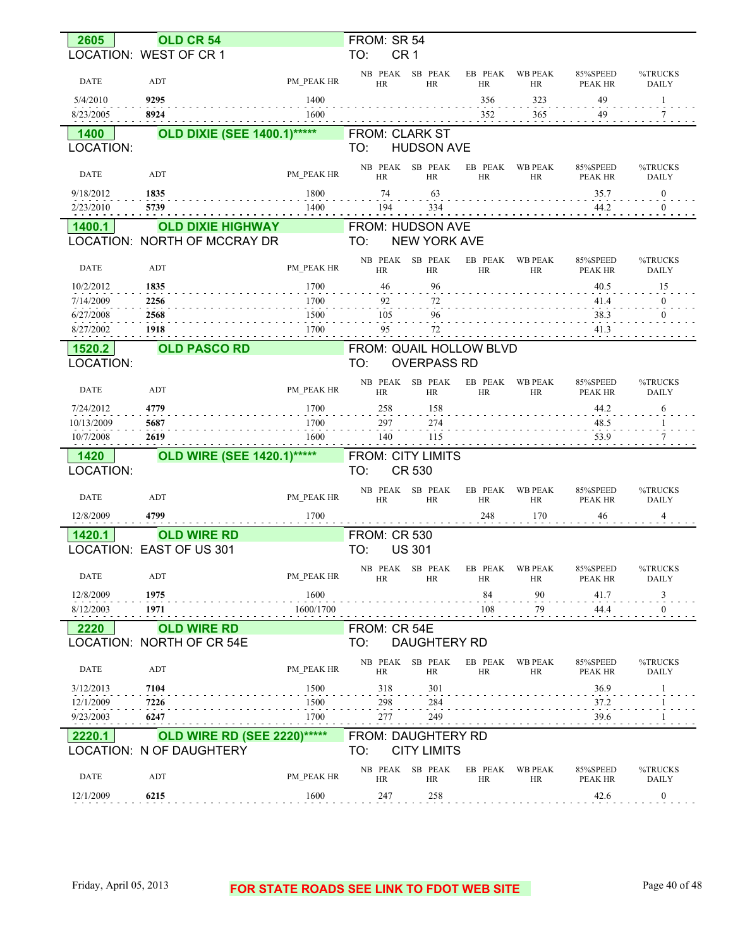| 2605              | OLD CR 54                          |            | FROM: SR 54                               |                      |                             |                                        |                         |
|-------------------|------------------------------------|------------|-------------------------------------------|----------------------|-----------------------------|----------------------------------------|-------------------------|
|                   | LOCATION: WEST OF CR 1             |            | TO:<br>CR <sub>1</sub>                    |                      |                             |                                        |                         |
| <b>DATE</b>       | ADT                                | PM PEAK HR | NB PEAK SB PEAK<br><b>HR</b><br><b>HR</b> | EB PEAK<br><b>HR</b> | <b>WB PEAK</b><br><b>HR</b> | 85%SPEED<br>PEAK HR                    | %TRUCKS<br><b>DAILY</b> |
| 5/4/2010          | 9295                               | 1400       |                                           | 356                  | 323                         | 49                                     | 1                       |
| 8/23/2005         | 8924                               | 1600       |                                           | 352                  | 365                         | 49                                     | 7                       |
| 1400              | <b>OLD DIXIE (SEE 1400.1)*****</b> |            | <b>FROM: CLARK ST</b>                     |                      |                             |                                        |                         |
| LOCATION:         |                                    |            | TO:<br><b>HUDSON AVE</b>                  |                      |                             |                                        |                         |
| <b>DATE</b>       | ADT                                | PM PEAK HR | NB PEAK SB PEAK<br><b>HR</b><br>HR        | EB PEAK<br><b>HR</b> | <b>WB PEAK</b><br>HR        | 85%SPEED<br>PEAK HR                    | %TRUCKS<br><b>DAILY</b> |
| 9/18/2012         | 1835                               | 1800       | 74<br>63                                  |                      |                             | 35.7                                   | $\boldsymbol{0}$        |
| 2/23/2010         | 5739                               | 1400       | 334<br>194                                |                      |                             | 44.2                                   | $\mathbf{0}$            |
| 1400.1            | <b>OLD DIXIE HIGHWAY</b>           |            | FROM: HUDSON AVE                          |                      |                             |                                        |                         |
|                   | LOCATION: NORTH OF MCCRAY DR       |            | TO:<br><b>NEW YORK AVE</b>                |                      |                             |                                        |                         |
| <b>DATE</b>       | ADT                                | PM PEAK HR | NB PEAK SB PEAK<br>HR<br><b>HR</b>        | EB PEAK<br><b>HR</b> | <b>WB PEAK</b><br><b>HR</b> | 85%SPEED<br>PEAK HR                    | %TRUCKS<br><b>DAILY</b> |
| 10/2/2012         | 1835                               | 1700       | 96<br>46                                  |                      |                             | 40.5                                   | 15                      |
| 7/14/2009         | 2256                               | 1700       | 92<br>72                                  |                      |                             | 41.4                                   | $\mathbf{0}$            |
| 6/27/2008         | 2568                               | 1500       | 96<br>105                                 |                      |                             | 38.3                                   | $\theta$                |
| 8/27/2002         | 1918                               | 1700       | 95<br>72                                  |                      |                             | 41.3                                   |                         |
| 1520.2            | <b>OLD PASCO RD</b>                |            | FROM: QUAIL HOLLOW BLVD                   |                      |                             |                                        |                         |
| LOCATION:         |                                    |            | TO:<br><b>OVERPASS RD</b>                 |                      |                             |                                        |                         |
| <b>DATE</b>       | ADT                                | PM PEAK HR | NB PEAK SB PEAK<br><b>HR</b><br><b>HR</b> | EB PEAK<br><b>HR</b> | <b>WB PEAK</b><br>HR        | 85%SPEED<br>PEAK HR                    | %TRUCKS<br><b>DAILY</b> |
| 7/24/2012         | 4779                               | 1700       | 258<br>158                                |                      |                             | 44.2                                   | 6                       |
| 10/13/2009        | 5687                               | 1700       | 297<br>274                                |                      |                             | 48.5                                   |                         |
| 10/7/2008         | 2619                               | 1600       | 140<br>115                                |                      |                             | 53.9                                   | 7                       |
| 1420<br>LOCATION: | <b>OLD WIRE (SEE 1420.1)*****</b>  |            | <b>FROM: CITY LIMITS</b><br>CR 530<br>TO: |                      |                             |                                        |                         |
| <b>DATE</b>       | ADT                                | PM PEAK HR | NB PEAK SB PEAK<br><b>HR</b><br>HR        | EB PEAK<br>HR        | <b>WB PEAK</b><br>HR        | 85%SPEED<br>PEAK HR                    | %TRUCKS<br><b>DAILY</b> |
| 12/8/2009         | 4799                               | 1700       |                                           | 248                  | 170                         | 46                                     | 4                       |
| 1420.1            | <b>OLD WIRE RD</b>                 |            | <b>FROM: CR 530</b>                       |                      |                             |                                        |                         |
|                   | LOCATION: EAST OF US 301           |            | TO:<br><b>US 301</b>                      |                      |                             |                                        |                         |
| DATE              | ADT                                | PM PEAK HR | NB PEAK SB PEAK<br><b>HR</b><br>HR        | EB PEAK<br>HR        | WB PEAK<br>HR               | 85%SPEED<br>PEAK HR                    | %TRUCKS<br>DAILY        |
| 12/8/2009         | 1975                               | 1600       |                                           | 84                   | 90                          | 41.7                                   | 3                       |
| 8/12/2003         | 1971                               | 1600/1700  |                                           | 108                  | 79                          | 44.4                                   | $\boldsymbol{0}$        |
| 2220              | <b>OLD WIRE RD</b>                 |            | FROM: CR 54E                              |                      |                             |                                        |                         |
|                   | LOCATION: NORTH OF CR 54E          |            | TO:<br><b>DAUGHTERY RD</b>                |                      |                             |                                        |                         |
| DATE              | ADT                                | PM PEAK HR | NB PEAK SB PEAK<br>HR<br>HR               | EB PEAK<br>HR        | <b>WB PEAK</b><br>HR        | 85%SPEED<br>PEAK HR                    | %TRUCKS<br>DAILY        |
| 3/12/2013         | 7104                               | 1500       | 318<br>301                                |                      |                             | 36.9                                   | 1                       |
| 12/1/2009         | 7226                               | 1500       | 298<br>284                                |                      |                             | 37.2                                   |                         |
| 9/23/2003<br>.    | 6247                               | 1700       | 277<br>249                                |                      |                             | 39.6<br>$\alpha$ , $\alpha$ , $\alpha$ |                         |
| 2220.1            | <b>OLD WIRE RD (SEE 2220)*****</b> |            | <b>FROM: DAUGHTERY RD</b>                 |                      |                             |                                        |                         |
|                   | LOCATION: N OF DAUGHTERY           |            | <b>CITY LIMITS</b><br>TO:                 |                      |                             |                                        |                         |
| <b>DATE</b>       | ADT                                | PM PEAK HR | NB PEAK SB PEAK<br>HR<br>HR               | EB PEAK<br>HR        | <b>WB PEAK</b><br>HR        | 85%SPEED<br>PEAK HR                    | %TRUCKS<br>DAILY        |
| 12/1/2009         | 6215                               | 1600       | 247<br>258                                |                      |                             | 42.6                                   | $\mathbf{0}$            |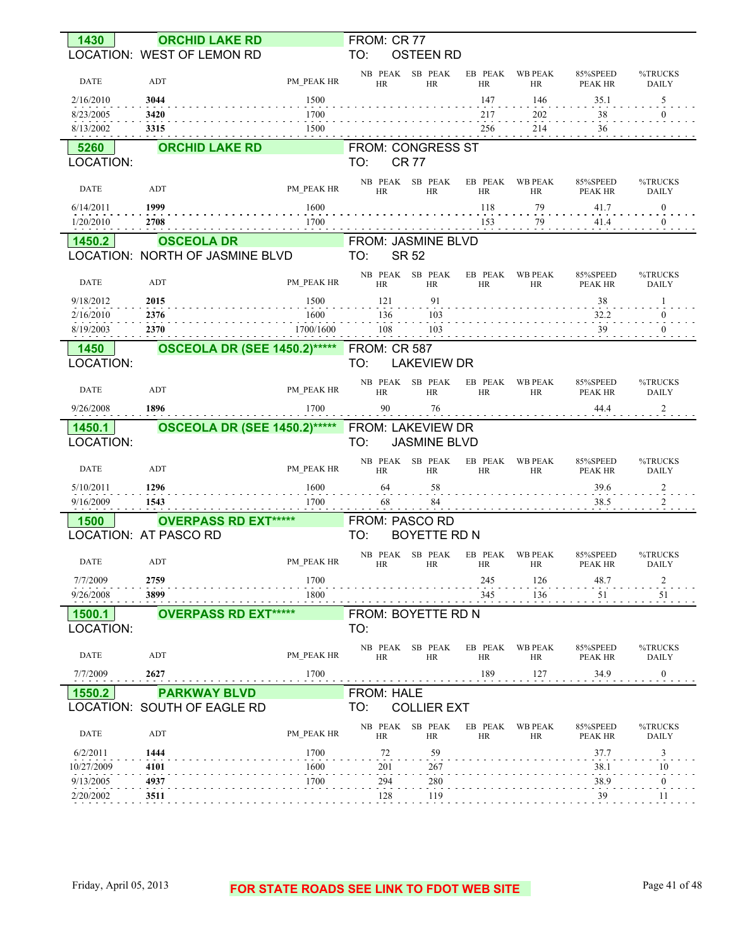| 1430                   | <b>ORCHID LAKE RD</b>                                |                   | FROM: CR 77                |                              |                       |                             |                            |                                  |
|------------------------|------------------------------------------------------|-------------------|----------------------------|------------------------------|-----------------------|-----------------------------|----------------------------|----------------------------------|
|                        | LOCATION: WEST OF LEMON RD                           |                   | TO:                        | <b>OSTEEN RD</b>             |                       |                             |                            |                                  |
| DATE                   | ADT                                                  | PM PEAK HR        | HR                         | NB PEAK SB PEAK<br><b>HR</b> | EB PEAK<br>HR         | <b>WB PEAK</b><br>HR        | 85%SPEED<br>PEAK HR        | %TRUCKS<br><b>DAILY</b>          |
| 2/16/2010              | 3044                                                 | 1500              |                            |                              | 147                   | 146                         | 35.1                       | 5                                |
| 8/23/2005<br>8/13/2002 | 3420<br>3315                                         | 1700<br>1500      |                            |                              | 217<br>256            | 202<br>$214\,$              | 38<br>36                   | $\overline{0}$                   |
| 5260                   | <b>ORCHID LAKE RD</b>                                |                   | <b>FROM: CONGRESS ST</b>   |                              |                       |                             |                            |                                  |
| LOCATION:              |                                                      |                   | TO:                        | <b>CR77</b>                  |                       |                             |                            |                                  |
|                        |                                                      |                   |                            | NB PEAK SB PEAK              | EB PEAK               | <b>WB PEAK</b>              | 85%SPEED                   | %TRUCKS                          |
| DATE                   | ADT                                                  | PM PEAK HR        | <b>HR</b>                  | <b>HR</b>                    | HR                    | <b>HR</b>                   | PEAK HR                    | <b>DAILY</b>                     |
| 6/14/2011              | 1999                                                 | 1600<br>1700      |                            |                              | 118                   | 79<br>79                    | 41.7                       | $\mathbf{0}$                     |
| 1/20/2010              | 2708                                                 |                   |                            |                              | 153                   |                             | 41.4                       | $\overline{0}$                   |
| 1450.2                 | <b>OSCEOLA DR</b><br>LOCATION: NORTH OF JASMINE BLVD |                   | FROM: JASMINE BLVD<br>TO:  | <b>SR 52</b>                 |                       |                             |                            |                                  |
|                        |                                                      |                   |                            | NB PEAK SB PEAK              | EB PEAK               | <b>WB PEAK</b>              | 85%SPEED                   | %TRUCKS                          |
| DATE                   | ADT                                                  | PM PEAK HR        | HR                         | HR                           | HR                    | <b>HR</b>                   | PEAK HR                    | <b>DAILY</b>                     |
| 9/18/2012              | 2015                                                 | 1500              | 121                        | 91                           |                       |                             | 38                         | 1                                |
| 2/16/2010<br>8/19/2003 | 2376<br>2370                                         | 1600<br>1700/1600 | 136<br>108                 | 103<br>103                   |                       |                             | 32.2<br>39                 | $\overline{0}$<br>$\overline{0}$ |
|                        |                                                      |                   |                            |                              |                       |                             |                            |                                  |
| 1450<br>LOCATION:      | <b>OSCEOLA DR (SEE 1450.2)*****</b>                  |                   | <b>FROM: CR 587</b><br>TO: | <b>LAKEVIEW DR</b>           |                       |                             |                            |                                  |
|                        |                                                      |                   |                            | NB PEAK SB PEAK              | EB PEAK               | <b>WB PEAK</b>              | 85%SPEED                   | %TRUCKS                          |
| DATE                   | ADT                                                  | PM PEAK HR        | HR                         | <b>HR</b>                    | <b>HR</b>             | <b>HR</b>                   | PEAK HR                    | DAILY                            |
| 9/26/2008              | 1896                                                 | 1700              | 90                         | 76                           |                       |                             | 44.4                       | 2                                |
|                        |                                                      |                   |                            |                              |                       |                             |                            |                                  |
| 1450.1                 | <b>OSCEOLA DR (SEE 1450.2)*****</b>                  |                   | FROM: LAKEVIEW DR          |                              |                       |                             |                            |                                  |
| LOCATION:              |                                                      |                   | TO:                        | <b>JASMINE BLVD</b>          |                       |                             |                            |                                  |
| <b>DATE</b>            | ADT                                                  | PM PEAK HR        | <b>HR</b>                  | NB PEAK SB PEAK<br>HR        | EB PEAK<br>HR         | <b>WB PEAK</b><br><b>HR</b> | 85%SPEED<br><b>PEAK HR</b> | %TRUCKS<br><b>DAILY</b>          |
| 5/10/2011              | 1296                                                 | 1600              | 64                         | 58                           |                       |                             | 39.6                       | $\overline{\mathbf{c}}$          |
| 9/16/2009              | 1543                                                 | 1700              | 68                         | 84                           |                       |                             | 38.5                       | 2                                |
| 1500                   | <b>OVERPASS RD EXT*****</b>                          |                   | FROM: PASCO RD             |                              |                       |                             |                            |                                  |
|                        | LOCATION: AT PASCO RD                                |                   | TO:                        | BOYETTE RD N                 |                       |                             |                            |                                  |
| DATE                   | ADT                                                  | PM_PEAK HR        | HR                         | NB PEAK SB PEAK<br>HR        | EB PEAK WB PEAK<br>HК | HК                          | 85%SPEED<br>PEAK HR        | %TRUCKS<br>DAILY                 |
| 7/7/2009               | 2759                                                 | 1700              |                            |                              | 245                   | 126                         | 48.7                       | 2                                |
| 9/26/2008              | 3899                                                 | 1800              |                            |                              | 345                   | 136                         | 51                         | $\frac{51}{1}$                   |
| 1500.1                 | <b>OVERPASS RD EXT*****</b>                          |                   | FROM: BOYETTE RD N         |                              |                       |                             |                            |                                  |
| LOCATION:              |                                                      |                   | TO:                        |                              |                       |                             |                            |                                  |
| DATE                   | ADT                                                  | PM PEAK HR        | HR                         | NB PEAK SB PEAK<br>HR        | EB PEAK<br>HR         | <b>WB PEAK</b><br>HR        | 85%SPEED<br>$\rm PEAK$ HR  | %TRUCKS<br>DAILY                 |
| 7/7/2009               | 2627                                                 | 1700              |                            |                              | 189                   | 127                         | 34.9                       | $\boldsymbol{0}$                 |
| 1550.2                 | <b>PARKWAY BLVD</b>                                  |                   | <b>FROM: HALE</b>          |                              |                       |                             |                            |                                  |
|                        | LOCATION: SOUTH OF EAGLE RD                          |                   | TO:                        | <b>COLLIER EXT</b>           |                       |                             |                            |                                  |
| DATE                   | ADT                                                  | PM PEAK HR        | HR                         | NB PEAK SB PEAK<br>HR        | EB PEAK<br>HR         | <b>WB PEAK</b><br>HR        | 85%SPEED<br>PEAK HR        | %TRUCKS<br>DAILY                 |
| 6/2/2011               | 1444                                                 | 1700              | 72                         | 59                           |                       |                             | 37.7                       | 3                                |
| 10/27/2009             | 4101                                                 | 1600              | 201                        | 267                          |                       |                             | 38.1                       | 10                               |
| 9/13/2005<br>2/20/2002 | 4937<br>3511                                         | 1700              | 294<br>128                 | 280<br>119                   |                       |                             | 38.9<br>39                 | $\boldsymbol{0}$<br>11           |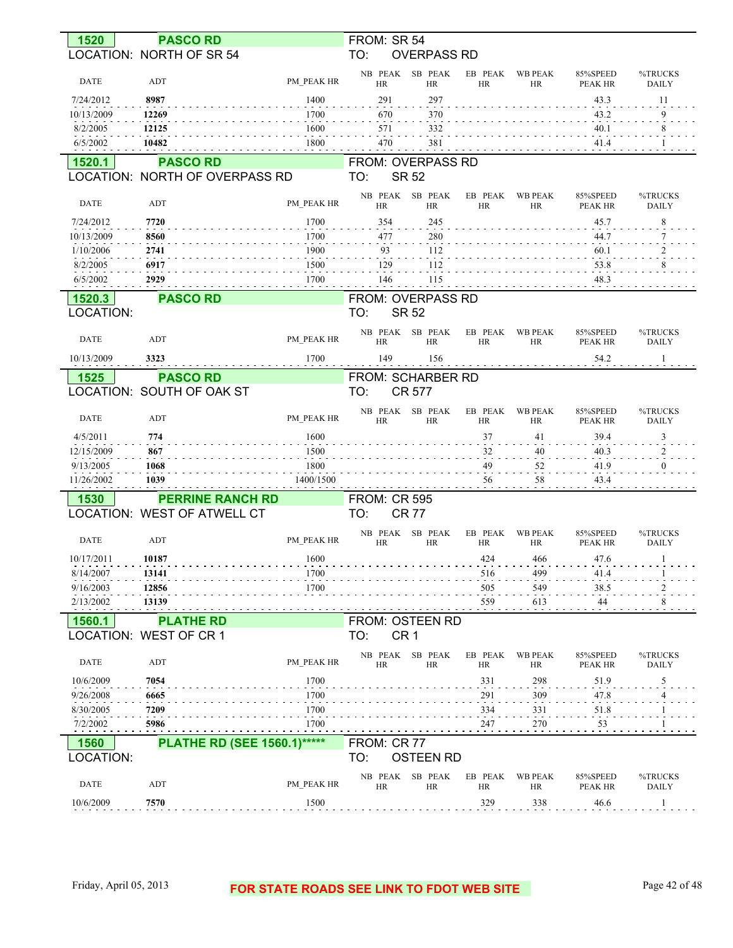| 1520                    | <b>PASCO RD</b>                                   |                    | FROM: SR 54          |                                   |                      |                             |                            |                         |
|-------------------------|---------------------------------------------------|--------------------|----------------------|-----------------------------------|----------------------|-----------------------------|----------------------------|-------------------------|
|                         | LOCATION: NORTH OF SR 54                          |                    | TO:                  | <b>OVERPASS RD</b>                |                      |                             |                            |                         |
|                         |                                                   |                    | NB PEAK              | SB PEAK                           | EB PEAK              | <b>WB PEAK</b>              | 85%SPEED                   | %TRUCKS                 |
| DATE                    | ADT                                               | PM PEAK HR<br>1400 | <b>HR</b>            | <b>HR</b>                         | <b>HR</b>            | <b>HR</b>                   | PEAK HR                    | <b>DAILY</b>            |
| 7/24/2012<br>10/13/2009 | 8987<br>12269                                     | 1700               | 291<br>670           | 297<br>370                        |                      |                             | 43.3<br>43.2               | 11<br>9                 |
| 8/2/2005                | 12125                                             | 1600               | 571                  | 332                               |                      |                             | 40.1                       | 8                       |
| 6/5/2002                | 10482                                             | 1800               | 470                  | 381                               |                      |                             | 41.4                       |                         |
|                         |                                                   |                    |                      |                                   |                      |                             |                            |                         |
| 1520.1                  | <b>PASCO RD</b><br>LOCATION: NORTH OF OVERPASS RD |                    | TO:                  | FROM: OVERPASS RD<br><b>SR 52</b> |                      |                             |                            |                         |
|                         |                                                   |                    | NB PEAK              | SB PEAK                           | EB PEAK              | <b>WB PEAK</b>              | 85%SPEED                   | %TRUCKS                 |
| <b>DATE</b>             | ADT                                               | PM PEAK HR         | <b>HR</b>            | <b>HR</b>                         | <b>HR</b>            | <b>HR</b>                   | PEAK HR                    | <b>DAILY</b>            |
| 7/24/2012               | 7720                                              | 1700               | 354                  | 245                               |                      |                             | 45.7                       | 8                       |
| 10/13/2009              | 8560                                              | 1700               | 477                  | 280                               |                      |                             | 44.7                       | 7                       |
| 1/10/2006               | 2741                                              | 1900               | 93                   | 112                               |                      |                             | 60.1                       | 2                       |
| 8/2/2005                | 6917                                              | 1500               | 129                  | 112                               |                      |                             | 53.8                       | 8                       |
| 6/5/2002                | 2929                                              | 1700               | 146                  | 115                               |                      |                             | 48.3                       |                         |
| 1520.3                  | <b>PASCO RD</b>                                   |                    |                      | FROM: OVERPASS RD                 |                      |                             |                            |                         |
| LOCATION:               |                                                   |                    | TO:                  | <b>SR 52</b>                      |                      |                             |                            |                         |
| DATE                    | ADT                                               | PM PEAK HR         | NB PEAK<br>HR        | SB PEAK<br><b>HR</b>              | EB PEAK<br><b>HR</b> | <b>WB PEAK</b><br><b>HR</b> | 85%SPEED<br><b>PEAK HR</b> | %TRUCKS<br><b>DAILY</b> |
| 10/13/2009              | 3323                                              | 1700               | 149                  | 156                               |                      |                             | 54.2                       | -1                      |
| 1525                    | <b>PASCO RD</b>                                   |                    |                      | FROM: SCHARBER RD                 |                      |                             |                            |                         |
|                         | LOCATION: SOUTH OF OAK ST                         |                    | TO:                  | <b>CR 577</b>                     |                      |                             |                            |                         |
|                         |                                                   |                    |                      |                                   |                      |                             |                            |                         |
| <b>DATE</b>             | ADT                                               | PM PEAK HR         | NB PEAK<br><b>HR</b> | SB PEAK<br><b>HR</b>              | EB PEAK<br><b>HR</b> | <b>WB PEAK</b><br><b>HR</b> | 85%SPEED<br>PEAK HR        | %TRUCKS<br><b>DAILY</b> |
| 4/5/2011                | 774                                               | 1600               |                      |                                   | 37                   | 41                          | 39.4                       | 3                       |
| 12/15/2009              | 867                                               | 1500               |                      |                                   | 32                   | 40                          | 40.3                       | 2                       |
| 9/13/2005               | 1068                                              | 1800               |                      |                                   | 49                   | 52                          | 41.9                       | $\overline{0}$          |
| 11/26/2002              | 1039                                              | 1400/1500          |                      |                                   | 56                   | 58                          | 43.4                       |                         |
| 1530                    | <b>PERRINE RANCH RD</b>                           |                    | <b>FROM: CR 595</b>  |                                   |                      |                             |                            |                         |
|                         | LOCATION: WEST OF ATWELL CT                       |                    | TO:                  | <b>CR77</b>                       |                      |                             |                            |                         |
| <b>DATE</b>             | ADT                                               | PM PEAK HR         | NB PEAK<br><b>HR</b> | SB PEAK<br><b>HR</b>              | EB PEAK<br><b>HR</b> | <b>WB PEAK</b><br>HR        | 85%SPEED<br><b>PEAK HR</b> | %TRUCKS<br><b>DAILY</b> |
| 10/17/2011              | 10187                                             | 1600               |                      |                                   | 424                  | 466                         | 47.6                       | $\mathbf{1}$            |
| 8/14/2007               | 13141                                             | 1700               |                      |                                   | 516                  | 499                         | 41.4                       |                         |
| 9/16/2003               | 12856                                             | 1700               |                      |                                   | 505                  | 549                         | 38.5                       |                         |
| 2/13/2002               | 13139                                             |                    |                      |                                   | 559                  | 613                         | 44                         | 8                       |
| 1560.1                  | <b>PLATHE RD</b>                                  |                    |                      | <b>FROM: OSTEEN RD</b>            |                      |                             |                            |                         |
|                         | LOCATION: WEST OF CR 1                            |                    | TO:                  | CR <sub>1</sub>                   |                      |                             |                            |                         |
| DATE                    | ADT                                               | PM PEAK HR         | HR                   | NB PEAK SB PEAK<br>HR             | EB PEAK<br>HR        | <b>WB PEAK</b><br>HR        | 85%SPEED<br>PEAK HR        | %TRUCKS<br>DAILY        |
| 10/6/2009               | 7054                                              | 1700               |                      |                                   | 331                  | 298                         | 51.9                       | 5                       |
| 9/26/2008               | 6665                                              | 1700               |                      |                                   | 291                  | 309                         | 47.8                       |                         |
| 8/30/2005               | 7209                                              | 1700               |                      |                                   | 334                  | 331                         | 51.8                       |                         |
| 7/2/2002                | 5986                                              | 1700               |                      |                                   | 247                  | <b>270</b>                  | 53                         |                         |
| 1560                    | <b>PLATHE RD (SEE 1560.1)*****</b>                |                    | FROM: CR 77          |                                   |                      |                             |                            |                         |
| LOCATION:               |                                                   |                    | TO:                  | <b>OSTEEN RD</b>                  |                      |                             |                            |                         |
| DATE                    | ADT                                               | PM PEAK HR         | NB PEAK<br><b>HR</b> | SB PEAK<br>HR                     | EB PEAK<br>HR        | <b>WB PEAK</b><br>$\rm{HR}$ | 85%SPEED<br>PEAK HR        | %TRUCKS<br><b>DAILY</b> |
| 10/6/2009               | 7570                                              | 1500               |                      |                                   | 329                  | 338                         | 46.6                       | -1                      |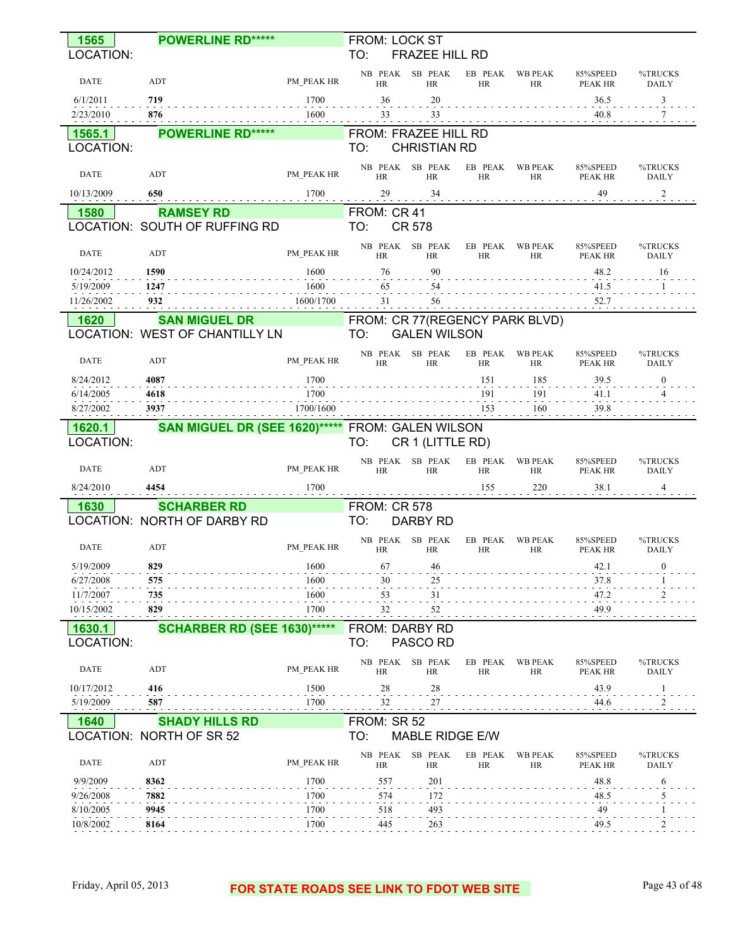| 1565                   | <b>POWERLINE RD*****</b>                          |                   | <b>FROM: LOCK ST</b>                          |                                              |                             |                     |                           |
|------------------------|---------------------------------------------------|-------------------|-----------------------------------------------|----------------------------------------------|-----------------------------|---------------------|---------------------------|
| LOCATION:              |                                                   |                   | TO:                                           | FRAZEE HILL RD                               |                             |                     |                           |
| <b>DATE</b>            | ADT                                               | PM PEAK HR        | NB PEAK<br><b>HR</b>                          | SB PEAK<br>EB PEAK<br><b>HR</b><br><b>HR</b> | <b>WB PEAK</b><br>HR        | 85%SPEED<br>PEAK HR | %TRUCKS<br><b>DAILY</b>   |
| 6/1/2011               | 719                                               | 1700              | 36                                            | 20                                           |                             | 36.5                | 3                         |
| 2/23/2010              | 876                                               | 1600              | 33                                            | 33                                           |                             | 40.8                | 7                         |
| 1565.1<br>LOCATION:    | <b>POWERLINE RD*****</b>                          |                   | FROM: FRAZEE HILL RD<br>TO:                   | <b>CHRISTIAN RD</b>                          |                             |                     |                           |
|                        |                                                   |                   | NB PEAK                                       | SB PEAK                                      | <b>WB PEAK</b>              |                     | %TRUCKS                   |
| DATE                   | ADT                                               | PM PEAK HR        | <b>HR</b>                                     | EB PEAK<br><b>HR</b><br><b>HR</b>            | HR                          | 85%SPEED<br>PEAK HR | <b>DAILY</b>              |
| 10/13/2009             | 650                                               | 1700              | 29                                            | 34                                           |                             | 49                  | $\overline{\phantom{a}2}$ |
| 1580                   | <b>RAMSEY RD</b><br>LOCATION: SOUTH OF RUFFING RD |                   | FROM: CR 41<br>TO:<br><b>CR 578</b>           |                                              |                             |                     |                           |
| DATE                   | ADT                                               | PM PEAK HR        | NB PEAK                                       | SB PEAK<br>EB PEAK<br><b>HR</b><br>HR        | <b>WB PEAK</b>              | 85%SPEED            | %TRUCKS                   |
| 10/24/2012             | 1590                                              | 1600              | <b>HR</b><br>76                               | 90                                           | HR                          | PEAK HR<br>48.2     | <b>DAILY</b><br>16        |
| 5/19/2009              | 1247                                              | 1600              | 65                                            | 54                                           |                             | 41.5                |                           |
| 11/26/2002             | 932                                               | 1600/1700         | 31                                            | 56                                           |                             | 52.7                |                           |
| 1620                   | <b>SAN MIGUEL DR</b>                              |                   | FROM: CR 77(REGENCY PARK BLVD)                |                                              |                             |                     |                           |
|                        | LOCATION: WEST OF CHANTILLY LN                    |                   | TO:                                           | <b>GALEN WILSON</b>                          |                             |                     |                           |
| DATE                   | ADT                                               | PM PEAK HR        | NB PEAK<br>HR                                 | SB PEAK<br>EB PEAK<br><b>HR</b><br><b>HR</b> | <b>WB PEAK</b><br>HR        | 85%SPEED<br>PEAK HR | %TRUCKS<br><b>DAILY</b>   |
| 8/24/2012              | 4087                                              | 1700              |                                               | 151                                          | 185                         | 39.5                | $\Omega$                  |
| 6/14/2005              | 4618<br>3937                                      | 1700<br>1700/1600 |                                               | 191<br>153                                   | 191<br>160                  | 41.1<br>39.8        |                           |
| 8/27/2002<br>1620.1    | <b>SAN MIGUEL DR (SEE 1620)*****</b>              |                   | FROM: GALEN WILSON                            |                                              |                             |                     |                           |
| LOCATION:              |                                                   |                   | TO:                                           | CR 1 (LITTLE RD)                             |                             |                     |                           |
|                        |                                                   |                   | NB PEAK                                       | SB PEAK<br>EB PEAK                           | <b>WB PEAK</b>              | 85%SPEED            | %TRUCKS                   |
| <b>DATE</b>            | ADT                                               | PM PEAK HR        | <b>HR</b>                                     | HR<br>HR                                     | HR                          | PEAK HR             | <b>DAILY</b><br>4         |
| 8/24/2010              | 4454                                              | 1700              |                                               | 155                                          | 220                         | 38.1                |                           |
| 1630                   | <b>SCHARBER RD</b><br>LOCATION: NORTH OF DARBY RD |                   | <b>FROM: CR 578</b><br>TO:<br><b>DARBY RD</b> |                                              |                             |                     |                           |
| <b>DATE</b>            | ADT                                               | PM_PEAK HR        | NB PEAK<br><b>HR</b>                          | SB PEAK<br>EB PEAK<br><b>HR</b><br>HR        | <b>WB PEAK</b><br><b>HR</b> | 85%SPEED<br>PEAK HR | %TRUCKS<br><b>DAILY</b>   |
| 5/19/2009              | 829                                               | 1600              | 67                                            | -46                                          |                             | 42.1                | $\Omega$                  |
| 6/27/2008              | <b>575</b>                                        | 1600              | 30                                            | 25                                           |                             | 37.8                |                           |
| 11/7/2007              | 735                                               | 1600              | 53                                            | 31                                           |                             | 47.2                |                           |
| 10/15/2002             | 829                                               | 1700              | 32                                            | 52                                           |                             | 49.9                |                           |
| 1630.1<br>LOCATION:    | <b>SCHARBER RD (SEE 1630)*****</b>                |                   | FROM: DARBY RD<br>TO:<br>PASCO RD             |                                              |                             |                     |                           |
| DATE                   | ADT                                               | PM PEAK HR        | NB PEAK SB PEAK<br>HR                         | EB PEAK<br>HR<br>HR                          | <b>WB PEAK</b><br>HR        | 85%SPEED<br>PEAK HR | %TRUCKS<br>DAILY          |
| 10/17/2012             | 416                                               | 1500              | 28                                            | 28                                           |                             | 43.9                |                           |
| 5/19/2009              | 587                                               | 1700              | 32                                            | 27                                           |                             | 44.6                | 2                         |
| 1640                   | <b>SHADY HILLS RD</b>                             |                   | FROM: SR 52                                   |                                              |                             |                     |                           |
|                        | LOCATION: NORTH OF SR 52                          |                   | TO:                                           | MABLE RIDGE E/W                              |                             |                     |                           |
| <b>DATE</b>            | ADT                                               | PM PEAK HR        | NB PEAK<br>HR                                 | SB PEAK<br>EB PEAK<br>HR<br>HR               | <b>WB PEAK</b><br>HR        | 85%SPEED<br>PEAK HR | %TRUCKS<br>DAILY          |
| 9/9/2009               | 8362                                              | 1700              | 557                                           | 201                                          |                             | 48.8                | 6                         |
| 9/26/2008<br>8/10/2005 | 7882<br>9945                                      | 1700<br>1700      | 574<br>518                                    | 172<br>493                                   |                             | 48.5<br>49          |                           |
| 10/8/2002              | 8164                                              | 1700              | 445                                           | e a la<br>263                                |                             | $\sim 100$<br>49.5  |                           |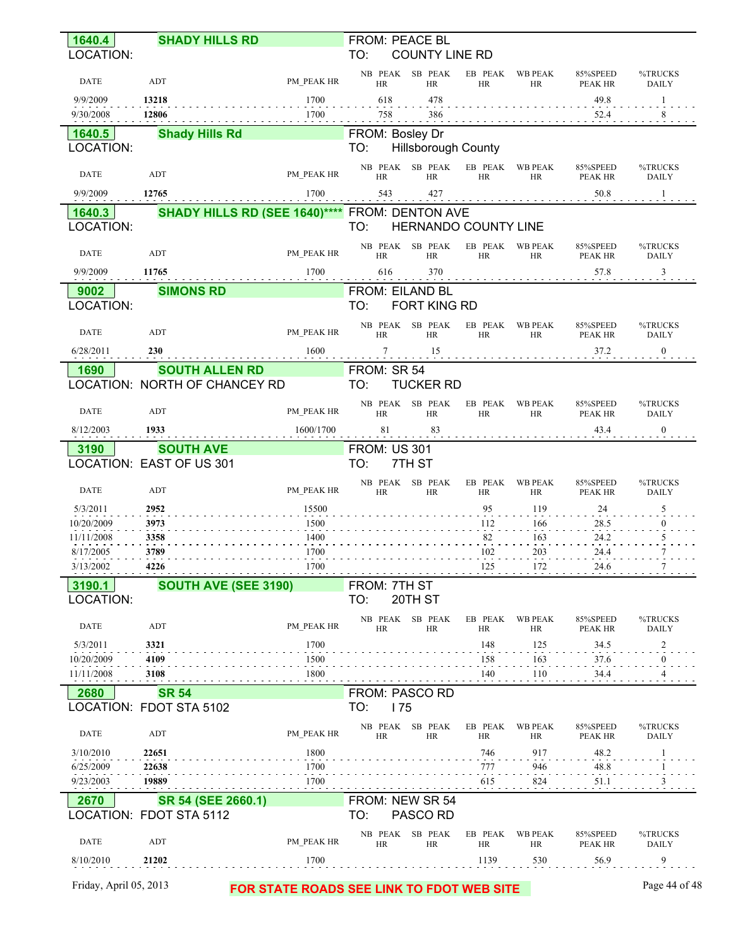| 1640.4                   | <b>SHADY HILLS RD</b>                                  |              | FROM: PEACE BL               |                              |                      |                       |                     |                                                    |
|--------------------------|--------------------------------------------------------|--------------|------------------------------|------------------------------|----------------------|-----------------------|---------------------|----------------------------------------------------|
| LOCATION:                |                                                        |              | TO:                          | <b>COUNTY LINE RD</b>        |                      |                       |                     |                                                    |
| DATE                     | ADT                                                    | PM PEAK HR   | HR                           | NB PEAK SB PEAK<br><b>HR</b> | <b>HR</b>            | EB PEAK WB PEAK<br>HR | 85%SPEED<br>PEAK HR | %TRUCKS<br><b>DAILY</b>                            |
| 9/9/2009                 | 13218                                                  | 1700         | 618                          | 478                          |                      |                       | 49.8                | -1                                                 |
| 9/30/2008                | 12806                                                  | 1700         | 758                          | 386                          |                      |                       | 52.4                | 8                                                  |
| 1640.5                   | <b>Shady Hills Rd</b>                                  |              | FROM: Bosley Dr              |                              |                      |                       |                     |                                                    |
| LOCATION:                |                                                        |              | TO:                          | <b>Hillsborough County</b>   |                      |                       |                     |                                                    |
| DATE                     | ADT                                                    | PM PEAK HR   | HR                           | NB PEAK SB PEAK<br>HR        | EB PEAK<br>HR        | <b>WB PEAK</b><br>HR  | 85%SPEED<br>PEAK HR | %TRUCKS<br><b>DAILY</b>                            |
| 9/9/2009                 | 12765                                                  | 1700         | 543                          | 427                          |                      |                       | 50.8                | -1                                                 |
| 1640.3                   | <b>SHADY HILLS RD (SEE 1640)**** FROM: DENTON AVE</b>  |              |                              |                              |                      |                       |                     |                                                    |
| LOCATION:                |                                                        |              | TO:                          | HERNANDO COUNTY LINE         |                      |                       |                     |                                                    |
| DATE                     | ADT                                                    | PM PEAK HR   | <b>HR</b>                    | NB PEAK SB PEAK<br><b>HR</b> | EB PEAK<br><b>HR</b> | <b>WB PEAK</b><br>HR  | 85%SPEED<br>PEAK HR | %TRUCKS<br><b>DAILY</b>                            |
| 9/9/2009                 | 11765                                                  | 1700         | 616                          | 370                          |                      |                       | 57.8                | 3                                                  |
| 9002                     | <b>SIMONS RD</b>                                       |              | FROM: EILAND BL              |                              |                      |                       |                     |                                                    |
| LOCATION:                |                                                        |              | TO:                          | FORT KING RD                 |                      |                       |                     |                                                    |
| DATE                     | ADT                                                    | PM PEAK HR   |                              | NB PEAK SB PEAK              | EB PEAK              | <b>WB PEAK</b>        | 85%SPEED            | %TRUCKS                                            |
| 6/28/2011                | 230                                                    | 1600         | <b>HR</b>                    | HR                           | <b>HR</b>            | HR                    | PEAK HR<br>37.2     | <b>DAILY</b><br>$\mathbf{0}$                       |
|                          |                                                        |              | 7                            | 15                           |                      |                       |                     |                                                    |
| 1690                     | <b>SOUTH ALLEN RD</b><br>LOCATION: NORTH OF CHANCEY RD |              | FROM: SR 54<br>TO:           | <b>TUCKER RD</b>             |                      |                       |                     |                                                    |
|                          |                                                        |              |                              | NB PEAK SB PEAK              | EB PEAK              | <b>WB PEAK</b>        | 85%SPEED            | %TRUCKS                                            |
| DATE                     | ADT                                                    | PM PEAK HR   | HR                           | <b>HR</b>                    | <b>HR</b>            | HR                    | PEAK HR             | <b>DAILY</b>                                       |
| 8/12/2003                | 1933                                                   | 1600/1700    | 81                           | 83                           |                      |                       | 43.4                | $\bf{0}$                                           |
| 3190                     | <b>SOUTH AVE</b>                                       |              | <b>FROM: US 301</b>          |                              |                      |                       |                     |                                                    |
|                          |                                                        |              |                              |                              |                      |                       |                     |                                                    |
|                          | LOCATION: EAST OF US 301                               |              | TO:                          | 7TH ST                       |                      |                       |                     |                                                    |
| <b>DATE</b>              | ADT                                                    | PM PEAK HR   | HR                           | NB PEAK SB PEAK<br><b>HR</b> | HR                   | EB PEAK WB PEAK<br>HR | 85%SPEED<br>PEAK HR |                                                    |
| 5/3/2011                 | 2952                                                   | 15500        |                              |                              | 95                   | 119                   | 24                  | 5                                                  |
| 10/20/2009               | 3973                                                   | 1500         |                              |                              | 112                  | 166                   | 28.5                | $\mathbf{0}$                                       |
| 11/11/2008               | 3358                                                   | 1400         |                              |                              | 82                   | 163                   | 24.2                | 5                                                  |
| 8/17/2005                | 3789                                                   | 1700         |                              |                              | 102                  | 203<br>172            | 24.4<br>24.6        | 7<br>7                                             |
| 3/13/2002                | 4226                                                   | 1700         |                              |                              | 125                  |                       |                     |                                                    |
| 3190.1<br>LOCATION:      | SOUTH AVE (SEE 3190)                                   |              | FROM: 7TH ST<br>TO:          | 20TH ST                      |                      |                       |                     |                                                    |
|                          |                                                        |              |                              | NB PEAK SB PEAK              | EB PEAK              | <b>WB PEAK</b>        | 85%SPEED            |                                                    |
| <b>DATE</b>              | ADT                                                    | PM PEAK HR   | <b>HR</b>                    | HR                           | HR                   | HR                    | PEAK HR             | %TRUCKS<br><b>DAILY</b><br>%TRUCKS<br><b>DAILY</b> |
| 5/3/2011                 | 3321                                                   | 1700         |                              |                              | 148                  | 125                   | 34.5                | $\overline{\mathbf{c}}$                            |
| 10/20/2009<br>11/11/2008 | 4109<br>3108                                           | 1500<br>1800 |                              |                              | 158<br>140           | 163<br>110            | 37.6<br>34.4        | $\boldsymbol{0}$<br>4                              |
|                          |                                                        |              |                              |                              |                      |                       |                     |                                                    |
| 2680                     | <b>SR 54</b><br>LOCATION: FDOT STA 5102                |              | FROM: PASCO RD<br>TO:<br>175 |                              |                      |                       |                     |                                                    |
|                          |                                                        |              | NB PEAK                      | SB PEAK                      | EB PEAK              | <b>WB PEAK</b>        | 85%SPEED            | %TRUCKS                                            |
| <b>DATE</b>              | ADT                                                    | PM PEAK HR   | <b>HR</b>                    | HR                           | HR                   | HR                    | PEAK HR             | <b>DAILY</b>                                       |
| 3/10/2010                | 22651                                                  | 1800         |                              |                              | 746                  | 917                   | 48.2                |                                                    |
| 6/25/2009<br>9/23/2003   | 22638<br>19889                                         | 1700<br>1700 |                              |                              | 777<br>615           | 946<br>824            | 48.8<br>51.1        | 3                                                  |
|                          |                                                        |              |                              |                              |                      |                       |                     |                                                    |
| 2670                     | SR 54 (SEE 2660.1)<br>LOCATION: FDOT STA 5112          |              | TO:                          | FROM: NEW SR 54<br>PASCO RD  |                      |                       |                     |                                                    |
| <b>DATE</b>              | ADT                                                    | PM PEAK HR   | HR                           | NB PEAK SB PEAK<br>HR        | EB PEAK<br><b>HR</b> | <b>WB PEAK</b><br>HR  | 85%SPEED<br>PEAK HR | %TRUCKS<br><b>DAILY</b>                            |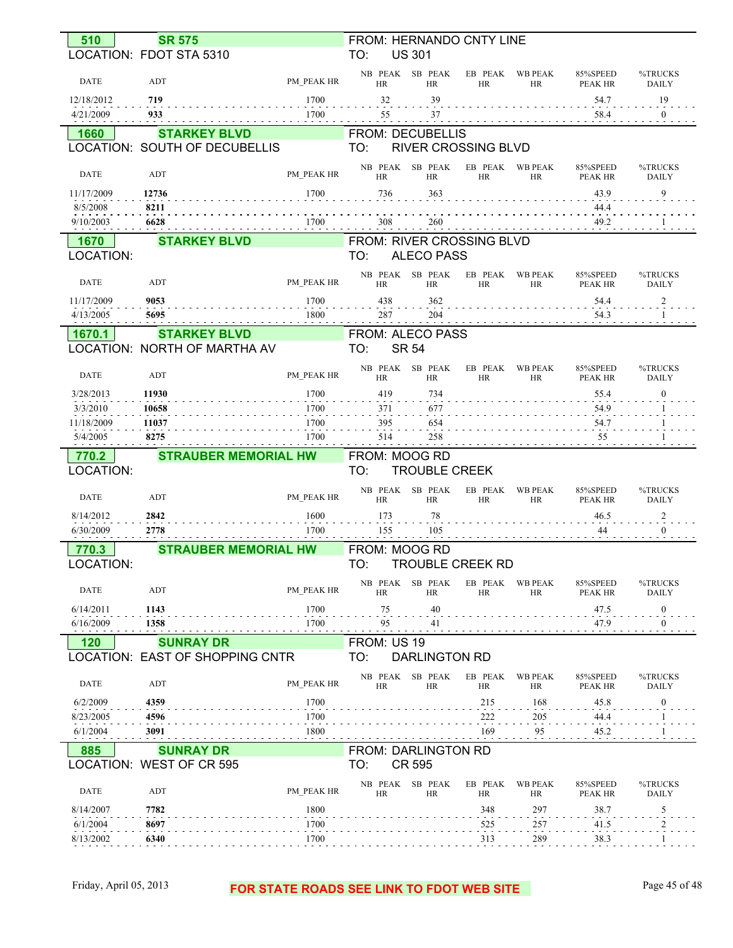| 510                   | <b>SR 575</b>                                       |              | FROM: HERNANDO CNTY LINE                  |                      |                              |                                      |                                                                                                                                                                                                                                                                                                                                                                                                                                                                                                |
|-----------------------|-----------------------------------------------------|--------------|-------------------------------------------|----------------------|------------------------------|--------------------------------------|------------------------------------------------------------------------------------------------------------------------------------------------------------------------------------------------------------------------------------------------------------------------------------------------------------------------------------------------------------------------------------------------------------------------------------------------------------------------------------------------|
|                       | LOCATION: FDOT STA 5310                             |              | TO:<br><b>US 301</b>                      |                      |                              |                                      |                                                                                                                                                                                                                                                                                                                                                                                                                                                                                                |
| <b>DATE</b>           | ADT                                                 | PM PEAK HR   | NB PEAK SB PEAK<br><b>HR</b><br><b>HR</b> | EB PEAK<br><b>HR</b> | <b>WB PEAK</b><br><b>HR</b>  | 85%SPEED<br>PEAK HR                  | %TRUCKS<br><b>DAILY</b>                                                                                                                                                                                                                                                                                                                                                                                                                                                                        |
| 12/18/2012            | 719                                                 | 1700         | 32<br>39                                  |                      |                              | 54.7                                 | 19                                                                                                                                                                                                                                                                                                                                                                                                                                                                                             |
| 4/21/2009             | 933                                                 | 1700         | 55<br>37                                  |                      |                              | 58.4                                 | $\boldsymbol{0}$<br>$\frac{1}{2} \left( \frac{1}{2} \right) \left( \frac{1}{2} \right) \left( \frac{1}{2} \right) \left( \frac{1}{2} \right) \left( \frac{1}{2} \right) \left( \frac{1}{2} \right) \left( \frac{1}{2} \right) \left( \frac{1}{2} \right) \left( \frac{1}{2} \right) \left( \frac{1}{2} \right) \left( \frac{1}{2} \right) \left( \frac{1}{2} \right) \left( \frac{1}{2} \right) \left( \frac{1}{2} \right) \left( \frac{1}{2} \right) \left( \frac{1}{2} \right) \left( \frac$ |
| 1660                  | <b>STARKEY BLVD</b>                                 |              | <b>FROM: DECUBELLIS</b>                   |                      |                              |                                      |                                                                                                                                                                                                                                                                                                                                                                                                                                                                                                |
|                       | LOCATION: SOUTH OF DECUBELLIS                       |              | <b>RIVER CROSSING BLVD</b><br>TO:         |                      |                              |                                      |                                                                                                                                                                                                                                                                                                                                                                                                                                                                                                |
| <b>DATE</b>           | ADT                                                 | PM PEAK HR   | NB PEAK SB PEAK<br><b>HR</b><br>HR        | <b>HR</b>            | EB PEAK WB PEAK<br><b>HR</b> | 85%SPEED<br>PEAK HR                  | %TRUCKS<br><b>DAILY</b>                                                                                                                                                                                                                                                                                                                                                                                                                                                                        |
| 11/17/2009            | 12736                                               | 1700         | 363<br>736                                |                      |                              | 43.9                                 | 9                                                                                                                                                                                                                                                                                                                                                                                                                                                                                              |
| 8/5/2008              | 8211                                                |              |                                           |                      |                              | 44.4                                 |                                                                                                                                                                                                                                                                                                                                                                                                                                                                                                |
| 9/10/2003             | 6628                                                | 1700         | 308<br>260<br>.                           |                      |                              | 49.2<br>$\sim$ 100 $\sim$ 100 $\sim$ |                                                                                                                                                                                                                                                                                                                                                                                                                                                                                                |
| 1670                  | <b>STARKEY BLVD</b>                                 |              | FROM: RIVER CROSSING BLVD                 |                      |                              |                                      |                                                                                                                                                                                                                                                                                                                                                                                                                                                                                                |
| LOCATION:             |                                                     |              | TO:<br><b>ALECO PASS</b>                  |                      |                              |                                      |                                                                                                                                                                                                                                                                                                                                                                                                                                                                                                |
| DATE                  | ADT                                                 | PM PEAK HR   | NB PEAK SB PEAK<br>HR<br>HR               | EB PEAK<br>HR        | <b>WB PEAK</b><br><b>HR</b>  | 85%SPEED<br>PEAK HR                  | %TRUCKS<br><b>DAILY</b>                                                                                                                                                                                                                                                                                                                                                                                                                                                                        |
| 11/17/2009            | 9053<br>5695                                        | 1700         | 438<br>362                                |                      |                              | 54.4                                 | 2                                                                                                                                                                                                                                                                                                                                                                                                                                                                                              |
| 4/13/2005             |                                                     | 1800         | 287<br>204                                |                      |                              | 54.3                                 |                                                                                                                                                                                                                                                                                                                                                                                                                                                                                                |
| 1670.1                | <b>STARKEY BLVD</b><br>LOCATION: NORTH OF MARTHA AV |              | FROM: ALECO PASS<br><b>SR 54</b><br>TO:   |                      |                              |                                      |                                                                                                                                                                                                                                                                                                                                                                                                                                                                                                |
|                       |                                                     |              |                                           |                      |                              |                                      |                                                                                                                                                                                                                                                                                                                                                                                                                                                                                                |
| <b>DATE</b>           | ADT                                                 | PM PEAK HR   | NB PEAK SB PEAK<br>HR<br>HR               | EB PEAK<br>HR        | <b>WB PEAK</b><br><b>HR</b>  | 85%SPEED<br><b>PEAK HR</b>           | %TRUCKS<br><b>DAILY</b>                                                                                                                                                                                                                                                                                                                                                                                                                                                                        |
| 3/28/2013             | 11930                                               | 1700         | 419<br>734                                |                      |                              | 55.4                                 | $\mathbf{0}$                                                                                                                                                                                                                                                                                                                                                                                                                                                                                   |
| 3/3/2010              | 10658                                               | 1700         | 371<br>677                                |                      |                              | 54.9                                 |                                                                                                                                                                                                                                                                                                                                                                                                                                                                                                |
| 11/18/2009            | 11037                                               | 1700         | 395<br>654<br><b>Contract Contract</b>    |                      |                              | 54.7<br>.                            |                                                                                                                                                                                                                                                                                                                                                                                                                                                                                                |
| 5/4/2005              | 8275                                                | 1700         | 258<br>514                                |                      |                              | 55<br><b>Contract Contract</b>       |                                                                                                                                                                                                                                                                                                                                                                                                                                                                                                |
|                       |                                                     |              |                                           |                      |                              |                                      |                                                                                                                                                                                                                                                                                                                                                                                                                                                                                                |
| 770.2                 | <b>STRAUBER MEMORIAL HW</b>                         |              | FROM: MOOG RD                             |                      |                              |                                      |                                                                                                                                                                                                                                                                                                                                                                                                                                                                                                |
| LOCATION:             |                                                     |              | <b>TROUBLE CREEK</b><br>TO:               |                      |                              |                                      |                                                                                                                                                                                                                                                                                                                                                                                                                                                                                                |
| <b>DATE</b>           | ADT                                                 | PM PEAK HR   | NB PEAK SB PEAK<br><b>HR</b><br><b>HR</b> | EB PEAK<br><b>HR</b> | <b>WB PEAK</b><br><b>HR</b>  | 85%SPEED<br>PEAK HR                  | %TRUCKS<br><b>DAILY</b>                                                                                                                                                                                                                                                                                                                                                                                                                                                                        |
| 8/14/2012             | 2842                                                | 1600         | 173<br>78                                 |                      |                              | 46.5                                 | 2                                                                                                                                                                                                                                                                                                                                                                                                                                                                                              |
| 6/30/2009             | 2778                                                | 1700         | 105<br>155                                |                      |                              | 44                                   | $\mathbf{0}$                                                                                                                                                                                                                                                                                                                                                                                                                                                                                   |
| 770.3                 | <b>STRAUBER MEMORIAL HW</b>                         |              | FROM: MOOG RD                             |                      |                              |                                      |                                                                                                                                                                                                                                                                                                                                                                                                                                                                                                |
| LOCATION:             |                                                     |              | TO:<br><b>TROUBLE CREEK RD</b>            |                      |                              |                                      |                                                                                                                                                                                                                                                                                                                                                                                                                                                                                                |
| <b>DATE</b>           | ADT                                                 | PM PEAK HR   | NB PEAK SB PEAK<br><b>HR</b><br>HR        | <b>HR</b>            | EB PEAK WB PEAK<br><b>HR</b> | 85%SPEED<br>PEAK HR                  | %TRUCKS<br><b>DAILY</b>                                                                                                                                                                                                                                                                                                                                                                                                                                                                        |
| 6/14/2011             | 1143                                                | 1700         | 75<br>40                                  |                      |                              | 47.5                                 | $\boldsymbol{0}$                                                                                                                                                                                                                                                                                                                                                                                                                                                                               |
| 6/16/2009             | 1358                                                | 1700         | 95<br>41                                  |                      |                              | 47.9                                 | $\mathbf{0}$                                                                                                                                                                                                                                                                                                                                                                                                                                                                                   |
| <b>120</b>            | <b>SUNRAY DR</b>                                    |              | FROM: US 19                               |                      |                              |                                      |                                                                                                                                                                                                                                                                                                                                                                                                                                                                                                |
|                       | LOCATION: EAST OF SHOPPING CNTR                     |              | TO:<br><b>DARLINGTON RD</b>               |                      |                              |                                      |                                                                                                                                                                                                                                                                                                                                                                                                                                                                                                |
| <b>DATE</b>           | ADT                                                 | PM PEAK HR   | NB PEAK SB PEAK<br>HR<br>HR               | EB PEAK<br>HR        | WB PEAK<br>HR                | 85%SPEED<br>PEAK HR                  | %TRUCKS<br>DAILY                                                                                                                                                                                                                                                                                                                                                                                                                                                                               |
| 6/2/2009              | 4359                                                | 1700         |                                           | 215                  | 168                          | 45.8                                 | $\bf{0}$                                                                                                                                                                                                                                                                                                                                                                                                                                                                                       |
| 8/23/2005             | 4596                                                | 1700         |                                           | 222                  | 205                          | 44.4                                 |                                                                                                                                                                                                                                                                                                                                                                                                                                                                                                |
| 6/1/2004              | 3091                                                | 1800         |                                           | 169                  | 95                           | 45.2                                 |                                                                                                                                                                                                                                                                                                                                                                                                                                                                                                |
| 885                   | <b>SUNRAY DR</b>                                    |              | <b>FROM: DARLINGTON RD</b>                |                      |                              |                                      |                                                                                                                                                                                                                                                                                                                                                                                                                                                                                                |
|                       | LOCATION: WEST OF CR 595                            |              | <b>CR 595</b><br>TO:                      |                      |                              |                                      |                                                                                                                                                                                                                                                                                                                                                                                                                                                                                                |
| <b>DATE</b>           | ADT                                                 | PM PEAK HR   | NB PEAK SB PEAK<br><b>HR</b><br>HR        | EB PEAK<br>HR        | <b>WB PEAK</b><br><b>HR</b>  | 85%SPEED<br>PEAK HR                  | %TRUCKS<br>DAILY                                                                                                                                                                                                                                                                                                                                                                                                                                                                               |
| 8/14/2007             | 7782                                                | 1800         |                                           | 348                  | 297                          | 38.7                                 | 5                                                                                                                                                                                                                                                                                                                                                                                                                                                                                              |
| 6/1/2004<br>8/13/2002 | 8697<br>6340                                        | 1700<br>1700 |                                           | 525<br>313           | 257<br>289                   | 41.5<br>$\sim$ $\sim$ $\sim$<br>38.3 |                                                                                                                                                                                                                                                                                                                                                                                                                                                                                                |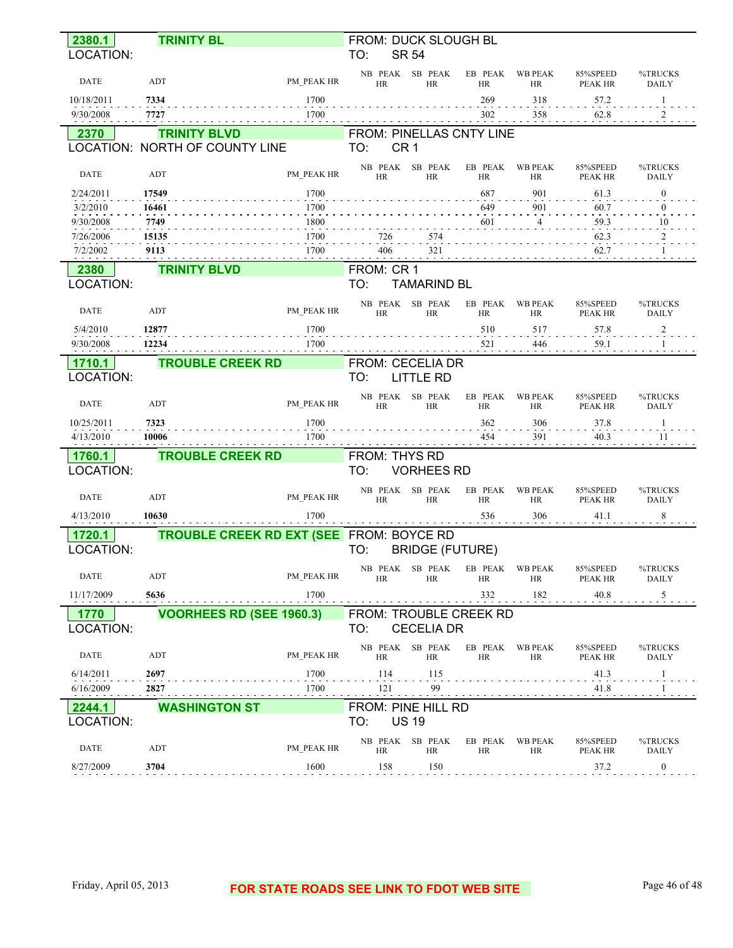| 2380.1                 | <b>TRINITY BL</b>                               |              | FROM: DUCK SLOUGH BL                         |                       |                             |                                   |                         |
|------------------------|-------------------------------------------------|--------------|----------------------------------------------|-----------------------|-----------------------------|-----------------------------------|-------------------------|
| LOCATION:              |                                                 |              | <b>SR 54</b><br>TO:                          |                       |                             |                                   |                         |
| <b>DATE</b>            | ADT                                             | PM PEAK HR   | NB PEAK SB PEAK<br><b>HR</b><br><b>HR</b>    | EB PEAK<br><b>HR</b>  | <b>WB PEAK</b><br><b>HR</b> | 85%SPEED<br><b>PEAK HR</b>        | %TRUCKS<br><b>DAILY</b> |
| 10/18/2011             | 7334                                            | 1700         |                                              | 269                   | 318                         | 57.2                              | 1                       |
| 9/30/2008              | 7727                                            | 1700         |                                              | 302                   | 358                         | 62.8                              | 2                       |
| 2370                   | <b>TRINITY BLVD</b>                             |              | FROM: PINELLAS CNTY LINE                     |                       |                             |                                   |                         |
|                        | LOCATION: NORTH OF COUNTY LINE                  |              | CR <sub>1</sub><br>TO:                       |                       |                             |                                   |                         |
| <b>DATE</b>            | ADT                                             | PM PEAK HR   | SB PEAK<br>NB PEAK<br><b>HR</b><br><b>HR</b> | EB PEAK<br><b>HR</b>  | <b>WB PEAK</b><br><b>HR</b> | 85%SPEED<br><b>PEAK HR</b>        | %TRUCKS<br><b>DAILY</b> |
| 2/24/2011              | 17549                                           | 1700         |                                              | 687                   | 901                         | 61.3                              | $\mathbf{0}$            |
| 3/2/2010               | 16461                                           | 1700         |                                              | 649                   | 901                         | 60.7                              | $\theta$                |
| 9/30/2008<br>7/26/2006 | 7749<br>15135                                   | 1800<br>1700 | 574<br>726                                   | 601                   | 4                           | 59.3<br>62.3                      | 10                      |
| 7/2/2002               | 9113                                            | 1700         | 406<br>321                                   |                       |                             | 62.7                              |                         |
| 2380                   | <b>TRINITY BLVD</b>                             |              | FROM: CR 1                                   |                       |                             |                                   |                         |
| LOCATION:              |                                                 |              | TO:<br><b>TAMARIND BL</b>                    |                       |                             |                                   |                         |
|                        |                                                 |              | NB PEAK<br>SB PEAK                           | EB PEAK               | <b>WB PEAK</b>              | 85%SPEED                          | %TRUCKS                 |
| <b>DATE</b>            | ADT                                             | PM PEAK HR   | <b>HR</b><br><b>HR</b>                       | <b>HR</b>             | <b>HR</b>                   | <b>PEAK HR</b>                    | <b>DAILY</b>            |
| 5/4/2010               | 12877                                           | 1700         |                                              | 510                   | 517                         | 57.8                              | $\overline{2}$          |
| 9/30/2008              | 12234                                           | 1700         |                                              | 521                   | 446                         | 59.1                              |                         |
| 1710.1                 | <b>TROUBLE CREEK RD</b>                         |              | <b>FROM: CECELIA DR</b>                      |                       |                             |                                   |                         |
| LOCATION:              |                                                 |              | TO:<br><b>LITTLE RD</b>                      |                       |                             |                                   |                         |
| <b>DATE</b>            | ADT                                             | PM PEAK HR   | NB PEAK<br>SB PEAK<br><b>HR</b><br><b>HR</b> | EB PEAK<br><b>HR</b>  | <b>WB PEAK</b><br><b>HR</b> | 85%SPEED<br>PEAK HR               | %TRUCKS<br>DAILY        |
| 10/25/2011             | 7323                                            | 1700         |                                              | 362                   | 306                         | 37.8                              | 1                       |
| 4/13/2010              | 10006                                           | 1700         |                                              | 454                   | 391                         | 40.3                              | 11                      |
| 1760.1                 | <b>TROUBLE CREEK RD</b>                         |              | <b>FROM: THYS RD</b>                         |                       |                             |                                   |                         |
| LOCATION:              |                                                 |              | TO:<br><b>VORHEES RD</b>                     |                       |                             |                                   |                         |
| <b>DATE</b>            | ADT                                             | PM PEAK HR   | NB PEAK<br>SB PEAK<br><b>HR</b><br>HR        | EB PEAK<br><b>HR</b>  | <b>WB PEAK</b><br><b>HR</b> | 85%SPEED<br>PEAK HR               | %TRUCKS<br>DAILY        |
| 4/13/2010              | 10630                                           | 1700         |                                              | 536                   | 306                         | 41.1                              | 8                       |
| 1720.1                 | <b>TROUBLE CREEK RD EXT (SEE FROM: BOYCE RD</b> |              |                                              |                       |                             |                                   |                         |
| LOCATION:              |                                                 |              | <b>BRIDGE (FUTURE)</b><br>TO:                |                       |                             |                                   |                         |
| DATE                   | ADT                                             | PM PEAK HR   | NB PEAK SB PEAK<br><b>HR</b><br>HR           | EB PEAK WB PEAK<br>HR | HR                          | 85%SPEED<br>PEAK HR               | %TRUCKS<br>DAILY        |
| 11/17/2009             | 5636                                            | 1700         |                                              | 332                   | 182                         | 40.8                              | 5                       |
| 1770                   | <b>VOORHEES RD (SEE 1960.3)</b>                 |              | FROM: TROUBLE CREEK RD                       |                       |                             |                                   |                         |
| LOCATION:              |                                                 |              | TO:<br><b>CECELIA DR</b>                     |                       |                             |                                   |                         |
| <b>DATE</b>            | ADT                                             | PM PEAK HR   | NB PEAK SB PEAK<br>HR<br>HR                  | EB PEAK<br>HR         | WB PEAK<br><b>HR</b>        | 85%SPEED<br>PEAK HR               | %TRUCKS<br>DAILY        |
| 6/14/2011              | 2697                                            | 1700         | 114<br>115                                   |                       |                             | 41.3                              | 1                       |
| 6/16/2009              | 2827                                            | 1700<br>.    | 121<br>99                                    |                       |                             | 41.8<br>and a series and a series |                         |
| 2244.1                 | <b>WASHINGTON ST</b>                            |              | FROM: PINE HILL RD                           |                       |                             |                                   |                         |
| LOCATION:              |                                                 |              | <b>US 19</b><br>TO:                          |                       |                             |                                   |                         |
| <b>DATE</b>            | ADT                                             | PM PEAK HR   | NB PEAK SB PEAK<br>HR<br>HR                  | EB PEAK<br>HR         | <b>WB PEAK</b><br>HR        | 85%SPEED<br>PEAK HR               | %TRUCKS<br>DAILY        |
| 8/27/2009              | 3704                                            | 1600         | 158<br>150                                   |                       |                             | 37.2                              | $\overline{0}$          |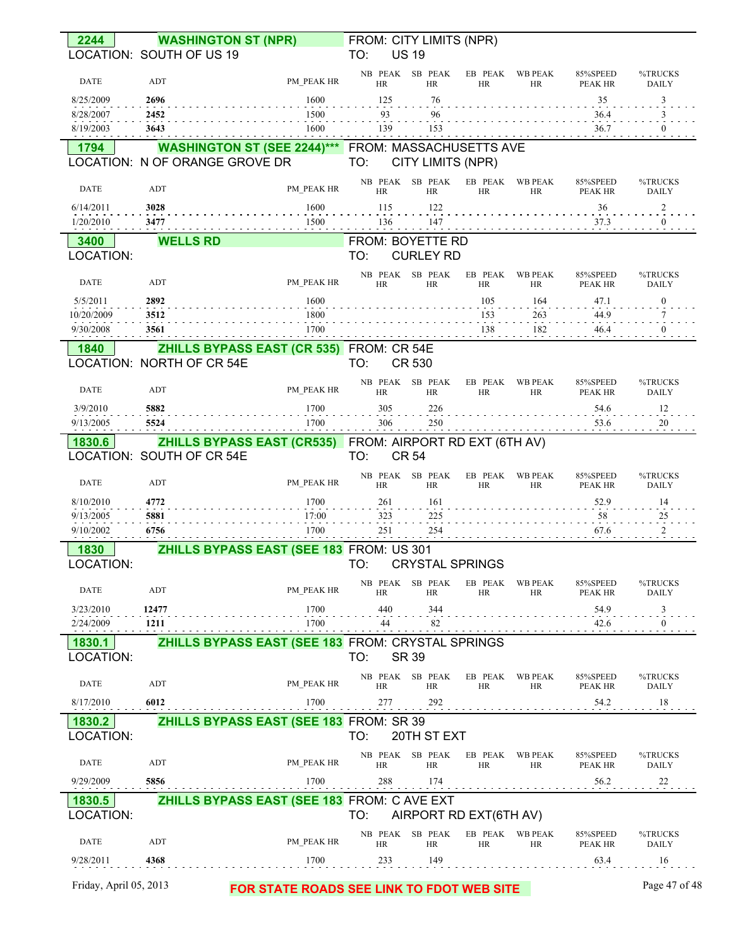| 2244                    |                                | <b>WASHINGTON ST (NPR)</b>                                 | FROM: CITY LIMITS (NPR) |                                |                        |                             |                            |                                                                                                   |
|-------------------------|--------------------------------|------------------------------------------------------------|-------------------------|--------------------------------|------------------------|-----------------------------|----------------------------|---------------------------------------------------------------------------------------------------|
|                         | LOCATION: SOUTH OF US 19       |                                                            | TO:                     | <b>US 19</b>                   |                        |                             |                            |                                                                                                   |
| DATE                    | ADT                            | PM PEAK HR                                                 | <b>HR</b>               | NB PEAK SB PEAK<br><b>HR</b>   | EB PEAK<br><b>HR</b>   | <b>WB PEAK</b><br><b>HR</b> | 85%SPEED<br><b>PEAK HR</b> | %TRUCKS<br><b>DAILY</b>                                                                           |
| 8/25/2009               | 2696                           | 1600                                                       | 125                     | 76                             |                        |                             | 35                         | 3                                                                                                 |
| 8/28/2007<br>8/19/2003  | 2452<br>3643                   | 1500<br>1600                                               | 93<br>139               | 96<br>153                      |                        |                             | 36.4<br>36.7               | 3<br>$\bf{0}$                                                                                     |
| 1794                    |                                | <b>WASHINGTON ST (SEE 2244)***</b> FROM: MASSACHUSETTS AVE |                         |                                |                        |                             |                            |                                                                                                   |
|                         | LOCATION: N OF ORANGE GROVE DR |                                                            | TO:                     | CITY LIMITS (NPR)              |                        |                             |                            |                                                                                                   |
| <b>DATE</b>             | ADT                            | PM PEAK HR                                                 | HR                      | NB PEAK SB PEAK<br>HR          | EB PEAK<br><b>HR</b>   | <b>WB PEAK</b><br><b>HR</b> | 85%SPEED<br><b>PEAK HR</b> | %TRUCKS<br><b>DAILY</b>                                                                           |
| 6/14/2011<br>1/20/2010  | 3028<br>3477                   | 1600<br>1500                                               | 115<br>136              | 122<br>147                     |                        |                             | 36<br>37.3                 | $\overline{\mathbf{c}}$<br>$\bf{0}$                                                               |
| 3400                    | <b>WELLS RD</b>                |                                                            | FROM: BOYETTE RD        |                                |                        |                             |                            |                                                                                                   |
| LOCATION:               |                                |                                                            | TO:                     | <b>CURLEY RD</b>               |                        |                             |                            |                                                                                                   |
| DATE                    | ADT                            | PM PEAK HR                                                 | <b>HR</b>               | NB PEAK SB PEAK<br>HR          | EB PEAK<br>HR          | <b>WB PEAK</b><br>HR        | 85%SPEED<br>PEAK HR        | %TRUCKS<br><b>DAILY</b>                                                                           |
| 5/5/2011                | 2892                           | 1600                                                       |                         |                                | 105                    | 164                         | 47.1                       | $\bf{0}$                                                                                          |
| 10/20/2009<br>9/30/2008 | 3512                           | 1800                                                       |                         |                                | 153<br>138             | 263<br>182                  | 44.9                       | $\boldsymbol{0}$                                                                                  |
|                         | 3561                           | <b>1700</b>                                                |                         |                                |                        |                             | 46.4                       |                                                                                                   |
| 1840                    | LOCATION: NORTH OF CR 54E      | <b>ZHILLS BYPASS EAST (CR 535) FROM: CR 54E</b>            | TO:                     | <b>CR 530</b>                  |                        |                             |                            |                                                                                                   |
| <b>DATE</b>             | ADT                            | PM PEAK HR                                                 | <b>HR</b>               | NB PEAK SB PEAK<br>HR          | EB PEAK<br><b>HR</b>   | <b>WB PEAK</b><br>HR        | 85%SPEED<br><b>PEAK HR</b> | %TRUCKS<br><b>DAILY</b>                                                                           |
| 3/9/2010                | 5882                           | 1700                                                       | 305                     | 226                            |                        |                             | 54.6                       | 12                                                                                                |
| 9/13/2005               | 5524                           | 1700                                                       | 306                     | 250                            |                        |                             | 53.6                       | 20                                                                                                |
| 1830.6                  |                                | ZHILLS BYPASS EAST (CR535) FROM: AIRPORT RD EXT (6TH AV)   |                         |                                |                        |                             |                            |                                                                                                   |
|                         | LOCATION: SOUTH OF CR 54E      |                                                            | TO:                     | <b>CR 54</b>                   |                        |                             |                            |                                                                                                   |
| DATE                    | ADT                            | PM PEAK HR                                                 | <b>HR</b>               | NB PEAK SB PEAK<br>HR          | EB PEAK<br><b>HR</b>   | <b>WB PEAK</b><br>HR        | 85%SPEED<br><b>PEAK HR</b> |                                                                                                   |
| 8/10/2010               | 4772                           | 1700                                                       | 261                     | 161                            |                        |                             | 52.9                       | 14                                                                                                |
| 9/13/2005               | 5881                           | 17:00                                                      | 323                     | 225                            |                        |                             | 58                         | 25                                                                                                |
| 9/10/2002               | 6756                           | 1700                                                       | 251                     | 254                            |                        |                             | 67.6                       | $\overline{2}$                                                                                    |
| 1830<br>LOCATION:       |                                | ZHILLS BYPASS EAST (SEE 183 FROM: US 301                   | TO:                     | <b>CRYSTAL SPRINGS</b>         |                        |                             |                            |                                                                                                   |
| DATE                    | ADT                            | PM PEAK HR                                                 | <b>HR</b>               | NB PEAK SB PEAK<br><b>HR</b>   | EB PEAK<br>HR          | <b>WB PEAK</b><br>HR        | 85%SPEED<br><b>PEAK HR</b> |                                                                                                   |
| 3/23/2010               | 12477                          | 1700                                                       | 440                     | 344                            |                        |                             | 54.9                       | 3                                                                                                 |
| 2/24/2009               | 1211                           | 1700                                                       | 44                      | 82                             |                        |                             | 42.6                       | 0                                                                                                 |
| 1830.1                  |                                | ZHILLS BYPASS EAST (SEE 183 FROM: CRYSTAL SPRINGS          | TO:                     |                                |                        |                             |                            |                                                                                                   |
| LOCATION:<br>DATE       | ADT                            | PM PEAK HR                                                 | HR                      | SR 39<br>NB PEAK SB PEAK<br>HR | EB PEAK<br><b>HR</b>   | <b>WB PEAK</b><br><b>HR</b> | 85%SPEED<br><b>PEAK HR</b> |                                                                                                   |
| 8/17/2010               | 6012                           | 1700                                                       | 277                     | 292                            |                        |                             | 54.2                       | 18                                                                                                |
|                         |                                |                                                            |                         |                                |                        |                             |                            |                                                                                                   |
| 1830.2<br>LOCATION:     |                                | ZHILLS BYPASS EAST (SEE 183 FROM: SR 39                    | TO:                     | 20TH ST EXT                    |                        |                             |                            |                                                                                                   |
| <b>DATE</b>             | ADT                            | PM PEAK HR                                                 | HR                      | NB PEAK SB PEAK<br>HR          | EB PEAK<br>HR          | WB PEAK<br>HR               | 85%SPEED<br><b>PEAK HR</b> | %TRUCKS<br><b>DAILY</b><br>%TRUCKS<br><b>DAILY</b><br>%TRUCKS<br>DAILY<br>%TRUCKS<br><b>DAILY</b> |
| 9/29/2009               | 5856                           | 1700                                                       | 288                     | 174                            |                        |                             | 56.2                       | 22                                                                                                |
| 1830.5<br>LOCATION:     |                                | ZHILLS BYPASS EAST (SEE 183 FROM: C AVE EXT                | TO:                     |                                | AIRPORT RD EXT(6TH AV) |                             |                            |                                                                                                   |
| DATE                    | ADT                            | PM PEAK HR                                                 | <b>HR</b>               | NB PEAK SB PEAK<br>HR          | EB PEAK<br><b>HR</b>   | <b>WB PEAK</b><br><b>HR</b> | 85%SPEED<br>PEAK HR        | %TRUCKS<br><b>DAILY</b>                                                                           |